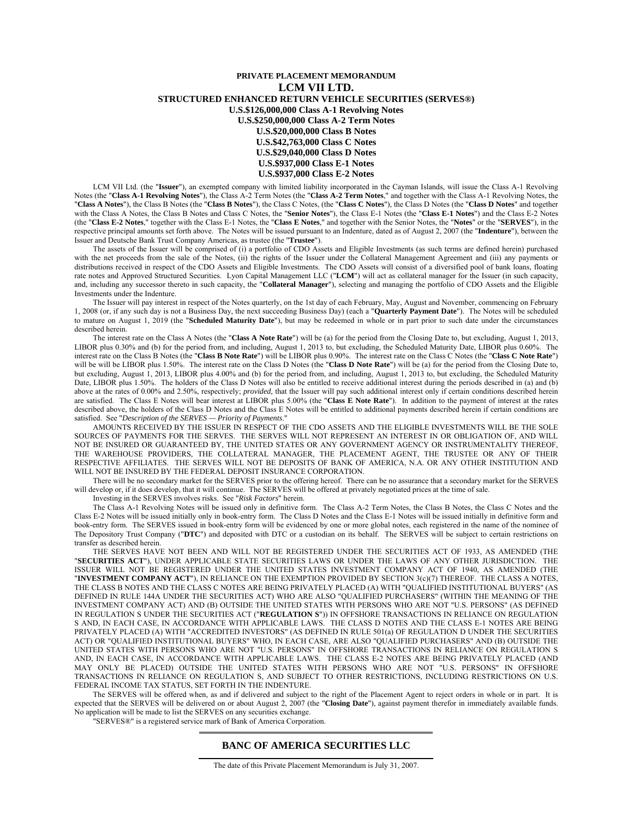#### **PRIVATE PLACEMENT MEMORANDUM LCM VII LTD. STRUCTURED ENHANCED RETURN VEHICLE SECURITIES (SERVES®) U.S.\$126,000,000 Class A-1 Revolving Notes U.S.\$250,000,000 Class A-2 Term Notes U.S.\$20,000,000 Class B Notes U.S.\$42,763,000 Class C Notes U.S.\$29,040,000 Class D Notes U.S.\$937,000 Class E-1 Notes U.S.\$937,000 Class E-2 Notes**

LCM VII Ltd. (the "**Issuer**"), an exempted company with limited liability incorporated in the Cayman Islands, will issue the Class A-1 Revolving Notes (the "**Class A-1 Revolving Notes**"), the Class A-2 Term Notes (the "**Class A-2 Term Notes**," and together with the Class A-1 Revolving Notes, the "**Class A Notes**"), the Class B Notes (the "**Class B Notes**"), the Class C Notes, (the "**Class C Notes**"), the Class D Notes (the "**Class D Notes**" and together with the Class A Notes, the Class B Notes and Class C Notes, the "**Senior Notes**"), the Class E-1 Notes (the "**Class E-1 Notes**") and the Class E-2 Notes (the "**Class E-2 Notes**," together with the Class E-1 Notes, the "**Class E Notes**," and together with the Senior Notes, the "**Notes**" or the "**SERVES**"), in the respective principal amounts set forth above. The Notes will be issued pursuant to an Indenture, dated as of August 2, 2007 (the "**Indenture**"), between the Issuer and Deutsche Bank Trust Company Americas, as trustee (the "**Trustee**").

The assets of the Issuer will be comprised of (i) a portfolio of CDO Assets and Eligible Investments (as such terms are defined herein) purchased with the net proceeds from the sale of the Notes, (ii) the rights of the Issuer under the Collateral Management Agreement and (iii) any payments or distributions received in respect of the CDO Assets and Eligible Investments. The CDO Assets will consist of a diversified pool of bank loans, floating rate notes and Approved Structured Securities. Lyon Capital Management LLC ("**LCM**") will act as collateral manager for the Issuer (in such capacity, and, including any successor thereto in such capacity, the "**Collateral Manager**"), selecting and managing the portfolio of CDO Assets and the Eligible Investments under the Indenture.

The Issuer will pay interest in respect of the Notes quarterly, on the 1st day of each February, May, August and November, commencing on February 1, 2008 (or, if any such day is not a Business Day, the next succeeding Business Day) (each a "**Quarterly Payment Date**"). The Notes will be scheduled to mature on August 1, 2019 (the "**Scheduled Maturity Date**"), but may be redeemed in whole or in part prior to such date under the circumstances described herein.

The interest rate on the Class A Notes (the "**Class A Note Rate**") will be (a) for the period from the Closing Date to, but excluding, August 1, 2013, LIBOR plus 0.30% and (b) for the period from, and including, August 1, 2013 to, but excluding, the Scheduled Maturity Date, LIBOR plus 0.60%. The interest rate on the Class B Notes (the "**Class B Note Rate**") will be LIBOR plus 0.90%. The interest rate on the Class C Notes (the "**Class C Note Rate**") will be will be LIBOR plus 1.50%. The interest rate on the Class D Notes (the "**Class D Note Rate**") will be (a) for the period from the Closing Date to, but excluding, August 1, 2013, LIBOR plus 4.00% and (b) for the period from, and including, August 1, 2013 to, but excluding, the Scheduled Maturity Date, LIBOR plus 1.50%. The holders of the Class D Notes will also be entitled to receive additional interest during the periods described in (a) and (b) above at the rates of 0.00% and 2.50%, respectively; *provided*, that the Issuer will pay such additional interest only if certain conditions described herein are satisfied. The Class E Notes will bear interest at LIBOR plus 5.00% (the "**Class E Note Rate**"). In addition to the payment of interest at the rates described above, the holders of the Class D Notes and the Class E Notes will be entitled to additional payments described herein if certain conditions are satisfied. See "*Description of the SERVES — Priority of Payments*."

AMOUNTS RECEIVED BY THE ISSUER IN RESPECT OF THE CDO ASSETS AND THE ELIGIBLE INVESTMENTS WILL BE THE SOLE SOURCES OF PAYMENTS FOR THE SERVES. THE SERVES WILL NOT REPRESENT AN INTEREST IN OR OBLIGATION OF, AND WILL NOT BE INSURED OR GUARANTEED BY, THE UNITED STATES OR ANY GOVERNMENT AGENCY OR INSTRUMENTALITY THEREOF, THE WAREHOUSE PROVIDERS, THE COLLATERAL MANAGER, THE PLACEMENT AGENT, THE TRUSTEE OR ANY OF THEIR RESPECTIVE AFFILIATES. THE SERVES WILL NOT BE DEPOSITS OF BANK OF AMERICA, N.A. OR ANY OTHER INSTITUTION AND WILL NOT BE INSURED BY THE FEDERAL DEPOSIT INSURANCE CORPORATION.

There will be no secondary market for the SERVES prior to the offering hereof. There can be no assurance that a secondary market for the SERVES will develop or, if it does develop, that it will continue. The SERVES will be offered at privately negotiated prices at the time of sale.

Investing in the SERVES involves risks. See "*Risk Factors*" herein.

The Class A-1 Revolving Notes will be issued only in definitive form. The Class A-2 Term Notes, the Class B Notes, the Class C Notes and the Class E-2 Notes will be issued initially only in book-entry form. The Class D Notes and the Class E-1 Notes will be issued initially in definitive form and book-entry form. The SERVES issued in book-entry form will be evidenced by one or more global notes, each registered in the name of the nominee of The Depository Trust Company ("**DTC**") and deposited with DTC or a custodian on its behalf. The SERVES will be subject to certain restrictions on transfer as described herein.

THE SERVES HAVE NOT BEEN AND WILL NOT BE REGISTERED UNDER THE SECURITIES ACT OF 1933, AS AMENDED (THE "**SECURITIES ACT**"), UNDER APPLICABLE STATE SECURITIES LAWS OR UNDER THE LAWS OF ANY OTHER JURISDICTION. THE ISSUER WILL NOT BE REGISTERED UNDER THE UNITED STATES INVESTMENT COMPANY ACT OF 1940, AS AMENDED (THE "**INVESTMENT COMPANY ACT**"), IN RELIANCE ON THE EXEMPTION PROVIDED BY SECTION 3(c)(7) THEREOF. THE CLASS A NOTES, THE CLASS B NOTES AND THE CLASS C NOTES ARE BEING PRIVATELY PLACED (A) WITH "QUALIFIED INSTITUTIONAL BUYERS" (AS DEFINED IN RULE 144A UNDER THE SECURITIES ACT) WHO ARE ALSO "QUALIFIED PURCHASERS" (WITHIN THE MEANING OF THE INVESTMENT COMPANY ACT) AND (B) OUTSIDE THE UNITED STATES WITH PERSONS WHO ARE NOT "U.S. PERSONS" (AS DEFINED IN REGULATION S UNDER THE SECURITIES ACT ("**REGULATION S**")) IN OFFSHORE TRANSACTIONS IN RELIANCE ON REGULATION S AND, IN EACH CASE, IN ACCORDANCE WITH APPLICABLE LAWS. THE CLASS D NOTES AND THE CLASS E-1 NOTES ARE BEING PRIVATELY PLACED (A) WITH "ACCREDITED INVESTORS" (AS DEFINED IN RULE 501(a) OF REGULATION D UNDER THE SECURITIES ACT) OR "QUALIFIED INSTITUTIONAL BUYERS" WHO, IN EACH CASE, ARE ALSO "QUALIFIED PURCHASERS" AND (B) OUTSIDE THE UNITED STATES WITH PERSONS WHO ARE NOT "U.S. PERSONS" IN OFFSHORE TRANSACTIONS IN RELIANCE ON REGULATION S AND, IN EACH CASE, IN ACCORDANCE WITH APPLICABLE LAWS. THE CLASS E-2 NOTES ARE BEING PRIVATELY PLACED (AND MAY ONLY BE PLACED) OUTSIDE THE UNITED STATES WITH PERSONS WHO ARE NOT "U.S. PERSONS" IN OFFSHORE TRANSACTIONS IN RELIANCE ON REGULATION S, AND SUBJECT TO OTHER RESTRICTIONS, INCLUDING RESTRICTIONS ON U.S. FEDERAL INCOME TAX STATUS, SET FORTH IN THE INDENTURE.

The SERVES will be offered when, as and if delivered and subject to the right of the Placement Agent to reject orders in whole or in part. It is expected that the SERVES will be delivered on or about August 2, 2007 (the "**Closing Date**"), against payment therefor in immediately available funds. No application will be made to list the SERVES on any securities exchange.

"SERVES®" is a registered service mark of Bank of America Corporation.

### **BANC OF AMERICA SECURITIES LLC**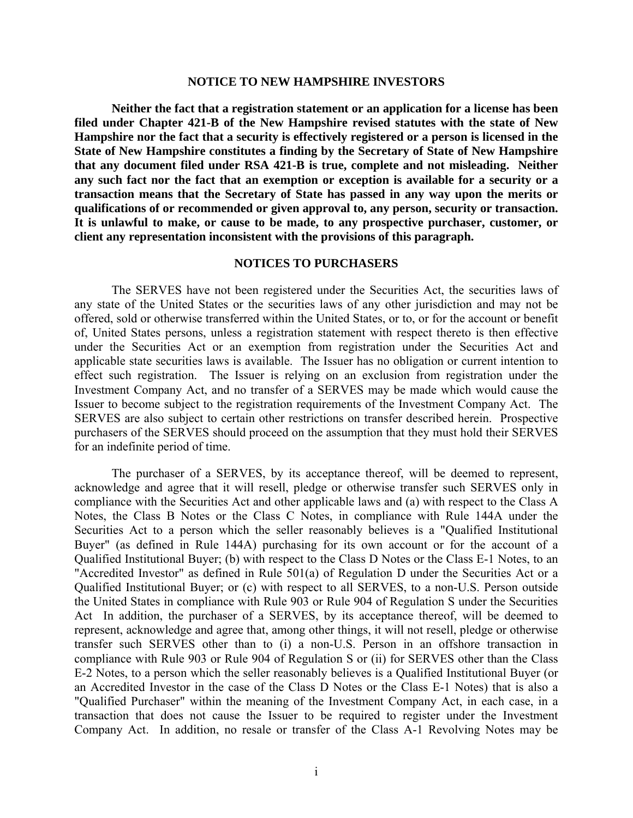### **NOTICE TO NEW HAMPSHIRE INVESTORS**

**Neither the fact that a registration statement or an application for a license has been filed under Chapter 421-B of the New Hampshire revised statutes with the state of New Hampshire nor the fact that a security is effectively registered or a person is licensed in the State of New Hampshire constitutes a finding by the Secretary of State of New Hampshire that any document filed under RSA 421-B is true, complete and not misleading. Neither any such fact nor the fact that an exemption or exception is available for a security or a transaction means that the Secretary of State has passed in any way upon the merits or qualifications of or recommended or given approval to, any person, security or transaction. It is unlawful to make, or cause to be made, to any prospective purchaser, customer, or client any representation inconsistent with the provisions of this paragraph.** 

# **NOTICES TO PURCHASERS**

The SERVES have not been registered under the Securities Act, the securities laws of any state of the United States or the securities laws of any other jurisdiction and may not be offered, sold or otherwise transferred within the United States, or to, or for the account or benefit of, United States persons, unless a registration statement with respect thereto is then effective under the Securities Act or an exemption from registration under the Securities Act and applicable state securities laws is available. The Issuer has no obligation or current intention to effect such registration. The Issuer is relying on an exclusion from registration under the Investment Company Act, and no transfer of a SERVES may be made which would cause the Issuer to become subject to the registration requirements of the Investment Company Act. The SERVES are also subject to certain other restrictions on transfer described herein. Prospective purchasers of the SERVES should proceed on the assumption that they must hold their SERVES for an indefinite period of time.

The purchaser of a SERVES, by its acceptance thereof, will be deemed to represent, acknowledge and agree that it will resell, pledge or otherwise transfer such SERVES only in compliance with the Securities Act and other applicable laws and (a) with respect to the Class A Notes, the Class B Notes or the Class C Notes, in compliance with Rule 144A under the Securities Act to a person which the seller reasonably believes is a "Qualified Institutional Buyer" (as defined in Rule 144A) purchasing for its own account or for the account of a Qualified Institutional Buyer; (b) with respect to the Class D Notes or the Class E-1 Notes, to an "Accredited Investor" as defined in Rule 501(a) of Regulation D under the Securities Act or a Qualified Institutional Buyer; or (c) with respect to all SERVES, to a non-U.S. Person outside the United States in compliance with Rule 903 or Rule 904 of Regulation S under the Securities Act In addition, the purchaser of a SERVES, by its acceptance thereof, will be deemed to represent, acknowledge and agree that, among other things, it will not resell, pledge or otherwise transfer such SERVES other than to (i) a non-U.S. Person in an offshore transaction in compliance with Rule 903 or Rule 904 of Regulation S or (ii) for SERVES other than the Class E-2 Notes, to a person which the seller reasonably believes is a Qualified Institutional Buyer (or an Accredited Investor in the case of the Class D Notes or the Class E-1 Notes) that is also a "Qualified Purchaser" within the meaning of the Investment Company Act, in each case, in a transaction that does not cause the Issuer to be required to register under the Investment Company Act. In addition, no resale or transfer of the Class A-1 Revolving Notes may be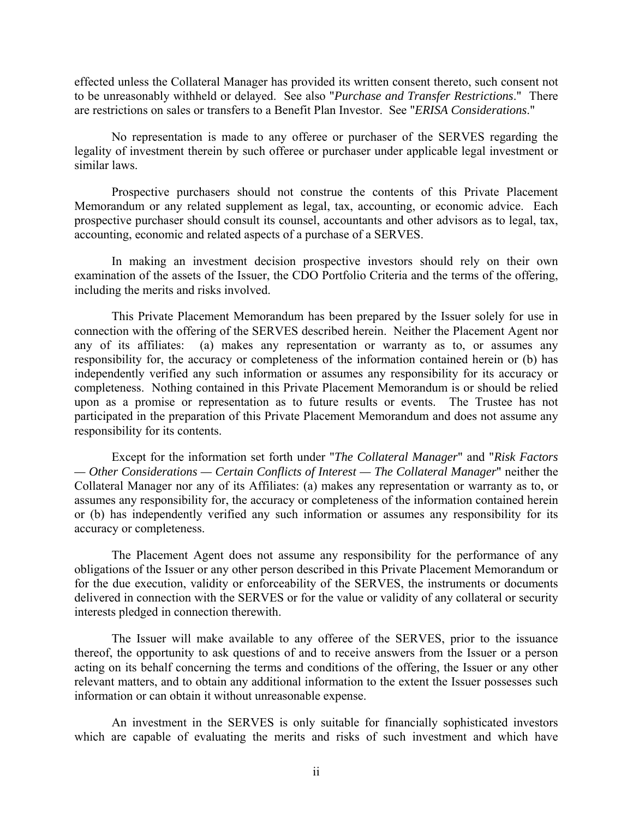effected unless the Collateral Manager has provided its written consent thereto, such consent not to be unreasonably withheld or delayed. See also "*Purchase and Transfer Restrictions*." There are restrictions on sales or transfers to a Benefit Plan Investor. See "*ERISA Considerations*."

No representation is made to any offeree or purchaser of the SERVES regarding the legality of investment therein by such offeree or purchaser under applicable legal investment or similar laws.

Prospective purchasers should not construe the contents of this Private Placement Memorandum or any related supplement as legal, tax, accounting, or economic advice. Each prospective purchaser should consult its counsel, accountants and other advisors as to legal, tax, accounting, economic and related aspects of a purchase of a SERVES.

In making an investment decision prospective investors should rely on their own examination of the assets of the Issuer, the CDO Portfolio Criteria and the terms of the offering, including the merits and risks involved.

This Private Placement Memorandum has been prepared by the Issuer solely for use in connection with the offering of the SERVES described herein. Neither the Placement Agent nor any of its affiliates: (a) makes any representation or warranty as to, or assumes any responsibility for, the accuracy or completeness of the information contained herein or (b) has independently verified any such information or assumes any responsibility for its accuracy or completeness. Nothing contained in this Private Placement Memorandum is or should be relied upon as a promise or representation as to future results or events. The Trustee has not participated in the preparation of this Private Placement Memorandum and does not assume any responsibility for its contents.

Except for the information set forth under "*The Collateral Manager*" and "*Risk Factors — Other Considerations — Certain Conflicts of Interest — The Collateral Manager*" neither the Collateral Manager nor any of its Affiliates: (a) makes any representation or warranty as to, or assumes any responsibility for, the accuracy or completeness of the information contained herein or (b) has independently verified any such information or assumes any responsibility for its accuracy or completeness.

The Placement Agent does not assume any responsibility for the performance of any obligations of the Issuer or any other person described in this Private Placement Memorandum or for the due execution, validity or enforceability of the SERVES, the instruments or documents delivered in connection with the SERVES or for the value or validity of any collateral or security interests pledged in connection therewith.

The Issuer will make available to any offeree of the SERVES, prior to the issuance thereof, the opportunity to ask questions of and to receive answers from the Issuer or a person acting on its behalf concerning the terms and conditions of the offering, the Issuer or any other relevant matters, and to obtain any additional information to the extent the Issuer possesses such information or can obtain it without unreasonable expense.

An investment in the SERVES is only suitable for financially sophisticated investors which are capable of evaluating the merits and risks of such investment and which have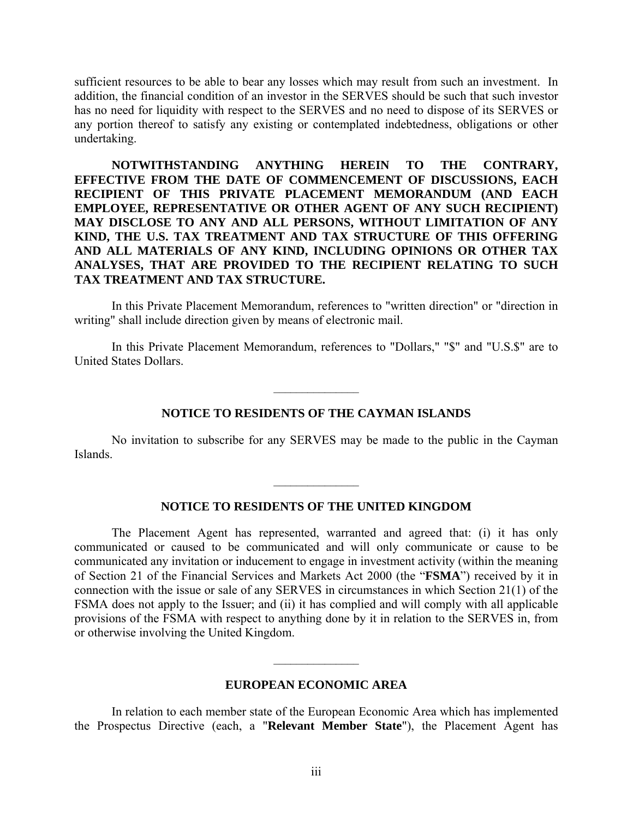sufficient resources to be able to bear any losses which may result from such an investment. In addition, the financial condition of an investor in the SERVES should be such that such investor has no need for liquidity with respect to the SERVES and no need to dispose of its SERVES or any portion thereof to satisfy any existing or contemplated indebtedness, obligations or other undertaking.

**NOTWITHSTANDING ANYTHING HEREIN TO THE CONTRARY, EFFECTIVE FROM THE DATE OF COMMENCEMENT OF DISCUSSIONS, EACH RECIPIENT OF THIS PRIVATE PLACEMENT MEMORANDUM (AND EACH EMPLOYEE, REPRESENTATIVE OR OTHER AGENT OF ANY SUCH RECIPIENT) MAY DISCLOSE TO ANY AND ALL PERSONS, WITHOUT LIMITATION OF ANY KIND, THE U.S. TAX TREATMENT AND TAX STRUCTURE OF THIS OFFERING AND ALL MATERIALS OF ANY KIND, INCLUDING OPINIONS OR OTHER TAX ANALYSES, THAT ARE PROVIDED TO THE RECIPIENT RELATING TO SUCH TAX TREATMENT AND TAX STRUCTURE.** 

In this Private Placement Memorandum, references to "written direction" or "direction in writing" shall include direction given by means of electronic mail.

In this Private Placement Memorandum, references to "Dollars," "\$" and "U.S.\$" are to United States Dollars.

### **NOTICE TO RESIDENTS OF THE CAYMAN ISLANDS**

 $\_$ 

No invitation to subscribe for any SERVES may be made to the public in the Cayman Islands.

# **NOTICE TO RESIDENTS OF THE UNITED KINGDOM**

 $\_$ 

The Placement Agent has represented, warranted and agreed that: (i) it has only communicated or caused to be communicated and will only communicate or cause to be communicated any invitation or inducement to engage in investment activity (within the meaning of Section 21 of the Financial Services and Markets Act 2000 (the "**FSMA**") received by it in connection with the issue or sale of any SERVES in circumstances in which Section 21(1) of the FSMA does not apply to the Issuer; and (ii) it has complied and will comply with all applicable provisions of the FSMA with respect to anything done by it in relation to the SERVES in, from or otherwise involving the United Kingdom.

### **EUROPEAN ECONOMIC AREA**

 $\_$ 

In relation to each member state of the European Economic Area which has implemented the Prospectus Directive (each, a "**Relevant Member State**"), the Placement Agent has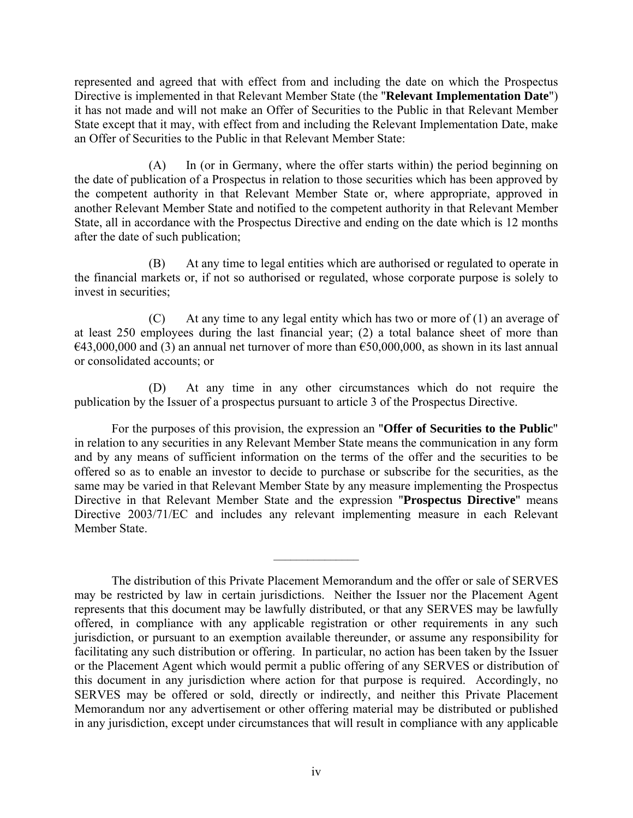represented and agreed that with effect from and including the date on which the Prospectus Directive is implemented in that Relevant Member State (the "**Relevant Implementation Date**") it has not made and will not make an Offer of Securities to the Public in that Relevant Member State except that it may, with effect from and including the Relevant Implementation Date, make an Offer of Securities to the Public in that Relevant Member State:

(A) In (or in Germany, where the offer starts within) the period beginning on the date of publication of a Prospectus in relation to those securities which has been approved by the competent authority in that Relevant Member State or, where appropriate, approved in another Relevant Member State and notified to the competent authority in that Relevant Member State, all in accordance with the Prospectus Directive and ending on the date which is 12 months after the date of such publication;

(B) At any time to legal entities which are authorised or regulated to operate in the financial markets or, if not so authorised or regulated, whose corporate purpose is solely to invest in securities;

(C) At any time to any legal entity which has two or more of (1) an average of at least 250 employees during the last financial year; (2) a total balance sheet of more than  $€43,000,000$  and (3) an annual net turnover of more than  $€50,000,000$ , as shown in its last annual or consolidated accounts; or

(D) At any time in any other circumstances which do not require the publication by the Issuer of a prospectus pursuant to article 3 of the Prospectus Directive.

For the purposes of this provision, the expression an "**Offer of Securities to the Public**" in relation to any securities in any Relevant Member State means the communication in any form and by any means of sufficient information on the terms of the offer and the securities to be offered so as to enable an investor to decide to purchase or subscribe for the securities, as the same may be varied in that Relevant Member State by any measure implementing the Prospectus Directive in that Relevant Member State and the expression "**Prospectus Directive**" means Directive 2003/71/EC and includes any relevant implementing measure in each Relevant Member State.

The distribution of this Private Placement Memorandum and the offer or sale of SERVES may be restricted by law in certain jurisdictions. Neither the Issuer nor the Placement Agent represents that this document may be lawfully distributed, or that any SERVES may be lawfully offered, in compliance with any applicable registration or other requirements in any such jurisdiction, or pursuant to an exemption available thereunder, or assume any responsibility for facilitating any such distribution or offering. In particular, no action has been taken by the Issuer or the Placement Agent which would permit a public offering of any SERVES or distribution of this document in any jurisdiction where action for that purpose is required. Accordingly, no SERVES may be offered or sold, directly or indirectly, and neither this Private Placement Memorandum nor any advertisement or other offering material may be distributed or published in any jurisdiction, except under circumstances that will result in compliance with any applicable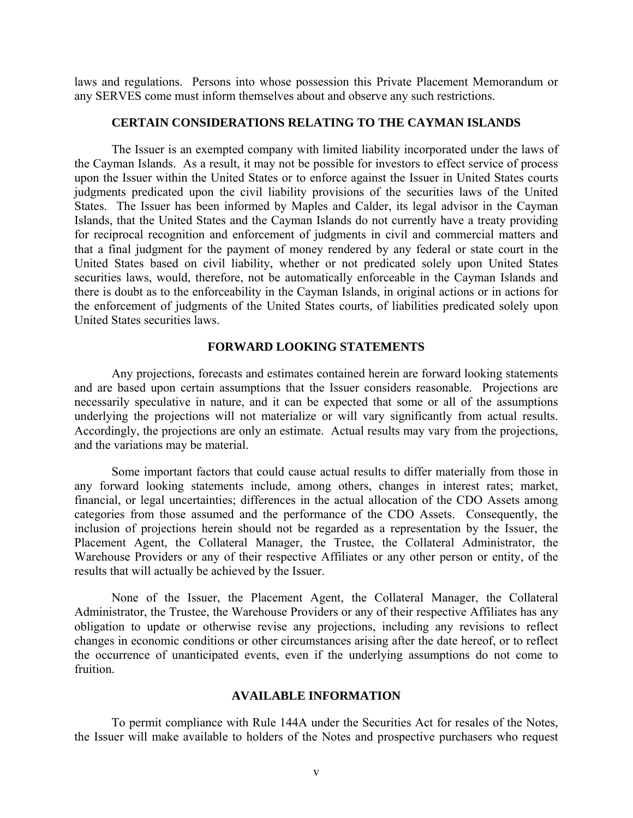laws and regulations. Persons into whose possession this Private Placement Memorandum or any SERVES come must inform themselves about and observe any such restrictions.

# **CERTAIN CONSIDERATIONS RELATING TO THE CAYMAN ISLANDS**

The Issuer is an exempted company with limited liability incorporated under the laws of the Cayman Islands. As a result, it may not be possible for investors to effect service of process upon the Issuer within the United States or to enforce against the Issuer in United States courts judgments predicated upon the civil liability provisions of the securities laws of the United States. The Issuer has been informed by Maples and Calder, its legal advisor in the Cayman Islands, that the United States and the Cayman Islands do not currently have a treaty providing for reciprocal recognition and enforcement of judgments in civil and commercial matters and that a final judgment for the payment of money rendered by any federal or state court in the United States based on civil liability, whether or not predicated solely upon United States securities laws, would, therefore, not be automatically enforceable in the Cayman Islands and there is doubt as to the enforceability in the Cayman Islands, in original actions or in actions for the enforcement of judgments of the United States courts, of liabilities predicated solely upon United States securities laws.

# **FORWARD LOOKING STATEMENTS**

Any projections, forecasts and estimates contained herein are forward looking statements and are based upon certain assumptions that the Issuer considers reasonable. Projections are necessarily speculative in nature, and it can be expected that some or all of the assumptions underlying the projections will not materialize or will vary significantly from actual results. Accordingly, the projections are only an estimate. Actual results may vary from the projections, and the variations may be material.

Some important factors that could cause actual results to differ materially from those in any forward looking statements include, among others, changes in interest rates; market, financial, or legal uncertainties; differences in the actual allocation of the CDO Assets among categories from those assumed and the performance of the CDO Assets. Consequently, the inclusion of projections herein should not be regarded as a representation by the Issuer, the Placement Agent, the Collateral Manager, the Trustee, the Collateral Administrator, the Warehouse Providers or any of their respective Affiliates or any other person or entity, of the results that will actually be achieved by the Issuer.

None of the Issuer, the Placement Agent, the Collateral Manager, the Collateral Administrator, the Trustee, the Warehouse Providers or any of their respective Affiliates has any obligation to update or otherwise revise any projections, including any revisions to reflect changes in economic conditions or other circumstances arising after the date hereof, or to reflect the occurrence of unanticipated events, even if the underlying assumptions do not come to fruition.

# **AVAILABLE INFORMATION**

To permit compliance with Rule 144A under the Securities Act for resales of the Notes, the Issuer will make available to holders of the Notes and prospective purchasers who request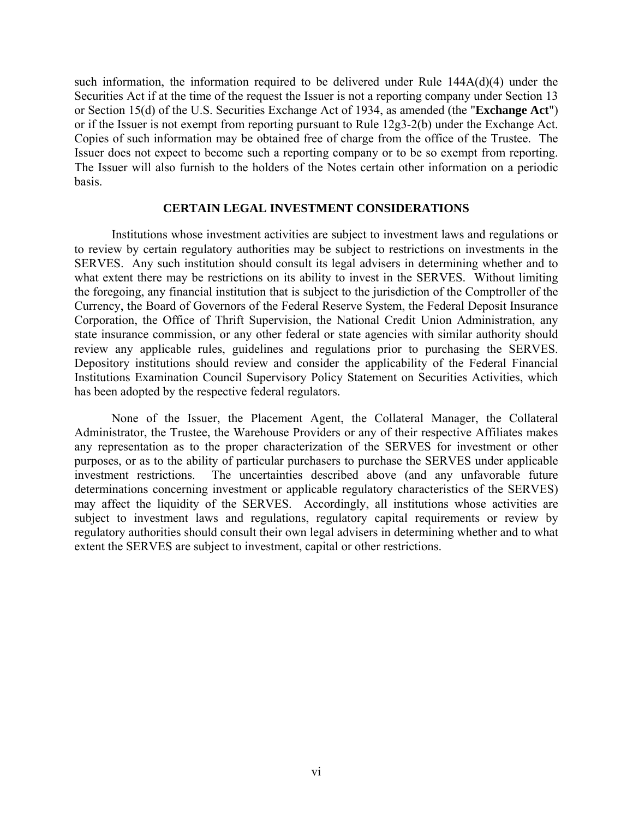such information, the information required to be delivered under Rule 144A(d)(4) under the Securities Act if at the time of the request the Issuer is not a reporting company under Section 13 or Section 15(d) of the U.S. Securities Exchange Act of 1934, as amended (the "**Exchange Act**") or if the Issuer is not exempt from reporting pursuant to Rule 12g3-2(b) under the Exchange Act. Copies of such information may be obtained free of charge from the office of the Trustee. The Issuer does not expect to become such a reporting company or to be so exempt from reporting. The Issuer will also furnish to the holders of the Notes certain other information on a periodic basis.

### **CERTAIN LEGAL INVESTMENT CONSIDERATIONS**

Institutions whose investment activities are subject to investment laws and regulations or to review by certain regulatory authorities may be subject to restrictions on investments in the SERVES. Any such institution should consult its legal advisers in determining whether and to what extent there may be restrictions on its ability to invest in the SERVES. Without limiting the foregoing, any financial institution that is subject to the jurisdiction of the Comptroller of the Currency, the Board of Governors of the Federal Reserve System, the Federal Deposit Insurance Corporation, the Office of Thrift Supervision, the National Credit Union Administration, any state insurance commission, or any other federal or state agencies with similar authority should review any applicable rules, guidelines and regulations prior to purchasing the SERVES. Depository institutions should review and consider the applicability of the Federal Financial Institutions Examination Council Supervisory Policy Statement on Securities Activities, which has been adopted by the respective federal regulators.

None of the Issuer, the Placement Agent, the Collateral Manager, the Collateral Administrator, the Trustee, the Warehouse Providers or any of their respective Affiliates makes any representation as to the proper characterization of the SERVES for investment or other purposes, or as to the ability of particular purchasers to purchase the SERVES under applicable investment restrictions. The uncertainties described above (and any unfavorable future determinations concerning investment or applicable regulatory characteristics of the SERVES) may affect the liquidity of the SERVES. Accordingly, all institutions whose activities are subject to investment laws and regulations, regulatory capital requirements or review by regulatory authorities should consult their own legal advisers in determining whether and to what extent the SERVES are subject to investment, capital or other restrictions.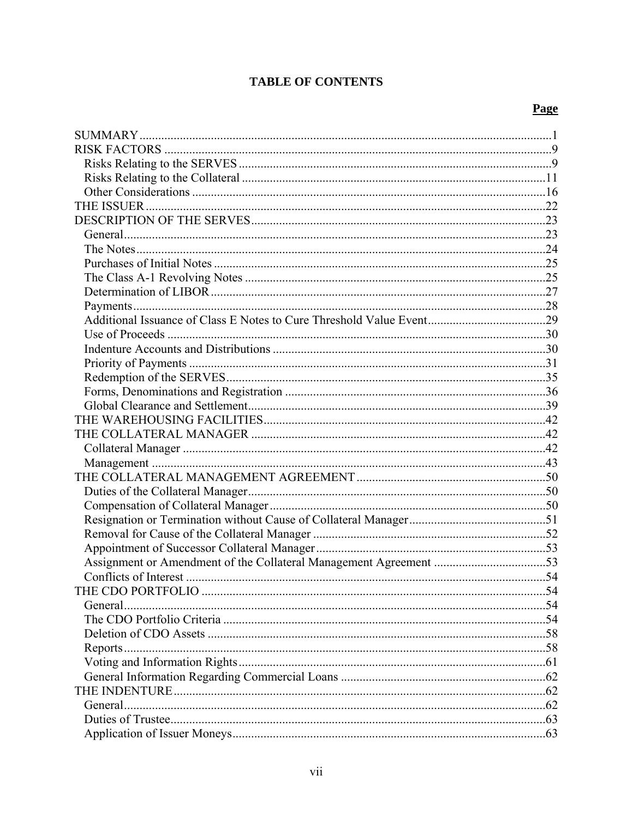# **TABLE OF CONTENTS**

# Page

| General. |  |
|----------|--|
|          |  |
|          |  |
|          |  |
|          |  |
|          |  |
|          |  |
| General. |  |
|          |  |
|          |  |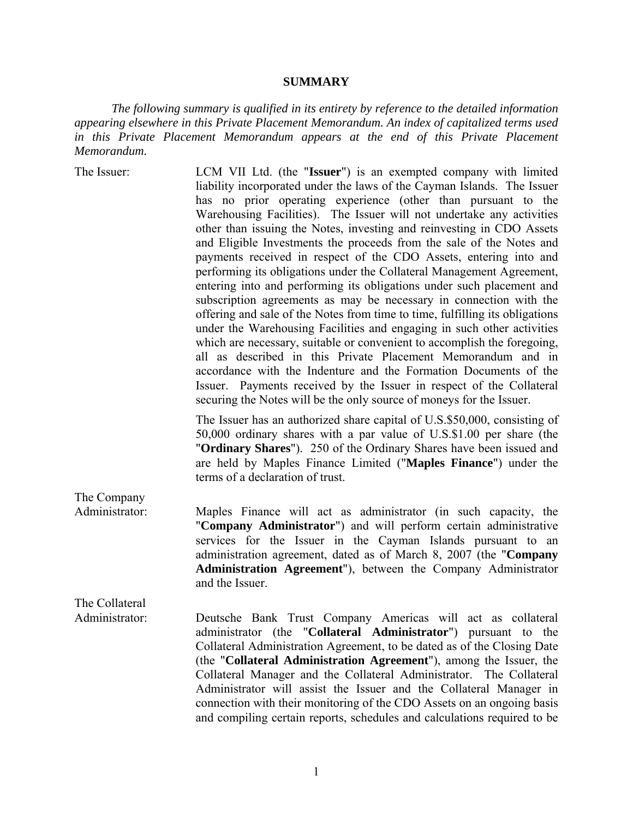# **SUMMARY**

*The following summary is qualified in its entirety by reference to the detailed information appearing elsewhere in this Private Placement Memorandum. An index of capitalized terms used*  in this Private Placement Memorandum appears at the end of this Private Placement *Memorandum.*

| The Issuer:    | LCM VII Ltd. (the "Issuer") is an exempted company with limited<br>liability incorporated under the laws of the Cayman Islands. The Issuer<br>has no prior operating experience (other than pursuant to the<br>Warehousing Facilities). The Issuer will not undertake any activities<br>other than issuing the Notes, investing and reinvesting in CDO Assets<br>and Eligible Investments the proceeds from the sale of the Notes and<br>payments received in respect of the CDO Assets, entering into and<br>performing its obligations under the Collateral Management Agreement,<br>entering into and performing its obligations under such placement and<br>subscription agreements as may be necessary in connection with the<br>offering and sale of the Notes from time to time, fulfilling its obligations<br>under the Warehousing Facilities and engaging in such other activities<br>which are necessary, suitable or convenient to accomplish the foregoing,<br>all as described in this Private Placement Memorandum and in<br>accordance with the Indenture and the Formation Documents of the |
|----------------|--------------------------------------------------------------------------------------------------------------------------------------------------------------------------------------------------------------------------------------------------------------------------------------------------------------------------------------------------------------------------------------------------------------------------------------------------------------------------------------------------------------------------------------------------------------------------------------------------------------------------------------------------------------------------------------------------------------------------------------------------------------------------------------------------------------------------------------------------------------------------------------------------------------------------------------------------------------------------------------------------------------------------------------------------------------------------------------------------------------|
|                | Issuer. Payments received by the Issuer in respect of the Collateral<br>securing the Notes will be the only source of moneys for the Issuer.                                                                                                                                                                                                                                                                                                                                                                                                                                                                                                                                                                                                                                                                                                                                                                                                                                                                                                                                                                 |
|                | The Issuer has an authorized share capital of U.S.\$50,000, consisting of<br>50,000 ordinary shares with a par value of U.S.\$1.00 per share (the<br>"Ordinary Shares"). 250 of the Ordinary Shares have been issued and<br>are held by Maples Finance Limited ("Maples Finance") under the<br>terms of a declaration of trust.                                                                                                                                                                                                                                                                                                                                                                                                                                                                                                                                                                                                                                                                                                                                                                              |
| The Company    |                                                                                                                                                                                                                                                                                                                                                                                                                                                                                                                                                                                                                                                                                                                                                                                                                                                                                                                                                                                                                                                                                                              |
| Administrator: | Maples Finance will act as administrator (in such capacity, the<br>"Company Administrator") and will perform certain administrative<br>services for the Issuer in the Cayman Islands pursuant to an<br>administration agreement, dated as of March 8, 2007 (the "Company<br>Administration Agreement"), between the Company Administrator<br>and the Issuer.                                                                                                                                                                                                                                                                                                                                                                                                                                                                                                                                                                                                                                                                                                                                                 |
| The Collateral |                                                                                                                                                                                                                                                                                                                                                                                                                                                                                                                                                                                                                                                                                                                                                                                                                                                                                                                                                                                                                                                                                                              |
| Administrator: | Deutsche Bank Trust Company Americas will act as collateral<br>administrator (the "Collateral Administrator") pursuant to the<br>Collateral Administration Agreement, to be dated as of the Closing Date<br>(the "Collateral Administration Agreement"), among the Issuer, the<br>Collateral Manager and the Collateral Administrator. The Collateral<br>Administrator will assist the Issuer and the Collateral Manager in<br>connection with their monitoring of the CDO Assets on an ongoing basis<br>and compiling certain reports, schedules and calculations required to be                                                                                                                                                                                                                                                                                                                                                                                                                                                                                                                            |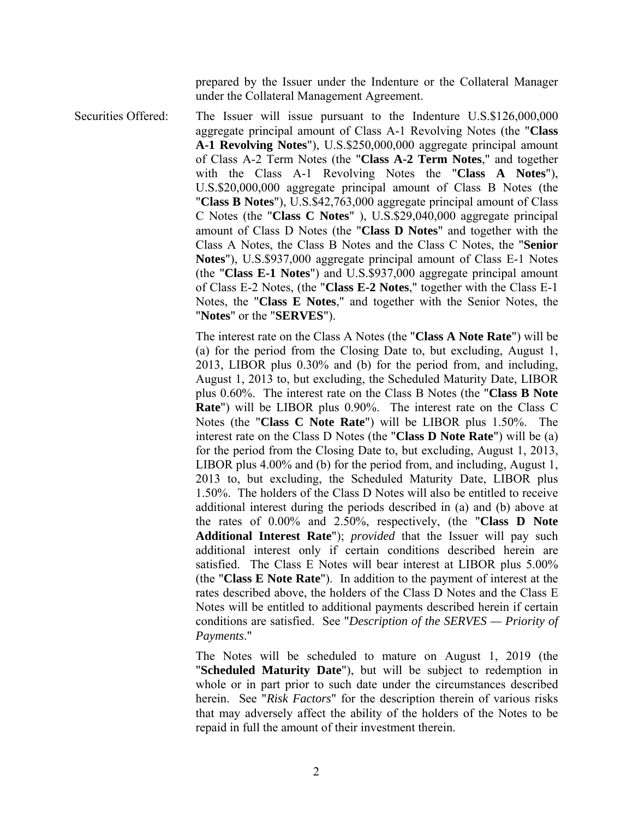prepared by the Issuer under the Indenture or the Collateral Manager under the Collateral Management Agreement.

Securities Offered: The Issuer will issue pursuant to the Indenture U.S.\$126,000,000 aggregate principal amount of Class A-1 Revolving Notes (the "**Class A-1 Revolving Notes**"), U.S.\$250,000,000 aggregate principal amount of Class A-2 Term Notes (the "**Class A-2 Term Notes**," and together with the Class A-1 Revolving Notes the "**Class A Notes**"), U.S.\$20,000,000 aggregate principal amount of Class B Notes (the "**Class B Notes**"), U.S.\$42,763,000 aggregate principal amount of Class C Notes (the "**Class C Notes**" ), U.S.\$29,040,000 aggregate principal amount of Class D Notes (the "**Class D Notes**" and together with the Class A Notes, the Class B Notes and the Class C Notes, the "**Senior Notes**"), U.S.\$937,000 aggregate principal amount of Class E-1 Notes (the "**Class E-1 Notes**") and U.S.\$937,000 aggregate principal amount of Class E-2 Notes, (the "**Class E-2 Notes**," together with the Class E-1 Notes, the "**Class E Notes**," and together with the Senior Notes, the "**Notes**" or the "**SERVES**").

> The interest rate on the Class A Notes (the "**Class A Note Rate**") will be (a) for the period from the Closing Date to, but excluding, August 1, 2013, LIBOR plus 0.30% and (b) for the period from, and including, August 1, 2013 to, but excluding, the Scheduled Maturity Date, LIBOR plus 0.60%. The interest rate on the Class B Notes (the "**Class B Note Rate**") will be LIBOR plus 0.90%. The interest rate on the Class C Notes (the "**Class C Note Rate**") will be LIBOR plus 1.50%. The interest rate on the Class D Notes (the "**Class D Note Rate**") will be (a) for the period from the Closing Date to, but excluding, August 1, 2013, LIBOR plus 4.00% and (b) for the period from, and including, August 1, 2013 to, but excluding, the Scheduled Maturity Date, LIBOR plus 1.50%. The holders of the Class D Notes will also be entitled to receive additional interest during the periods described in (a) and (b) above at the rates of 0.00% and 2.50%, respectively, (the "**Class D Note Additional Interest Rate**"); *provided* that the Issuer will pay such additional interest only if certain conditions described herein are satisfied. The Class E Notes will bear interest at LIBOR plus 5.00% (the "**Class E Note Rate**"). In addition to the payment of interest at the rates described above, the holders of the Class D Notes and the Class E Notes will be entitled to additional payments described herein if certain conditions are satisfied. See "*Description of the SERVES — Priority of Payments*."

> The Notes will be scheduled to mature on August 1, 2019 (the "**Scheduled Maturity Date**"), but will be subject to redemption in whole or in part prior to such date under the circumstances described herein. See "*Risk Factors*" for the description therein of various risks that may adversely affect the ability of the holders of the Notes to be repaid in full the amount of their investment therein.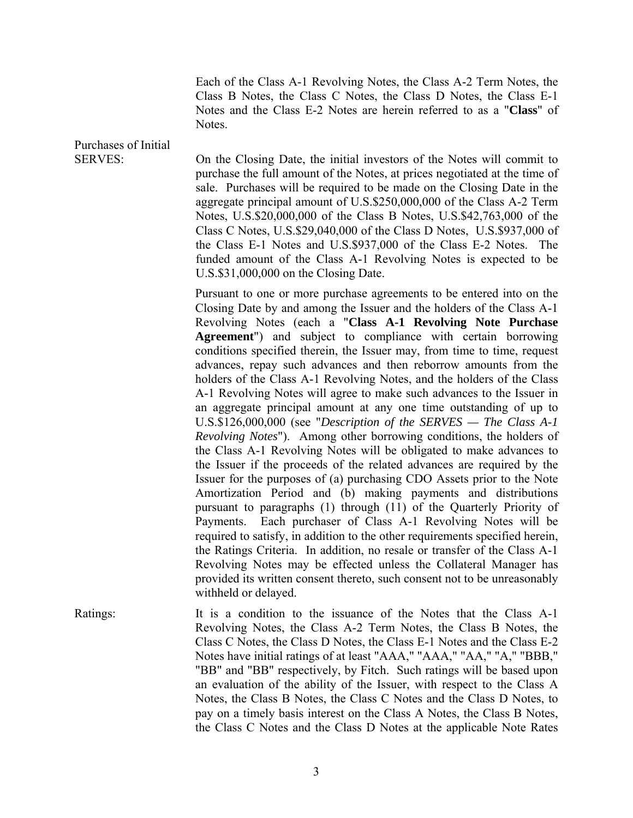Each of the Class A-1 Revolving Notes, the Class A-2 Term Notes, the Class B Notes, the Class C Notes, the Class D Notes, the Class E-1 Notes and the Class E-2 Notes are herein referred to as a "**Class**" of Notes.

Purchases of Initial

SERVES: On the Closing Date, the initial investors of the Notes will commit to purchase the full amount of the Notes, at prices negotiated at the time of sale. Purchases will be required to be made on the Closing Date in the aggregate principal amount of U.S.\$250,000,000 of the Class A-2 Term Notes, U.S.\$20,000,000 of the Class B Notes, U.S.\$42,763,000 of the Class C Notes, U.S.\$29,040,000 of the Class D Notes, U.S.\$937,000 of the Class E-1 Notes and U.S.\$937,000 of the Class E-2 Notes. The funded amount of the Class A-1 Revolving Notes is expected to be U.S.\$31,000,000 on the Closing Date.

> Pursuant to one or more purchase agreements to be entered into on the Closing Date by and among the Issuer and the holders of the Class A-1 Revolving Notes (each a "**Class A-1 Revolving Note Purchase Agreement**") and subject to compliance with certain borrowing conditions specified therein, the Issuer may, from time to time, request advances, repay such advances and then reborrow amounts from the holders of the Class A-1 Revolving Notes, and the holders of the Class A-1 Revolving Notes will agree to make such advances to the Issuer in an aggregate principal amount at any one time outstanding of up to U.S.\$126,000,000 (see "*Description of the SERVES — The Class A-1 Revolving Notes*"). Among other borrowing conditions, the holders of the Class A-1 Revolving Notes will be obligated to make advances to the Issuer if the proceeds of the related advances are required by the Issuer for the purposes of (a) purchasing CDO Assets prior to the Note Amortization Period and (b) making payments and distributions pursuant to paragraphs (1) through (11) of the Quarterly Priority of Payments. Each purchaser of Class A-1 Revolving Notes will be required to satisfy, in addition to the other requirements specified herein, the Ratings Criteria. In addition, no resale or transfer of the Class A-1 Revolving Notes may be effected unless the Collateral Manager has provided its written consent thereto, such consent not to be unreasonably withheld or delayed.

Ratings: It is a condition to the issuance of the Notes that the Class A-1 Revolving Notes, the Class A-2 Term Notes, the Class B Notes, the Class C Notes, the Class D Notes, the Class E-1 Notes and the Class E-2 Notes have initial ratings of at least "AAA," "AAA," "AA," "A," "BBB," "BB" and "BB" respectively, by Fitch. Such ratings will be based upon an evaluation of the ability of the Issuer, with respect to the Class A Notes, the Class B Notes, the Class C Notes and the Class D Notes, to pay on a timely basis interest on the Class A Notes, the Class B Notes, the Class C Notes and the Class D Notes at the applicable Note Rates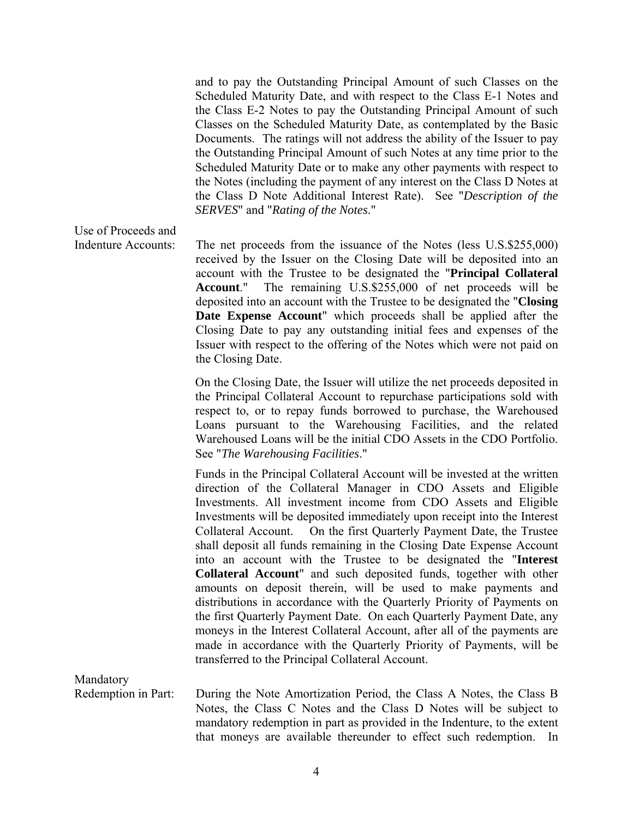and to pay the Outstanding Principal Amount of such Classes on the Scheduled Maturity Date, and with respect to the Class E-1 Notes and the Class E-2 Notes to pay the Outstanding Principal Amount of such Classes on the Scheduled Maturity Date, as contemplated by the Basic Documents. The ratings will not address the ability of the Issuer to pay the Outstanding Principal Amount of such Notes at any time prior to the Scheduled Maturity Date or to make any other payments with respect to the Notes (including the payment of any interest on the Class D Notes at the Class D Note Additional Interest Rate). See "*Description of the SERVES*" and "*Rating of the Notes*."

Use of Proceeds and

Indenture Accounts: The net proceeds from the issuance of the Notes (less U.S.\$255,000) received by the Issuer on the Closing Date will be deposited into an account with the Trustee to be designated the "**Principal Collateral Account**." The remaining U.S.\$255,000 of net proceeds will be deposited into an account with the Trustee to be designated the "**Closing Date Expense Account**" which proceeds shall be applied after the Closing Date to pay any outstanding initial fees and expenses of the Issuer with respect to the offering of the Notes which were not paid on the Closing Date.

> On the Closing Date, the Issuer will utilize the net proceeds deposited in the Principal Collateral Account to repurchase participations sold with respect to, or to repay funds borrowed to purchase, the Warehoused Loans pursuant to the Warehousing Facilities, and the related Warehoused Loans will be the initial CDO Assets in the CDO Portfolio. See "*The Warehousing Facilities*."

> Funds in the Principal Collateral Account will be invested at the written direction of the Collateral Manager in CDO Assets and Eligible Investments. All investment income from CDO Assets and Eligible Investments will be deposited immediately upon receipt into the Interest Collateral Account. On the first Quarterly Payment Date, the Trustee shall deposit all funds remaining in the Closing Date Expense Account into an account with the Trustee to be designated the "**Interest Collateral Account**" and such deposited funds, together with other amounts on deposit therein, will be used to make payments and distributions in accordance with the Quarterly Priority of Payments on the first Quarterly Payment Date. On each Quarterly Payment Date, any moneys in the Interest Collateral Account, after all of the payments are made in accordance with the Quarterly Priority of Payments, will be transferred to the Principal Collateral Account.

Mandatory

Redemption in Part: During the Note Amortization Period, the Class A Notes, the Class B Notes, the Class C Notes and the Class D Notes will be subject to mandatory redemption in part as provided in the Indenture, to the extent that moneys are available thereunder to effect such redemption. In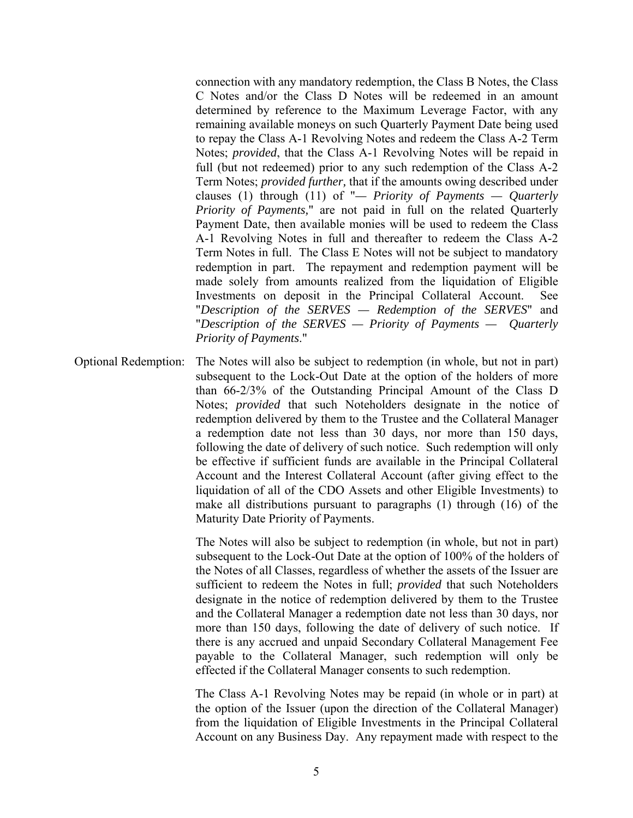connection with any mandatory redemption, the Class B Notes, the Class C Notes and/or the Class D Notes will be redeemed in an amount determined by reference to the Maximum Leverage Factor, with any remaining available moneys on such Quarterly Payment Date being used to repay the Class A-1 Revolving Notes and redeem the Class A-2 Term Notes; *provided*, that the Class A-1 Revolving Notes will be repaid in full (but not redeemed) prior to any such redemption of the Class A-2 Term Notes; *provided further,* that if the amounts owing described under clauses (1) through (11) of "*— Priority of Payments — Quarterly Priority of Payments,*" are not paid in full on the related Quarterly Payment Date, then available monies will be used to redeem the Class A-1 Revolving Notes in full and thereafter to redeem the Class A-2 Term Notes in full. The Class E Notes will not be subject to mandatory redemption in part. The repayment and redemption payment will be made solely from amounts realized from the liquidation of Eligible Investments on deposit in the Principal Collateral Account. See "*Description of the SERVES — Redemption of the SERVES*" and "*Description of the SERVES — Priority of Payments — Quarterly Priority of Payments*."

Optional Redemption: The Notes will also be subject to redemption (in whole, but not in part) subsequent to the Lock-Out Date at the option of the holders of more than 66-2/3% of the Outstanding Principal Amount of the Class D Notes; *provided* that such Noteholders designate in the notice of redemption delivered by them to the Trustee and the Collateral Manager a redemption date not less than 30 days, nor more than 150 days, following the date of delivery of such notice. Such redemption will only be effective if sufficient funds are available in the Principal Collateral Account and the Interest Collateral Account (after giving effect to the liquidation of all of the CDO Assets and other Eligible Investments) to make all distributions pursuant to paragraphs (1) through (16) of the Maturity Date Priority of Payments.

> The Notes will also be subject to redemption (in whole, but not in part) subsequent to the Lock-Out Date at the option of 100% of the holders of the Notes of all Classes, regardless of whether the assets of the Issuer are sufficient to redeem the Notes in full; *provided* that such Noteholders designate in the notice of redemption delivered by them to the Trustee and the Collateral Manager a redemption date not less than 30 days, nor more than 150 days, following the date of delivery of such notice. If there is any accrued and unpaid Secondary Collateral Management Fee payable to the Collateral Manager, such redemption will only be effected if the Collateral Manager consents to such redemption.

> The Class A-1 Revolving Notes may be repaid (in whole or in part) at the option of the Issuer (upon the direction of the Collateral Manager) from the liquidation of Eligible Investments in the Principal Collateral Account on any Business Day. Any repayment made with respect to the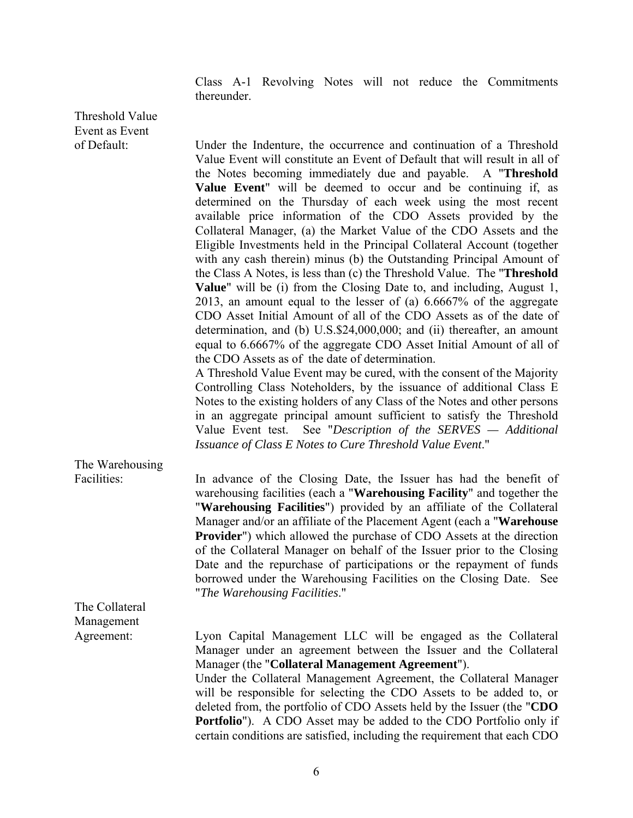Class A-1 Revolving Notes will not reduce the Commitments thereunder.

Threshold Value Event as Event

of Default: Under the Indenture, the occurrence and continuation of a Threshold Value Event will constitute an Event of Default that will result in all of the Notes becoming immediately due and payable. A "**Threshold Value Event**" will be deemed to occur and be continuing if, as determined on the Thursday of each week using the most recent available price information of the CDO Assets provided by the Collateral Manager, (a) the Market Value of the CDO Assets and the Eligible Investments held in the Principal Collateral Account (together with any cash therein) minus (b) the Outstanding Principal Amount of the Class A Notes, is less than (c) the Threshold Value. The "**Threshold Value**" will be (i) from the Closing Date to, and including, August 1, 2013, an amount equal to the lesser of (a) 6.6667% of the aggregate CDO Asset Initial Amount of all of the CDO Assets as of the date of determination, and (b) U.S.\$24,000,000; and (ii) thereafter, an amount equal to 6.6667% of the aggregate CDO Asset Initial Amount of all of the CDO Assets as of the date of determination.

 A Threshold Value Event may be cured, with the consent of the Majority Controlling Class Noteholders, by the issuance of additional Class E Notes to the existing holders of any Class of the Notes and other persons in an aggregate principal amount sufficient to satisfy the Threshold Value Event test. See "*Description of the SERVES — Additional Issuance of Class E Notes to Cure Threshold Value Event*."

The Warehousing

Facilities: In advance of the Closing Date, the Issuer has had the benefit of warehousing facilities (each a "**Warehousing Facility**" and together the "**Warehousing Facilities**") provided by an affiliate of the Collateral Manager and/or an affiliate of the Placement Agent (each a "**Warehouse Provider**") which allowed the purchase of CDO Assets at the direction of the Collateral Manager on behalf of the Issuer prior to the Closing Date and the repurchase of participations or the repayment of funds borrowed under the Warehousing Facilities on the Closing Date. See "*The Warehousing Facilities*."

The Collateral Management

Agreement: Lyon Capital Management LLC will be engaged as the Collateral Manager under an agreement between the Issuer and the Collateral Manager (the "**Collateral Management Agreement**"). Under the Collateral Management Agreement, the Collateral Manager will be responsible for selecting the CDO Assets to be added to, or deleted from, the portfolio of CDO Assets held by the Issuer (the "**CDO Portfolio**"). A CDO Asset may be added to the CDO Portfolio only if certain conditions are satisfied, including the requirement that each CDO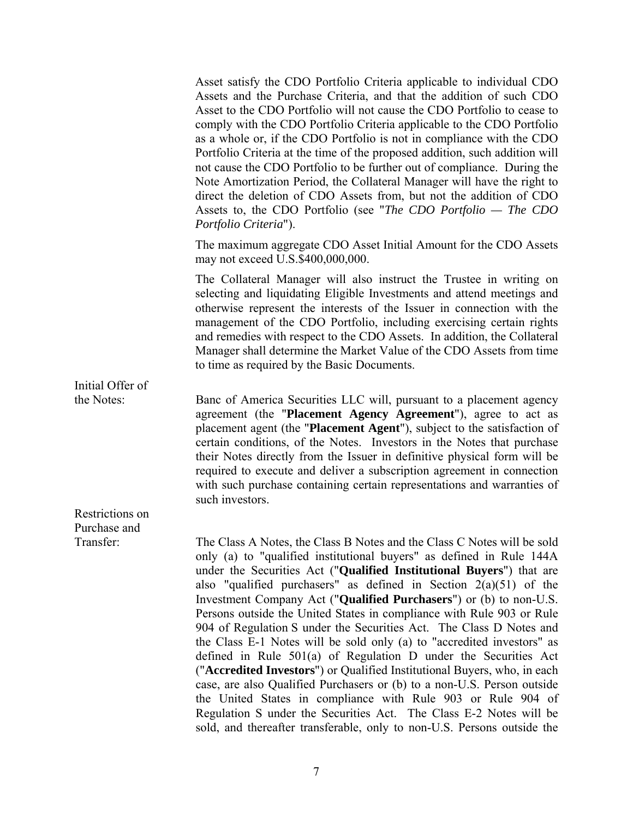Asset satisfy the CDO Portfolio Criteria applicable to individual CDO Assets and the Purchase Criteria, and that the addition of such CDO Asset to the CDO Portfolio will not cause the CDO Portfolio to cease to comply with the CDO Portfolio Criteria applicable to the CDO Portfolio as a whole or, if the CDO Portfolio is not in compliance with the CDO Portfolio Criteria at the time of the proposed addition, such addition will not cause the CDO Portfolio to be further out of compliance. During the Note Amortization Period, the Collateral Manager will have the right to direct the deletion of CDO Assets from, but not the addition of CDO Assets to, the CDO Portfolio (see "*The CDO Portfolio — The CDO Portfolio Criteria*").

 The maximum aggregate CDO Asset Initial Amount for the CDO Assets may not exceed U.S.\$400,000,000.

 The Collateral Manager will also instruct the Trustee in writing on selecting and liquidating Eligible Investments and attend meetings and otherwise represent the interests of the Issuer in connection with the management of the CDO Portfolio, including exercising certain rights and remedies with respect to the CDO Assets. In addition, the Collateral Manager shall determine the Market Value of the CDO Assets from time to time as required by the Basic Documents.

Initial Offer of

the Notes: Banc of America Securities LLC will, pursuant to a placement agency agreement (the "**Placement Agency Agreement**"), agree to act as placement agent (the "**Placement Agent**"), subject to the satisfaction of certain conditions, of the Notes. Investors in the Notes that purchase their Notes directly from the Issuer in definitive physical form will be required to execute and deliver a subscription agreement in connection with such purchase containing certain representations and warranties of such investors.

Restrictions on Purchase and

Transfer: The Class A Notes, the Class B Notes and the Class C Notes will be sold only (a) to "qualified institutional buyers" as defined in Rule 144A under the Securities Act ("**Qualified Institutional Buyers**") that are also "qualified purchasers" as defined in Section  $2(a)(51)$  of the Investment Company Act ("**Qualified Purchasers**") or (b) to non-U.S. Persons outside the United States in compliance with Rule 903 or Rule 904 of Regulation S under the Securities Act. The Class D Notes and the Class E-1 Notes will be sold only (a) to "accredited investors" as defined in Rule 501(a) of Regulation D under the Securities Act ("**Accredited Investors**") or Qualified Institutional Buyers, who, in each case, are also Qualified Purchasers or (b) to a non-U.S. Person outside the United States in compliance with Rule 903 or Rule 904 of Regulation S under the Securities Act. The Class E-2 Notes will be sold, and thereafter transferable, only to non-U.S. Persons outside the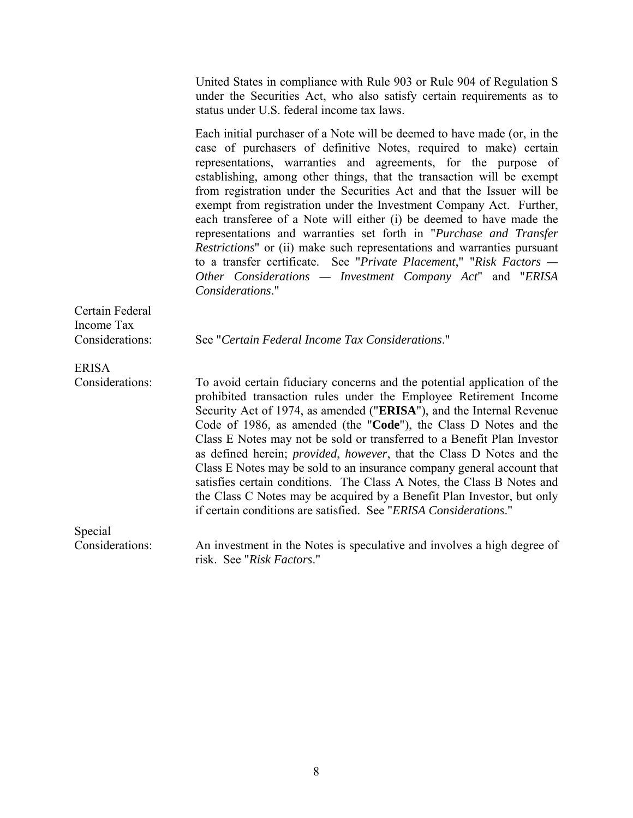United States in compliance with Rule 903 or Rule 904 of Regulation S under the Securities Act, who also satisfy certain requirements as to status under U.S. federal income tax laws.

 Each initial purchaser of a Note will be deemed to have made (or, in the case of purchasers of definitive Notes, required to make) certain representations, warranties and agreements, for the purpose of establishing, among other things, that the transaction will be exempt from registration under the Securities Act and that the Issuer will be exempt from registration under the Investment Company Act. Further, each transferee of a Note will either (i) be deemed to have made the representations and warranties set forth in "*Purchase and Transfer Restrictions*" or (ii) make such representations and warranties pursuant to a transfer certificate. See "*Private Placement*," "*Risk Factors — Other Considerations — Investment Company Act*" and "*ERISA Considerations*."

Certain Federal Income Tax

Considerations: See "*Certain Federal Income Tax Considerations*."

ERISA

Considerations: To avoid certain fiduciary concerns and the potential application of the prohibited transaction rules under the Employee Retirement Income Security Act of 1974, as amended ("**ERISA**"), and the Internal Revenue Code of 1986, as amended (the "**Code**"), the Class D Notes and the Class E Notes may not be sold or transferred to a Benefit Plan Investor as defined herein; *provided*, *however*, that the Class D Notes and the Class E Notes may be sold to an insurance company general account that satisfies certain conditions. The Class A Notes, the Class B Notes and the Class C Notes may be acquired by a Benefit Plan Investor, but only if certain conditions are satisfied. See "*ERISA Considerations*."

Special

Considerations: An investment in the Notes is speculative and involves a high degree of risk. See "*Risk Factors*."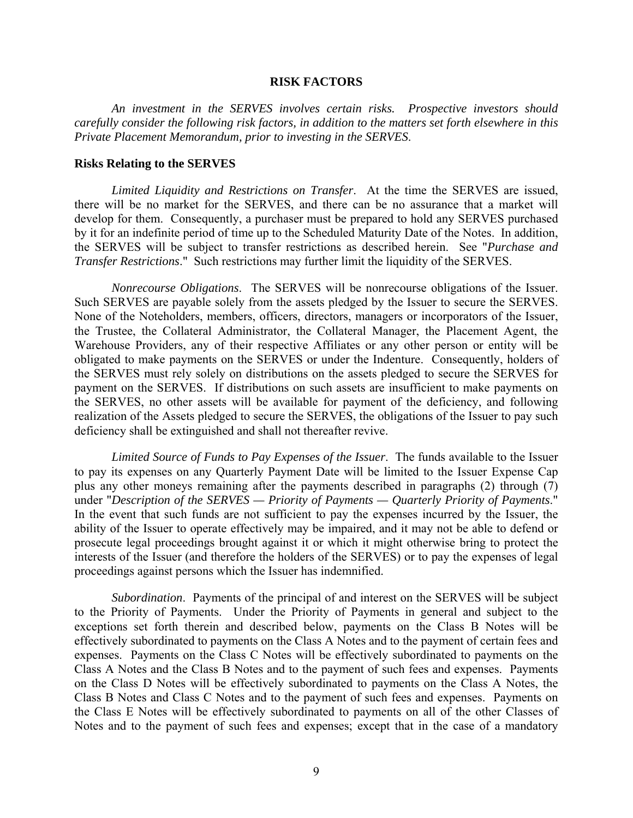### **RISK FACTORS**

*An investment in the SERVES involves certain risks. Prospective investors should carefully consider the following risk factors, in addition to the matters set forth elsewhere in this Private Placement Memorandum, prior to investing in the SERVES*.

#### **Risks Relating to the SERVES**

*Limited Liquidity and Restrictions on Transfer*. At the time the SERVES are issued, there will be no market for the SERVES, and there can be no assurance that a market will develop for them. Consequently, a purchaser must be prepared to hold any SERVES purchased by it for an indefinite period of time up to the Scheduled Maturity Date of the Notes. In addition, the SERVES will be subject to transfer restrictions as described herein. See "*Purchase and Transfer Restrictions*." Such restrictions may further limit the liquidity of the SERVES.

*Nonrecourse Obligations*. The SERVES will be nonrecourse obligations of the Issuer. Such SERVES are payable solely from the assets pledged by the Issuer to secure the SERVES. None of the Noteholders, members, officers, directors, managers or incorporators of the Issuer, the Trustee, the Collateral Administrator, the Collateral Manager, the Placement Agent, the Warehouse Providers, any of their respective Affiliates or any other person or entity will be obligated to make payments on the SERVES or under the Indenture. Consequently, holders of the SERVES must rely solely on distributions on the assets pledged to secure the SERVES for payment on the SERVES. If distributions on such assets are insufficient to make payments on the SERVES, no other assets will be available for payment of the deficiency, and following realization of the Assets pledged to secure the SERVES, the obligations of the Issuer to pay such deficiency shall be extinguished and shall not thereafter revive.

*Limited Source of Funds to Pay Expenses of the Issuer*. The funds available to the Issuer to pay its expenses on any Quarterly Payment Date will be limited to the Issuer Expense Cap plus any other moneys remaining after the payments described in paragraphs (2) through (7) under "*Description of the SERVES — Priority of Payments — Quarterly Priority of Payments*." In the event that such funds are not sufficient to pay the expenses incurred by the Issuer, the ability of the Issuer to operate effectively may be impaired, and it may not be able to defend or prosecute legal proceedings brought against it or which it might otherwise bring to protect the interests of the Issuer (and therefore the holders of the SERVES) or to pay the expenses of legal proceedings against persons which the Issuer has indemnified.

*Subordination*. Payments of the principal of and interest on the SERVES will be subject to the Priority of Payments. Under the Priority of Payments in general and subject to the exceptions set forth therein and described below, payments on the Class B Notes will be effectively subordinated to payments on the Class A Notes and to the payment of certain fees and expenses. Payments on the Class C Notes will be effectively subordinated to payments on the Class A Notes and the Class B Notes and to the payment of such fees and expenses. Payments on the Class D Notes will be effectively subordinated to payments on the Class A Notes, the Class B Notes and Class C Notes and to the payment of such fees and expenses. Payments on the Class E Notes will be effectively subordinated to payments on all of the other Classes of Notes and to the payment of such fees and expenses; except that in the case of a mandatory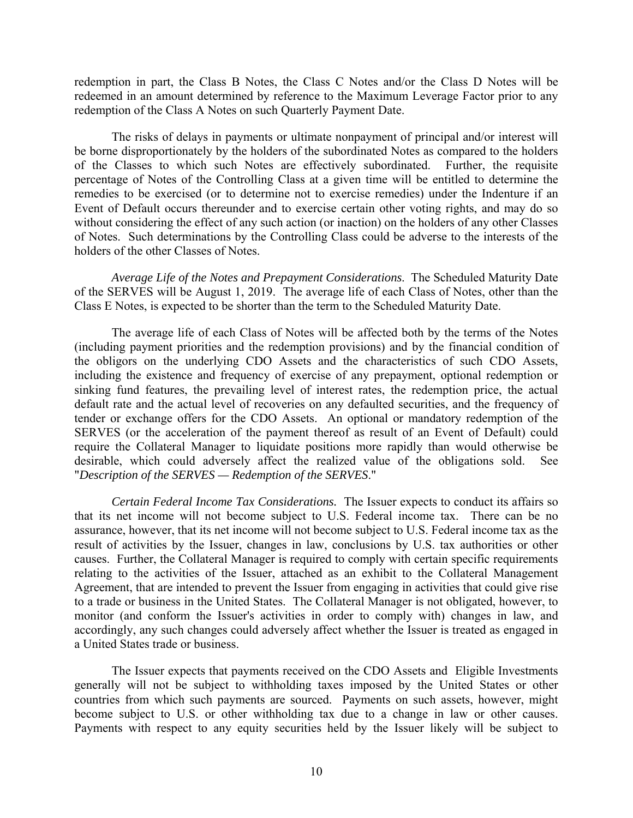redemption in part, the Class B Notes, the Class C Notes and/or the Class D Notes will be redeemed in an amount determined by reference to the Maximum Leverage Factor prior to any redemption of the Class A Notes on such Quarterly Payment Date.

The risks of delays in payments or ultimate nonpayment of principal and/or interest will be borne disproportionately by the holders of the subordinated Notes as compared to the holders of the Classes to which such Notes are effectively subordinated. Further, the requisite percentage of Notes of the Controlling Class at a given time will be entitled to determine the remedies to be exercised (or to determine not to exercise remedies) under the Indenture if an Event of Default occurs thereunder and to exercise certain other voting rights, and may do so without considering the effect of any such action (or inaction) on the holders of any other Classes of Notes. Such determinations by the Controlling Class could be adverse to the interests of the holders of the other Classes of Notes.

*Average Life of the Notes and Prepayment Considerations*. The Scheduled Maturity Date of the SERVES will be August 1, 2019. The average life of each Class of Notes, other than the Class E Notes, is expected to be shorter than the term to the Scheduled Maturity Date.

The average life of each Class of Notes will be affected both by the terms of the Notes (including payment priorities and the redemption provisions) and by the financial condition of the obligors on the underlying CDO Assets and the characteristics of such CDO Assets, including the existence and frequency of exercise of any prepayment, optional redemption or sinking fund features, the prevailing level of interest rates, the redemption price, the actual default rate and the actual level of recoveries on any defaulted securities, and the frequency of tender or exchange offers for the CDO Assets. An optional or mandatory redemption of the SERVES (or the acceleration of the payment thereof as result of an Event of Default) could require the Collateral Manager to liquidate positions more rapidly than would otherwise be desirable, which could adversely affect the realized value of the obligations sold. See "*Description of the SERVES — Redemption of the SERVES*."

*Certain Federal Income Tax Considerations.* The Issuer expects to conduct its affairs so that its net income will not become subject to U.S. Federal income tax. There can be no assurance, however, that its net income will not become subject to U.S. Federal income tax as the result of activities by the Issuer, changes in law, conclusions by U.S. tax authorities or other causes. Further, the Collateral Manager is required to comply with certain specific requirements relating to the activities of the Issuer, attached as an exhibit to the Collateral Management Agreement, that are intended to prevent the Issuer from engaging in activities that could give rise to a trade or business in the United States. The Collateral Manager is not obligated, however, to monitor (and conform the Issuer's activities in order to comply with) changes in law, and accordingly, any such changes could adversely affect whether the Issuer is treated as engaged in a United States trade or business.

The Issuer expects that payments received on the CDO Assets and Eligible Investments generally will not be subject to withholding taxes imposed by the United States or other countries from which such payments are sourced. Payments on such assets, however, might become subject to U.S. or other withholding tax due to a change in law or other causes. Payments with respect to any equity securities held by the Issuer likely will be subject to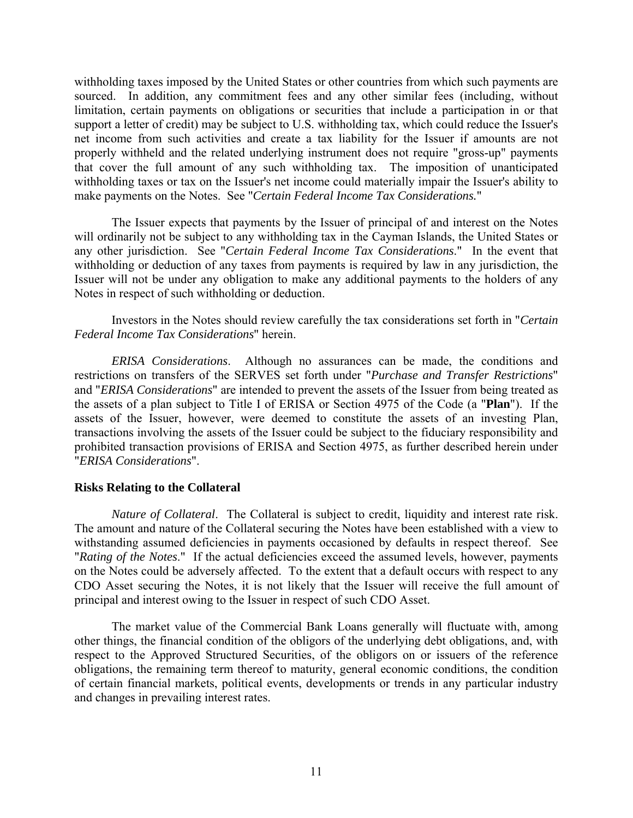withholding taxes imposed by the United States or other countries from which such payments are sourced. In addition, any commitment fees and any other similar fees (including, without limitation, certain payments on obligations or securities that include a participation in or that support a letter of credit) may be subject to U.S. withholding tax, which could reduce the Issuer's net income from such activities and create a tax liability for the Issuer if amounts are not properly withheld and the related underlying instrument does not require "gross-up" payments that cover the full amount of any such withholding tax. The imposition of unanticipated withholding taxes or tax on the Issuer's net income could materially impair the Issuer's ability to make payments on the Notes. See "*Certain Federal Income Tax Considerations.*"

The Issuer expects that payments by the Issuer of principal of and interest on the Notes will ordinarily not be subject to any withholding tax in the Cayman Islands, the United States or any other jurisdiction. See "*Certain Federal Income Tax Considerations*." In the event that withholding or deduction of any taxes from payments is required by law in any jurisdiction, the Issuer will not be under any obligation to make any additional payments to the holders of any Notes in respect of such withholding or deduction.

Investors in the Notes should review carefully the tax considerations set forth in "*Certain Federal Income Tax Considerations*" herein.

*ERISA Considerations*. Although no assurances can be made, the conditions and restrictions on transfers of the SERVES set forth under "*Purchase and Transfer Restrictions*" and "*ERISA Considerations*" are intended to prevent the assets of the Issuer from being treated as the assets of a plan subject to Title I of ERISA or Section 4975 of the Code (a "**Plan**"). If the assets of the Issuer, however, were deemed to constitute the assets of an investing Plan, transactions involving the assets of the Issuer could be subject to the fiduciary responsibility and prohibited transaction provisions of ERISA and Section 4975, as further described herein under "*ERISA Considerations*".

# **Risks Relating to the Collateral**

*Nature of Collateral*. The Collateral is subject to credit, liquidity and interest rate risk. The amount and nature of the Collateral securing the Notes have been established with a view to withstanding assumed deficiencies in payments occasioned by defaults in respect thereof. See "*Rating of the Notes*." If the actual deficiencies exceed the assumed levels, however, payments on the Notes could be adversely affected. To the extent that a default occurs with respect to any CDO Asset securing the Notes, it is not likely that the Issuer will receive the full amount of principal and interest owing to the Issuer in respect of such CDO Asset.

The market value of the Commercial Bank Loans generally will fluctuate with, among other things, the financial condition of the obligors of the underlying debt obligations, and, with respect to the Approved Structured Securities, of the obligors on or issuers of the reference obligations, the remaining term thereof to maturity, general economic conditions, the condition of certain financial markets, political events, developments or trends in any particular industry and changes in prevailing interest rates.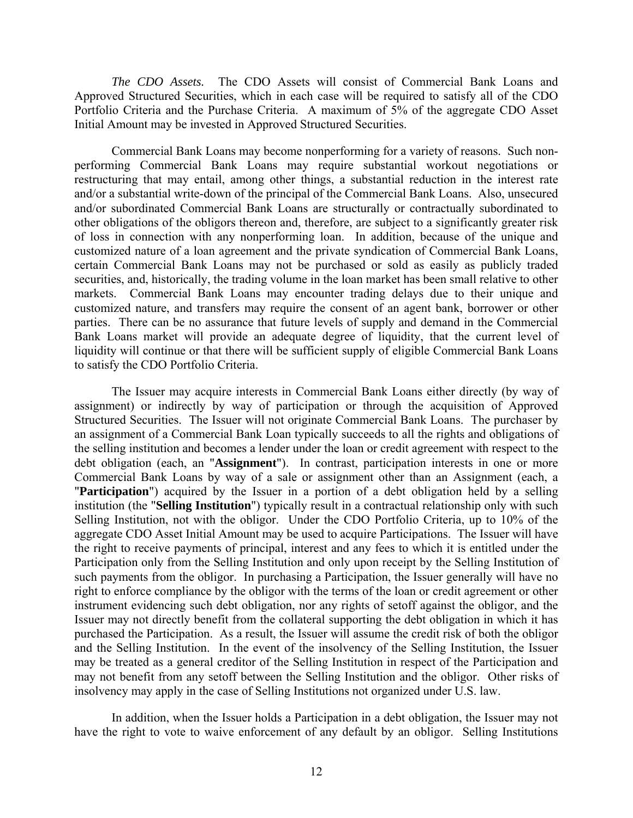*The CDO Assets.* The CDO Assets will consist of Commercial Bank Loans and Approved Structured Securities, which in each case will be required to satisfy all of the CDO Portfolio Criteria and the Purchase Criteria. A maximum of 5% of the aggregate CDO Asset Initial Amount may be invested in Approved Structured Securities.

Commercial Bank Loans may become nonperforming for a variety of reasons. Such nonperforming Commercial Bank Loans may require substantial workout negotiations or restructuring that may entail, among other things, a substantial reduction in the interest rate and/or a substantial write-down of the principal of the Commercial Bank Loans. Also, unsecured and/or subordinated Commercial Bank Loans are structurally or contractually subordinated to other obligations of the obligors thereon and, therefore, are subject to a significantly greater risk of loss in connection with any nonperforming loan. In addition, because of the unique and customized nature of a loan agreement and the private syndication of Commercial Bank Loans, certain Commercial Bank Loans may not be purchased or sold as easily as publicly traded securities, and, historically, the trading volume in the loan market has been small relative to other markets. Commercial Bank Loans may encounter trading delays due to their unique and customized nature, and transfers may require the consent of an agent bank, borrower or other parties. There can be no assurance that future levels of supply and demand in the Commercial Bank Loans market will provide an adequate degree of liquidity, that the current level of liquidity will continue or that there will be sufficient supply of eligible Commercial Bank Loans to satisfy the CDO Portfolio Criteria.

The Issuer may acquire interests in Commercial Bank Loans either directly (by way of assignment) or indirectly by way of participation or through the acquisition of Approved Structured Securities. The Issuer will not originate Commercial Bank Loans. The purchaser by an assignment of a Commercial Bank Loan typically succeeds to all the rights and obligations of the selling institution and becomes a lender under the loan or credit agreement with respect to the debt obligation (each, an "**Assignment**"). In contrast, participation interests in one or more Commercial Bank Loans by way of a sale or assignment other than an Assignment (each, a "**Participation**") acquired by the Issuer in a portion of a debt obligation held by a selling institution (the "**Selling Institution**") typically result in a contractual relationship only with such Selling Institution, not with the obligor. Under the CDO Portfolio Criteria, up to 10% of the aggregate CDO Asset Initial Amount may be used to acquire Participations. The Issuer will have the right to receive payments of principal, interest and any fees to which it is entitled under the Participation only from the Selling Institution and only upon receipt by the Selling Institution of such payments from the obligor. In purchasing a Participation, the Issuer generally will have no right to enforce compliance by the obligor with the terms of the loan or credit agreement or other instrument evidencing such debt obligation, nor any rights of setoff against the obligor, and the Issuer may not directly benefit from the collateral supporting the debt obligation in which it has purchased the Participation. As a result, the Issuer will assume the credit risk of both the obligor and the Selling Institution. In the event of the insolvency of the Selling Institution, the Issuer may be treated as a general creditor of the Selling Institution in respect of the Participation and may not benefit from any setoff between the Selling Institution and the obligor. Other risks of insolvency may apply in the case of Selling Institutions not organized under U.S. law.

In addition, when the Issuer holds a Participation in a debt obligation, the Issuer may not have the right to vote to waive enforcement of any default by an obligor. Selling Institutions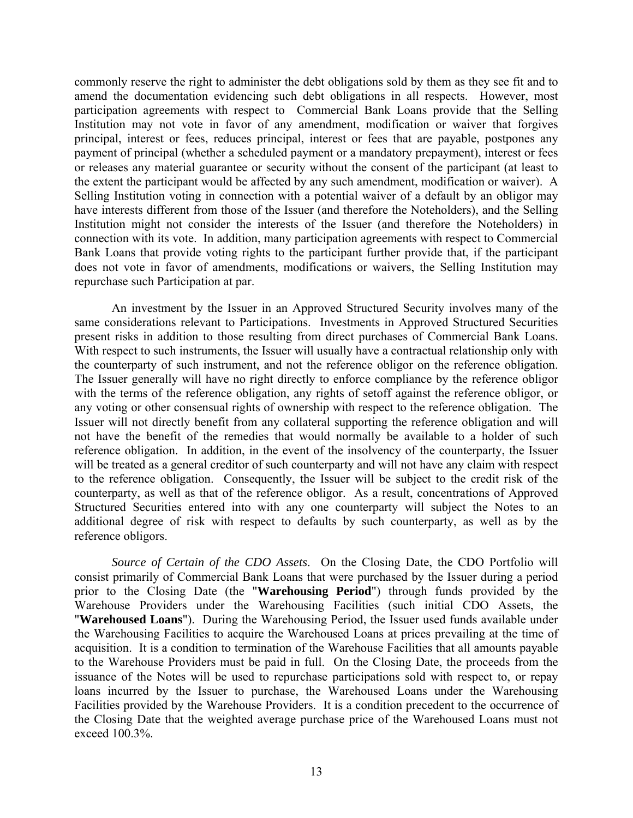commonly reserve the right to administer the debt obligations sold by them as they see fit and to amend the documentation evidencing such debt obligations in all respects. However, most participation agreements with respect to Commercial Bank Loans provide that the Selling Institution may not vote in favor of any amendment, modification or waiver that forgives principal, interest or fees, reduces principal, interest or fees that are payable, postpones any payment of principal (whether a scheduled payment or a mandatory prepayment), interest or fees or releases any material guarantee or security without the consent of the participant (at least to the extent the participant would be affected by any such amendment, modification or waiver). A Selling Institution voting in connection with a potential waiver of a default by an obligor may have interests different from those of the Issuer (and therefore the Noteholders), and the Selling Institution might not consider the interests of the Issuer (and therefore the Noteholders) in connection with its vote. In addition, many participation agreements with respect to Commercial Bank Loans that provide voting rights to the participant further provide that, if the participant does not vote in favor of amendments, modifications or waivers, the Selling Institution may repurchase such Participation at par.

An investment by the Issuer in an Approved Structured Security involves many of the same considerations relevant to Participations. Investments in Approved Structured Securities present risks in addition to those resulting from direct purchases of Commercial Bank Loans. With respect to such instruments, the Issuer will usually have a contractual relationship only with the counterparty of such instrument, and not the reference obligor on the reference obligation. The Issuer generally will have no right directly to enforce compliance by the reference obligor with the terms of the reference obligation, any rights of setoff against the reference obligor, or any voting or other consensual rights of ownership with respect to the reference obligation. The Issuer will not directly benefit from any collateral supporting the reference obligation and will not have the benefit of the remedies that would normally be available to a holder of such reference obligation. In addition, in the event of the insolvency of the counterparty, the Issuer will be treated as a general creditor of such counterparty and will not have any claim with respect to the reference obligation. Consequently, the Issuer will be subject to the credit risk of the counterparty, as well as that of the reference obligor. As a result, concentrations of Approved Structured Securities entered into with any one counterparty will subject the Notes to an additional degree of risk with respect to defaults by such counterparty, as well as by the reference obligors.

*Source of Certain of the CDO Assets*. On the Closing Date, the CDO Portfolio will consist primarily of Commercial Bank Loans that were purchased by the Issuer during a period prior to the Closing Date (the "**Warehousing Period**") through funds provided by the Warehouse Providers under the Warehousing Facilities (such initial CDO Assets, the "**Warehoused Loans**"). During the Warehousing Period, the Issuer used funds available under the Warehousing Facilities to acquire the Warehoused Loans at prices prevailing at the time of acquisition. It is a condition to termination of the Warehouse Facilities that all amounts payable to the Warehouse Providers must be paid in full. On the Closing Date, the proceeds from the issuance of the Notes will be used to repurchase participations sold with respect to, or repay loans incurred by the Issuer to purchase, the Warehoused Loans under the Warehousing Facilities provided by the Warehouse Providers. It is a condition precedent to the occurrence of the Closing Date that the weighted average purchase price of the Warehoused Loans must not exceed 100.3%.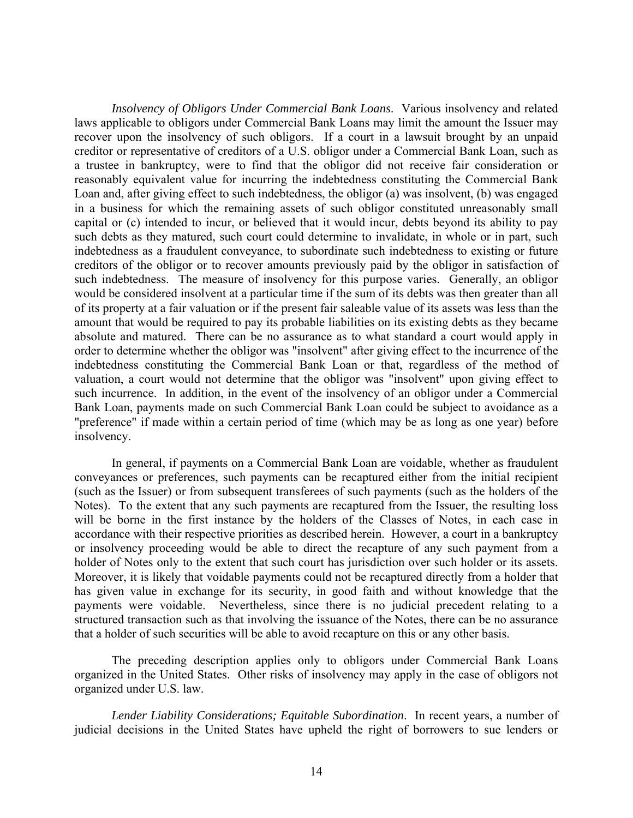*Insolvency of Obligors Under Commercial Bank Loans*. Various insolvency and related laws applicable to obligors under Commercial Bank Loans may limit the amount the Issuer may recover upon the insolvency of such obligors. If a court in a lawsuit brought by an unpaid creditor or representative of creditors of a U.S. obligor under a Commercial Bank Loan, such as a trustee in bankruptcy, were to find that the obligor did not receive fair consideration or reasonably equivalent value for incurring the indebtedness constituting the Commercial Bank Loan and, after giving effect to such indebtedness, the obligor (a) was insolvent, (b) was engaged in a business for which the remaining assets of such obligor constituted unreasonably small capital or (c) intended to incur, or believed that it would incur, debts beyond its ability to pay such debts as they matured, such court could determine to invalidate, in whole or in part, such indebtedness as a fraudulent conveyance, to subordinate such indebtedness to existing or future creditors of the obligor or to recover amounts previously paid by the obligor in satisfaction of such indebtedness. The measure of insolvency for this purpose varies. Generally, an obligor would be considered insolvent at a particular time if the sum of its debts was then greater than all of its property at a fair valuation or if the present fair saleable value of its assets was less than the amount that would be required to pay its probable liabilities on its existing debts as they became absolute and matured. There can be no assurance as to what standard a court would apply in order to determine whether the obligor was "insolvent" after giving effect to the incurrence of the indebtedness constituting the Commercial Bank Loan or that, regardless of the method of valuation, a court would not determine that the obligor was "insolvent" upon giving effect to such incurrence. In addition, in the event of the insolvency of an obligor under a Commercial Bank Loan, payments made on such Commercial Bank Loan could be subject to avoidance as a "preference" if made within a certain period of time (which may be as long as one year) before insolvency.

In general, if payments on a Commercial Bank Loan are voidable, whether as fraudulent conveyances or preferences, such payments can be recaptured either from the initial recipient (such as the Issuer) or from subsequent transferees of such payments (such as the holders of the Notes). To the extent that any such payments are recaptured from the Issuer, the resulting loss will be borne in the first instance by the holders of the Classes of Notes, in each case in accordance with their respective priorities as described herein. However, a court in a bankruptcy or insolvency proceeding would be able to direct the recapture of any such payment from a holder of Notes only to the extent that such court has jurisdiction over such holder or its assets. Moreover, it is likely that voidable payments could not be recaptured directly from a holder that has given value in exchange for its security, in good faith and without knowledge that the payments were voidable. Nevertheless, since there is no judicial precedent relating to a structured transaction such as that involving the issuance of the Notes, there can be no assurance that a holder of such securities will be able to avoid recapture on this or any other basis.

The preceding description applies only to obligors under Commercial Bank Loans organized in the United States. Other risks of insolvency may apply in the case of obligors not organized under U.S. law.

*Lender Liability Considerations; Equitable Subordination*. In recent years, a number of judicial decisions in the United States have upheld the right of borrowers to sue lenders or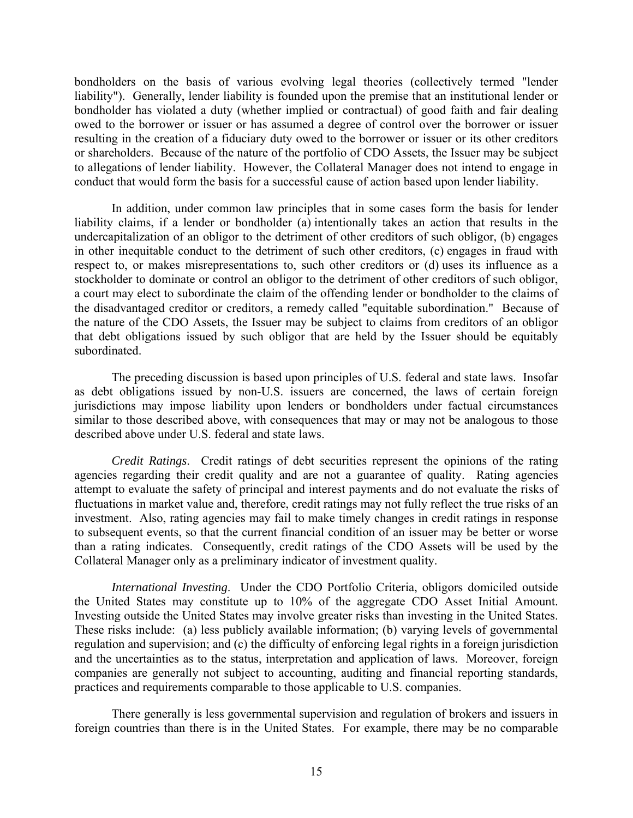bondholders on the basis of various evolving legal theories (collectively termed "lender liability"). Generally, lender liability is founded upon the premise that an institutional lender or bondholder has violated a duty (whether implied or contractual) of good faith and fair dealing owed to the borrower or issuer or has assumed a degree of control over the borrower or issuer resulting in the creation of a fiduciary duty owed to the borrower or issuer or its other creditors or shareholders. Because of the nature of the portfolio of CDO Assets, the Issuer may be subject to allegations of lender liability. However, the Collateral Manager does not intend to engage in conduct that would form the basis for a successful cause of action based upon lender liability.

In addition, under common law principles that in some cases form the basis for lender liability claims, if a lender or bondholder (a) intentionally takes an action that results in the undercapitalization of an obligor to the detriment of other creditors of such obligor, (b) engages in other inequitable conduct to the detriment of such other creditors, (c) engages in fraud with respect to, or makes misrepresentations to, such other creditors or (d) uses its influence as a stockholder to dominate or control an obligor to the detriment of other creditors of such obligor, a court may elect to subordinate the claim of the offending lender or bondholder to the claims of the disadvantaged creditor or creditors, a remedy called "equitable subordination." Because of the nature of the CDO Assets, the Issuer may be subject to claims from creditors of an obligor that debt obligations issued by such obligor that are held by the Issuer should be equitably subordinated.

The preceding discussion is based upon principles of U.S. federal and state laws. Insofar as debt obligations issued by non-U.S. issuers are concerned, the laws of certain foreign jurisdictions may impose liability upon lenders or bondholders under factual circumstances similar to those described above, with consequences that may or may not be analogous to those described above under U.S. federal and state laws.

*Credit Ratings*. Credit ratings of debt securities represent the opinions of the rating agencies regarding their credit quality and are not a guarantee of quality. Rating agencies attempt to evaluate the safety of principal and interest payments and do not evaluate the risks of fluctuations in market value and, therefore, credit ratings may not fully reflect the true risks of an investment. Also, rating agencies may fail to make timely changes in credit ratings in response to subsequent events, so that the current financial condition of an issuer may be better or worse than a rating indicates. Consequently, credit ratings of the CDO Assets will be used by the Collateral Manager only as a preliminary indicator of investment quality.

*International Investing*. Under the CDO Portfolio Criteria, obligors domiciled outside the United States may constitute up to 10% of the aggregate CDO Asset Initial Amount. Investing outside the United States may involve greater risks than investing in the United States. These risks include: (a) less publicly available information; (b) varying levels of governmental regulation and supervision; and (c) the difficulty of enforcing legal rights in a foreign jurisdiction and the uncertainties as to the status, interpretation and application of laws. Moreover, foreign companies are generally not subject to accounting, auditing and financial reporting standards, practices and requirements comparable to those applicable to U.S. companies.

There generally is less governmental supervision and regulation of brokers and issuers in foreign countries than there is in the United States. For example, there may be no comparable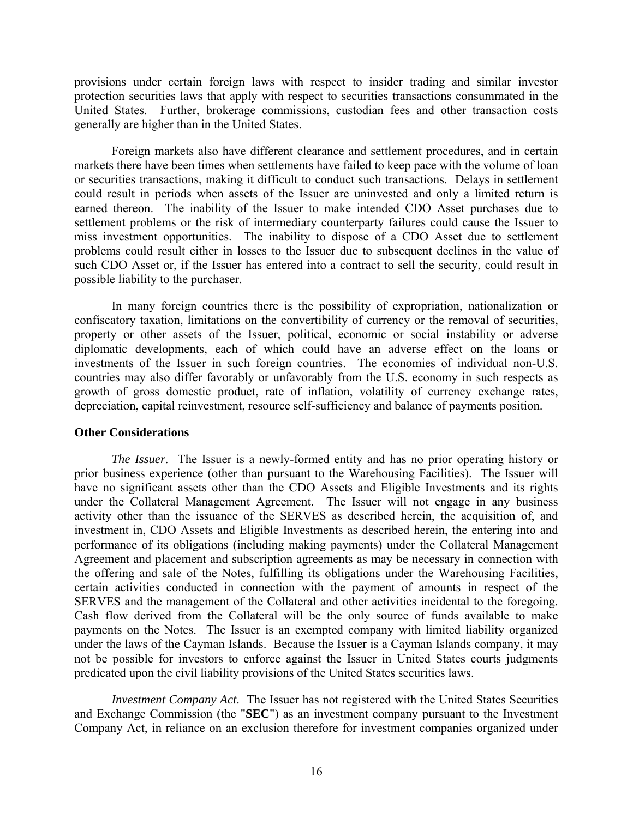provisions under certain foreign laws with respect to insider trading and similar investor protection securities laws that apply with respect to securities transactions consummated in the United States. Further, brokerage commissions, custodian fees and other transaction costs generally are higher than in the United States.

Foreign markets also have different clearance and settlement procedures, and in certain markets there have been times when settlements have failed to keep pace with the volume of loan or securities transactions, making it difficult to conduct such transactions. Delays in settlement could result in periods when assets of the Issuer are uninvested and only a limited return is earned thereon. The inability of the Issuer to make intended CDO Asset purchases due to settlement problems or the risk of intermediary counterparty failures could cause the Issuer to miss investment opportunities. The inability to dispose of a CDO Asset due to settlement problems could result either in losses to the Issuer due to subsequent declines in the value of such CDO Asset or, if the Issuer has entered into a contract to sell the security, could result in possible liability to the purchaser.

In many foreign countries there is the possibility of expropriation, nationalization or confiscatory taxation, limitations on the convertibility of currency or the removal of securities, property or other assets of the Issuer, political, economic or social instability or adverse diplomatic developments, each of which could have an adverse effect on the loans or investments of the Issuer in such foreign countries. The economies of individual non-U.S. countries may also differ favorably or unfavorably from the U.S. economy in such respects as growth of gross domestic product, rate of inflation, volatility of currency exchange rates, depreciation, capital reinvestment, resource self-sufficiency and balance of payments position.

# **Other Considerations**

*The Issuer*. The Issuer is a newly-formed entity and has no prior operating history or prior business experience (other than pursuant to the Warehousing Facilities). The Issuer will have no significant assets other than the CDO Assets and Eligible Investments and its rights under the Collateral Management Agreement. The Issuer will not engage in any business activity other than the issuance of the SERVES as described herein, the acquisition of, and investment in, CDO Assets and Eligible Investments as described herein, the entering into and performance of its obligations (including making payments) under the Collateral Management Agreement and placement and subscription agreements as may be necessary in connection with the offering and sale of the Notes, fulfilling its obligations under the Warehousing Facilities, certain activities conducted in connection with the payment of amounts in respect of the SERVES and the management of the Collateral and other activities incidental to the foregoing. Cash flow derived from the Collateral will be the only source of funds available to make payments on the Notes. The Issuer is an exempted company with limited liability organized under the laws of the Cayman Islands. Because the Issuer is a Cayman Islands company, it may not be possible for investors to enforce against the Issuer in United States courts judgments predicated upon the civil liability provisions of the United States securities laws.

*Investment Company Act*. The Issuer has not registered with the United States Securities and Exchange Commission (the "**SEC**") as an investment company pursuant to the Investment Company Act, in reliance on an exclusion therefore for investment companies organized under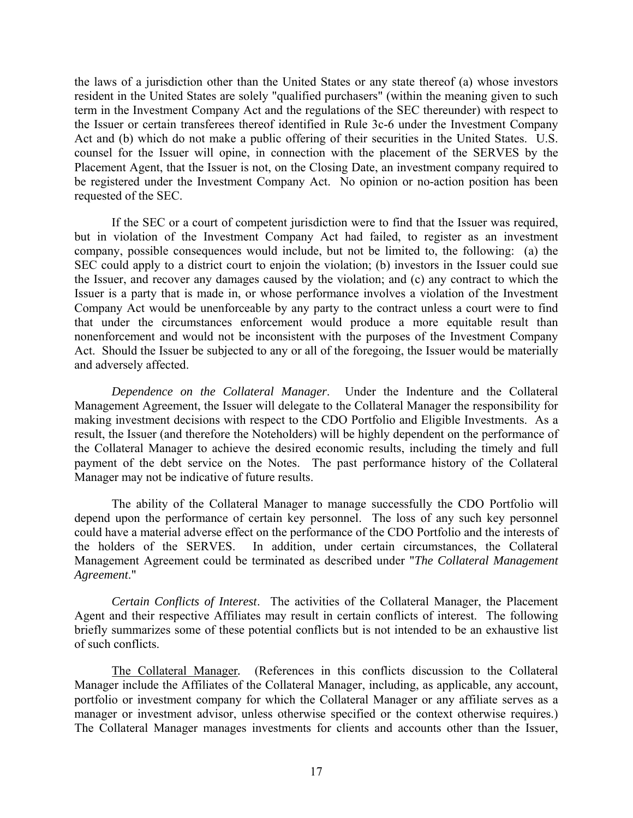the laws of a jurisdiction other than the United States or any state thereof (a) whose investors resident in the United States are solely "qualified purchasers" (within the meaning given to such term in the Investment Company Act and the regulations of the SEC thereunder) with respect to the Issuer or certain transferees thereof identified in Rule 3c-6 under the Investment Company Act and (b) which do not make a public offering of their securities in the United States. U.S. counsel for the Issuer will opine, in connection with the placement of the SERVES by the Placement Agent, that the Issuer is not, on the Closing Date, an investment company required to be registered under the Investment Company Act. No opinion or no-action position has been requested of the SEC.

If the SEC or a court of competent jurisdiction were to find that the Issuer was required, but in violation of the Investment Company Act had failed, to register as an investment company, possible consequences would include, but not be limited to, the following: (a) the SEC could apply to a district court to enjoin the violation; (b) investors in the Issuer could sue the Issuer, and recover any damages caused by the violation; and (c) any contract to which the Issuer is a party that is made in, or whose performance involves a violation of the Investment Company Act would be unenforceable by any party to the contract unless a court were to find that under the circumstances enforcement would produce a more equitable result than nonenforcement and would not be inconsistent with the purposes of the Investment Company Act. Should the Issuer be subjected to any or all of the foregoing, the Issuer would be materially and adversely affected.

*Dependence on the Collateral Manager*. Under the Indenture and the Collateral Management Agreement, the Issuer will delegate to the Collateral Manager the responsibility for making investment decisions with respect to the CDO Portfolio and Eligible Investments. As a result, the Issuer (and therefore the Noteholders) will be highly dependent on the performance of the Collateral Manager to achieve the desired economic results, including the timely and full payment of the debt service on the Notes. The past performance history of the Collateral Manager may not be indicative of future results.

The ability of the Collateral Manager to manage successfully the CDO Portfolio will depend upon the performance of certain key personnel. The loss of any such key personnel could have a material adverse effect on the performance of the CDO Portfolio and the interests of the holders of the SERVES. In addition, under certain circumstances, the Collateral Management Agreement could be terminated as described under "*The Collateral Management Agreement*."

*Certain Conflicts of Interest*. The activities of the Collateral Manager, the Placement Agent and their respective Affiliates may result in certain conflicts of interest. The following briefly summarizes some of these potential conflicts but is not intended to be an exhaustive list of such conflicts.

The Collateral Manager*.* (References in this conflicts discussion to the Collateral Manager include the Affiliates of the Collateral Manager, including, as applicable, any account, portfolio or investment company for which the Collateral Manager or any affiliate serves as a manager or investment advisor, unless otherwise specified or the context otherwise requires.) The Collateral Manager manages investments for clients and accounts other than the Issuer,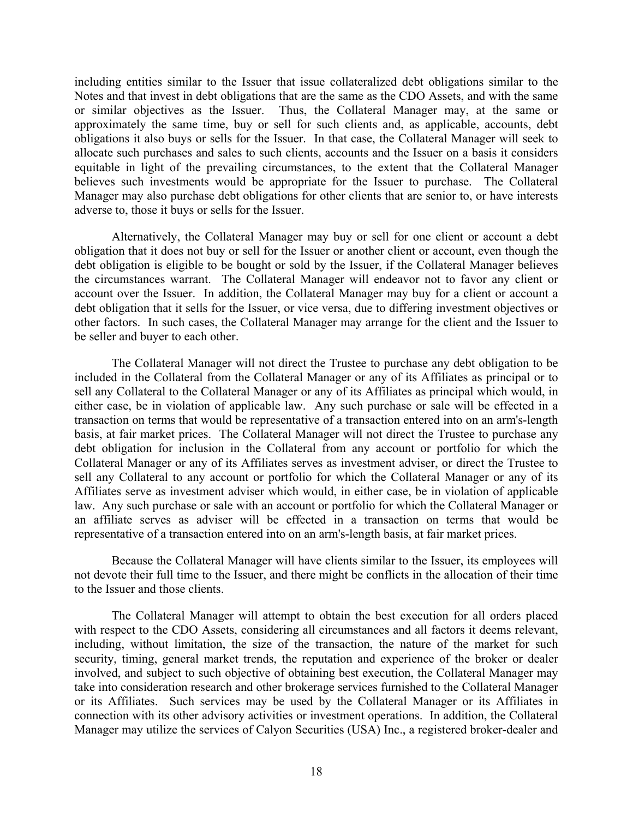including entities similar to the Issuer that issue collateralized debt obligations similar to the Notes and that invest in debt obligations that are the same as the CDO Assets, and with the same or similar objectives as the Issuer. Thus, the Collateral Manager may, at the same or approximately the same time, buy or sell for such clients and, as applicable, accounts, debt obligations it also buys or sells for the Issuer. In that case, the Collateral Manager will seek to allocate such purchases and sales to such clients, accounts and the Issuer on a basis it considers equitable in light of the prevailing circumstances, to the extent that the Collateral Manager believes such investments would be appropriate for the Issuer to purchase. The Collateral Manager may also purchase debt obligations for other clients that are senior to, or have interests adverse to, those it buys or sells for the Issuer.

Alternatively, the Collateral Manager may buy or sell for one client or account a debt obligation that it does not buy or sell for the Issuer or another client or account, even though the debt obligation is eligible to be bought or sold by the Issuer, if the Collateral Manager believes the circumstances warrant. The Collateral Manager will endeavor not to favor any client or account over the Issuer. In addition, the Collateral Manager may buy for a client or account a debt obligation that it sells for the Issuer, or vice versa, due to differing investment objectives or other factors. In such cases, the Collateral Manager may arrange for the client and the Issuer to be seller and buyer to each other.

The Collateral Manager will not direct the Trustee to purchase any debt obligation to be included in the Collateral from the Collateral Manager or any of its Affiliates as principal or to sell any Collateral to the Collateral Manager or any of its Affiliates as principal which would, in either case, be in violation of applicable law. Any such purchase or sale will be effected in a transaction on terms that would be representative of a transaction entered into on an arm's-length basis, at fair market prices. The Collateral Manager will not direct the Trustee to purchase any debt obligation for inclusion in the Collateral from any account or portfolio for which the Collateral Manager or any of its Affiliates serves as investment adviser, or direct the Trustee to sell any Collateral to any account or portfolio for which the Collateral Manager or any of its Affiliates serve as investment adviser which would, in either case, be in violation of applicable law. Any such purchase or sale with an account or portfolio for which the Collateral Manager or an affiliate serves as adviser will be effected in a transaction on terms that would be representative of a transaction entered into on an arm's-length basis, at fair market prices.

Because the Collateral Manager will have clients similar to the Issuer, its employees will not devote their full time to the Issuer, and there might be conflicts in the allocation of their time to the Issuer and those clients.

The Collateral Manager will attempt to obtain the best execution for all orders placed with respect to the CDO Assets, considering all circumstances and all factors it deems relevant, including, without limitation, the size of the transaction, the nature of the market for such security, timing, general market trends, the reputation and experience of the broker or dealer involved, and subject to such objective of obtaining best execution, the Collateral Manager may take into consideration research and other brokerage services furnished to the Collateral Manager or its Affiliates. Such services may be used by the Collateral Manager or its Affiliates in connection with its other advisory activities or investment operations. In addition, the Collateral Manager may utilize the services of Calyon Securities (USA) Inc., a registered broker-dealer and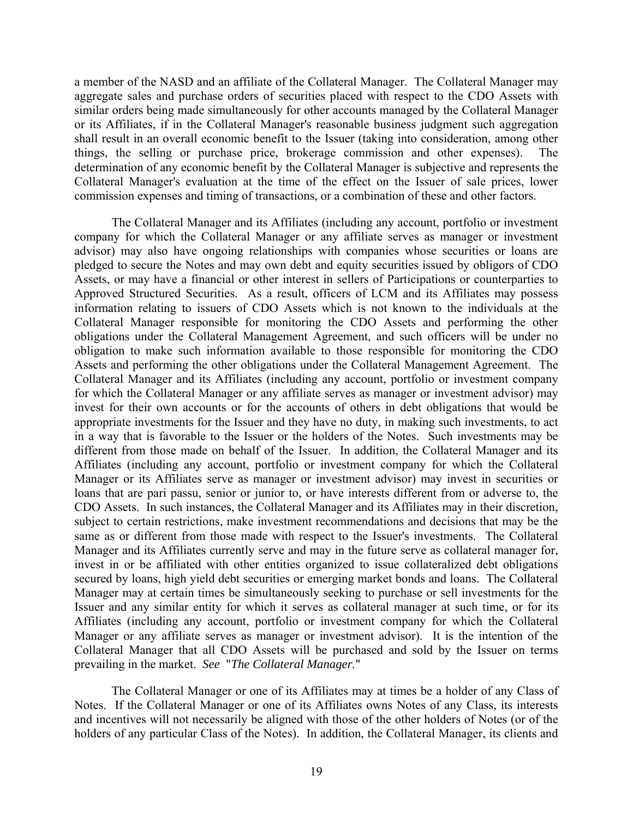a member of the NASD and an affiliate of the Collateral Manager. The Collateral Manager may aggregate sales and purchase orders of securities placed with respect to the CDO Assets with similar orders being made simultaneously for other accounts managed by the Collateral Manager or its Affiliates, if in the Collateral Manager's reasonable business judgment such aggregation shall result in an overall economic benefit to the Issuer (taking into consideration, among other things, the selling or purchase price, brokerage commission and other expenses). The determination of any economic benefit by the Collateral Manager is subjective and represents the Collateral Manager's evaluation at the time of the effect on the Issuer of sale prices, lower commission expenses and timing of transactions, or a combination of these and other factors.

The Collateral Manager and its Affiliates (including any account, portfolio or investment company for which the Collateral Manager or any affiliate serves as manager or investment advisor) may also have ongoing relationships with companies whose securities or loans are pledged to secure the Notes and may own debt and equity securities issued by obligors of CDO Assets, or may have a financial or other interest in sellers of Participations or counterparties to Approved Structured Securities. As a result, officers of LCM and its Affiliates may possess information relating to issuers of CDO Assets which is not known to the individuals at the Collateral Manager responsible for monitoring the CDO Assets and performing the other obligations under the Collateral Management Agreement, and such officers will be under no obligation to make such information available to those responsible for monitoring the CDO Assets and performing the other obligations under the Collateral Management Agreement. The Collateral Manager and its Affiliates (including any account, portfolio or investment company for which the Collateral Manager or any affiliate serves as manager or investment advisor) may invest for their own accounts or for the accounts of others in debt obligations that would be appropriate investments for the Issuer and they have no duty, in making such investments, to act in a way that is favorable to the Issuer or the holders of the Notes. Such investments may be different from those made on behalf of the Issuer. In addition, the Collateral Manager and its Affiliates (including any account, portfolio or investment company for which the Collateral Manager or its Affiliates serve as manager or investment advisor) may invest in securities or loans that are pari passu, senior or junior to, or have interests different from or adverse to, the CDO Assets. In such instances, the Collateral Manager and its Affiliates may in their discretion, subject to certain restrictions, make investment recommendations and decisions that may be the same as or different from those made with respect to the Issuer's investments. The Collateral Manager and its Affiliates currently serve and may in the future serve as collateral manager for, invest in or be affiliated with other entities organized to issue collateralized debt obligations secured by loans, high yield debt securities or emerging market bonds and loans. The Collateral Manager may at certain times be simultaneously seeking to purchase or sell investments for the Issuer and any similar entity for which it serves as collateral manager at such time, or for its Affiliates (including any account, portfolio or investment company for which the Collateral Manager or any affiliate serves as manager or investment advisor). It is the intention of the Collateral Manager that all CDO Assets will be purchased and sold by the Issuer on terms prevailing in the market. *See* "*The Collateral Manager.*"

The Collateral Manager or one of its Affiliates may at times be a holder of any Class of Notes. If the Collateral Manager or one of its Affiliates owns Notes of any Class, its interests and incentives will not necessarily be aligned with those of the other holders of Notes (or of the holders of any particular Class of the Notes). In addition, the Collateral Manager, its clients and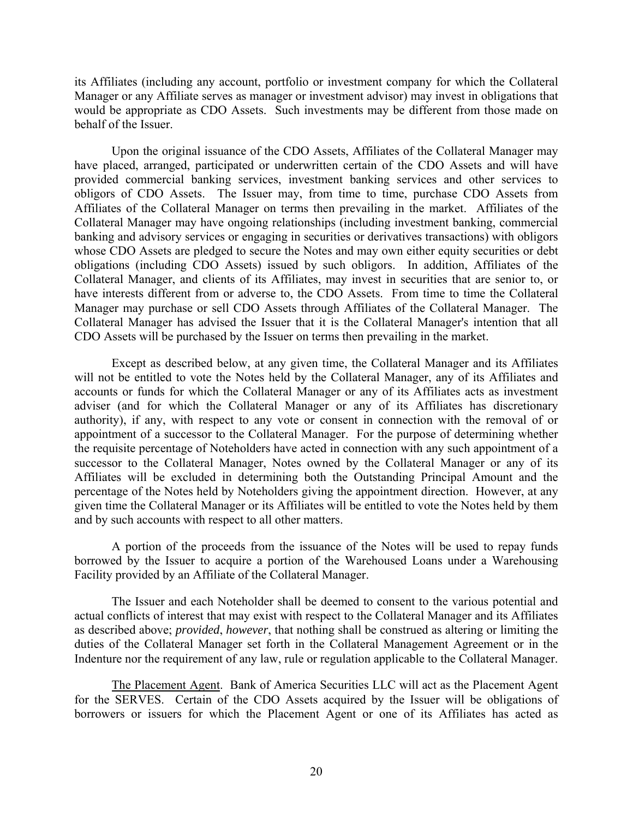its Affiliates (including any account, portfolio or investment company for which the Collateral Manager or any Affiliate serves as manager or investment advisor) may invest in obligations that would be appropriate as CDO Assets. Such investments may be different from those made on behalf of the Issuer.

Upon the original issuance of the CDO Assets, Affiliates of the Collateral Manager may have placed, arranged, participated or underwritten certain of the CDO Assets and will have provided commercial banking services, investment banking services and other services to obligors of CDO Assets. The Issuer may, from time to time, purchase CDO Assets from Affiliates of the Collateral Manager on terms then prevailing in the market. Affiliates of the Collateral Manager may have ongoing relationships (including investment banking, commercial banking and advisory services or engaging in securities or derivatives transactions) with obligors whose CDO Assets are pledged to secure the Notes and may own either equity securities or debt obligations (including CDO Assets) issued by such obligors. In addition, Affiliates of the Collateral Manager, and clients of its Affiliates, may invest in securities that are senior to, or have interests different from or adverse to, the CDO Assets. From time to time the Collateral Manager may purchase or sell CDO Assets through Affiliates of the Collateral Manager. The Collateral Manager has advised the Issuer that it is the Collateral Manager's intention that all CDO Assets will be purchased by the Issuer on terms then prevailing in the market.

Except as described below, at any given time, the Collateral Manager and its Affiliates will not be entitled to vote the Notes held by the Collateral Manager, any of its Affiliates and accounts or funds for which the Collateral Manager or any of its Affiliates acts as investment adviser (and for which the Collateral Manager or any of its Affiliates has discretionary authority), if any, with respect to any vote or consent in connection with the removal of or appointment of a successor to the Collateral Manager. For the purpose of determining whether the requisite percentage of Noteholders have acted in connection with any such appointment of a successor to the Collateral Manager, Notes owned by the Collateral Manager or any of its Affiliates will be excluded in determining both the Outstanding Principal Amount and the percentage of the Notes held by Noteholders giving the appointment direction. However, at any given time the Collateral Manager or its Affiliates will be entitled to vote the Notes held by them and by such accounts with respect to all other matters.

A portion of the proceeds from the issuance of the Notes will be used to repay funds borrowed by the Issuer to acquire a portion of the Warehoused Loans under a Warehousing Facility provided by an Affiliate of the Collateral Manager.

The Issuer and each Noteholder shall be deemed to consent to the various potential and actual conflicts of interest that may exist with respect to the Collateral Manager and its Affiliates as described above; *provided*, *however*, that nothing shall be construed as altering or limiting the duties of the Collateral Manager set forth in the Collateral Management Agreement or in the Indenture nor the requirement of any law, rule or regulation applicable to the Collateral Manager.

The Placement Agent. Bank of America Securities LLC will act as the Placement Agent for the SERVES. Certain of the CDO Assets acquired by the Issuer will be obligations of borrowers or issuers for which the Placement Agent or one of its Affiliates has acted as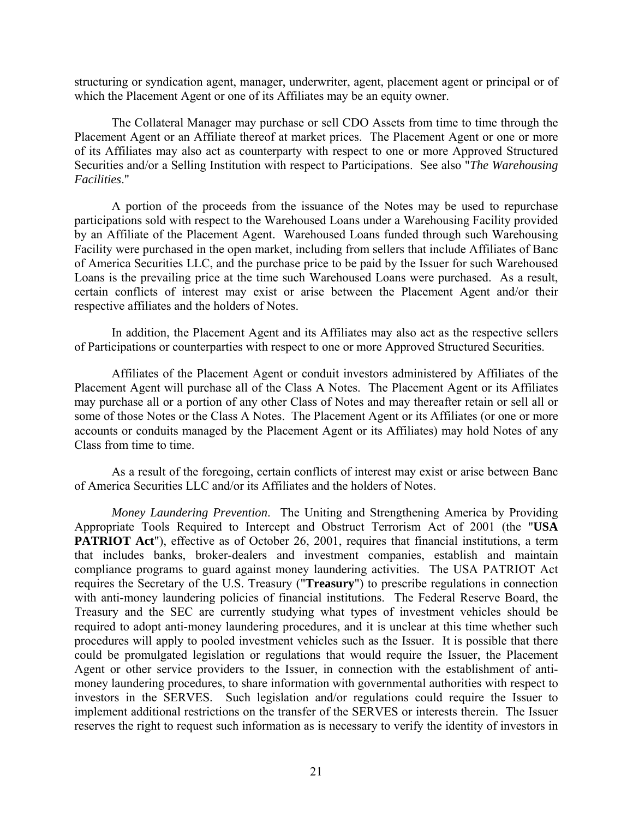structuring or syndication agent, manager, underwriter, agent, placement agent or principal or of which the Placement Agent or one of its Affiliates may be an equity owner.

The Collateral Manager may purchase or sell CDO Assets from time to time through the Placement Agent or an Affiliate thereof at market prices. The Placement Agent or one or more of its Affiliates may also act as counterparty with respect to one or more Approved Structured Securities and/or a Selling Institution with respect to Participations. See also "*The Warehousing Facilities*."

A portion of the proceeds from the issuance of the Notes may be used to repurchase participations sold with respect to the Warehoused Loans under a Warehousing Facility provided by an Affiliate of the Placement Agent. Warehoused Loans funded through such Warehousing Facility were purchased in the open market, including from sellers that include Affiliates of Banc of America Securities LLC, and the purchase price to be paid by the Issuer for such Warehoused Loans is the prevailing price at the time such Warehoused Loans were purchased. As a result, certain conflicts of interest may exist or arise between the Placement Agent and/or their respective affiliates and the holders of Notes.

In addition, the Placement Agent and its Affiliates may also act as the respective sellers of Participations or counterparties with respect to one or more Approved Structured Securities.

Affiliates of the Placement Agent or conduit investors administered by Affiliates of the Placement Agent will purchase all of the Class A Notes. The Placement Agent or its Affiliates may purchase all or a portion of any other Class of Notes and may thereafter retain or sell all or some of those Notes or the Class A Notes. The Placement Agent or its Affiliates (or one or more accounts or conduits managed by the Placement Agent or its Affiliates) may hold Notes of any Class from time to time.

As a result of the foregoing, certain conflicts of interest may exist or arise between Banc of America Securities LLC and/or its Affiliates and the holders of Notes.

*Money Laundering Prevention*. The Uniting and Strengthening America by Providing Appropriate Tools Required to Intercept and Obstruct Terrorism Act of 2001 (the "**USA PATRIOT Act**"), effective as of October 26, 2001, requires that financial institutions, a term that includes banks, broker-dealers and investment companies, establish and maintain compliance programs to guard against money laundering activities. The USA PATRIOT Act requires the Secretary of the U.S. Treasury ("**Treasury**") to prescribe regulations in connection with anti-money laundering policies of financial institutions. The Federal Reserve Board, the Treasury and the SEC are currently studying what types of investment vehicles should be required to adopt anti-money laundering procedures, and it is unclear at this time whether such procedures will apply to pooled investment vehicles such as the Issuer. It is possible that there could be promulgated legislation or regulations that would require the Issuer, the Placement Agent or other service providers to the Issuer, in connection with the establishment of antimoney laundering procedures, to share information with governmental authorities with respect to investors in the SERVES. Such legislation and/or regulations could require the Issuer to implement additional restrictions on the transfer of the SERVES or interests therein. The Issuer reserves the right to request such information as is necessary to verify the identity of investors in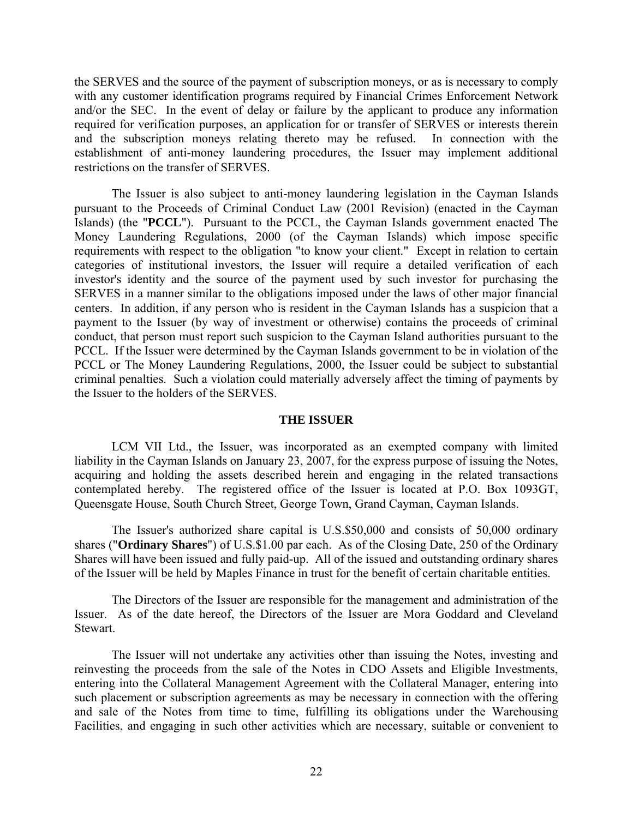the SERVES and the source of the payment of subscription moneys, or as is necessary to comply with any customer identification programs required by Financial Crimes Enforcement Network and/or the SEC. In the event of delay or failure by the applicant to produce any information required for verification purposes, an application for or transfer of SERVES or interests therein and the subscription moneys relating thereto may be refused. In connection with the establishment of anti-money laundering procedures, the Issuer may implement additional restrictions on the transfer of SERVES.

The Issuer is also subject to anti-money laundering legislation in the Cayman Islands pursuant to the Proceeds of Criminal Conduct Law (2001 Revision) (enacted in the Cayman Islands) (the "**PCCL**"). Pursuant to the PCCL, the Cayman Islands government enacted The Money Laundering Regulations, 2000 (of the Cayman Islands) which impose specific requirements with respect to the obligation "to know your client." Except in relation to certain categories of institutional investors, the Issuer will require a detailed verification of each investor's identity and the source of the payment used by such investor for purchasing the SERVES in a manner similar to the obligations imposed under the laws of other major financial centers. In addition, if any person who is resident in the Cayman Islands has a suspicion that a payment to the Issuer (by way of investment or otherwise) contains the proceeds of criminal conduct, that person must report such suspicion to the Cayman Island authorities pursuant to the PCCL. If the Issuer were determined by the Cayman Islands government to be in violation of the PCCL or The Money Laundering Regulations, 2000, the Issuer could be subject to substantial criminal penalties. Such a violation could materially adversely affect the timing of payments by the Issuer to the holders of the SERVES.

# **THE ISSUER**

LCM VII Ltd., the Issuer, was incorporated as an exempted company with limited liability in the Cayman Islands on January 23, 2007, for the express purpose of issuing the Notes, acquiring and holding the assets described herein and engaging in the related transactions contemplated hereby. The registered office of the Issuer is located at P.O. Box 1093GT, Queensgate House, South Church Street, George Town, Grand Cayman, Cayman Islands.

The Issuer's authorized share capital is U.S.\$50,000 and consists of 50,000 ordinary shares ("**Ordinary Shares**") of U.S.\$1.00 par each. As of the Closing Date, 250 of the Ordinary Shares will have been issued and fully paid-up. All of the issued and outstanding ordinary shares of the Issuer will be held by Maples Finance in trust for the benefit of certain charitable entities.

The Directors of the Issuer are responsible for the management and administration of the Issuer. As of the date hereof, the Directors of the Issuer are Mora Goddard and Cleveland **Stewart** 

The Issuer will not undertake any activities other than issuing the Notes, investing and reinvesting the proceeds from the sale of the Notes in CDO Assets and Eligible Investments, entering into the Collateral Management Agreement with the Collateral Manager, entering into such placement or subscription agreements as may be necessary in connection with the offering and sale of the Notes from time to time, fulfilling its obligations under the Warehousing Facilities, and engaging in such other activities which are necessary, suitable or convenient to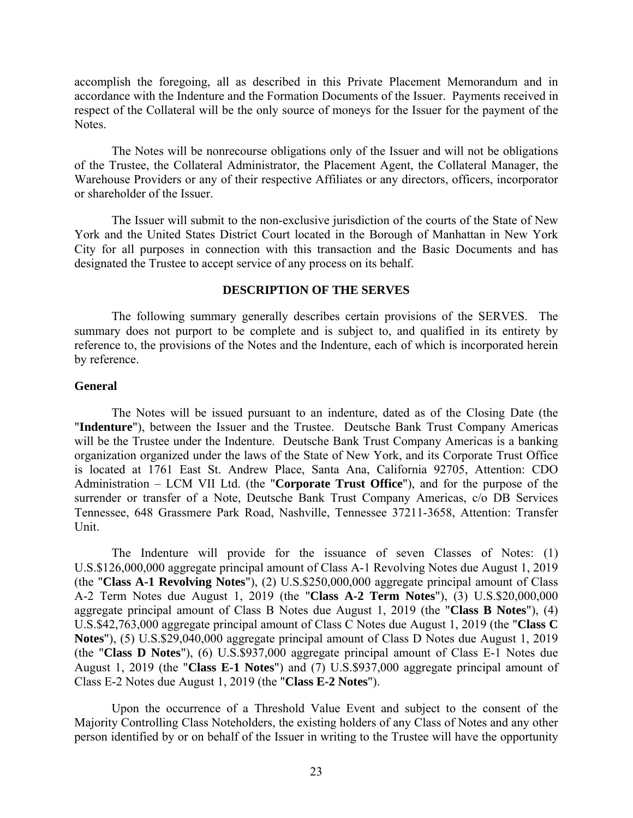accomplish the foregoing, all as described in this Private Placement Memorandum and in accordance with the Indenture and the Formation Documents of the Issuer. Payments received in respect of the Collateral will be the only source of moneys for the Issuer for the payment of the Notes.

The Notes will be nonrecourse obligations only of the Issuer and will not be obligations of the Trustee, the Collateral Administrator, the Placement Agent, the Collateral Manager, the Warehouse Providers or any of their respective Affiliates or any directors, officers, incorporator or shareholder of the Issuer.

The Issuer will submit to the non-exclusive jurisdiction of the courts of the State of New York and the United States District Court located in the Borough of Manhattan in New York City for all purposes in connection with this transaction and the Basic Documents and has designated the Trustee to accept service of any process on its behalf.

# **DESCRIPTION OF THE SERVES**

The following summary generally describes certain provisions of the SERVES. The summary does not purport to be complete and is subject to, and qualified in its entirety by reference to, the provisions of the Notes and the Indenture, each of which is incorporated herein by reference.

# **General**

The Notes will be issued pursuant to an indenture, dated as of the Closing Date (the "**Indenture**"), between the Issuer and the Trustee. Deutsche Bank Trust Company Americas will be the Trustee under the Indenture. Deutsche Bank Trust Company Americas is a banking organization organized under the laws of the State of New York, and its Corporate Trust Office is located at 1761 East St. Andrew Place, Santa Ana, California 92705, Attention: CDO Administration – LCM VII Ltd. (the "**Corporate Trust Office**"), and for the purpose of the surrender or transfer of a Note, Deutsche Bank Trust Company Americas, c/o DB Services Tennessee, 648 Grassmere Park Road, Nashville, Tennessee 37211-3658, Attention: Transfer Unit.

The Indenture will provide for the issuance of seven Classes of Notes: (1) U.S.\$126,000,000 aggregate principal amount of Class A-1 Revolving Notes due August 1, 2019 (the "**Class A-1 Revolving Notes**"), (2) U.S.\$250,000,000 aggregate principal amount of Class A-2 Term Notes due August 1, 2019 (the "**Class A-2 Term Notes**"), (3) U.S.\$20,000,000 aggregate principal amount of Class B Notes due August 1, 2019 (the "**Class B Notes**"), (4) U.S.\$42,763,000 aggregate principal amount of Class C Notes due August 1, 2019 (the "**Class C Notes**"), (5) U.S.\$29,040,000 aggregate principal amount of Class D Notes due August 1, 2019 (the "**Class D Notes**"), (6) U.S.\$937,000 aggregate principal amount of Class E-1 Notes due August 1, 2019 (the "**Class E-1 Notes**") and (7) U.S.\$937,000 aggregate principal amount of Class E-2 Notes due August 1, 2019 (the "**Class E-2 Notes**").

Upon the occurrence of a Threshold Value Event and subject to the consent of the Majority Controlling Class Noteholders, the existing holders of any Class of Notes and any other person identified by or on behalf of the Issuer in writing to the Trustee will have the opportunity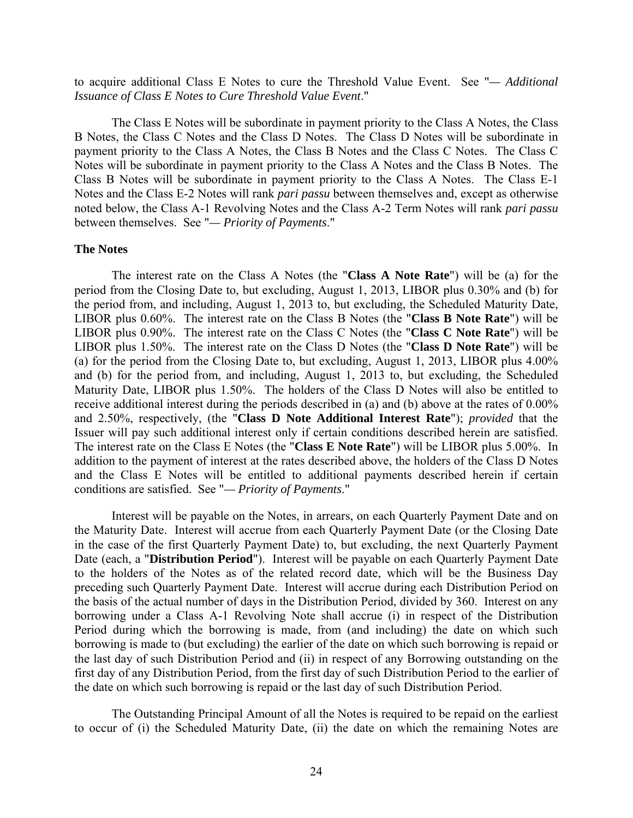to acquire additional Class E Notes to cure the Threshold Value Event. See "*— Additional Issuance of Class E Notes to Cure Threshold Value Event*."

The Class E Notes will be subordinate in payment priority to the Class A Notes, the Class B Notes, the Class C Notes and the Class D Notes. The Class D Notes will be subordinate in payment priority to the Class A Notes, the Class B Notes and the Class C Notes. The Class C Notes will be subordinate in payment priority to the Class A Notes and the Class B Notes. The Class B Notes will be subordinate in payment priority to the Class A Notes. The Class E-1 Notes and the Class E-2 Notes will rank *pari passu* between themselves and, except as otherwise noted below, the Class A-1 Revolving Notes and the Class A-2 Term Notes will rank *pari passu* between themselves. See "*— Priority of Payments*."

### **The Notes**

The interest rate on the Class A Notes (the "**Class A Note Rate**") will be (a) for the period from the Closing Date to, but excluding, August 1, 2013, LIBOR plus 0.30% and (b) for the period from, and including, August 1, 2013 to, but excluding, the Scheduled Maturity Date, LIBOR plus 0.60%. The interest rate on the Class B Notes (the "**Class B Note Rate**") will be LIBOR plus 0.90%. The interest rate on the Class C Notes (the "**Class C Note Rate**") will be LIBOR plus 1.50%. The interest rate on the Class D Notes (the "**Class D Note Rate**") will be (a) for the period from the Closing Date to, but excluding, August 1, 2013, LIBOR plus 4.00% and (b) for the period from, and including, August 1, 2013 to, but excluding, the Scheduled Maturity Date, LIBOR plus 1.50%. The holders of the Class D Notes will also be entitled to receive additional interest during the periods described in (a) and (b) above at the rates of 0.00% and 2.50%, respectively, (the "**Class D Note Additional Interest Rate**"); *provided* that the Issuer will pay such additional interest only if certain conditions described herein are satisfied. The interest rate on the Class E Notes (the "**Class E Note Rate**") will be LIBOR plus 5.00%. In addition to the payment of interest at the rates described above, the holders of the Class D Notes and the Class E Notes will be entitled to additional payments described herein if certain conditions are satisfied. See "*— Priority of Payments*."

Interest will be payable on the Notes, in arrears, on each Quarterly Payment Date and on the Maturity Date. Interest will accrue from each Quarterly Payment Date (or the Closing Date in the case of the first Quarterly Payment Date) to, but excluding, the next Quarterly Payment Date (each, a "**Distribution Period**"). Interest will be payable on each Quarterly Payment Date to the holders of the Notes as of the related record date, which will be the Business Day preceding such Quarterly Payment Date. Interest will accrue during each Distribution Period on the basis of the actual number of days in the Distribution Period, divided by 360. Interest on any borrowing under a Class A-1 Revolving Note shall accrue (i) in respect of the Distribution Period during which the borrowing is made, from (and including) the date on which such borrowing is made to (but excluding) the earlier of the date on which such borrowing is repaid or the last day of such Distribution Period and (ii) in respect of any Borrowing outstanding on the first day of any Distribution Period, from the first day of such Distribution Period to the earlier of the date on which such borrowing is repaid or the last day of such Distribution Period.

The Outstanding Principal Amount of all the Notes is required to be repaid on the earliest to occur of (i) the Scheduled Maturity Date, (ii) the date on which the remaining Notes are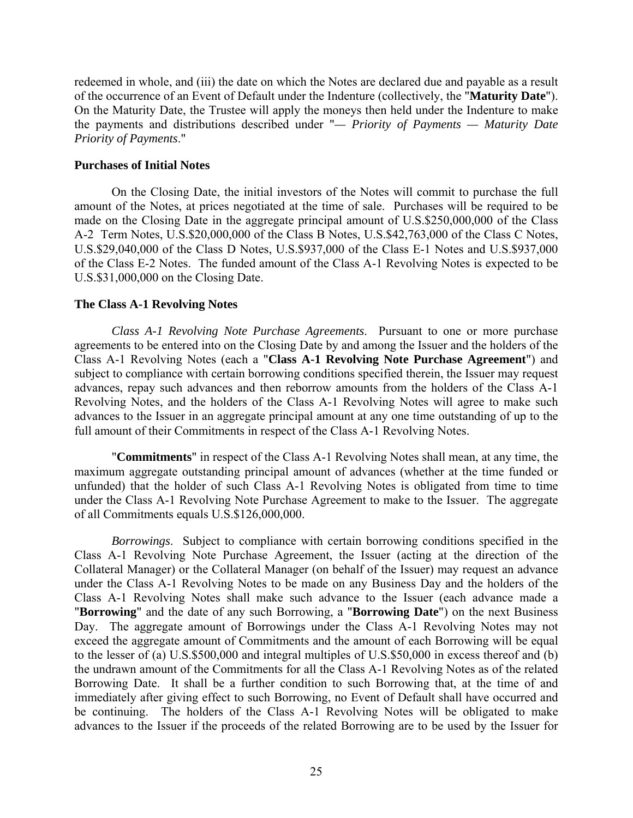redeemed in whole, and (iii) the date on which the Notes are declared due and payable as a result of the occurrence of an Event of Default under the Indenture (collectively, the "**Maturity Date**"). On the Maturity Date, the Trustee will apply the moneys then held under the Indenture to make the payments and distributions described under "*— Priority of Payments — Maturity Date Priority of Payments*."

# **Purchases of Initial Notes**

On the Closing Date, the initial investors of the Notes will commit to purchase the full amount of the Notes, at prices negotiated at the time of sale. Purchases will be required to be made on the Closing Date in the aggregate principal amount of U.S.\$250,000,000 of the Class A-2 Term Notes, U.S.\$20,000,000 of the Class B Notes, U.S.\$42,763,000 of the Class C Notes, U.S.\$29,040,000 of the Class D Notes, U.S.\$937,000 of the Class E-1 Notes and U.S.\$937,000 of the Class E-2 Notes. The funded amount of the Class A-1 Revolving Notes is expected to be U.S.\$31,000,000 on the Closing Date.

# **The Class A-1 Revolving Notes**

*Class A-1 Revolving Note Purchase Agreements*. Pursuant to one or more purchase agreements to be entered into on the Closing Date by and among the Issuer and the holders of the Class A-1 Revolving Notes (each a "**Class A-1 Revolving Note Purchase Agreement**") and subject to compliance with certain borrowing conditions specified therein, the Issuer may request advances, repay such advances and then reborrow amounts from the holders of the Class A-1 Revolving Notes, and the holders of the Class A-1 Revolving Notes will agree to make such advances to the Issuer in an aggregate principal amount at any one time outstanding of up to the full amount of their Commitments in respect of the Class A-1 Revolving Notes.

"**Commitments**" in respect of the Class A-1 Revolving Notes shall mean, at any time, the maximum aggregate outstanding principal amount of advances (whether at the time funded or unfunded) that the holder of such Class A-1 Revolving Notes is obligated from time to time under the Class A-1 Revolving Note Purchase Agreement to make to the Issuer. The aggregate of all Commitments equals U.S.\$126,000,000.

*Borrowings*. Subject to compliance with certain borrowing conditions specified in the Class A-1 Revolving Note Purchase Agreement, the Issuer (acting at the direction of the Collateral Manager) or the Collateral Manager (on behalf of the Issuer) may request an advance under the Class A-1 Revolving Notes to be made on any Business Day and the holders of the Class A-1 Revolving Notes shall make such advance to the Issuer (each advance made a "**Borrowing**" and the date of any such Borrowing, a "**Borrowing Date**") on the next Business Day. The aggregate amount of Borrowings under the Class A-1 Revolving Notes may not exceed the aggregate amount of Commitments and the amount of each Borrowing will be equal to the lesser of (a) U.S.\$500,000 and integral multiples of U.S.\$50,000 in excess thereof and (b) the undrawn amount of the Commitments for all the Class A-1 Revolving Notes as of the related Borrowing Date. It shall be a further condition to such Borrowing that, at the time of and immediately after giving effect to such Borrowing, no Event of Default shall have occurred and be continuing. The holders of the Class A-1 Revolving Notes will be obligated to make advances to the Issuer if the proceeds of the related Borrowing are to be used by the Issuer for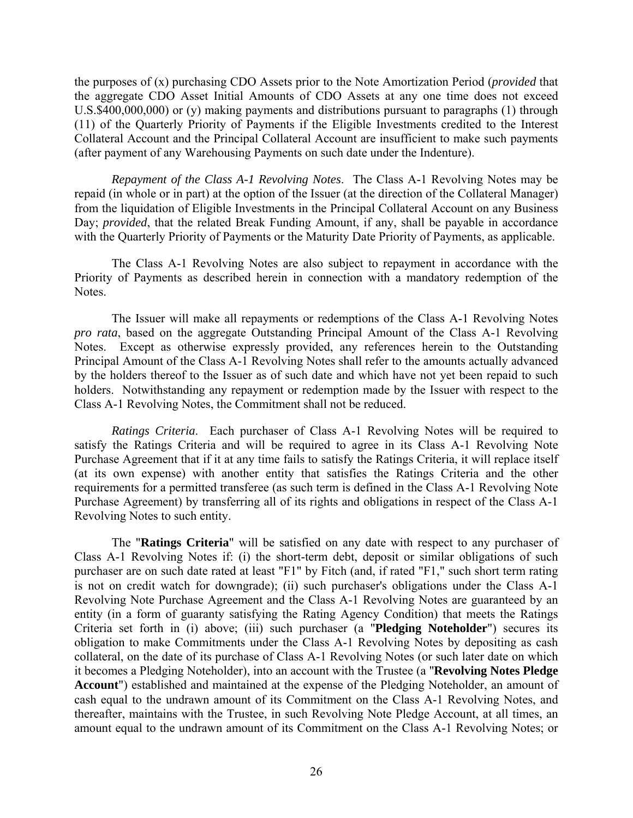the purposes of (x) purchasing CDO Assets prior to the Note Amortization Period (*provided* that the aggregate CDO Asset Initial Amounts of CDO Assets at any one time does not exceed U.S.\$400,000,000) or (y) making payments and distributions pursuant to paragraphs (1) through (11) of the Quarterly Priority of Payments if the Eligible Investments credited to the Interest Collateral Account and the Principal Collateral Account are insufficient to make such payments (after payment of any Warehousing Payments on such date under the Indenture).

*Repayment of the Class A-1 Revolving Notes*. The Class A-1 Revolving Notes may be repaid (in whole or in part) at the option of the Issuer (at the direction of the Collateral Manager) from the liquidation of Eligible Investments in the Principal Collateral Account on any Business Day; *provided*, that the related Break Funding Amount, if any, shall be payable in accordance with the Quarterly Priority of Payments or the Maturity Date Priority of Payments, as applicable.

The Class A-1 Revolving Notes are also subject to repayment in accordance with the Priority of Payments as described herein in connection with a mandatory redemption of the Notes.

The Issuer will make all repayments or redemptions of the Class A-1 Revolving Notes *pro rata*, based on the aggregate Outstanding Principal Amount of the Class A-1 Revolving Notes. Except as otherwise expressly provided, any references herein to the Outstanding Principal Amount of the Class A-1 Revolving Notes shall refer to the amounts actually advanced by the holders thereof to the Issuer as of such date and which have not yet been repaid to such holders. Notwithstanding any repayment or redemption made by the Issuer with respect to the Class A-1 Revolving Notes, the Commitment shall not be reduced.

*Ratings Criteria*. Each purchaser of Class A-1 Revolving Notes will be required to satisfy the Ratings Criteria and will be required to agree in its Class A-1 Revolving Note Purchase Agreement that if it at any time fails to satisfy the Ratings Criteria, it will replace itself (at its own expense) with another entity that satisfies the Ratings Criteria and the other requirements for a permitted transferee (as such term is defined in the Class A-1 Revolving Note Purchase Agreement) by transferring all of its rights and obligations in respect of the Class A-1 Revolving Notes to such entity.

The "**Ratings Criteria**" will be satisfied on any date with respect to any purchaser of Class A-1 Revolving Notes if: (i) the short-term debt, deposit or similar obligations of such purchaser are on such date rated at least "F1" by Fitch (and, if rated "F1," such short term rating is not on credit watch for downgrade); (ii) such purchaser's obligations under the Class A-1 Revolving Note Purchase Agreement and the Class A-1 Revolving Notes are guaranteed by an entity (in a form of guaranty satisfying the Rating Agency Condition) that meets the Ratings Criteria set forth in (i) above; (iii) such purchaser (a "**Pledging Noteholder**") secures its obligation to make Commitments under the Class A-1 Revolving Notes by depositing as cash collateral, on the date of its purchase of Class A-1 Revolving Notes (or such later date on which it becomes a Pledging Noteholder), into an account with the Trustee (a "**Revolving Notes Pledge Account**") established and maintained at the expense of the Pledging Noteholder, an amount of cash equal to the undrawn amount of its Commitment on the Class A-1 Revolving Notes, and thereafter, maintains with the Trustee, in such Revolving Note Pledge Account, at all times, an amount equal to the undrawn amount of its Commitment on the Class A-1 Revolving Notes; or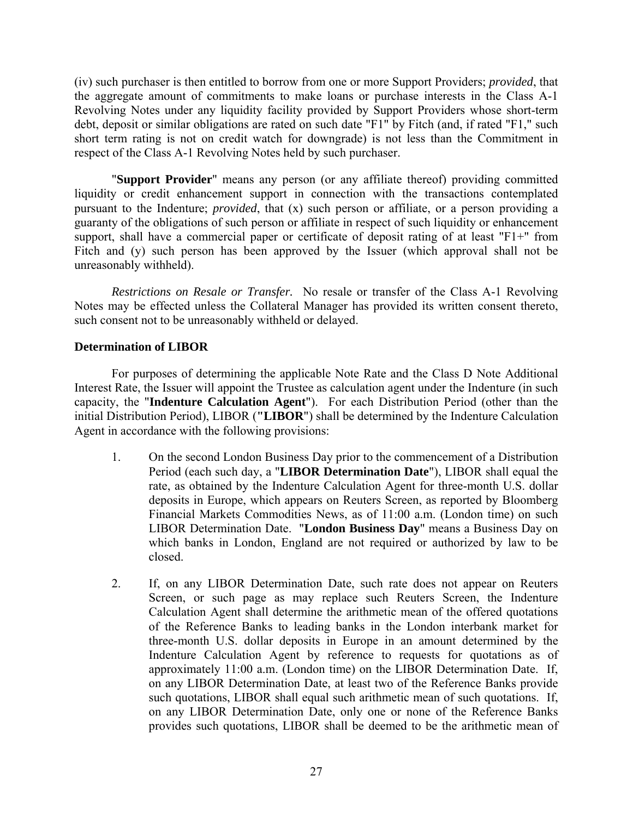(iv) such purchaser is then entitled to borrow from one or more Support Providers; *provided*, that the aggregate amount of commitments to make loans or purchase interests in the Class A-1 Revolving Notes under any liquidity facility provided by Support Providers whose short-term debt, deposit or similar obligations are rated on such date "F1" by Fitch (and, if rated "F1," such short term rating is not on credit watch for downgrade) is not less than the Commitment in respect of the Class A-1 Revolving Notes held by such purchaser.

"**Support Provider**" means any person (or any affiliate thereof) providing committed liquidity or credit enhancement support in connection with the transactions contemplated pursuant to the Indenture; *provided*, that (x) such person or affiliate, or a person providing a guaranty of the obligations of such person or affiliate in respect of such liquidity or enhancement support, shall have a commercial paper or certificate of deposit rating of at least "F1+" from Fitch and (y) such person has been approved by the Issuer (which approval shall not be unreasonably withheld).

*Restrictions on Resale or Transfer.* No resale or transfer of the Class A-1 Revolving Notes may be effected unless the Collateral Manager has provided its written consent thereto, such consent not to be unreasonably withheld or delayed.

# **Determination of LIBOR**

For purposes of determining the applicable Note Rate and the Class D Note Additional Interest Rate, the Issuer will appoint the Trustee as calculation agent under the Indenture (in such capacity, the "**Indenture Calculation Agent**"). For each Distribution Period (other than the initial Distribution Period), LIBOR (**"LIBOR**") shall be determined by the Indenture Calculation Agent in accordance with the following provisions:

- 1. On the second London Business Day prior to the commencement of a Distribution Period (each such day, a "**LIBOR Determination Date**"), LIBOR shall equal the rate, as obtained by the Indenture Calculation Agent for three-month U.S. dollar deposits in Europe, which appears on Reuters Screen, as reported by Bloomberg Financial Markets Commodities News, as of 11:00 a.m. (London time) on such LIBOR Determination Date. "**London Business Day**" means a Business Day on which banks in London, England are not required or authorized by law to be closed.
- 2. If, on any LIBOR Determination Date, such rate does not appear on Reuters Screen, or such page as may replace such Reuters Screen, the Indenture Calculation Agent shall determine the arithmetic mean of the offered quotations of the Reference Banks to leading banks in the London interbank market for three-month U.S. dollar deposits in Europe in an amount determined by the Indenture Calculation Agent by reference to requests for quotations as of approximately 11:00 a.m. (London time) on the LIBOR Determination Date. If, on any LIBOR Determination Date, at least two of the Reference Banks provide such quotations, LIBOR shall equal such arithmetic mean of such quotations. If, on any LIBOR Determination Date, only one or none of the Reference Banks provides such quotations, LIBOR shall be deemed to be the arithmetic mean of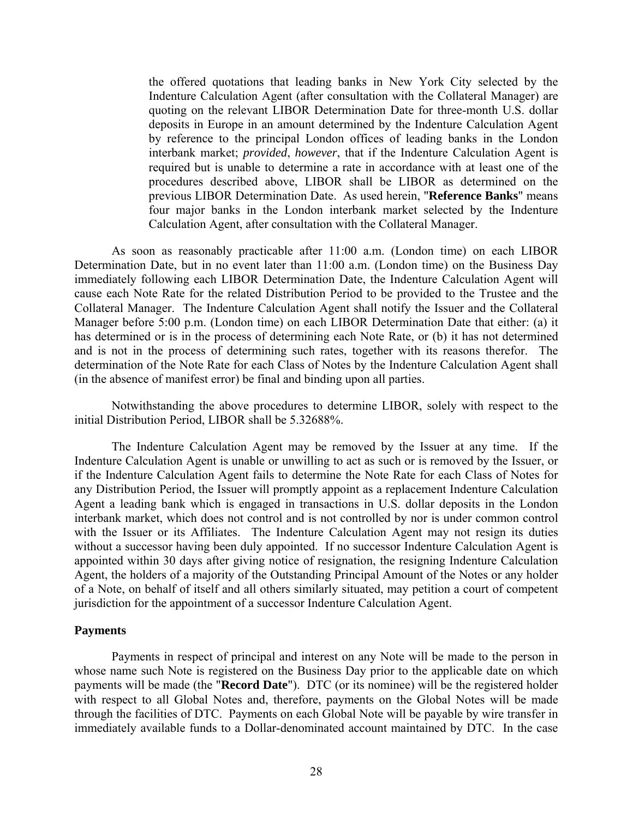the offered quotations that leading banks in New York City selected by the Indenture Calculation Agent (after consultation with the Collateral Manager) are quoting on the relevant LIBOR Determination Date for three-month U.S. dollar deposits in Europe in an amount determined by the Indenture Calculation Agent by reference to the principal London offices of leading banks in the London interbank market; *provided*, *however*, that if the Indenture Calculation Agent is required but is unable to determine a rate in accordance with at least one of the procedures described above, LIBOR shall be LIBOR as determined on the previous LIBOR Determination Date. As used herein, "**Reference Banks**" means four major banks in the London interbank market selected by the Indenture Calculation Agent, after consultation with the Collateral Manager.

As soon as reasonably practicable after 11:00 a.m. (London time) on each LIBOR Determination Date, but in no event later than 11:00 a.m. (London time) on the Business Day immediately following each LIBOR Determination Date, the Indenture Calculation Agent will cause each Note Rate for the related Distribution Period to be provided to the Trustee and the Collateral Manager. The Indenture Calculation Agent shall notify the Issuer and the Collateral Manager before 5:00 p.m. (London time) on each LIBOR Determination Date that either: (a) it has determined or is in the process of determining each Note Rate, or (b) it has not determined and is not in the process of determining such rates, together with its reasons therefor. The determination of the Note Rate for each Class of Notes by the Indenture Calculation Agent shall (in the absence of manifest error) be final and binding upon all parties.

Notwithstanding the above procedures to determine LIBOR, solely with respect to the initial Distribution Period, LIBOR shall be 5.32688%.

The Indenture Calculation Agent may be removed by the Issuer at any time. If the Indenture Calculation Agent is unable or unwilling to act as such or is removed by the Issuer, or if the Indenture Calculation Agent fails to determine the Note Rate for each Class of Notes for any Distribution Period, the Issuer will promptly appoint as a replacement Indenture Calculation Agent a leading bank which is engaged in transactions in U.S. dollar deposits in the London interbank market, which does not control and is not controlled by nor is under common control with the Issuer or its Affiliates. The Indenture Calculation Agent may not resign its duties without a successor having been duly appointed. If no successor Indenture Calculation Agent is appointed within 30 days after giving notice of resignation, the resigning Indenture Calculation Agent, the holders of a majority of the Outstanding Principal Amount of the Notes or any holder of a Note, on behalf of itself and all others similarly situated, may petition a court of competent jurisdiction for the appointment of a successor Indenture Calculation Agent.

### **Payments**

Payments in respect of principal and interest on any Note will be made to the person in whose name such Note is registered on the Business Day prior to the applicable date on which payments will be made (the "**Record Date**"). DTC (or its nominee) will be the registered holder with respect to all Global Notes and, therefore, payments on the Global Notes will be made through the facilities of DTC. Payments on each Global Note will be payable by wire transfer in immediately available funds to a Dollar-denominated account maintained by DTC. In the case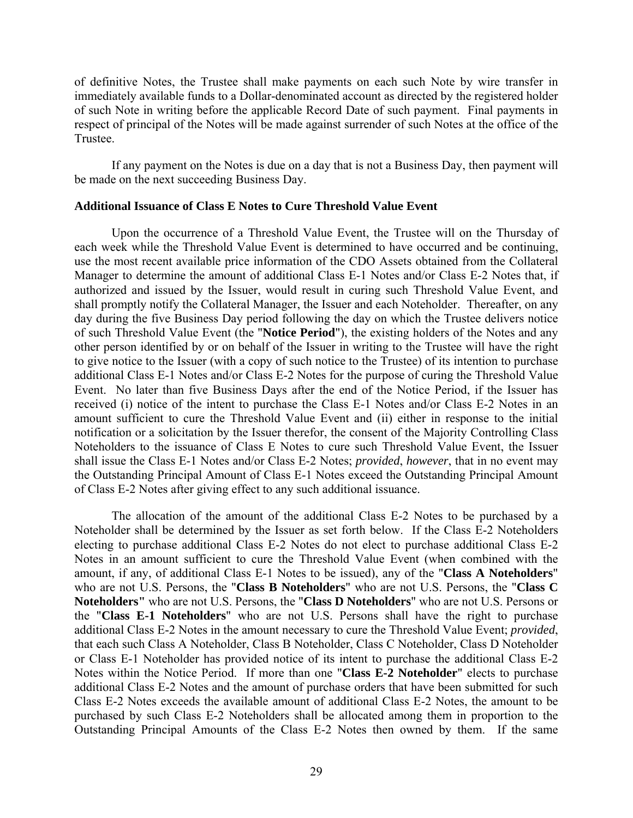of definitive Notes, the Trustee shall make payments on each such Note by wire transfer in immediately available funds to a Dollar-denominated account as directed by the registered holder of such Note in writing before the applicable Record Date of such payment. Final payments in respect of principal of the Notes will be made against surrender of such Notes at the office of the Trustee.

If any payment on the Notes is due on a day that is not a Business Day, then payment will be made on the next succeeding Business Day.

### **Additional Issuance of Class E Notes to Cure Threshold Value Event**

Upon the occurrence of a Threshold Value Event, the Trustee will on the Thursday of each week while the Threshold Value Event is determined to have occurred and be continuing, use the most recent available price information of the CDO Assets obtained from the Collateral Manager to determine the amount of additional Class E-1 Notes and/or Class E-2 Notes that, if authorized and issued by the Issuer, would result in curing such Threshold Value Event, and shall promptly notify the Collateral Manager, the Issuer and each Noteholder. Thereafter, on any day during the five Business Day period following the day on which the Trustee delivers notice of such Threshold Value Event (the "**Notice Period**"), the existing holders of the Notes and any other person identified by or on behalf of the Issuer in writing to the Trustee will have the right to give notice to the Issuer (with a copy of such notice to the Trustee) of its intention to purchase additional Class E-1 Notes and/or Class E-2 Notes for the purpose of curing the Threshold Value Event. No later than five Business Days after the end of the Notice Period, if the Issuer has received (i) notice of the intent to purchase the Class E-1 Notes and/or Class E-2 Notes in an amount sufficient to cure the Threshold Value Event and (ii) either in response to the initial notification or a solicitation by the Issuer therefor, the consent of the Majority Controlling Class Noteholders to the issuance of Class E Notes to cure such Threshold Value Event, the Issuer shall issue the Class E-1 Notes and/or Class E-2 Notes; *provided*, *however*, that in no event may the Outstanding Principal Amount of Class E-1 Notes exceed the Outstanding Principal Amount of Class E-2 Notes after giving effect to any such additional issuance.

The allocation of the amount of the additional Class E-2 Notes to be purchased by a Noteholder shall be determined by the Issuer as set forth below. If the Class E-2 Noteholders electing to purchase additional Class E-2 Notes do not elect to purchase additional Class E-2 Notes in an amount sufficient to cure the Threshold Value Event (when combined with the amount, if any, of additional Class E-1 Notes to be issued), any of the "**Class A Noteholders**" who are not U.S. Persons, the "**Class B Noteholders**" who are not U.S. Persons, the "**Class C Noteholders"** who are not U.S. Persons, the "**Class D Noteholders**" who are not U.S. Persons or the "**Class E-1 Noteholders**" who are not U.S. Persons shall have the right to purchase additional Class E-2 Notes in the amount necessary to cure the Threshold Value Event; *provided*, that each such Class A Noteholder, Class B Noteholder, Class C Noteholder, Class D Noteholder or Class E-1 Noteholder has provided notice of its intent to purchase the additional Class E-2 Notes within the Notice Period. If more than one "**Class E-2 Noteholder**" elects to purchase additional Class E-2 Notes and the amount of purchase orders that have been submitted for such Class E-2 Notes exceeds the available amount of additional Class E-2 Notes, the amount to be purchased by such Class E-2 Noteholders shall be allocated among them in proportion to the Outstanding Principal Amounts of the Class E-2 Notes then owned by them. If the same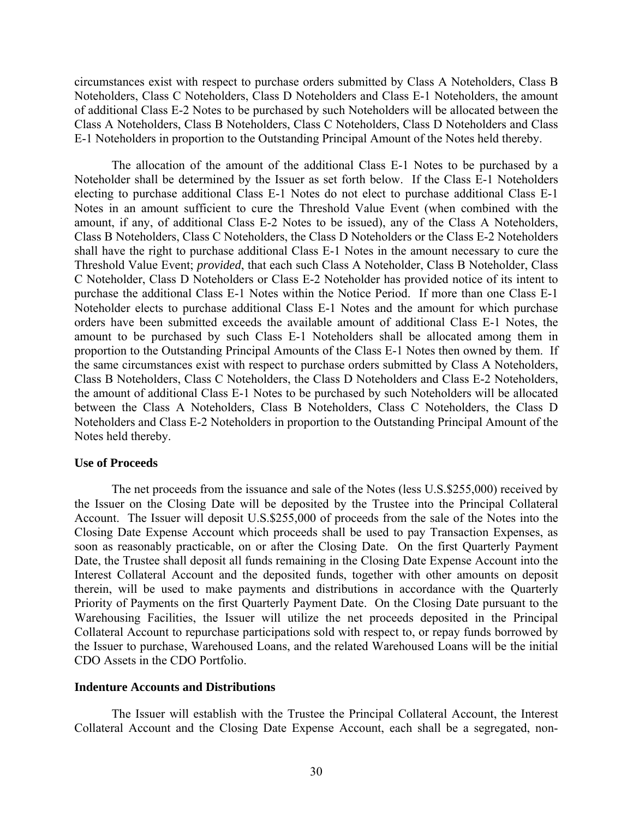circumstances exist with respect to purchase orders submitted by Class A Noteholders, Class B Noteholders, Class C Noteholders, Class D Noteholders and Class E-1 Noteholders, the amount of additional Class E-2 Notes to be purchased by such Noteholders will be allocated between the Class A Noteholders, Class B Noteholders, Class C Noteholders, Class D Noteholders and Class E-1 Noteholders in proportion to the Outstanding Principal Amount of the Notes held thereby.

The allocation of the amount of the additional Class E-1 Notes to be purchased by a Noteholder shall be determined by the Issuer as set forth below. If the Class E-1 Noteholders electing to purchase additional Class E-1 Notes do not elect to purchase additional Class E-1 Notes in an amount sufficient to cure the Threshold Value Event (when combined with the amount, if any, of additional Class E-2 Notes to be issued), any of the Class A Noteholders, Class B Noteholders, Class C Noteholders, the Class D Noteholders or the Class E-2 Noteholders shall have the right to purchase additional Class E-1 Notes in the amount necessary to cure the Threshold Value Event; *provided*, that each such Class A Noteholder, Class B Noteholder, Class C Noteholder, Class D Noteholders or Class E-2 Noteholder has provided notice of its intent to purchase the additional Class E-1 Notes within the Notice Period. If more than one Class E-1 Noteholder elects to purchase additional Class E-1 Notes and the amount for which purchase orders have been submitted exceeds the available amount of additional Class E-1 Notes, the amount to be purchased by such Class E-1 Noteholders shall be allocated among them in proportion to the Outstanding Principal Amounts of the Class E-1 Notes then owned by them. If the same circumstances exist with respect to purchase orders submitted by Class A Noteholders, Class B Noteholders, Class C Noteholders, the Class D Noteholders and Class E-2 Noteholders, the amount of additional Class E-1 Notes to be purchased by such Noteholders will be allocated between the Class A Noteholders, Class B Noteholders, Class C Noteholders, the Class D Noteholders and Class E-2 Noteholders in proportion to the Outstanding Principal Amount of the Notes held thereby.

### **Use of Proceeds**

The net proceeds from the issuance and sale of the Notes (less U.S.\$255,000) received by the Issuer on the Closing Date will be deposited by the Trustee into the Principal Collateral Account. The Issuer will deposit U.S.\$255,000 of proceeds from the sale of the Notes into the Closing Date Expense Account which proceeds shall be used to pay Transaction Expenses, as soon as reasonably practicable, on or after the Closing Date. On the first Quarterly Payment Date, the Trustee shall deposit all funds remaining in the Closing Date Expense Account into the Interest Collateral Account and the deposited funds, together with other amounts on deposit therein, will be used to make payments and distributions in accordance with the Quarterly Priority of Payments on the first Quarterly Payment Date. On the Closing Date pursuant to the Warehousing Facilities, the Issuer will utilize the net proceeds deposited in the Principal Collateral Account to repurchase participations sold with respect to, or repay funds borrowed by the Issuer to purchase, Warehoused Loans, and the related Warehoused Loans will be the initial CDO Assets in the CDO Portfolio.

#### **Indenture Accounts and Distributions**

The Issuer will establish with the Trustee the Principal Collateral Account, the Interest Collateral Account and the Closing Date Expense Account, each shall be a segregated, non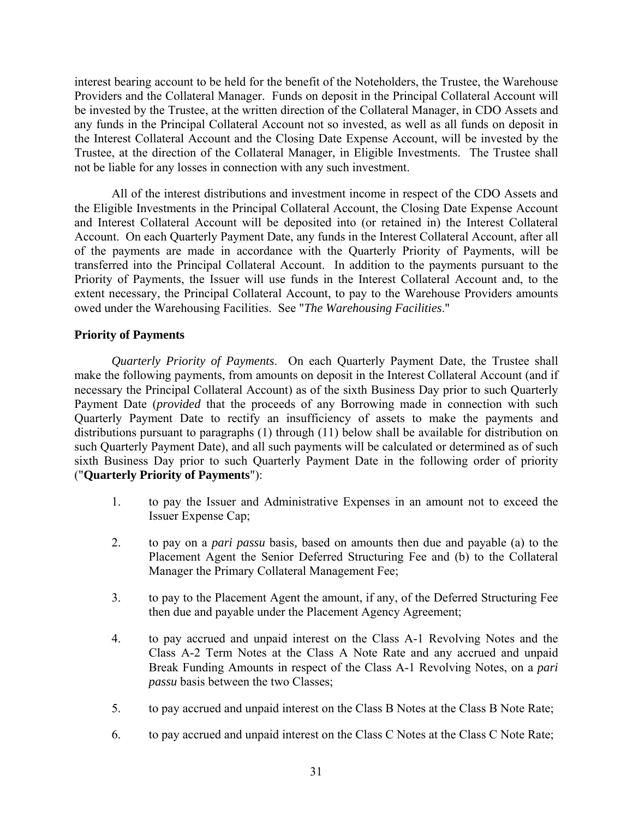interest bearing account to be held for the benefit of the Noteholders, the Trustee, the Warehouse Providers and the Collateral Manager. Funds on deposit in the Principal Collateral Account will be invested by the Trustee, at the written direction of the Collateral Manager, in CDO Assets and any funds in the Principal Collateral Account not so invested, as well as all funds on deposit in the Interest Collateral Account and the Closing Date Expense Account, will be invested by the Trustee, at the direction of the Collateral Manager, in Eligible Investments. The Trustee shall not be liable for any losses in connection with any such investment.

All of the interest distributions and investment income in respect of the CDO Assets and the Eligible Investments in the Principal Collateral Account, the Closing Date Expense Account and Interest Collateral Account will be deposited into (or retained in) the Interest Collateral Account. On each Quarterly Payment Date, any funds in the Interest Collateral Account, after all of the payments are made in accordance with the Quarterly Priority of Payments, will be transferred into the Principal Collateral Account. In addition to the payments pursuant to the Priority of Payments, the Issuer will use funds in the Interest Collateral Account and, to the extent necessary, the Principal Collateral Account, to pay to the Warehouse Providers amounts owed under the Warehousing Facilities. See "*The Warehousing Facilities*."

## **Priority of Payments**

*Quarterly Priority of Payments*. On each Quarterly Payment Date, the Trustee shall make the following payments, from amounts on deposit in the Interest Collateral Account (and if necessary the Principal Collateral Account) as of the sixth Business Day prior to such Quarterly Payment Date (*provided* that the proceeds of any Borrowing made in connection with such Quarterly Payment Date to rectify an insufficiency of assets to make the payments and distributions pursuant to paragraphs (1) through (11) below shall be available for distribution on such Quarterly Payment Date), and all such payments will be calculated or determined as of such sixth Business Day prior to such Quarterly Payment Date in the following order of priority ("**Quarterly Priority of Payments**"):

- 1. to pay the Issuer and Administrative Expenses in an amount not to exceed the Issuer Expense Cap;
- 2. to pay on a *pari passu* basis*,* based on amounts then due and payable (a) to the Placement Agent the Senior Deferred Structuring Fee and (b) to the Collateral Manager the Primary Collateral Management Fee;
- 3. to pay to the Placement Agent the amount, if any, of the Deferred Structuring Fee then due and payable under the Placement Agency Agreement;
- 4. to pay accrued and unpaid interest on the Class A-1 Revolving Notes and the Class A-2 Term Notes at the Class A Note Rate and any accrued and unpaid Break Funding Amounts in respect of the Class A-1 Revolving Notes, on a *pari passu* basis between the two Classes;
- 5. to pay accrued and unpaid interest on the Class B Notes at the Class B Note Rate;
- 6. to pay accrued and unpaid interest on the Class C Notes at the Class C Note Rate;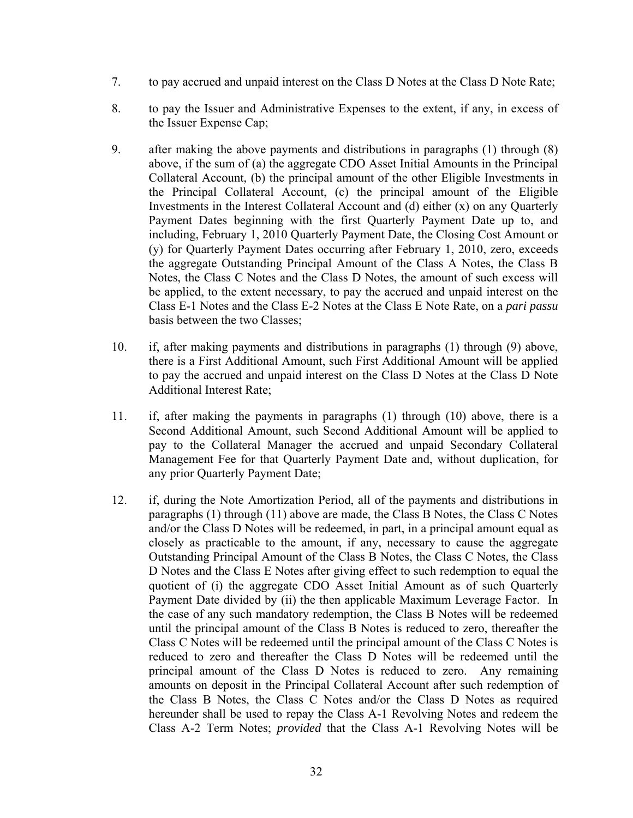- 7. to pay accrued and unpaid interest on the Class D Notes at the Class D Note Rate;
- 8. to pay the Issuer and Administrative Expenses to the extent, if any, in excess of the Issuer Expense Cap;
- 9. after making the above payments and distributions in paragraphs (1) through (8) above, if the sum of (a) the aggregate CDO Asset Initial Amounts in the Principal Collateral Account, (b) the principal amount of the other Eligible Investments in the Principal Collateral Account, (c) the principal amount of the Eligible Investments in the Interest Collateral Account and (d) either (x) on any Quarterly Payment Dates beginning with the first Quarterly Payment Date up to, and including, February 1, 2010 Quarterly Payment Date, the Closing Cost Amount or (y) for Quarterly Payment Dates occurring after February 1, 2010, zero, exceeds the aggregate Outstanding Principal Amount of the Class A Notes, the Class B Notes, the Class C Notes and the Class D Notes, the amount of such excess will be applied, to the extent necessary, to pay the accrued and unpaid interest on the Class E-1 Notes and the Class E-2 Notes at the Class E Note Rate, on a *pari passu* basis between the two Classes;
- 10. if, after making payments and distributions in paragraphs (1) through (9) above, there is a First Additional Amount, such First Additional Amount will be applied to pay the accrued and unpaid interest on the Class D Notes at the Class D Note Additional Interest Rate;
- 11. if, after making the payments in paragraphs (1) through (10) above, there is a Second Additional Amount, such Second Additional Amount will be applied to pay to the Collateral Manager the accrued and unpaid Secondary Collateral Management Fee for that Quarterly Payment Date and, without duplication, for any prior Quarterly Payment Date;
- 12. if, during the Note Amortization Period, all of the payments and distributions in paragraphs (1) through (11) above are made, the Class B Notes, the Class C Notes and/or the Class D Notes will be redeemed, in part, in a principal amount equal as closely as practicable to the amount, if any, necessary to cause the aggregate Outstanding Principal Amount of the Class B Notes, the Class C Notes, the Class D Notes and the Class E Notes after giving effect to such redemption to equal the quotient of (i) the aggregate CDO Asset Initial Amount as of such Quarterly Payment Date divided by (ii) the then applicable Maximum Leverage Factor. In the case of any such mandatory redemption, the Class B Notes will be redeemed until the principal amount of the Class B Notes is reduced to zero, thereafter the Class C Notes will be redeemed until the principal amount of the Class C Notes is reduced to zero and thereafter the Class D Notes will be redeemed until the principal amount of the Class D Notes is reduced to zero. Any remaining amounts on deposit in the Principal Collateral Account after such redemption of the Class B Notes, the Class C Notes and/or the Class D Notes as required hereunder shall be used to repay the Class A-1 Revolving Notes and redeem the Class A-2 Term Notes; *provided* that the Class A-1 Revolving Notes will be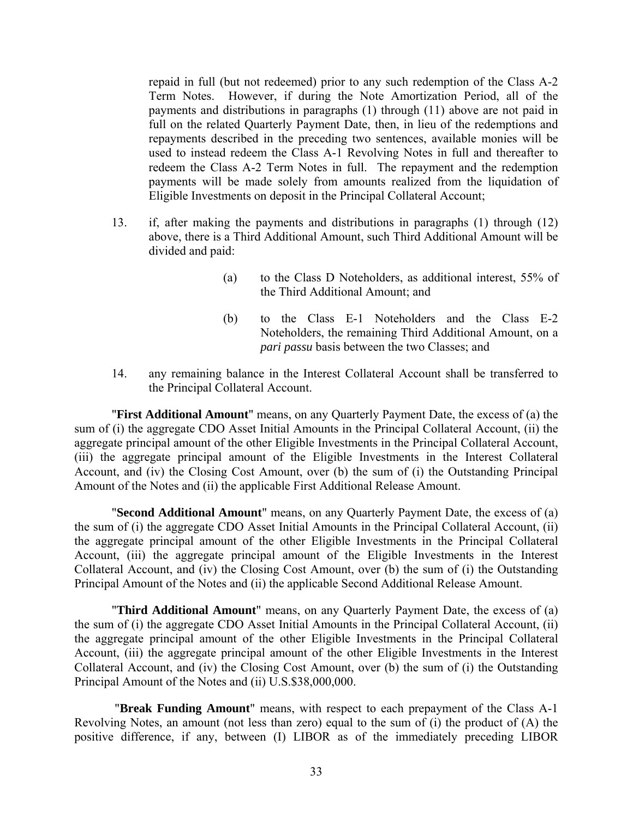repaid in full (but not redeemed) prior to any such redemption of the Class A-2 Term Notes. However, if during the Note Amortization Period, all of the payments and distributions in paragraphs (1) through (11) above are not paid in full on the related Quarterly Payment Date, then, in lieu of the redemptions and repayments described in the preceding two sentences, available monies will be used to instead redeem the Class A-1 Revolving Notes in full and thereafter to redeem the Class A-2 Term Notes in full. The repayment and the redemption payments will be made solely from amounts realized from the liquidation of Eligible Investments on deposit in the Principal Collateral Account;

- 13. if, after making the payments and distributions in paragraphs (1) through (12) above, there is a Third Additional Amount, such Third Additional Amount will be divided and paid:
	- (a) to the Class D Noteholders, as additional interest, 55% of the Third Additional Amount; and
	- (b) to the Class E-1 Noteholders and the Class E-2 Noteholders, the remaining Third Additional Amount, on a *pari passu* basis between the two Classes; and
- 14. any remaining balance in the Interest Collateral Account shall be transferred to the Principal Collateral Account.

"**First Additional Amount**" means, on any Quarterly Payment Date, the excess of (a) the sum of (i) the aggregate CDO Asset Initial Amounts in the Principal Collateral Account, (ii) the aggregate principal amount of the other Eligible Investments in the Principal Collateral Account, (iii) the aggregate principal amount of the Eligible Investments in the Interest Collateral Account, and (iv) the Closing Cost Amount, over (b) the sum of (i) the Outstanding Principal Amount of the Notes and (ii) the applicable First Additional Release Amount.

"**Second Additional Amount**" means, on any Quarterly Payment Date, the excess of (a) the sum of (i) the aggregate CDO Asset Initial Amounts in the Principal Collateral Account, (ii) the aggregate principal amount of the other Eligible Investments in the Principal Collateral Account, (iii) the aggregate principal amount of the Eligible Investments in the Interest Collateral Account, and (iv) the Closing Cost Amount, over (b) the sum of (i) the Outstanding Principal Amount of the Notes and (ii) the applicable Second Additional Release Amount.

"**Third Additional Amount**" means, on any Quarterly Payment Date, the excess of (a) the sum of (i) the aggregate CDO Asset Initial Amounts in the Principal Collateral Account, (ii) the aggregate principal amount of the other Eligible Investments in the Principal Collateral Account, (iii) the aggregate principal amount of the other Eligible Investments in the Interest Collateral Account, and (iv) the Closing Cost Amount, over (b) the sum of (i) the Outstanding Principal Amount of the Notes and (ii) U.S.\$38,000,000.

 "**Break Funding Amount**" means, with respect to each prepayment of the Class A-1 Revolving Notes, an amount (not less than zero) equal to the sum of (i) the product of (A) the positive difference, if any, between (I) LIBOR as of the immediately preceding LIBOR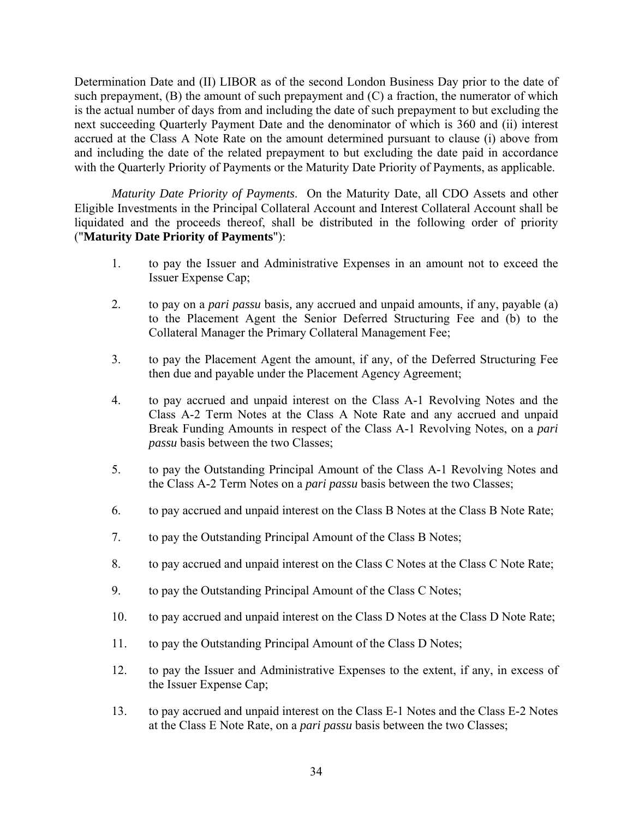Determination Date and (II) LIBOR as of the second London Business Day prior to the date of such prepayment,  $(B)$  the amount of such prepayment and  $(C)$  a fraction, the numerator of which is the actual number of days from and including the date of such prepayment to but excluding the next succeeding Quarterly Payment Date and the denominator of which is 360 and (ii) interest accrued at the Class A Note Rate on the amount determined pursuant to clause (i) above from and including the date of the related prepayment to but excluding the date paid in accordance with the Quarterly Priority of Payments or the Maturity Date Priority of Payments, as applicable.

*Maturity Date Priority of Payments*. On the Maturity Date, all CDO Assets and other Eligible Investments in the Principal Collateral Account and Interest Collateral Account shall be liquidated and the proceeds thereof, shall be distributed in the following order of priority ("**Maturity Date Priority of Payments**"):

- 1. to pay the Issuer and Administrative Expenses in an amount not to exceed the Issuer Expense Cap;
- 2. to pay on a *pari passu* basis*,* any accrued and unpaid amounts, if any, payable (a) to the Placement Agent the Senior Deferred Structuring Fee and (b) to the Collateral Manager the Primary Collateral Management Fee;
- 3. to pay the Placement Agent the amount, if any, of the Deferred Structuring Fee then due and payable under the Placement Agency Agreement;
- 4. to pay accrued and unpaid interest on the Class A-1 Revolving Notes and the Class A-2 Term Notes at the Class A Note Rate and any accrued and unpaid Break Funding Amounts in respect of the Class A-1 Revolving Notes, on a *pari passu* basis between the two Classes;
- 5. to pay the Outstanding Principal Amount of the Class A-1 Revolving Notes and the Class A-2 Term Notes on a *pari passu* basis between the two Classes;
- 6. to pay accrued and unpaid interest on the Class B Notes at the Class B Note Rate;
- 7. to pay the Outstanding Principal Amount of the Class B Notes;
- 8. to pay accrued and unpaid interest on the Class C Notes at the Class C Note Rate;
- 9. to pay the Outstanding Principal Amount of the Class C Notes;
- 10. to pay accrued and unpaid interest on the Class D Notes at the Class D Note Rate;
- 11. to pay the Outstanding Principal Amount of the Class D Notes;
- 12. to pay the Issuer and Administrative Expenses to the extent, if any, in excess of the Issuer Expense Cap;
- 13. to pay accrued and unpaid interest on the Class E-1 Notes and the Class E-2 Notes at the Class E Note Rate, on a *pari passu* basis between the two Classes;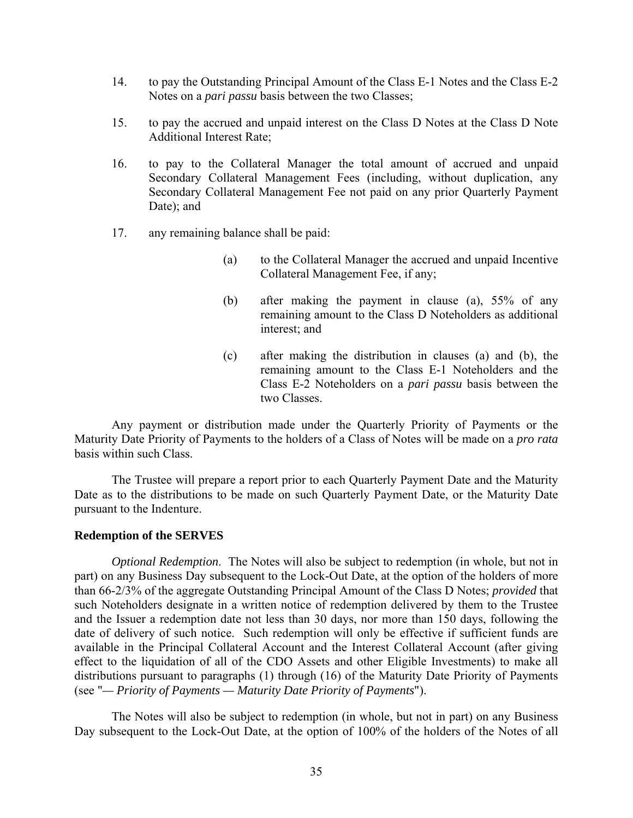- 14. to pay the Outstanding Principal Amount of the Class E-1 Notes and the Class E-2 Notes on a *pari passu* basis between the two Classes;
- 15. to pay the accrued and unpaid interest on the Class D Notes at the Class D Note Additional Interest Rate;
- 16. to pay to the Collateral Manager the total amount of accrued and unpaid Secondary Collateral Management Fees (including, without duplication, any Secondary Collateral Management Fee not paid on any prior Quarterly Payment Date); and
- 17. any remaining balance shall be paid:
	- (a) to the Collateral Manager the accrued and unpaid Incentive Collateral Management Fee, if any;
	- (b) after making the payment in clause (a), 55% of any remaining amount to the Class D Noteholders as additional interest; and
	- (c) after making the distribution in clauses (a) and (b), the remaining amount to the Class E-1 Noteholders and the Class E-2 Noteholders on a *pari passu* basis between the two Classes.

Any payment or distribution made under the Quarterly Priority of Payments or the Maturity Date Priority of Payments to the holders of a Class of Notes will be made on a *pro rata* basis within such Class.

The Trustee will prepare a report prior to each Quarterly Payment Date and the Maturity Date as to the distributions to be made on such Quarterly Payment Date, or the Maturity Date pursuant to the Indenture.

### **Redemption of the SERVES**

*Optional Redemption*.The Notes will also be subject to redemption (in whole, but not in part) on any Business Day subsequent to the Lock-Out Date, at the option of the holders of more than 66-2/3% of the aggregate Outstanding Principal Amount of the Class D Notes; *provided* that such Noteholders designate in a written notice of redemption delivered by them to the Trustee and the Issuer a redemption date not less than 30 days, nor more than 150 days, following the date of delivery of such notice. Such redemption will only be effective if sufficient funds are available in the Principal Collateral Account and the Interest Collateral Account (after giving effect to the liquidation of all of the CDO Assets and other Eligible Investments) to make all distributions pursuant to paragraphs (1) through (16) of the Maturity Date Priority of Payments (see "*— Priority of Payments — Maturity Date Priority of Payments*").

The Notes will also be subject to redemption (in whole, but not in part) on any Business Day subsequent to the Lock-Out Date, at the option of 100% of the holders of the Notes of all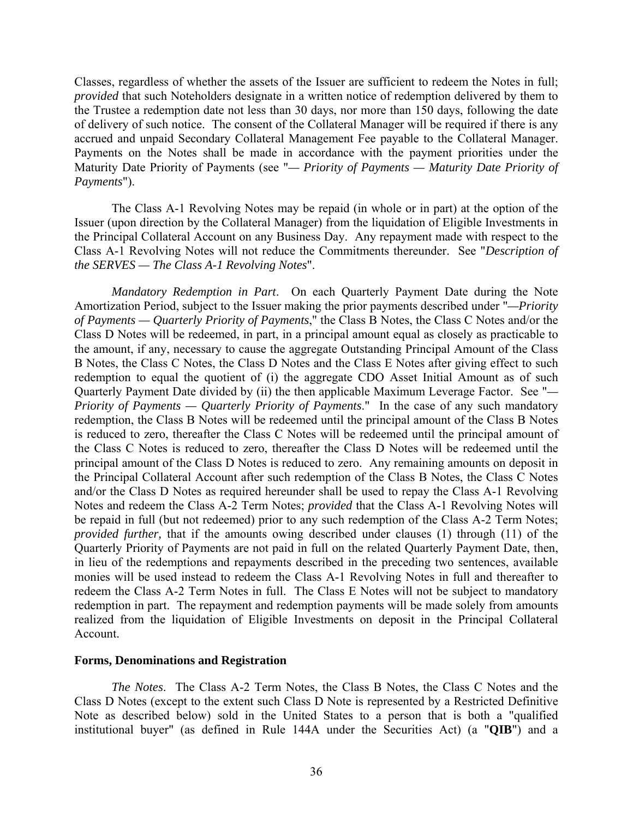Classes, regardless of whether the assets of the Issuer are sufficient to redeem the Notes in full; *provided* that such Noteholders designate in a written notice of redemption delivered by them to the Trustee a redemption date not less than 30 days, nor more than 150 days, following the date of delivery of such notice. The consent of the Collateral Manager will be required if there is any accrued and unpaid Secondary Collateral Management Fee payable to the Collateral Manager. Payments on the Notes shall be made in accordance with the payment priorities under the Maturity Date Priority of Payments (see "*— Priority of Payments — Maturity Date Priority of Payments*").

The Class A-1 Revolving Notes may be repaid (in whole or in part) at the option of the Issuer (upon direction by the Collateral Manager) from the liquidation of Eligible Investments in the Principal Collateral Account on any Business Day. Any repayment made with respect to the Class A-1 Revolving Notes will not reduce the Commitments thereunder. See "*Description of the SERVES — The Class A-1 Revolving Notes*".

*Mandatory Redemption in Part*.On each Quarterly Payment Date during the Note Amortization Period, subject to the Issuer making the prior payments described under "*—Priority of Payments — Quarterly Priority of Payments*," the Class B Notes, the Class C Notes and/or the Class D Notes will be redeemed, in part, in a principal amount equal as closely as practicable to the amount, if any, necessary to cause the aggregate Outstanding Principal Amount of the Class B Notes, the Class C Notes, the Class D Notes and the Class E Notes after giving effect to such redemption to equal the quotient of (i) the aggregate CDO Asset Initial Amount as of such Quarterly Payment Date divided by (ii) the then applicable Maximum Leverage Factor. See "*— Priority of Payments — Quarterly Priority of Payments*." In the case of any such mandatory redemption, the Class B Notes will be redeemed until the principal amount of the Class B Notes is reduced to zero, thereafter the Class C Notes will be redeemed until the principal amount of the Class C Notes is reduced to zero, thereafter the Class D Notes will be redeemed until the principal amount of the Class D Notes is reduced to zero. Any remaining amounts on deposit in the Principal Collateral Account after such redemption of the Class B Notes, the Class C Notes and/or the Class D Notes as required hereunder shall be used to repay the Class A-1 Revolving Notes and redeem the Class A-2 Term Notes; *provided* that the Class A-1 Revolving Notes will be repaid in full (but not redeemed) prior to any such redemption of the Class A-2 Term Notes; *provided further,* that if the amounts owing described under clauses (1) through (11) of the Quarterly Priority of Payments are not paid in full on the related Quarterly Payment Date, then, in lieu of the redemptions and repayments described in the preceding two sentences, available monies will be used instead to redeem the Class A-1 Revolving Notes in full and thereafter to redeem the Class A-2 Term Notes in full. The Class E Notes will not be subject to mandatory redemption in part. The repayment and redemption payments will be made solely from amounts realized from the liquidation of Eligible Investments on deposit in the Principal Collateral Account.

### **Forms, Denominations and Registration**

*The Notes*.The Class A-2 Term Notes, the Class B Notes, the Class C Notes and the Class D Notes (except to the extent such Class D Note is represented by a Restricted Definitive Note as described below) sold in the United States to a person that is both a "qualified institutional buyer" (as defined in Rule 144A under the Securities Act) (a "**QIB**") and a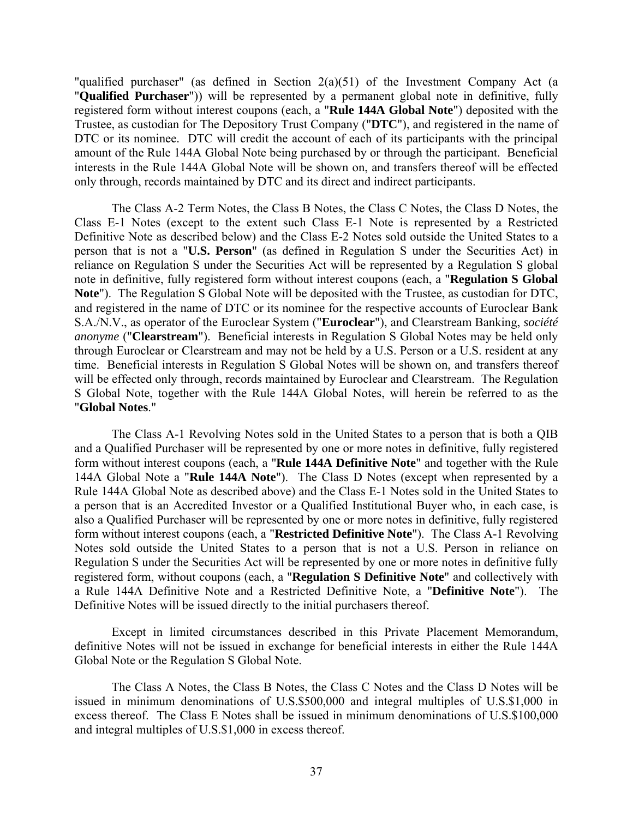"qualified purchaser" (as defined in Section 2(a)(51) of the Investment Company Act (a "**Qualified Purchaser**")) will be represented by a permanent global note in definitive, fully registered form without interest coupons (each, a "**Rule 144A Global Note**") deposited with the Trustee, as custodian for The Depository Trust Company ("**DTC**"), and registered in the name of DTC or its nominee. DTC will credit the account of each of its participants with the principal amount of the Rule 144A Global Note being purchased by or through the participant. Beneficial interests in the Rule 144A Global Note will be shown on, and transfers thereof will be effected only through, records maintained by DTC and its direct and indirect participants.

The Class A-2 Term Notes, the Class B Notes, the Class C Notes, the Class D Notes, the Class E-1 Notes (except to the extent such Class E-1 Note is represented by a Restricted Definitive Note as described below) and the Class E-2 Notes sold outside the United States to a person that is not a "**U.S. Person**" (as defined in Regulation S under the Securities Act) in reliance on Regulation S under the Securities Act will be represented by a Regulation S global note in definitive, fully registered form without interest coupons (each, a "**Regulation S Global Note**"). The Regulation S Global Note will be deposited with the Trustee, as custodian for DTC, and registered in the name of DTC or its nominee for the respective accounts of Euroclear Bank S.A./N.V., as operator of the Euroclear System ("**Euroclear**"), and Clearstream Banking, *société anonyme* ("**Clearstream**"). Beneficial interests in Regulation S Global Notes may be held only through Euroclear or Clearstream and may not be held by a U.S. Person or a U.S. resident at any time. Beneficial interests in Regulation S Global Notes will be shown on, and transfers thereof will be effected only through, records maintained by Euroclear and Clearstream. The Regulation S Global Note, together with the Rule 144A Global Notes, will herein be referred to as the "**Global Notes**."

The Class A-1 Revolving Notes sold in the United States to a person that is both a QIB and a Qualified Purchaser will be represented by one or more notes in definitive, fully registered form without interest coupons (each, a "**Rule 144A Definitive Note**" and together with the Rule 144A Global Note a "**Rule 144A Note**"). The Class D Notes (except when represented by a Rule 144A Global Note as described above) and the Class E-1 Notes sold in the United States to a person that is an Accredited Investor or a Qualified Institutional Buyer who, in each case, is also a Qualified Purchaser will be represented by one or more notes in definitive, fully registered form without interest coupons (each, a "**Restricted Definitive Note**"). The Class A-1 Revolving Notes sold outside the United States to a person that is not a U.S. Person in reliance on Regulation S under the Securities Act will be represented by one or more notes in definitive fully registered form, without coupons (each, a "**Regulation S Definitive Note**" and collectively with a Rule 144A Definitive Note and a Restricted Definitive Note, a "**Definitive Note**"). The Definitive Notes will be issued directly to the initial purchasers thereof.

Except in limited circumstances described in this Private Placement Memorandum, definitive Notes will not be issued in exchange for beneficial interests in either the Rule 144A Global Note or the Regulation S Global Note.

The Class A Notes, the Class B Notes, the Class C Notes and the Class D Notes will be issued in minimum denominations of U.S.\$500,000 and integral multiples of U.S.\$1,000 in excess thereof. The Class E Notes shall be issued in minimum denominations of U.S.\$100,000 and integral multiples of U.S.\$1,000 in excess thereof.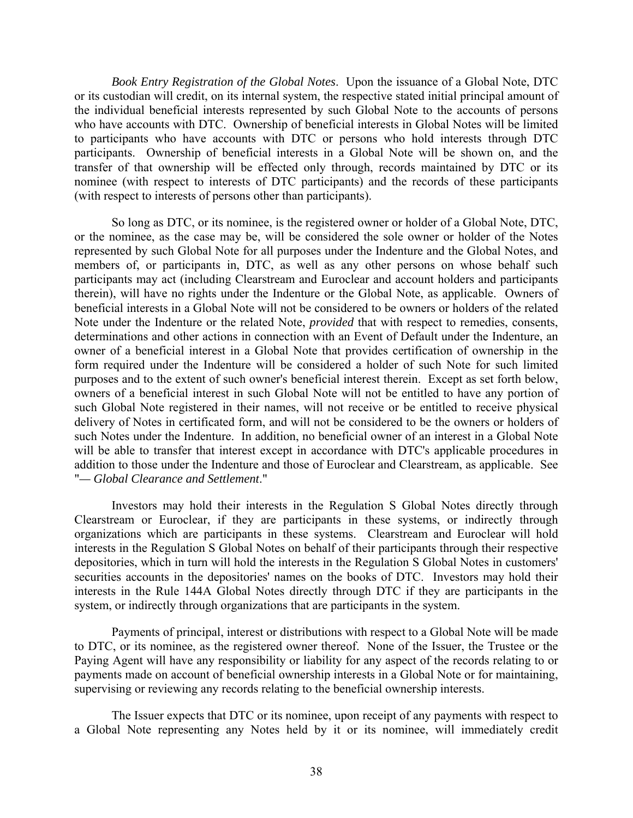*Book Entry Registration of the Global Notes*.Upon the issuance of a Global Note, DTC or its custodian will credit, on its internal system, the respective stated initial principal amount of the individual beneficial interests represented by such Global Note to the accounts of persons who have accounts with DTC. Ownership of beneficial interests in Global Notes will be limited to participants who have accounts with DTC or persons who hold interests through DTC participants. Ownership of beneficial interests in a Global Note will be shown on, and the transfer of that ownership will be effected only through, records maintained by DTC or its nominee (with respect to interests of DTC participants) and the records of these participants (with respect to interests of persons other than participants).

So long as DTC, or its nominee, is the registered owner or holder of a Global Note, DTC, or the nominee, as the case may be, will be considered the sole owner or holder of the Notes represented by such Global Note for all purposes under the Indenture and the Global Notes, and members of, or participants in, DTC, as well as any other persons on whose behalf such participants may act (including Clearstream and Euroclear and account holders and participants therein), will have no rights under the Indenture or the Global Note, as applicable. Owners of beneficial interests in a Global Note will not be considered to be owners or holders of the related Note under the Indenture or the related Note, *provided* that with respect to remedies, consents, determinations and other actions in connection with an Event of Default under the Indenture, an owner of a beneficial interest in a Global Note that provides certification of ownership in the form required under the Indenture will be considered a holder of such Note for such limited purposes and to the extent of such owner's beneficial interest therein. Except as set forth below, owners of a beneficial interest in such Global Note will not be entitled to have any portion of such Global Note registered in their names, will not receive or be entitled to receive physical delivery of Notes in certificated form, and will not be considered to be the owners or holders of such Notes under the Indenture. In addition, no beneficial owner of an interest in a Global Note will be able to transfer that interest except in accordance with DTC's applicable procedures in addition to those under the Indenture and those of Euroclear and Clearstream, as applicable. See "*— Global Clearance and Settlement*."

Investors may hold their interests in the Regulation S Global Notes directly through Clearstream or Euroclear, if they are participants in these systems, or indirectly through organizations which are participants in these systems. Clearstream and Euroclear will hold interests in the Regulation S Global Notes on behalf of their participants through their respective depositories, which in turn will hold the interests in the Regulation S Global Notes in customers' securities accounts in the depositories' names on the books of DTC. Investors may hold their interests in the Rule 144A Global Notes directly through DTC if they are participants in the system, or indirectly through organizations that are participants in the system.

Payments of principal, interest or distributions with respect to a Global Note will be made to DTC, or its nominee, as the registered owner thereof. None of the Issuer, the Trustee or the Paying Agent will have any responsibility or liability for any aspect of the records relating to or payments made on account of beneficial ownership interests in a Global Note or for maintaining, supervising or reviewing any records relating to the beneficial ownership interests.

The Issuer expects that DTC or its nominee, upon receipt of any payments with respect to a Global Note representing any Notes held by it or its nominee, will immediately credit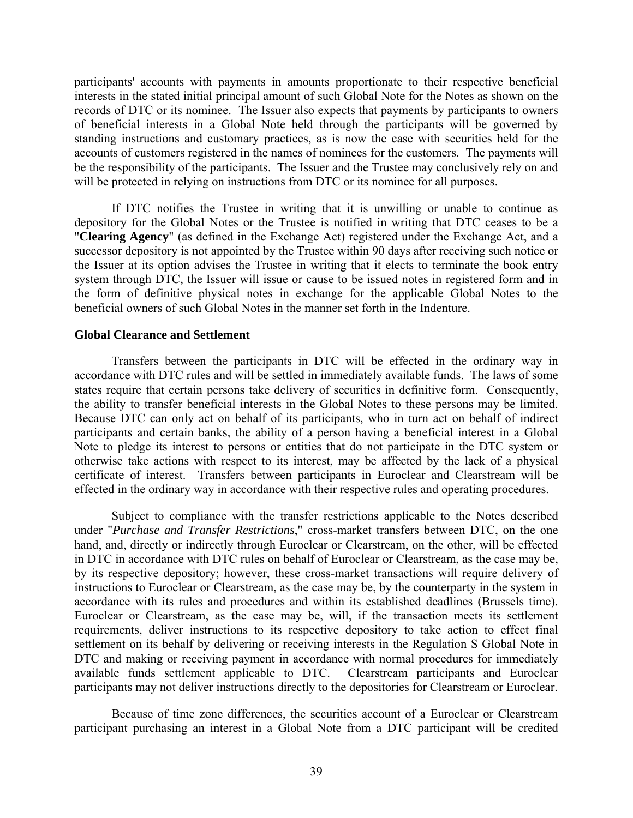participants' accounts with payments in amounts proportionate to their respective beneficial interests in the stated initial principal amount of such Global Note for the Notes as shown on the records of DTC or its nominee. The Issuer also expects that payments by participants to owners of beneficial interests in a Global Note held through the participants will be governed by standing instructions and customary practices, as is now the case with securities held for the accounts of customers registered in the names of nominees for the customers. The payments will be the responsibility of the participants. The Issuer and the Trustee may conclusively rely on and will be protected in relying on instructions from DTC or its nominee for all purposes.

If DTC notifies the Trustee in writing that it is unwilling or unable to continue as depository for the Global Notes or the Trustee is notified in writing that DTC ceases to be a "**Clearing Agency**" (as defined in the Exchange Act) registered under the Exchange Act, and a successor depository is not appointed by the Trustee within 90 days after receiving such notice or the Issuer at its option advises the Trustee in writing that it elects to terminate the book entry system through DTC, the Issuer will issue or cause to be issued notes in registered form and in the form of definitive physical notes in exchange for the applicable Global Notes to the beneficial owners of such Global Notes in the manner set forth in the Indenture.

### **Global Clearance and Settlement**

Transfers between the participants in DTC will be effected in the ordinary way in accordance with DTC rules and will be settled in immediately available funds. The laws of some states require that certain persons take delivery of securities in definitive form. Consequently, the ability to transfer beneficial interests in the Global Notes to these persons may be limited. Because DTC can only act on behalf of its participants, who in turn act on behalf of indirect participants and certain banks, the ability of a person having a beneficial interest in a Global Note to pledge its interest to persons or entities that do not participate in the DTC system or otherwise take actions with respect to its interest, may be affected by the lack of a physical certificate of interest. Transfers between participants in Euroclear and Clearstream will be effected in the ordinary way in accordance with their respective rules and operating procedures.

Subject to compliance with the transfer restrictions applicable to the Notes described under "*Purchase and Transfer Restrictions*," cross-market transfers between DTC, on the one hand, and, directly or indirectly through Euroclear or Clearstream, on the other, will be effected in DTC in accordance with DTC rules on behalf of Euroclear or Clearstream, as the case may be, by its respective depository; however, these cross-market transactions will require delivery of instructions to Euroclear or Clearstream, as the case may be, by the counterparty in the system in accordance with its rules and procedures and within its established deadlines (Brussels time). Euroclear or Clearstream, as the case may be, will, if the transaction meets its settlement requirements, deliver instructions to its respective depository to take action to effect final settlement on its behalf by delivering or receiving interests in the Regulation S Global Note in DTC and making or receiving payment in accordance with normal procedures for immediately available funds settlement applicable to DTC. Clearstream participants and Euroclear participants may not deliver instructions directly to the depositories for Clearstream or Euroclear.

Because of time zone differences, the securities account of a Euroclear or Clearstream participant purchasing an interest in a Global Note from a DTC participant will be credited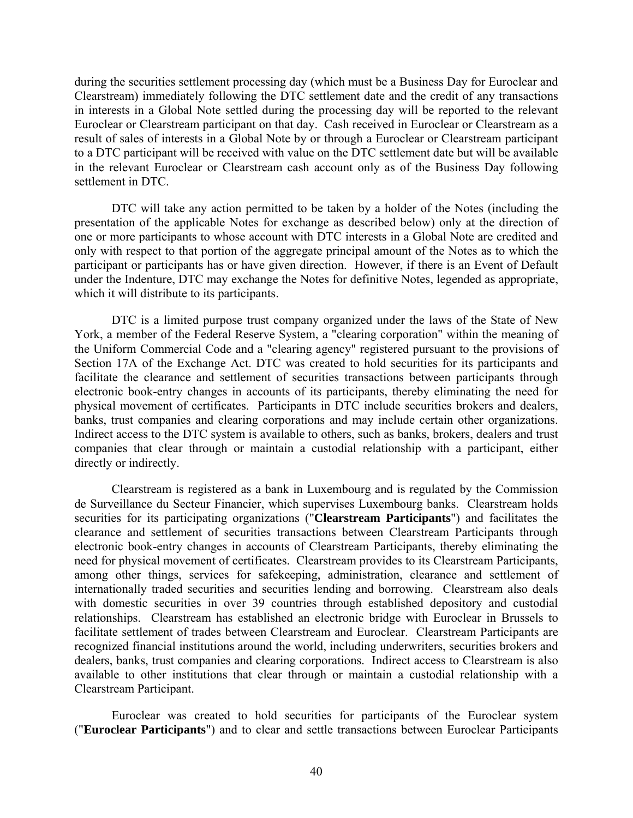during the securities settlement processing day (which must be a Business Day for Euroclear and Clearstream) immediately following the DTC settlement date and the credit of any transactions in interests in a Global Note settled during the processing day will be reported to the relevant Euroclear or Clearstream participant on that day. Cash received in Euroclear or Clearstream as a result of sales of interests in a Global Note by or through a Euroclear or Clearstream participant to a DTC participant will be received with value on the DTC settlement date but will be available in the relevant Euroclear or Clearstream cash account only as of the Business Day following settlement in DTC.

DTC will take any action permitted to be taken by a holder of the Notes (including the presentation of the applicable Notes for exchange as described below) only at the direction of one or more participants to whose account with DTC interests in a Global Note are credited and only with respect to that portion of the aggregate principal amount of the Notes as to which the participant or participants has or have given direction. However, if there is an Event of Default under the Indenture, DTC may exchange the Notes for definitive Notes, legended as appropriate, which it will distribute to its participants.

DTC is a limited purpose trust company organized under the laws of the State of New York, a member of the Federal Reserve System, a "clearing corporation" within the meaning of the Uniform Commercial Code and a "clearing agency" registered pursuant to the provisions of Section 17A of the Exchange Act. DTC was created to hold securities for its participants and facilitate the clearance and settlement of securities transactions between participants through electronic book-entry changes in accounts of its participants, thereby eliminating the need for physical movement of certificates. Participants in DTC include securities brokers and dealers, banks, trust companies and clearing corporations and may include certain other organizations. Indirect access to the DTC system is available to others, such as banks, brokers, dealers and trust companies that clear through or maintain a custodial relationship with a participant, either directly or indirectly.

Clearstream is registered as a bank in Luxembourg and is regulated by the Commission de Surveillance du Secteur Financier, which supervises Luxembourg banks. Clearstream holds securities for its participating organizations ("**Clearstream Participants**") and facilitates the clearance and settlement of securities transactions between Clearstream Participants through electronic book-entry changes in accounts of Clearstream Participants, thereby eliminating the need for physical movement of certificates. Clearstream provides to its Clearstream Participants, among other things, services for safekeeping, administration, clearance and settlement of internationally traded securities and securities lending and borrowing. Clearstream also deals with domestic securities in over 39 countries through established depository and custodial relationships. Clearstream has established an electronic bridge with Euroclear in Brussels to facilitate settlement of trades between Clearstream and Euroclear. Clearstream Participants are recognized financial institutions around the world, including underwriters, securities brokers and dealers, banks, trust companies and clearing corporations. Indirect access to Clearstream is also available to other institutions that clear through or maintain a custodial relationship with a Clearstream Participant.

Euroclear was created to hold securities for participants of the Euroclear system ("**Euroclear Participants**") and to clear and settle transactions between Euroclear Participants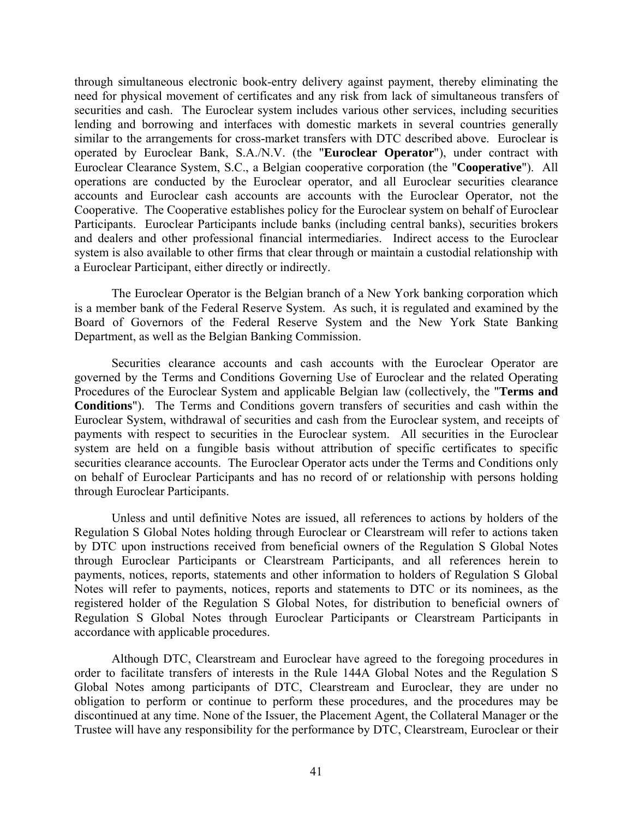through simultaneous electronic book-entry delivery against payment, thereby eliminating the need for physical movement of certificates and any risk from lack of simultaneous transfers of securities and cash. The Euroclear system includes various other services, including securities lending and borrowing and interfaces with domestic markets in several countries generally similar to the arrangements for cross-market transfers with DTC described above. Euroclear is operated by Euroclear Bank, S.A./N.V. (the "**Euroclear Operator**"), under contract with Euroclear Clearance System, S.C., a Belgian cooperative corporation (the "**Cooperative**"). All operations are conducted by the Euroclear operator, and all Euroclear securities clearance accounts and Euroclear cash accounts are accounts with the Euroclear Operator, not the Cooperative. The Cooperative establishes policy for the Euroclear system on behalf of Euroclear Participants. Euroclear Participants include banks (including central banks), securities brokers and dealers and other professional financial intermediaries. Indirect access to the Euroclear system is also available to other firms that clear through or maintain a custodial relationship with a Euroclear Participant, either directly or indirectly.

The Euroclear Operator is the Belgian branch of a New York banking corporation which is a member bank of the Federal Reserve System. As such, it is regulated and examined by the Board of Governors of the Federal Reserve System and the New York State Banking Department, as well as the Belgian Banking Commission.

Securities clearance accounts and cash accounts with the Euroclear Operator are governed by the Terms and Conditions Governing Use of Euroclear and the related Operating Procedures of the Euroclear System and applicable Belgian law (collectively, the "**Terms and Conditions**"). The Terms and Conditions govern transfers of securities and cash within the Euroclear System, withdrawal of securities and cash from the Euroclear system, and receipts of payments with respect to securities in the Euroclear system. All securities in the Euroclear system are held on a fungible basis without attribution of specific certificates to specific securities clearance accounts. The Euroclear Operator acts under the Terms and Conditions only on behalf of Euroclear Participants and has no record of or relationship with persons holding through Euroclear Participants.

Unless and until definitive Notes are issued, all references to actions by holders of the Regulation S Global Notes holding through Euroclear or Clearstream will refer to actions taken by DTC upon instructions received from beneficial owners of the Regulation S Global Notes through Euroclear Participants or Clearstream Participants, and all references herein to payments, notices, reports, statements and other information to holders of Regulation S Global Notes will refer to payments, notices, reports and statements to DTC or its nominees, as the registered holder of the Regulation S Global Notes, for distribution to beneficial owners of Regulation S Global Notes through Euroclear Participants or Clearstream Participants in accordance with applicable procedures.

Although DTC, Clearstream and Euroclear have agreed to the foregoing procedures in order to facilitate transfers of interests in the Rule 144A Global Notes and the Regulation S Global Notes among participants of DTC, Clearstream and Euroclear, they are under no obligation to perform or continue to perform these procedures, and the procedures may be discontinued at any time. None of the Issuer, the Placement Agent, the Collateral Manager or the Trustee will have any responsibility for the performance by DTC, Clearstream, Euroclear or their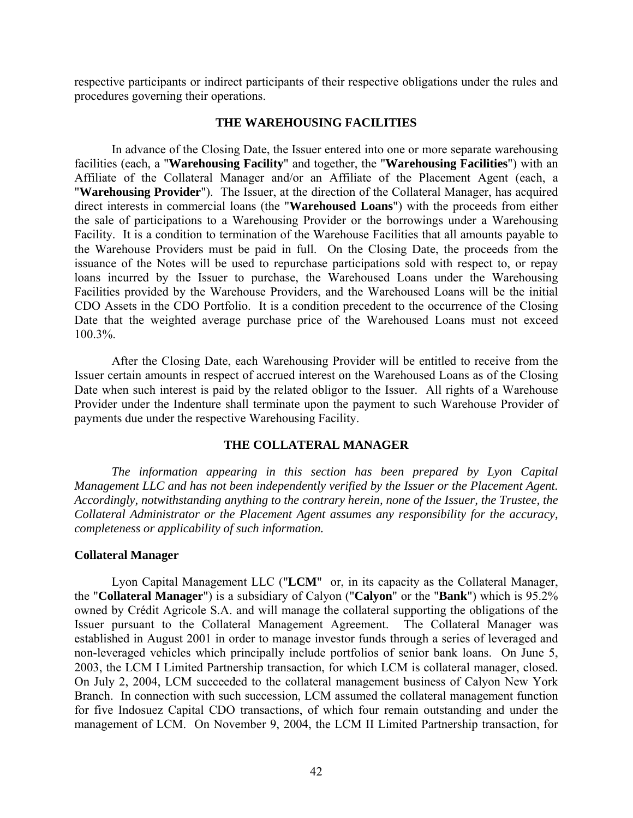respective participants or indirect participants of their respective obligations under the rules and procedures governing their operations.

### **THE WAREHOUSING FACILITIES**

In advance of the Closing Date, the Issuer entered into one or more separate warehousing facilities (each, a "**Warehousing Facility**" and together, the "**Warehousing Facilities**") with an Affiliate of the Collateral Manager and/or an Affiliate of the Placement Agent (each, a "**Warehousing Provider**"). The Issuer, at the direction of the Collateral Manager, has acquired direct interests in commercial loans (the "**Warehoused Loans**") with the proceeds from either the sale of participations to a Warehousing Provider or the borrowings under a Warehousing Facility. It is a condition to termination of the Warehouse Facilities that all amounts payable to the Warehouse Providers must be paid in full. On the Closing Date, the proceeds from the issuance of the Notes will be used to repurchase participations sold with respect to, or repay loans incurred by the Issuer to purchase, the Warehoused Loans under the Warehousing Facilities provided by the Warehouse Providers, and the Warehoused Loans will be the initial CDO Assets in the CDO Portfolio. It is a condition precedent to the occurrence of the Closing Date that the weighted average purchase price of the Warehoused Loans must not exceed 100.3%.

After the Closing Date, each Warehousing Provider will be entitled to receive from the Issuer certain amounts in respect of accrued interest on the Warehoused Loans as of the Closing Date when such interest is paid by the related obligor to the Issuer. All rights of a Warehouse Provider under the Indenture shall terminate upon the payment to such Warehouse Provider of payments due under the respective Warehousing Facility.

### **THE COLLATERAL MANAGER**

*The information appearing in this section has been prepared by Lyon Capital Management LLC and has not been independently verified by the Issuer or the Placement Agent. Accordingly, notwithstanding anything to the contrary herein, none of the Issuer, the Trustee, the Collateral Administrator or the Placement Agent assumes any responsibility for the accuracy, completeness or applicability of such information.*

### **Collateral Manager**

Lyon Capital Management LLC ("**LCM**" or, in its capacity as the Collateral Manager, the "**Collateral Manager**") is a subsidiary of Calyon ("**Calyon**" or the "**Bank**") which is 95.2% owned by Crédit Agricole S.A. and will manage the collateral supporting the obligations of the Issuer pursuant to the Collateral Management Agreement. The Collateral Manager was established in August 2001 in order to manage investor funds through a series of leveraged and non-leveraged vehicles which principally include portfolios of senior bank loans. On June 5, 2003, the LCM I Limited Partnership transaction, for which LCM is collateral manager, closed. On July 2, 2004, LCM succeeded to the collateral management business of Calyon New York Branch. In connection with such succession, LCM assumed the collateral management function for five Indosuez Capital CDO transactions, of which four remain outstanding and under the management of LCM. On November 9, 2004, the LCM II Limited Partnership transaction, for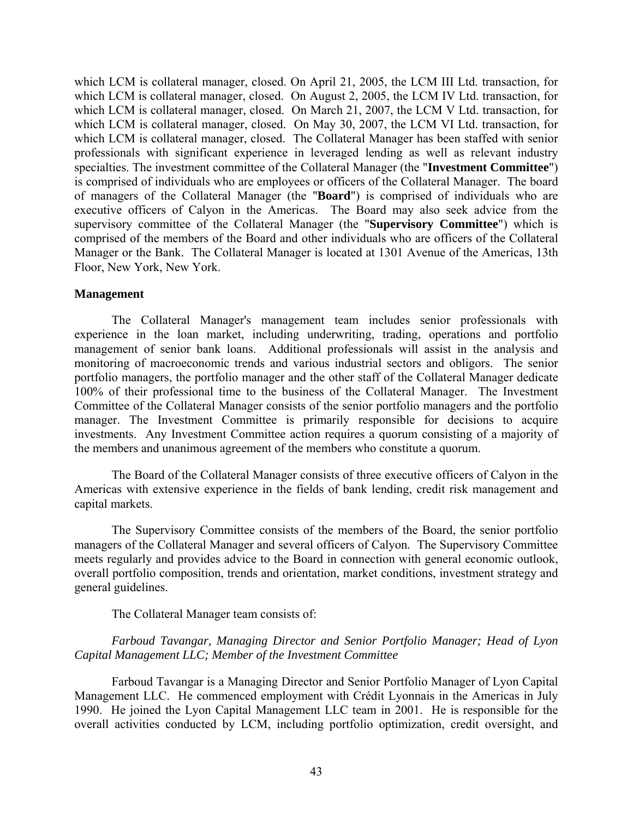which LCM is collateral manager, closed. On April 21, 2005, the LCM III Ltd. transaction, for which LCM is collateral manager, closed. On August 2, 2005, the LCM IV Ltd. transaction, for which LCM is collateral manager, closed. On March 21, 2007, the LCM V Ltd. transaction, for which LCM is collateral manager, closed. On May 30, 2007, the LCM VI Ltd. transaction, for which LCM is collateral manager, closed. The Collateral Manager has been staffed with senior professionals with significant experience in leveraged lending as well as relevant industry specialties. The investment committee of the Collateral Manager (the "**Investment Committee**") is comprised of individuals who are employees or officers of the Collateral Manager. The board of managers of the Collateral Manager (the "**Board**") is comprised of individuals who are executive officers of Calyon in the Americas. The Board may also seek advice from the supervisory committee of the Collateral Manager (the "**Supervisory Committee**") which is comprised of the members of the Board and other individuals who are officers of the Collateral Manager or the Bank. The Collateral Manager is located at 1301 Avenue of the Americas, 13th Floor, New York, New York.

### **Management**

The Collateral Manager's management team includes senior professionals with experience in the loan market, including underwriting, trading, operations and portfolio management of senior bank loans. Additional professionals will assist in the analysis and monitoring of macroeconomic trends and various industrial sectors and obligors. The senior portfolio managers, the portfolio manager and the other staff of the Collateral Manager dedicate 100% of their professional time to the business of the Collateral Manager. The Investment Committee of the Collateral Manager consists of the senior portfolio managers and the portfolio manager. The Investment Committee is primarily responsible for decisions to acquire investments. Any Investment Committee action requires a quorum consisting of a majority of the members and unanimous agreement of the members who constitute a quorum.

The Board of the Collateral Manager consists of three executive officers of Calyon in the Americas with extensive experience in the fields of bank lending, credit risk management and capital markets.

The Supervisory Committee consists of the members of the Board, the senior portfolio managers of the Collateral Manager and several officers of Calyon. The Supervisory Committee meets regularly and provides advice to the Board in connection with general economic outlook, overall portfolio composition, trends and orientation, market conditions, investment strategy and general guidelines.

The Collateral Manager team consists of:

# *Farboud Tavangar, Managing Director and Senior Portfolio Manager; Head of Lyon Capital Management LLC; Member of the Investment Committee*

Farboud Tavangar is a Managing Director and Senior Portfolio Manager of Lyon Capital Management LLC. He commenced employment with Crédit Lyonnais in the Americas in July 1990. He joined the Lyon Capital Management LLC team in 2001. He is responsible for the overall activities conducted by LCM, including portfolio optimization, credit oversight, and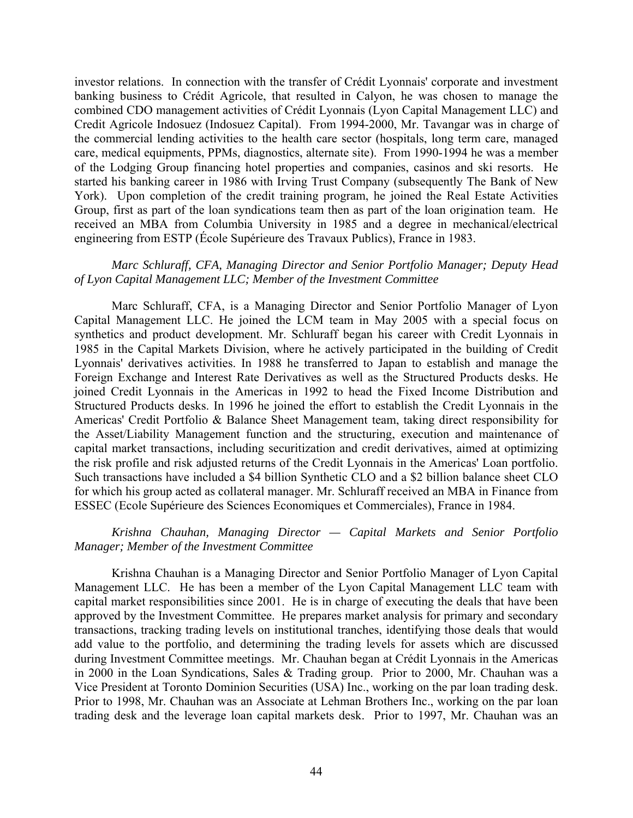investor relations. In connection with the transfer of Crédit Lyonnais' corporate and investment banking business to Crédit Agricole, that resulted in Calyon, he was chosen to manage the combined CDO management activities of Crédit Lyonnais (Lyon Capital Management LLC) and Credit Agricole Indosuez (Indosuez Capital). From 1994-2000, Mr. Tavangar was in charge of the commercial lending activities to the health care sector (hospitals, long term care, managed care, medical equipments, PPMs, diagnostics, alternate site). From 1990-1994 he was a member of the Lodging Group financing hotel properties and companies, casinos and ski resorts. He started his banking career in 1986 with Irving Trust Company (subsequently The Bank of New York). Upon completion of the credit training program, he joined the Real Estate Activities Group, first as part of the loan syndications team then as part of the loan origination team. He received an MBA from Columbia University in 1985 and a degree in mechanical/electrical engineering from ESTP (École Supérieure des Travaux Publics), France in 1983.

### *Marc Schluraff, CFA, Managing Director and Senior Portfolio Manager; Deputy Head of Lyon Capital Management LLC; Member of the Investment Committee*

Marc Schluraff, CFA, is a Managing Director and Senior Portfolio Manager of Lyon Capital Management LLC. He joined the LCM team in May 2005 with a special focus on synthetics and product development. Mr. Schluraff began his career with Credit Lyonnais in 1985 in the Capital Markets Division, where he actively participated in the building of Credit Lyonnais' derivatives activities. In 1988 he transferred to Japan to establish and manage the Foreign Exchange and Interest Rate Derivatives as well as the Structured Products desks. He joined Credit Lyonnais in the Americas in 1992 to head the Fixed Income Distribution and Structured Products desks. In 1996 he joined the effort to establish the Credit Lyonnais in the Americas' Credit Portfolio & Balance Sheet Management team, taking direct responsibility for the Asset/Liability Management function and the structuring, execution and maintenance of capital market transactions, including securitization and credit derivatives, aimed at optimizing the risk profile and risk adjusted returns of the Credit Lyonnais in the Americas' Loan portfolio. Such transactions have included a \$4 billion Synthetic CLO and a \$2 billion balance sheet CLO for which his group acted as collateral manager. Mr. Schluraff received an MBA in Finance from ESSEC (Ecole Supérieure des Sciences Economiques et Commerciales), France in 1984.

# *Krishna Chauhan, Managing Director — Capital Markets and Senior Portfolio Manager; Member of the Investment Committee*

Krishna Chauhan is a Managing Director and Senior Portfolio Manager of Lyon Capital Management LLC. He has been a member of the Lyon Capital Management LLC team with capital market responsibilities since 2001. He is in charge of executing the deals that have been approved by the Investment Committee. He prepares market analysis for primary and secondary transactions, tracking trading levels on institutional tranches, identifying those deals that would add value to the portfolio, and determining the trading levels for assets which are discussed during Investment Committee meetings. Mr. Chauhan began at Crédit Lyonnais in the Americas in 2000 in the Loan Syndications, Sales & Trading group. Prior to 2000, Mr. Chauhan was a Vice President at Toronto Dominion Securities (USA) Inc., working on the par loan trading desk. Prior to 1998, Mr. Chauhan was an Associate at Lehman Brothers Inc., working on the par loan trading desk and the leverage loan capital markets desk. Prior to 1997, Mr. Chauhan was an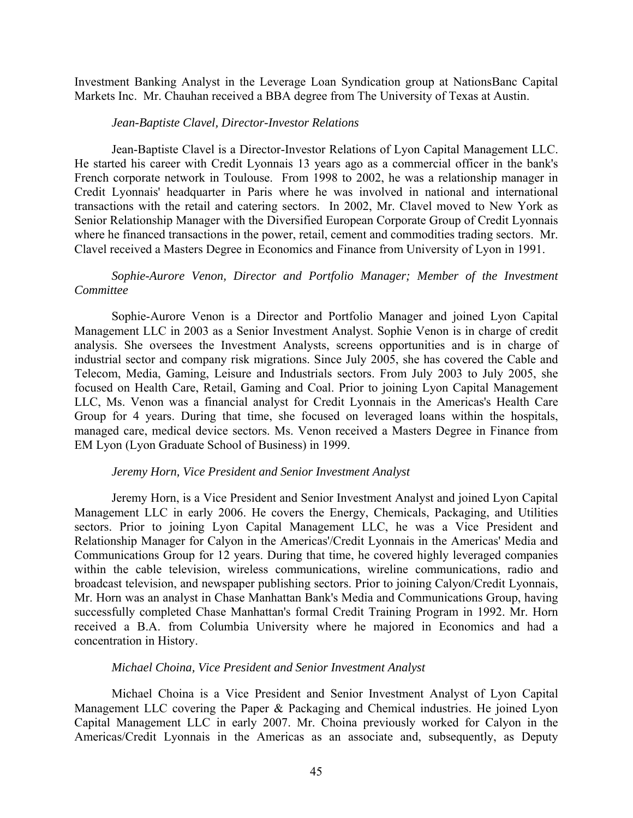Investment Banking Analyst in the Leverage Loan Syndication group at NationsBanc Capital Markets Inc. Mr. Chauhan received a BBA degree from The University of Texas at Austin.

#### *Jean-Baptiste Clavel, Director-Investor Relations*

Jean-Baptiste Clavel is a Director-Investor Relations of Lyon Capital Management LLC. He started his career with Credit Lyonnais 13 years ago as a commercial officer in the bank's French corporate network in Toulouse. From 1998 to 2002, he was a relationship manager in Credit Lyonnais' headquarter in Paris where he was involved in national and international transactions with the retail and catering sectors. In 2002, Mr. Clavel moved to New York as Senior Relationship Manager with the Diversified European Corporate Group of Credit Lyonnais where he financed transactions in the power, retail, cement and commodities trading sectors. Mr. Clavel received a Masters Degree in Economics and Finance from University of Lyon in 1991.

# *Sophie-Aurore Venon, Director and Portfolio Manager; Member of the Investment Committee*

Sophie-Aurore Venon is a Director and Portfolio Manager and joined Lyon Capital Management LLC in 2003 as a Senior Investment Analyst. Sophie Venon is in charge of credit analysis. She oversees the Investment Analysts, screens opportunities and is in charge of industrial sector and company risk migrations. Since July 2005, she has covered the Cable and Telecom, Media, Gaming, Leisure and Industrials sectors. From July 2003 to July 2005, she focused on Health Care, Retail, Gaming and Coal. Prior to joining Lyon Capital Management LLC, Ms. Venon was a financial analyst for Credit Lyonnais in the Americas's Health Care Group for 4 years. During that time, she focused on leveraged loans within the hospitals, managed care, medical device sectors. Ms. Venon received a Masters Degree in Finance from EM Lyon (Lyon Graduate School of Business) in 1999.

### *Jeremy Horn, Vice President and Senior Investment Analyst*

Jeremy Horn, is a Vice President and Senior Investment Analyst and joined Lyon Capital Management LLC in early 2006. He covers the Energy, Chemicals, Packaging, and Utilities sectors. Prior to joining Lyon Capital Management LLC, he was a Vice President and Relationship Manager for Calyon in the Americas'/Credit Lyonnais in the Americas' Media and Communications Group for 12 years. During that time, he covered highly leveraged companies within the cable television, wireless communications, wireline communications, radio and broadcast television, and newspaper publishing sectors. Prior to joining Calyon/Credit Lyonnais, Mr. Horn was an analyst in Chase Manhattan Bank's Media and Communications Group, having successfully completed Chase Manhattan's formal Credit Training Program in 1992. Mr. Horn received a B.A. from Columbia University where he majored in Economics and had a concentration in History.

### *Michael Choina, Vice President and Senior Investment Analyst*

Michael Choina is a Vice President and Senior Investment Analyst of Lyon Capital Management LLC covering the Paper & Packaging and Chemical industries. He joined Lyon Capital Management LLC in early 2007. Mr. Choina previously worked for Calyon in the Americas/Credit Lyonnais in the Americas as an associate and, subsequently, as Deputy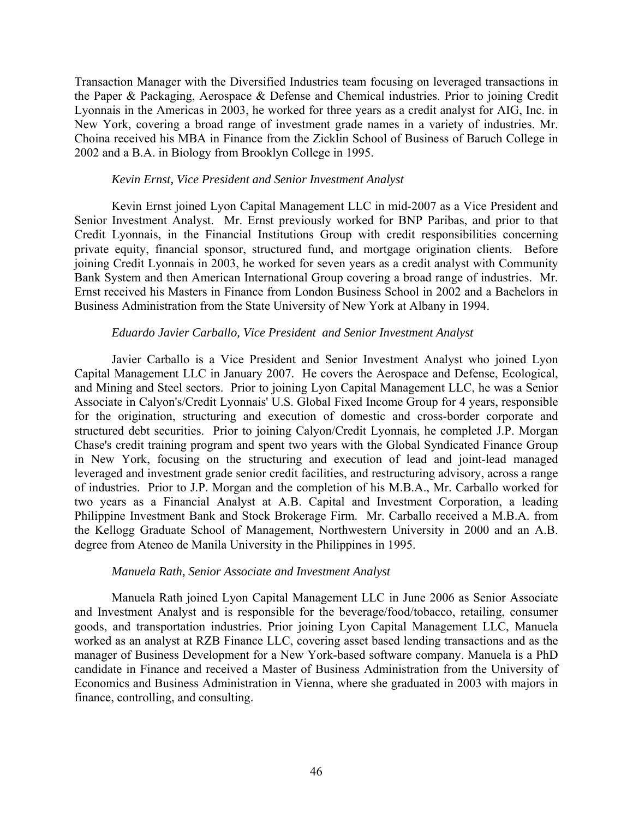Transaction Manager with the Diversified Industries team focusing on leveraged transactions in the Paper & Packaging, Aerospace & Defense and Chemical industries. Prior to joining Credit Lyonnais in the Americas in 2003, he worked for three years as a credit analyst for AIG, Inc. in New York, covering a broad range of investment grade names in a variety of industries. Mr. Choina received his MBA in Finance from the Zicklin School of Business of Baruch College in 2002 and a B.A. in Biology from Brooklyn College in 1995.

### *Kevin Ernst, Vice President and Senior Investment Analyst*

Kevin Ernst joined Lyon Capital Management LLC in mid-2007 as a Vice President and Senior Investment Analyst. Mr. Ernst previously worked for BNP Paribas, and prior to that Credit Lyonnais, in the Financial Institutions Group with credit responsibilities concerning private equity, financial sponsor, structured fund, and mortgage origination clients. Before joining Credit Lyonnais in 2003, he worked for seven years as a credit analyst with Community Bank System and then American International Group covering a broad range of industries. Mr. Ernst received his Masters in Finance from London Business School in 2002 and a Bachelors in Business Administration from the State University of New York at Albany in 1994.

#### *Eduardo Javier Carballo, Vice President and Senior Investment Analyst*

Javier Carballo is a Vice President and Senior Investment Analyst who joined Lyon Capital Management LLC in January 2007. He covers the Aerospace and Defense, Ecological, and Mining and Steel sectors. Prior to joining Lyon Capital Management LLC, he was a Senior Associate in Calyon's/Credit Lyonnais' U.S. Global Fixed Income Group for 4 years, responsible for the origination, structuring and execution of domestic and cross-border corporate and structured debt securities. Prior to joining Calyon/Credit Lyonnais, he completed J.P. Morgan Chase's credit training program and spent two years with the Global Syndicated Finance Group in New York, focusing on the structuring and execution of lead and joint-lead managed leveraged and investment grade senior credit facilities, and restructuring advisory, across a range of industries. Prior to J.P. Morgan and the completion of his M.B.A., Mr. Carballo worked for two years as a Financial Analyst at A.B. Capital and Investment Corporation, a leading Philippine Investment Bank and Stock Brokerage Firm. Mr. Carballo received a M.B.A. from the Kellogg Graduate School of Management, Northwestern University in 2000 and an A.B. degree from Ateneo de Manila University in the Philippines in 1995.

#### *Manuela Rath, Senior Associate and Investment Analyst*

Manuela Rath joined Lyon Capital Management LLC in June 2006 as Senior Associate and Investment Analyst and is responsible for the beverage/food/tobacco, retailing, consumer goods, and transportation industries. Prior joining Lyon Capital Management LLC, Manuela worked as an analyst at RZB Finance LLC, covering asset based lending transactions and as the manager of Business Development for a New York-based software company. Manuela is a PhD candidate in Finance and received a Master of Business Administration from the University of Economics and Business Administration in Vienna, where she graduated in 2003 with majors in finance, controlling, and consulting.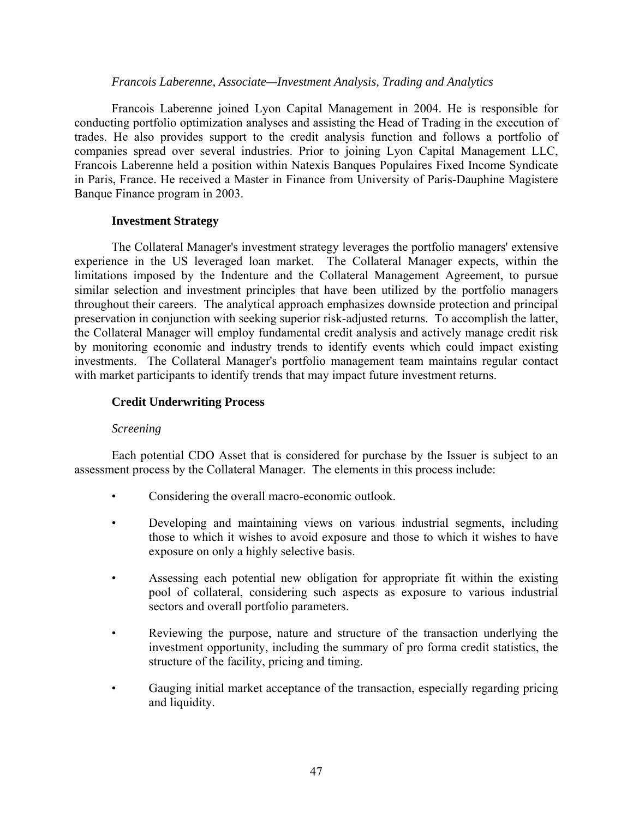### *Francois Laberenne, Associate—Investment Analysis, Trading and Analytics*

Francois Laberenne joined Lyon Capital Management in 2004. He is responsible for conducting portfolio optimization analyses and assisting the Head of Trading in the execution of trades. He also provides support to the credit analysis function and follows a portfolio of companies spread over several industries. Prior to joining Lyon Capital Management LLC, Francois Laberenne held a position within Natexis Banques Populaires Fixed Income Syndicate in Paris, France. He received a Master in Finance from University of Paris-Dauphine Magistere Banque Finance program in 2003.

## **Investment Strategy**

The Collateral Manager's investment strategy leverages the portfolio managers' extensive experience in the US leveraged loan market. The Collateral Manager expects, within the limitations imposed by the Indenture and the Collateral Management Agreement, to pursue similar selection and investment principles that have been utilized by the portfolio managers throughout their careers. The analytical approach emphasizes downside protection and principal preservation in conjunction with seeking superior risk-adjusted returns. To accomplish the latter, the Collateral Manager will employ fundamental credit analysis and actively manage credit risk by monitoring economic and industry trends to identify events which could impact existing investments. The Collateral Manager's portfolio management team maintains regular contact with market participants to identify trends that may impact future investment returns.

# **Credit Underwriting Process**

## *Screening*

Each potential CDO Asset that is considered for purchase by the Issuer is subject to an assessment process by the Collateral Manager. The elements in this process include:

- Considering the overall macro-economic outlook.
- Developing and maintaining views on various industrial segments, including those to which it wishes to avoid exposure and those to which it wishes to have exposure on only a highly selective basis.
- Assessing each potential new obligation for appropriate fit within the existing pool of collateral, considering such aspects as exposure to various industrial sectors and overall portfolio parameters.
- Reviewing the purpose, nature and structure of the transaction underlying the investment opportunity, including the summary of pro forma credit statistics, the structure of the facility, pricing and timing.
- Gauging initial market acceptance of the transaction, especially regarding pricing and liquidity.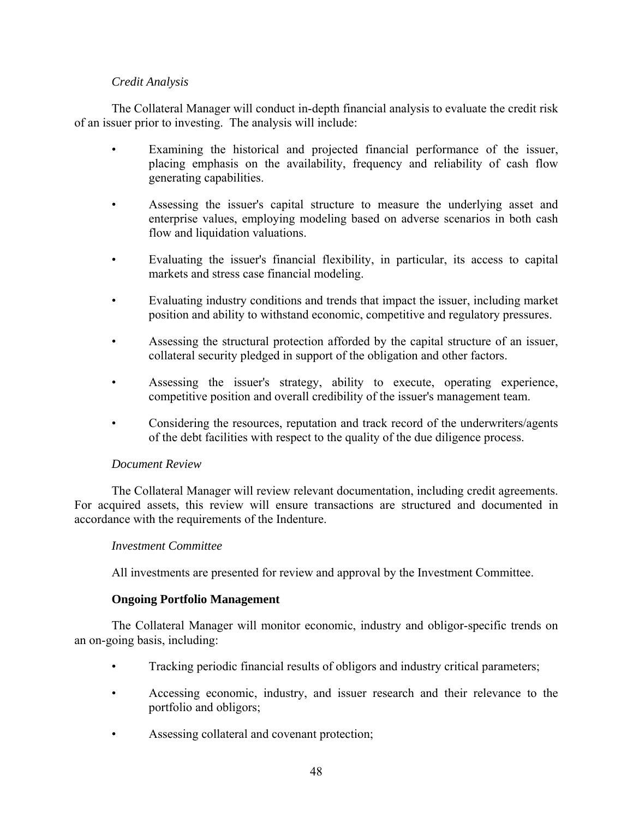# *Credit Analysis*

The Collateral Manager will conduct in-depth financial analysis to evaluate the credit risk of an issuer prior to investing. The analysis will include:

- Examining the historical and projected financial performance of the issuer, placing emphasis on the availability, frequency and reliability of cash flow generating capabilities.
- Assessing the issuer's capital structure to measure the underlying asset and enterprise values, employing modeling based on adverse scenarios in both cash flow and liquidation valuations.
- Evaluating the issuer's financial flexibility, in particular, its access to capital markets and stress case financial modeling.
- Evaluating industry conditions and trends that impact the issuer, including market position and ability to withstand economic, competitive and regulatory pressures.
- Assessing the structural protection afforded by the capital structure of an issuer, collateral security pledged in support of the obligation and other factors.
- Assessing the issuer's strategy, ability to execute, operating experience, competitive position and overall credibility of the issuer's management team.
- Considering the resources, reputation and track record of the underwriters/agents of the debt facilities with respect to the quality of the due diligence process.

## *Document Review*

The Collateral Manager will review relevant documentation, including credit agreements. For acquired assets, this review will ensure transactions are structured and documented in accordance with the requirements of the Indenture.

## *Investment Committee*

All investments are presented for review and approval by the Investment Committee.

## **Ongoing Portfolio Management**

The Collateral Manager will monitor economic, industry and obligor-specific trends on an on-going basis, including:

- Tracking periodic financial results of obligors and industry critical parameters;
- Accessing economic, industry, and issuer research and their relevance to the portfolio and obligors;
- Assessing collateral and covenant protection;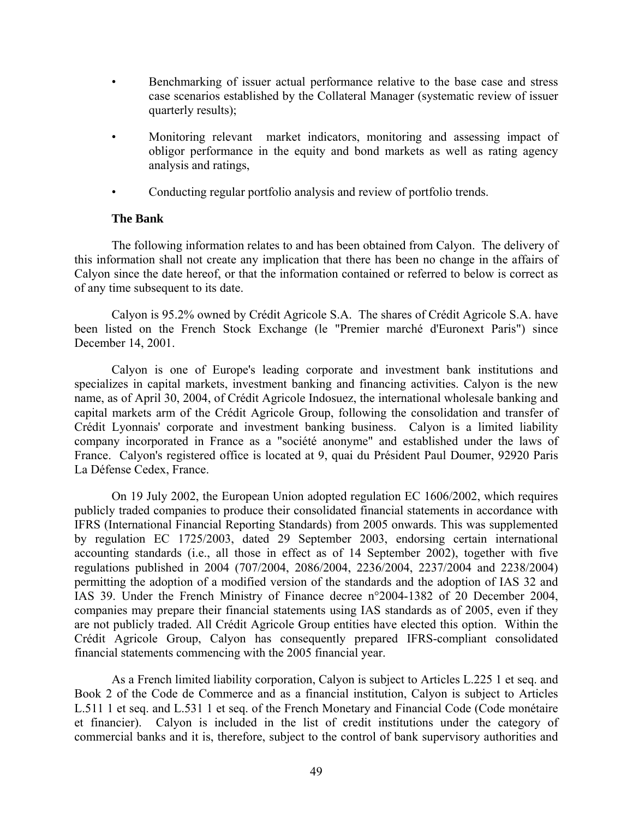- Benchmarking of issuer actual performance relative to the base case and stress case scenarios established by the Collateral Manager (systematic review of issuer quarterly results);
- Monitoring relevant market indicators, monitoring and assessing impact of obligor performance in the equity and bond markets as well as rating agency analysis and ratings,
- Conducting regular portfolio analysis and review of portfolio trends.

# **The Bank**

The following information relates to and has been obtained from Calyon. The delivery of this information shall not create any implication that there has been no change in the affairs of Calyon since the date hereof, or that the information contained or referred to below is correct as of any time subsequent to its date.

Calyon is 95.2% owned by Crédit Agricole S.A. The shares of Crédit Agricole S.A. have been listed on the French Stock Exchange (le "Premier marché d'Euronext Paris") since December 14, 2001.

Calyon is one of Europe's leading corporate and investment bank institutions and specializes in capital markets, investment banking and financing activities. Calyon is the new name, as of April 30, 2004, of Crédit Agricole Indosuez, the international wholesale banking and capital markets arm of the Crédit Agricole Group, following the consolidation and transfer of Crédit Lyonnais' corporate and investment banking business. Calyon is a limited liability company incorporated in France as a "société anonyme" and established under the laws of France. Calyon's registered office is located at 9, quai du Président Paul Doumer, 92920 Paris La Défense Cedex, France.

On 19 July 2002, the European Union adopted regulation EC 1606/2002, which requires publicly traded companies to produce their consolidated financial statements in accordance with IFRS (International Financial Reporting Standards) from 2005 onwards. This was supplemented by regulation EC 1725/2003, dated 29 September 2003, endorsing certain international accounting standards (i.e., all those in effect as of 14 September 2002), together with five regulations published in 2004 (707/2004, 2086/2004, 2236/2004, 2237/2004 and 2238/2004) permitting the adoption of a modified version of the standards and the adoption of IAS 32 and IAS 39. Under the French Ministry of Finance decree n°2004-1382 of 20 December 2004, companies may prepare their financial statements using IAS standards as of 2005, even if they are not publicly traded. All Crédit Agricole Group entities have elected this option. Within the Crédit Agricole Group, Calyon has consequently prepared IFRS-compliant consolidated financial statements commencing with the 2005 financial year.

As a French limited liability corporation, Calyon is subject to Articles L.225 1 et seq. and Book 2 of the Code de Commerce and as a financial institution, Calyon is subject to Articles L.511 1 et seq. and L.531 1 et seq. of the French Monetary and Financial Code (Code monétaire et financier). Calyon is included in the list of credit institutions under the category of commercial banks and it is, therefore, subject to the control of bank supervisory authorities and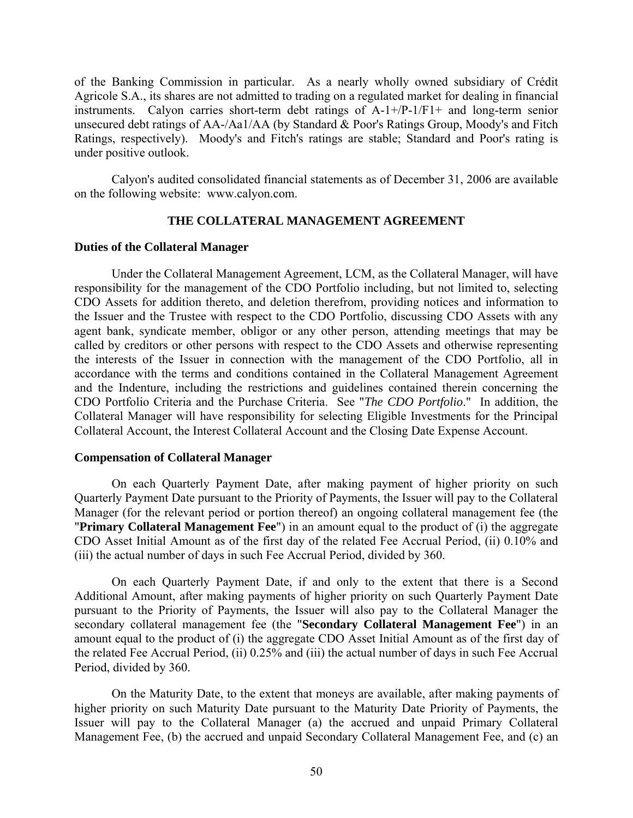of the Banking Commission in particular. As a nearly wholly owned subsidiary of Crédit Agricole S.A., its shares are not admitted to trading on a regulated market for dealing in financial instruments. Calyon carries short-term debt ratings of A-1+/P-1/F1+ and long-term senior unsecured debt ratings of AA-/Aa1/AA (by Standard & Poor's Ratings Group, Moody's and Fitch Ratings, respectively). Moody's and Fitch's ratings are stable; Standard and Poor's rating is under positive outlook.

Calyon's audited consolidated financial statements as of December 31, 2006 are available on the following website: www.calyon.com.

### **THE COLLATERAL MANAGEMENT AGREEMENT**

### **Duties of the Collateral Manager**

Under the Collateral Management Agreement, LCM, as the Collateral Manager, will have responsibility for the management of the CDO Portfolio including, but not limited to, selecting CDO Assets for addition thereto, and deletion therefrom, providing notices and information to the Issuer and the Trustee with respect to the CDO Portfolio, discussing CDO Assets with any agent bank, syndicate member, obligor or any other person, attending meetings that may be called by creditors or other persons with respect to the CDO Assets and otherwise representing the interests of the Issuer in connection with the management of the CDO Portfolio, all in accordance with the terms and conditions contained in the Collateral Management Agreement and the Indenture, including the restrictions and guidelines contained therein concerning the CDO Portfolio Criteria and the Purchase Criteria. See "*The CDO Portfolio*." In addition, the Collateral Manager will have responsibility for selecting Eligible Investments for the Principal Collateral Account, the Interest Collateral Account and the Closing Date Expense Account.

### **Compensation of Collateral Manager**

On each Quarterly Payment Date, after making payment of higher priority on such Quarterly Payment Date pursuant to the Priority of Payments, the Issuer will pay to the Collateral Manager (for the relevant period or portion thereof) an ongoing collateral management fee (the "**Primary Collateral Management Fee**") in an amount equal to the product of (i) the aggregate CDO Asset Initial Amount as of the first day of the related Fee Accrual Period, (ii) 0.10% and (iii) the actual number of days in such Fee Accrual Period, divided by 360.

On each Quarterly Payment Date, if and only to the extent that there is a Second Additional Amount, after making payments of higher priority on such Quarterly Payment Date pursuant to the Priority of Payments, the Issuer will also pay to the Collateral Manager the secondary collateral management fee (the "**Secondary Collateral Management Fee**") in an amount equal to the product of (i) the aggregate CDO Asset Initial Amount as of the first day of the related Fee Accrual Period, (ii) 0.25% and (iii) the actual number of days in such Fee Accrual Period, divided by 360.

On the Maturity Date, to the extent that moneys are available, after making payments of higher priority on such Maturity Date pursuant to the Maturity Date Priority of Payments, the Issuer will pay to the Collateral Manager (a) the accrued and unpaid Primary Collateral Management Fee, (b) the accrued and unpaid Secondary Collateral Management Fee, and (c) an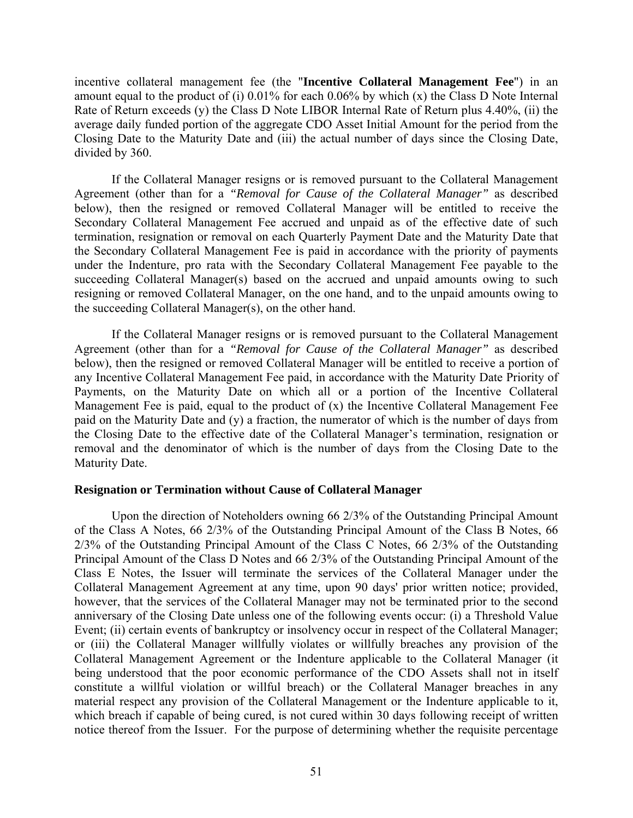incentive collateral management fee (the "**Incentive Collateral Management Fee**") in an amount equal to the product of (i) 0.01% for each 0.06% by which (x) the Class D Note Internal Rate of Return exceeds (y) the Class D Note LIBOR Internal Rate of Return plus 4.40%, (ii) the average daily funded portion of the aggregate CDO Asset Initial Amount for the period from the Closing Date to the Maturity Date and (iii) the actual number of days since the Closing Date, divided by 360.

If the Collateral Manager resigns or is removed pursuant to the Collateral Management Agreement (other than for a *"Removal for Cause of the Collateral Manager"* as described below), then the resigned or removed Collateral Manager will be entitled to receive the Secondary Collateral Management Fee accrued and unpaid as of the effective date of such termination, resignation or removal on each Quarterly Payment Date and the Maturity Date that the Secondary Collateral Management Fee is paid in accordance with the priority of payments under the Indenture, pro rata with the Secondary Collateral Management Fee payable to the succeeding Collateral Manager(s) based on the accrued and unpaid amounts owing to such resigning or removed Collateral Manager, on the one hand, and to the unpaid amounts owing to the succeeding Collateral Manager(s), on the other hand.

If the Collateral Manager resigns or is removed pursuant to the Collateral Management Agreement (other than for a *"Removal for Cause of the Collateral Manager"* as described below), then the resigned or removed Collateral Manager will be entitled to receive a portion of any Incentive Collateral Management Fee paid, in accordance with the Maturity Date Priority of Payments, on the Maturity Date on which all or a portion of the Incentive Collateral Management Fee is paid, equal to the product of (x) the Incentive Collateral Management Fee paid on the Maturity Date and (y) a fraction, the numerator of which is the number of days from the Closing Date to the effective date of the Collateral Manager's termination, resignation or removal and the denominator of which is the number of days from the Closing Date to the Maturity Date.

### **Resignation or Termination without Cause of Collateral Manager**

Upon the direction of Noteholders owning 66 2/3% of the Outstanding Principal Amount of the Class A Notes, 66 2/3% of the Outstanding Principal Amount of the Class B Notes, 66 2/3% of the Outstanding Principal Amount of the Class C Notes, 66 2/3% of the Outstanding Principal Amount of the Class D Notes and 66 2/3% of the Outstanding Principal Amount of the Class E Notes, the Issuer will terminate the services of the Collateral Manager under the Collateral Management Agreement at any time, upon 90 days' prior written notice; provided, however, that the services of the Collateral Manager may not be terminated prior to the second anniversary of the Closing Date unless one of the following events occur: (i) a Threshold Value Event; (ii) certain events of bankruptcy or insolvency occur in respect of the Collateral Manager; or (iii) the Collateral Manager willfully violates or willfully breaches any provision of the Collateral Management Agreement or the Indenture applicable to the Collateral Manager (it being understood that the poor economic performance of the CDO Assets shall not in itself constitute a willful violation or willful breach) or the Collateral Manager breaches in any material respect any provision of the Collateral Management or the Indenture applicable to it, which breach if capable of being cured, is not cured within 30 days following receipt of written notice thereof from the Issuer. For the purpose of determining whether the requisite percentage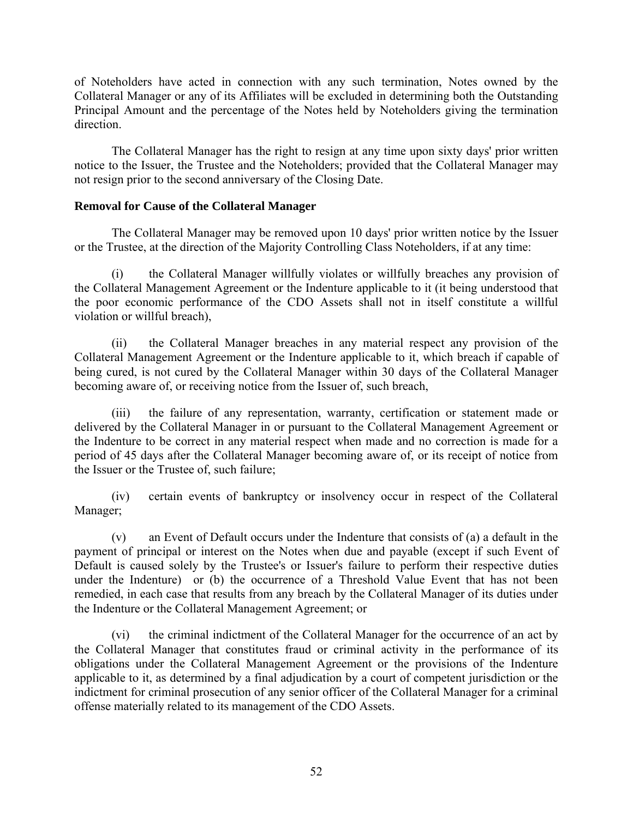of Noteholders have acted in connection with any such termination, Notes owned by the Collateral Manager or any of its Affiliates will be excluded in determining both the Outstanding Principal Amount and the percentage of the Notes held by Noteholders giving the termination direction.

The Collateral Manager has the right to resign at any time upon sixty days' prior written notice to the Issuer, the Trustee and the Noteholders; provided that the Collateral Manager may not resign prior to the second anniversary of the Closing Date.

# **Removal for Cause of the Collateral Manager**

The Collateral Manager may be removed upon 10 days' prior written notice by the Issuer or the Trustee, at the direction of the Majority Controlling Class Noteholders, if at any time:

(i) the Collateral Manager willfully violates or willfully breaches any provision of the Collateral Management Agreement or the Indenture applicable to it (it being understood that the poor economic performance of the CDO Assets shall not in itself constitute a willful violation or willful breach),

(ii) the Collateral Manager breaches in any material respect any provision of the Collateral Management Agreement or the Indenture applicable to it, which breach if capable of being cured, is not cured by the Collateral Manager within 30 days of the Collateral Manager becoming aware of, or receiving notice from the Issuer of, such breach,

(iii) the failure of any representation, warranty, certification or statement made or delivered by the Collateral Manager in or pursuant to the Collateral Management Agreement or the Indenture to be correct in any material respect when made and no correction is made for a period of 45 days after the Collateral Manager becoming aware of, or its receipt of notice from the Issuer or the Trustee of, such failure;

(iv) certain events of bankruptcy or insolvency occur in respect of the Collateral Manager;

(v) an Event of Default occurs under the Indenture that consists of (a) a default in the payment of principal or interest on the Notes when due and payable (except if such Event of Default is caused solely by the Trustee's or Issuer's failure to perform their respective duties under the Indenture) or (b) the occurrence of a Threshold Value Event that has not been remedied, in each case that results from any breach by the Collateral Manager of its duties under the Indenture or the Collateral Management Agreement; or

(vi) the criminal indictment of the Collateral Manager for the occurrence of an act by the Collateral Manager that constitutes fraud or criminal activity in the performance of its obligations under the Collateral Management Agreement or the provisions of the Indenture applicable to it, as determined by a final adjudication by a court of competent jurisdiction or the indictment for criminal prosecution of any senior officer of the Collateral Manager for a criminal offense materially related to its management of the CDO Assets.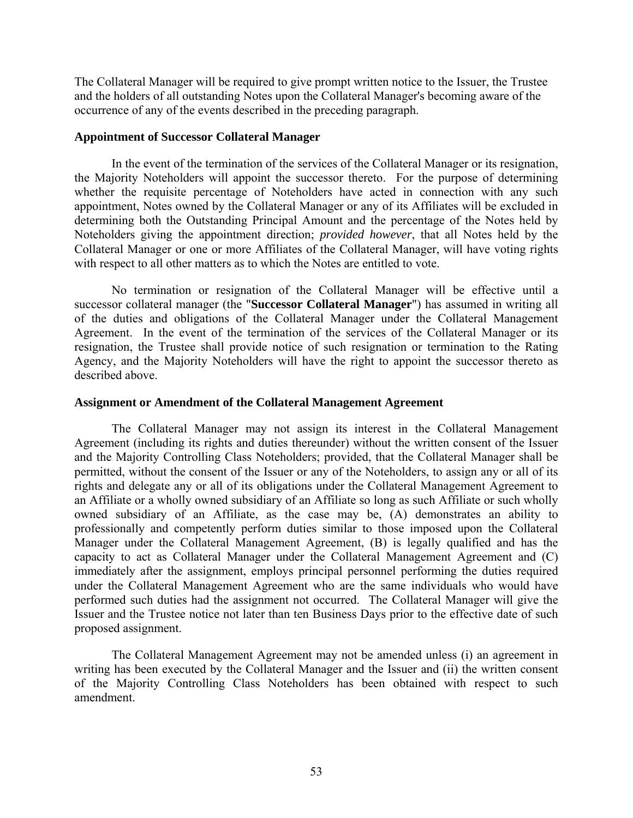The Collateral Manager will be required to give prompt written notice to the Issuer, the Trustee and the holders of all outstanding Notes upon the Collateral Manager's becoming aware of the occurrence of any of the events described in the preceding paragraph.

### **Appointment of Successor Collateral Manager**

In the event of the termination of the services of the Collateral Manager or its resignation, the Majority Noteholders will appoint the successor thereto. For the purpose of determining whether the requisite percentage of Noteholders have acted in connection with any such appointment, Notes owned by the Collateral Manager or any of its Affiliates will be excluded in determining both the Outstanding Principal Amount and the percentage of the Notes held by Noteholders giving the appointment direction; *provided however*, that all Notes held by the Collateral Manager or one or more Affiliates of the Collateral Manager, will have voting rights with respect to all other matters as to which the Notes are entitled to vote.

No termination or resignation of the Collateral Manager will be effective until a successor collateral manager (the "**Successor Collateral Manager**") has assumed in writing all of the duties and obligations of the Collateral Manager under the Collateral Management Agreement. In the event of the termination of the services of the Collateral Manager or its resignation, the Trustee shall provide notice of such resignation or termination to the Rating Agency, and the Majority Noteholders will have the right to appoint the successor thereto as described above.

### **Assignment or Amendment of the Collateral Management Agreement**

The Collateral Manager may not assign its interest in the Collateral Management Agreement (including its rights and duties thereunder) without the written consent of the Issuer and the Majority Controlling Class Noteholders; provided, that the Collateral Manager shall be permitted, without the consent of the Issuer or any of the Noteholders, to assign any or all of its rights and delegate any or all of its obligations under the Collateral Management Agreement to an Affiliate or a wholly owned subsidiary of an Affiliate so long as such Affiliate or such wholly owned subsidiary of an Affiliate, as the case may be, (A) demonstrates an ability to professionally and competently perform duties similar to those imposed upon the Collateral Manager under the Collateral Management Agreement, (B) is legally qualified and has the capacity to act as Collateral Manager under the Collateral Management Agreement and (C) immediately after the assignment, employs principal personnel performing the duties required under the Collateral Management Agreement who are the same individuals who would have performed such duties had the assignment not occurred. The Collateral Manager will give the Issuer and the Trustee notice not later than ten Business Days prior to the effective date of such proposed assignment.

The Collateral Management Agreement may not be amended unless (i) an agreement in writing has been executed by the Collateral Manager and the Issuer and (ii) the written consent of the Majority Controlling Class Noteholders has been obtained with respect to such amendment.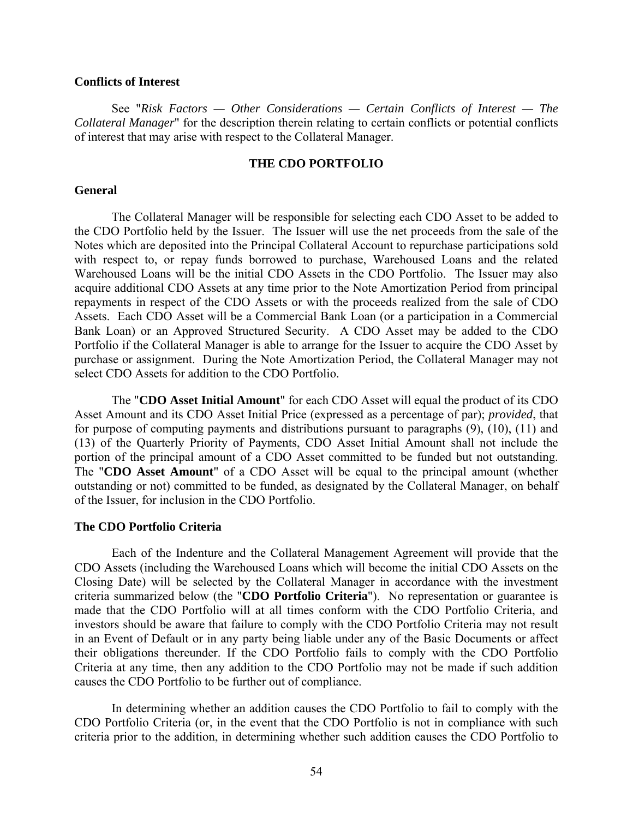### **Conflicts of Interest**

See "*Risk Factors — Other Considerations — Certain Conflicts of Interest — The Collateral Manager*" for the description therein relating to certain conflicts or potential conflicts of interest that may arise with respect to the Collateral Manager.

### **THE CDO PORTFOLIO**

#### **General**

The Collateral Manager will be responsible for selecting each CDO Asset to be added to the CDO Portfolio held by the Issuer. The Issuer will use the net proceeds from the sale of the Notes which are deposited into the Principal Collateral Account to repurchase participations sold with respect to, or repay funds borrowed to purchase, Warehoused Loans and the related Warehoused Loans will be the initial CDO Assets in the CDO Portfolio. The Issuer may also acquire additional CDO Assets at any time prior to the Note Amortization Period from principal repayments in respect of the CDO Assets or with the proceeds realized from the sale of CDO Assets. Each CDO Asset will be a Commercial Bank Loan (or a participation in a Commercial Bank Loan) or an Approved Structured Security. A CDO Asset may be added to the CDO Portfolio if the Collateral Manager is able to arrange for the Issuer to acquire the CDO Asset by purchase or assignment. During the Note Amortization Period, the Collateral Manager may not select CDO Assets for addition to the CDO Portfolio.

The "**CDO Asset Initial Amount**" for each CDO Asset will equal the product of its CDO Asset Amount and its CDO Asset Initial Price (expressed as a percentage of par); *provided*, that for purpose of computing payments and distributions pursuant to paragraphs (9), (10), (11) and (13) of the Quarterly Priority of Payments, CDO Asset Initial Amount shall not include the portion of the principal amount of a CDO Asset committed to be funded but not outstanding. The "**CDO Asset Amount**" of a CDO Asset will be equal to the principal amount (whether outstanding or not) committed to be funded, as designated by the Collateral Manager, on behalf of the Issuer, for inclusion in the CDO Portfolio.

#### **The CDO Portfolio Criteria**

Each of the Indenture and the Collateral Management Agreement will provide that the CDO Assets (including the Warehoused Loans which will become the initial CDO Assets on the Closing Date) will be selected by the Collateral Manager in accordance with the investment criteria summarized below (the "**CDO Portfolio Criteria**"). No representation or guarantee is made that the CDO Portfolio will at all times conform with the CDO Portfolio Criteria, and investors should be aware that failure to comply with the CDO Portfolio Criteria may not result in an Event of Default or in any party being liable under any of the Basic Documents or affect their obligations thereunder. If the CDO Portfolio fails to comply with the CDO Portfolio Criteria at any time, then any addition to the CDO Portfolio may not be made if such addition causes the CDO Portfolio to be further out of compliance.

In determining whether an addition causes the CDO Portfolio to fail to comply with the CDO Portfolio Criteria (or, in the event that the CDO Portfolio is not in compliance with such criteria prior to the addition, in determining whether such addition causes the CDO Portfolio to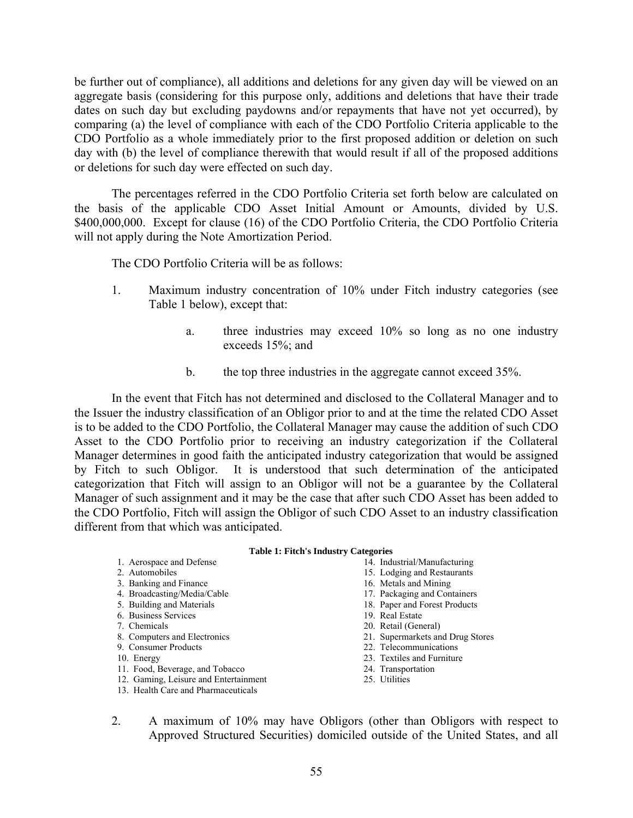be further out of compliance), all additions and deletions for any given day will be viewed on an aggregate basis (considering for this purpose only, additions and deletions that have their trade dates on such day but excluding paydowns and/or repayments that have not yet occurred), by comparing (a) the level of compliance with each of the CDO Portfolio Criteria applicable to the CDO Portfolio as a whole immediately prior to the first proposed addition or deletion on such day with (b) the level of compliance therewith that would result if all of the proposed additions or deletions for such day were effected on such day.

The percentages referred in the CDO Portfolio Criteria set forth below are calculated on the basis of the applicable CDO Asset Initial Amount or Amounts, divided by U.S. \$400,000,000. Except for clause (16) of the CDO Portfolio Criteria, the CDO Portfolio Criteria will not apply during the Note Amortization Period.

The CDO Portfolio Criteria will be as follows:

- 1. Maximum industry concentration of 10% under Fitch industry categories (see Table 1 below), except that:
	- a. three industries may exceed 10% so long as no one industry exceeds 15%; and
	- b. the top three industries in the aggregate cannot exceed 35%.

In the event that Fitch has not determined and disclosed to the Collateral Manager and to the Issuer the industry classification of an Obligor prior to and at the time the related CDO Asset is to be added to the CDO Portfolio, the Collateral Manager may cause the addition of such CDO Asset to the CDO Portfolio prior to receiving an industry categorization if the Collateral Manager determines in good faith the anticipated industry categorization that would be assigned by Fitch to such Obligor. It is understood that such determination of the anticipated categorization that Fitch will assign to an Obligor will not be a guarantee by the Collateral Manager of such assignment and it may be the case that after such CDO Asset has been added to the CDO Portfolio, Fitch will assign the Obligor of such CDO Asset to an industry classification different from that which was anticipated.

#### **Table 1: Fitch's Industry Categories**

| 1. Aerospace and Defense              | 14. Industrial/Manufacturing     |
|---------------------------------------|----------------------------------|
| 2. Automobiles                        | 15. Lodging and Restaurants      |
| 3. Banking and Finance                | 16. Metals and Mining            |
| 4. Broadcasting/Media/Cable           | 17. Packaging and Containers     |
| 5. Building and Materials             | 18. Paper and Forest Products    |
| 6. Business Services                  | 19. Real Estate                  |
| 7. Chemicals                          | 20. Retail (General)             |
| 8. Computers and Electronics          | 21. Supermarkets and Drug Stores |
| 9. Consumer Products                  | 22. Telecommunications           |
| 10. Energy                            | 23. Textiles and Furniture       |
| 11. Food, Beverage, and Tobacco       | 24. Transportation               |
| 12. Gaming, Leisure and Entertainment | 25. Utilities                    |
| 13. Health Care and Pharmaceuticals   |                                  |
|                                       |                                  |

2. A maximum of 10% may have Obligors (other than Obligors with respect to Approved Structured Securities) domiciled outside of the United States, and all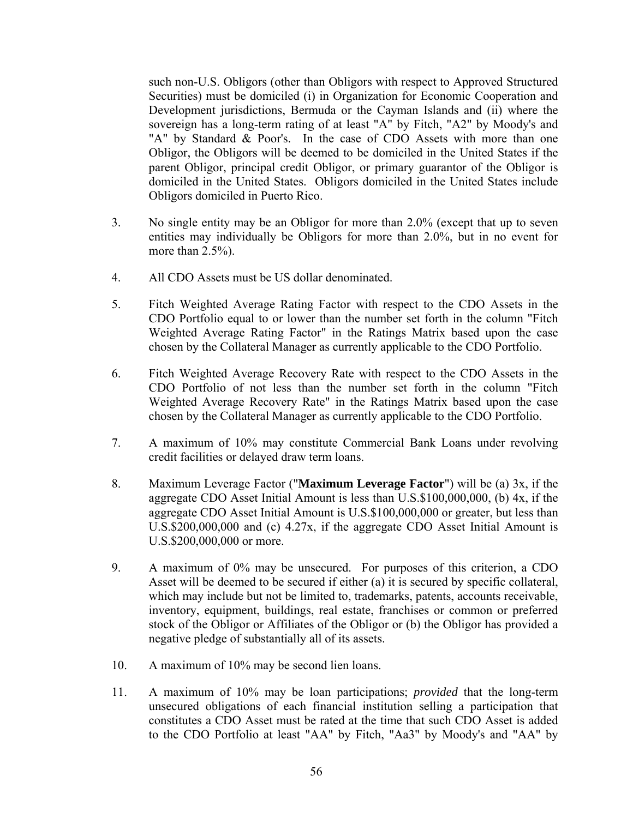such non-U.S. Obligors (other than Obligors with respect to Approved Structured Securities) must be domiciled (i) in Organization for Economic Cooperation and Development jurisdictions, Bermuda or the Cayman Islands and (ii) where the sovereign has a long-term rating of at least "A" by Fitch, "A2" by Moody's and "A" by Standard & Poor's. In the case of CDO Assets with more than one Obligor, the Obligors will be deemed to be domiciled in the United States if the parent Obligor, principal credit Obligor, or primary guarantor of the Obligor is domiciled in the United States. Obligors domiciled in the United States include Obligors domiciled in Puerto Rico.

- 3. No single entity may be an Obligor for more than 2.0% (except that up to seven entities may individually be Obligors for more than 2.0%, but in no event for more than 2.5%).
- 4. All CDO Assets must be US dollar denominated.
- 5. Fitch Weighted Average Rating Factor with respect to the CDO Assets in the CDO Portfolio equal to or lower than the number set forth in the column "Fitch Weighted Average Rating Factor" in the Ratings Matrix based upon the case chosen by the Collateral Manager as currently applicable to the CDO Portfolio.
- 6. Fitch Weighted Average Recovery Rate with respect to the CDO Assets in the CDO Portfolio of not less than the number set forth in the column "Fitch Weighted Average Recovery Rate" in the Ratings Matrix based upon the case chosen by the Collateral Manager as currently applicable to the CDO Portfolio.
- 7. A maximum of 10% may constitute Commercial Bank Loans under revolving credit facilities or delayed draw term loans.
- 8. Maximum Leverage Factor ("**Maximum Leverage Factor**") will be (a) 3x, if the aggregate CDO Asset Initial Amount is less than U.S.\$100,000,000, (b) 4x, if the aggregate CDO Asset Initial Amount is U.S.\$100,000,000 or greater, but less than U.S.\$200,000,000 and (c) 4.27x, if the aggregate CDO Asset Initial Amount is U.S.\$200,000,000 or more.
- 9. A maximum of 0% may be unsecured. For purposes of this criterion, a CDO Asset will be deemed to be secured if either (a) it is secured by specific collateral, which may include but not be limited to, trademarks, patents, accounts receivable, inventory, equipment, buildings, real estate, franchises or common or preferred stock of the Obligor or Affiliates of the Obligor or (b) the Obligor has provided a negative pledge of substantially all of its assets.
- 10. A maximum of 10% may be second lien loans.
- 11. A maximum of 10% may be loan participations; *provided* that the long-term unsecured obligations of each financial institution selling a participation that constitutes a CDO Asset must be rated at the time that such CDO Asset is added to the CDO Portfolio at least "AA" by Fitch, "Aa3" by Moody's and "AA" by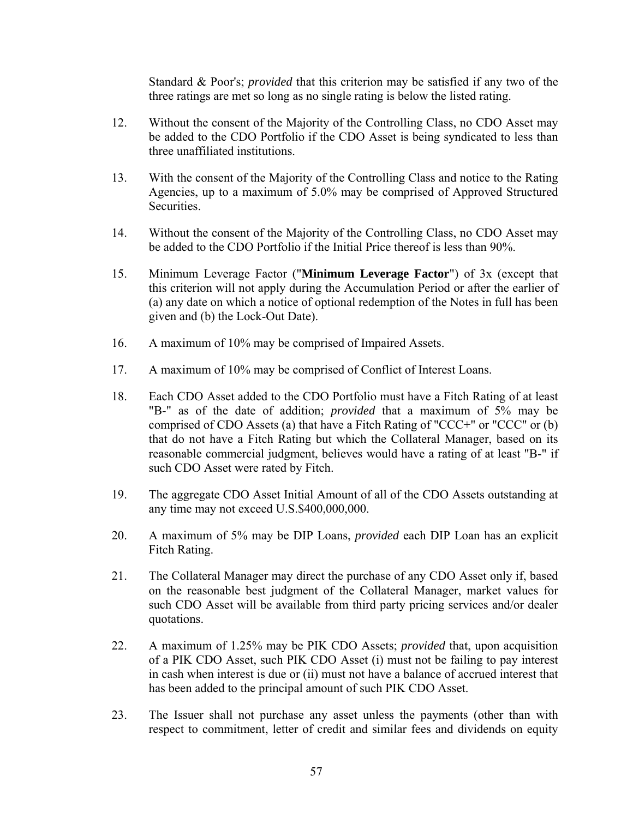Standard & Poor's; *provided* that this criterion may be satisfied if any two of the three ratings are met so long as no single rating is below the listed rating.

- 12. Without the consent of the Majority of the Controlling Class, no CDO Asset may be added to the CDO Portfolio if the CDO Asset is being syndicated to less than three unaffiliated institutions.
- 13. With the consent of the Majority of the Controlling Class and notice to the Rating Agencies, up to a maximum of 5.0% may be comprised of Approved Structured Securities.
- 14. Without the consent of the Majority of the Controlling Class, no CDO Asset may be added to the CDO Portfolio if the Initial Price thereof is less than 90%.
- 15. Minimum Leverage Factor ("**Minimum Leverage Factor**") of 3x (except that this criterion will not apply during the Accumulation Period or after the earlier of (a) any date on which a notice of optional redemption of the Notes in full has been given and (b) the Lock-Out Date).
- 16. A maximum of 10% may be comprised of Impaired Assets.
- 17. A maximum of 10% may be comprised of Conflict of Interest Loans.
- 18. Each CDO Asset added to the CDO Portfolio must have a Fitch Rating of at least "B-" as of the date of addition; *provided* that a maximum of 5% may be comprised of CDO Assets (a) that have a Fitch Rating of "CCC+" or "CCC" or (b) that do not have a Fitch Rating but which the Collateral Manager, based on its reasonable commercial judgment, believes would have a rating of at least "B-" if such CDO Asset were rated by Fitch.
- 19. The aggregate CDO Asset Initial Amount of all of the CDO Assets outstanding at any time may not exceed U.S.\$400,000,000.
- 20. A maximum of 5% may be DIP Loans, *provided* each DIP Loan has an explicit Fitch Rating.
- 21. The Collateral Manager may direct the purchase of any CDO Asset only if, based on the reasonable best judgment of the Collateral Manager, market values for such CDO Asset will be available from third party pricing services and/or dealer quotations.
- 22. A maximum of 1.25% may be PIK CDO Assets; *provided* that, upon acquisition of a PIK CDO Asset, such PIK CDO Asset (i) must not be failing to pay interest in cash when interest is due or (ii) must not have a balance of accrued interest that has been added to the principal amount of such PIK CDO Asset.
- 23. The Issuer shall not purchase any asset unless the payments (other than with respect to commitment, letter of credit and similar fees and dividends on equity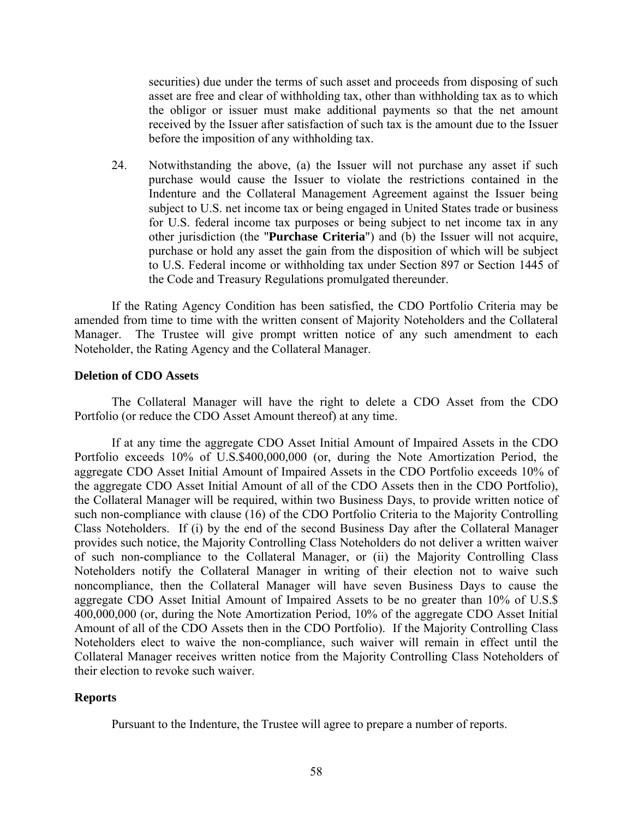securities) due under the terms of such asset and proceeds from disposing of such asset are free and clear of withholding tax, other than withholding tax as to which the obligor or issuer must make additional payments so that the net amount received by the Issuer after satisfaction of such tax is the amount due to the Issuer before the imposition of any withholding tax.

24. Notwithstanding the above, (a) the Issuer will not purchase any asset if such purchase would cause the Issuer to violate the restrictions contained in the Indenture and the Collateral Management Agreement against the Issuer being subject to U.S. net income tax or being engaged in United States trade or business for U.S. federal income tax purposes or being subject to net income tax in any other jurisdiction (the "**Purchase Criteria**") and (b) the Issuer will not acquire, purchase or hold any asset the gain from the disposition of which will be subject to U.S. Federal income or withholding tax under Section 897 or Section 1445 of the Code and Treasury Regulations promulgated thereunder.

If the Rating Agency Condition has been satisfied, the CDO Portfolio Criteria may be amended from time to time with the written consent of Majority Noteholders and the Collateral Manager. The Trustee will give prompt written notice of any such amendment to each Noteholder, the Rating Agency and the Collateral Manager.

# **Deletion of CDO Assets**

The Collateral Manager will have the right to delete a CDO Asset from the CDO Portfolio (or reduce the CDO Asset Amount thereof) at any time.

If at any time the aggregate CDO Asset Initial Amount of Impaired Assets in the CDO Portfolio exceeds 10% of U.S.\$400,000,000 (or, during the Note Amortization Period, the aggregate CDO Asset Initial Amount of Impaired Assets in the CDO Portfolio exceeds 10% of the aggregate CDO Asset Initial Amount of all of the CDO Assets then in the CDO Portfolio), the Collateral Manager will be required, within two Business Days, to provide written notice of such non-compliance with clause (16) of the CDO Portfolio Criteria to the Majority Controlling Class Noteholders. If (i) by the end of the second Business Day after the Collateral Manager provides such notice, the Majority Controlling Class Noteholders do not deliver a written waiver of such non-compliance to the Collateral Manager, or (ii) the Majority Controlling Class Noteholders notify the Collateral Manager in writing of their election not to waive such noncompliance, then the Collateral Manager will have seven Business Days to cause the aggregate CDO Asset Initial Amount of Impaired Assets to be no greater than 10% of U.S.\$ 400,000,000 (or, during the Note Amortization Period, 10% of the aggregate CDO Asset Initial Amount of all of the CDO Assets then in the CDO Portfolio). If the Majority Controlling Class Noteholders elect to waive the non-compliance, such waiver will remain in effect until the Collateral Manager receives written notice from the Majority Controlling Class Noteholders of their election to revoke such waiver.

## **Reports**

Pursuant to the Indenture, the Trustee will agree to prepare a number of reports.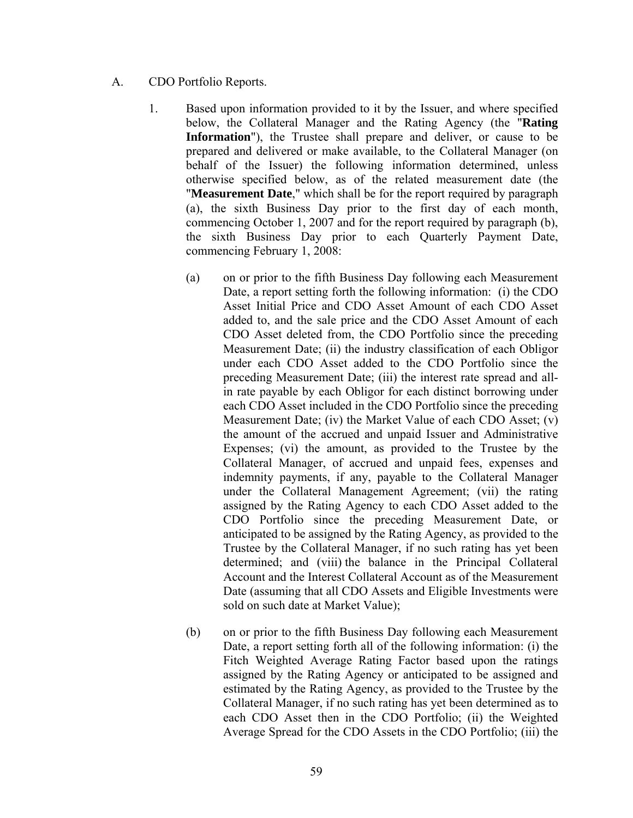- A. CDO Portfolio Reports.
	- 1. Based upon information provided to it by the Issuer, and where specified below, the Collateral Manager and the Rating Agency (the "**Rating Information**"), the Trustee shall prepare and deliver, or cause to be prepared and delivered or make available, to the Collateral Manager (on behalf of the Issuer) the following information determined, unless otherwise specified below, as of the related measurement date (the "**Measurement Date**," which shall be for the report required by paragraph (a), the sixth Business Day prior to the first day of each month, commencing October 1, 2007 and for the report required by paragraph (b), the sixth Business Day prior to each Quarterly Payment Date, commencing February 1, 2008:
		- (a) on or prior to the fifth Business Day following each Measurement Date, a report setting forth the following information: (i) the CDO Asset Initial Price and CDO Asset Amount of each CDO Asset added to, and the sale price and the CDO Asset Amount of each CDO Asset deleted from, the CDO Portfolio since the preceding Measurement Date; (ii) the industry classification of each Obligor under each CDO Asset added to the CDO Portfolio since the preceding Measurement Date; (iii) the interest rate spread and allin rate payable by each Obligor for each distinct borrowing under each CDO Asset included in the CDO Portfolio since the preceding Measurement Date; (iv) the Market Value of each CDO Asset; (v) the amount of the accrued and unpaid Issuer and Administrative Expenses; (vi) the amount, as provided to the Trustee by the Collateral Manager, of accrued and unpaid fees, expenses and indemnity payments, if any, payable to the Collateral Manager under the Collateral Management Agreement; (vii) the rating assigned by the Rating Agency to each CDO Asset added to the CDO Portfolio since the preceding Measurement Date, or anticipated to be assigned by the Rating Agency, as provided to the Trustee by the Collateral Manager, if no such rating has yet been determined; and (viii) the balance in the Principal Collateral Account and the Interest Collateral Account as of the Measurement Date (assuming that all CDO Assets and Eligible Investments were sold on such date at Market Value);
		- (b) on or prior to the fifth Business Day following each Measurement Date, a report setting forth all of the following information: (i) the Fitch Weighted Average Rating Factor based upon the ratings assigned by the Rating Agency or anticipated to be assigned and estimated by the Rating Agency, as provided to the Trustee by the Collateral Manager, if no such rating has yet been determined as to each CDO Asset then in the CDO Portfolio; (ii) the Weighted Average Spread for the CDO Assets in the CDO Portfolio; (iii) the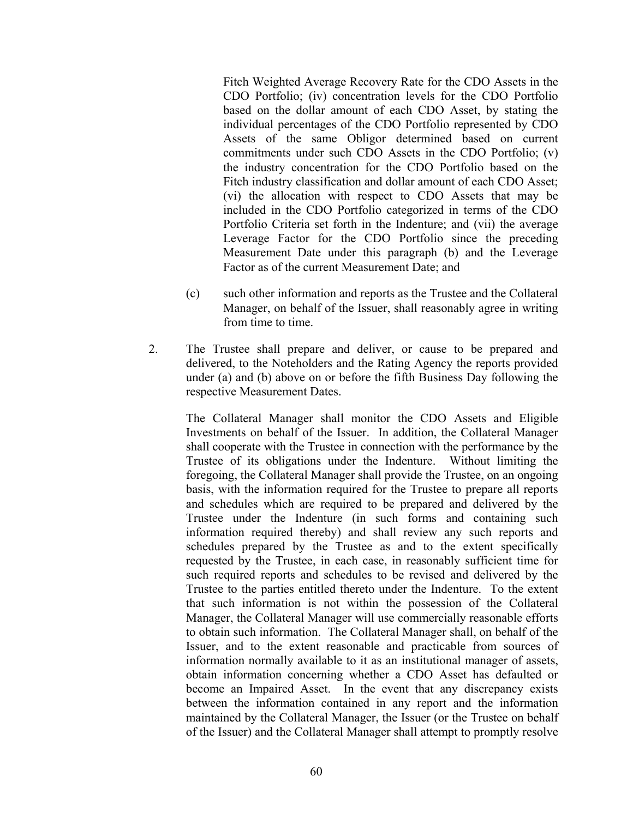Fitch Weighted Average Recovery Rate for the CDO Assets in the CDO Portfolio; (iv) concentration levels for the CDO Portfolio based on the dollar amount of each CDO Asset, by stating the individual percentages of the CDO Portfolio represented by CDO Assets of the same Obligor determined based on current commitments under such CDO Assets in the CDO Portfolio; (v) the industry concentration for the CDO Portfolio based on the Fitch industry classification and dollar amount of each CDO Asset; (vi) the allocation with respect to CDO Assets that may be included in the CDO Portfolio categorized in terms of the CDO Portfolio Criteria set forth in the Indenture; and (vii) the average Leverage Factor for the CDO Portfolio since the preceding Measurement Date under this paragraph (b) and the Leverage Factor as of the current Measurement Date; and

- (c) such other information and reports as the Trustee and the Collateral Manager, on behalf of the Issuer, shall reasonably agree in writing from time to time.
- 2. The Trustee shall prepare and deliver, or cause to be prepared and delivered, to the Noteholders and the Rating Agency the reports provided under (a) and (b) above on or before the fifth Business Day following the respective Measurement Dates.

The Collateral Manager shall monitor the CDO Assets and Eligible Investments on behalf of the Issuer. In addition, the Collateral Manager shall cooperate with the Trustee in connection with the performance by the Trustee of its obligations under the Indenture. Without limiting the foregoing, the Collateral Manager shall provide the Trustee, on an ongoing basis, with the information required for the Trustee to prepare all reports and schedules which are required to be prepared and delivered by the Trustee under the Indenture (in such forms and containing such information required thereby) and shall review any such reports and schedules prepared by the Trustee as and to the extent specifically requested by the Trustee, in each case, in reasonably sufficient time for such required reports and schedules to be revised and delivered by the Trustee to the parties entitled thereto under the Indenture. To the extent that such information is not within the possession of the Collateral Manager, the Collateral Manager will use commercially reasonable efforts to obtain such information. The Collateral Manager shall, on behalf of the Issuer, and to the extent reasonable and practicable from sources of information normally available to it as an institutional manager of assets, obtain information concerning whether a CDO Asset has defaulted or become an Impaired Asset. In the event that any discrepancy exists between the information contained in any report and the information maintained by the Collateral Manager, the Issuer (or the Trustee on behalf of the Issuer) and the Collateral Manager shall attempt to promptly resolve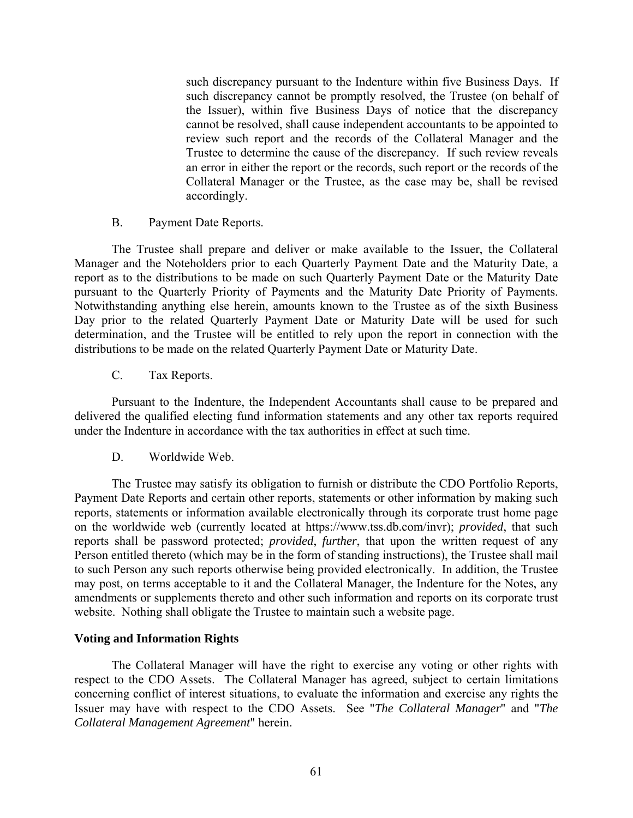such discrepancy pursuant to the Indenture within five Business Days. If such discrepancy cannot be promptly resolved, the Trustee (on behalf of the Issuer), within five Business Days of notice that the discrepancy cannot be resolved, shall cause independent accountants to be appointed to review such report and the records of the Collateral Manager and the Trustee to determine the cause of the discrepancy. If such review reveals an error in either the report or the records, such report or the records of the Collateral Manager or the Trustee, as the case may be, shall be revised accordingly.

B. Payment Date Reports.

The Trustee shall prepare and deliver or make available to the Issuer, the Collateral Manager and the Noteholders prior to each Quarterly Payment Date and the Maturity Date, a report as to the distributions to be made on such Quarterly Payment Date or the Maturity Date pursuant to the Quarterly Priority of Payments and the Maturity Date Priority of Payments. Notwithstanding anything else herein, amounts known to the Trustee as of the sixth Business Day prior to the related Quarterly Payment Date or Maturity Date will be used for such determination, and the Trustee will be entitled to rely upon the report in connection with the distributions to be made on the related Quarterly Payment Date or Maturity Date.

C. Tax Reports.

Pursuant to the Indenture, the Independent Accountants shall cause to be prepared and delivered the qualified electing fund information statements and any other tax reports required under the Indenture in accordance with the tax authorities in effect at such time.

D. Worldwide Web.

The Trustee may satisfy its obligation to furnish or distribute the CDO Portfolio Reports, Payment Date Reports and certain other reports, statements or other information by making such reports, statements or information available electronically through its corporate trust home page on the worldwide web (currently located at https://www.tss.db.com/invr); *provided*, that such reports shall be password protected; *provided*, *further*, that upon the written request of any Person entitled thereto (which may be in the form of standing instructions), the Trustee shall mail to such Person any such reports otherwise being provided electronically. In addition, the Trustee may post, on terms acceptable to it and the Collateral Manager, the Indenture for the Notes, any amendments or supplements thereto and other such information and reports on its corporate trust website. Nothing shall obligate the Trustee to maintain such a website page.

## **Voting and Information Rights**

The Collateral Manager will have the right to exercise any voting or other rights with respect to the CDO Assets. The Collateral Manager has agreed, subject to certain limitations concerning conflict of interest situations, to evaluate the information and exercise any rights the Issuer may have with respect to the CDO Assets. See "*The Collateral Manager*" and "*The Collateral Management Agreement*" herein.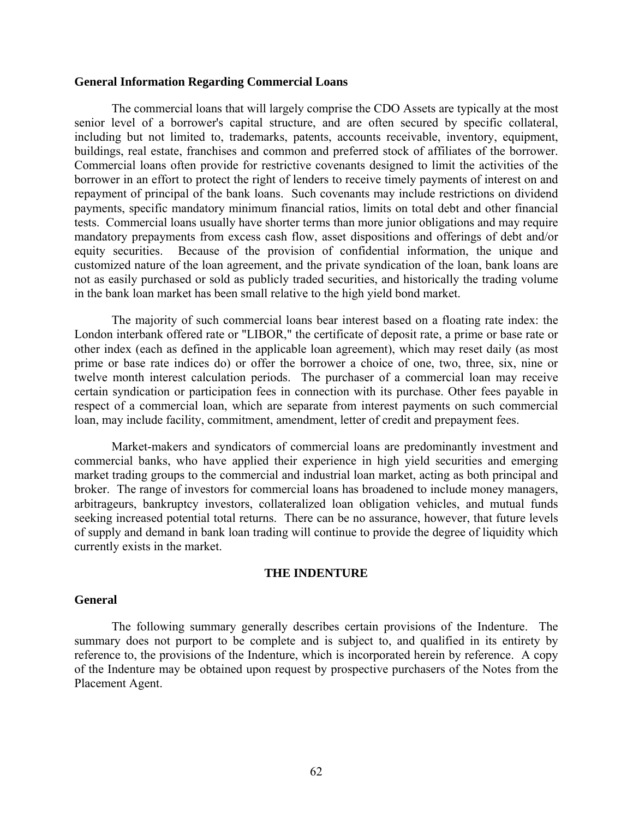#### **General Information Regarding Commercial Loans**

The commercial loans that will largely comprise the CDO Assets are typically at the most senior level of a borrower's capital structure, and are often secured by specific collateral, including but not limited to, trademarks, patents, accounts receivable, inventory, equipment, buildings, real estate, franchises and common and preferred stock of affiliates of the borrower. Commercial loans often provide for restrictive covenants designed to limit the activities of the borrower in an effort to protect the right of lenders to receive timely payments of interest on and repayment of principal of the bank loans. Such covenants may include restrictions on dividend payments, specific mandatory minimum financial ratios, limits on total debt and other financial tests. Commercial loans usually have shorter terms than more junior obligations and may require mandatory prepayments from excess cash flow, asset dispositions and offerings of debt and/or equity securities. Because of the provision of confidential information, the unique and customized nature of the loan agreement, and the private syndication of the loan, bank loans are not as easily purchased or sold as publicly traded securities, and historically the trading volume in the bank loan market has been small relative to the high yield bond market.

The majority of such commercial loans bear interest based on a floating rate index: the London interbank offered rate or "LIBOR," the certificate of deposit rate, a prime or base rate or other index (each as defined in the applicable loan agreement), which may reset daily (as most prime or base rate indices do) or offer the borrower a choice of one, two, three, six, nine or twelve month interest calculation periods. The purchaser of a commercial loan may receive certain syndication or participation fees in connection with its purchase. Other fees payable in respect of a commercial loan, which are separate from interest payments on such commercial loan, may include facility, commitment, amendment, letter of credit and prepayment fees.

Market-makers and syndicators of commercial loans are predominantly investment and commercial banks, who have applied their experience in high yield securities and emerging market trading groups to the commercial and industrial loan market, acting as both principal and broker. The range of investors for commercial loans has broadened to include money managers, arbitrageurs, bankruptcy investors, collateralized loan obligation vehicles, and mutual funds seeking increased potential total returns. There can be no assurance, however, that future levels of supply and demand in bank loan trading will continue to provide the degree of liquidity which currently exists in the market.

#### **THE INDENTURE**

### **General**

The following summary generally describes certain provisions of the Indenture. The summary does not purport to be complete and is subject to, and qualified in its entirety by reference to, the provisions of the Indenture, which is incorporated herein by reference. A copy of the Indenture may be obtained upon request by prospective purchasers of the Notes from the Placement Agent.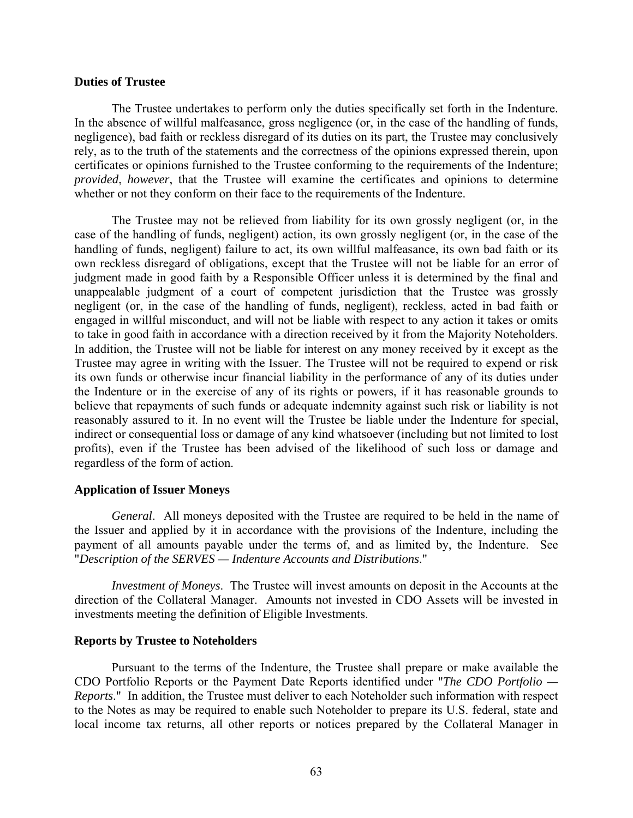### **Duties of Trustee**

The Trustee undertakes to perform only the duties specifically set forth in the Indenture. In the absence of willful malfeasance, gross negligence (or, in the case of the handling of funds, negligence), bad faith or reckless disregard of its duties on its part, the Trustee may conclusively rely, as to the truth of the statements and the correctness of the opinions expressed therein, upon certificates or opinions furnished to the Trustee conforming to the requirements of the Indenture; *provided*, *however*, that the Trustee will examine the certificates and opinions to determine whether or not they conform on their face to the requirements of the Indenture.

The Trustee may not be relieved from liability for its own grossly negligent (or, in the case of the handling of funds, negligent) action, its own grossly negligent (or, in the case of the handling of funds, negligent) failure to act, its own willful malfeasance, its own bad faith or its own reckless disregard of obligations, except that the Trustee will not be liable for an error of judgment made in good faith by a Responsible Officer unless it is determined by the final and unappealable judgment of a court of competent jurisdiction that the Trustee was grossly negligent (or, in the case of the handling of funds, negligent), reckless, acted in bad faith or engaged in willful misconduct, and will not be liable with respect to any action it takes or omits to take in good faith in accordance with a direction received by it from the Majority Noteholders. In addition, the Trustee will not be liable for interest on any money received by it except as the Trustee may agree in writing with the Issuer. The Trustee will not be required to expend or risk its own funds or otherwise incur financial liability in the performance of any of its duties under the Indenture or in the exercise of any of its rights or powers, if it has reasonable grounds to believe that repayments of such funds or adequate indemnity against such risk or liability is not reasonably assured to it. In no event will the Trustee be liable under the Indenture for special, indirect or consequential loss or damage of any kind whatsoever (including but not limited to lost profits), even if the Trustee has been advised of the likelihood of such loss or damage and regardless of the form of action.

### **Application of Issuer Moneys**

*General*. All moneys deposited with the Trustee are required to be held in the name of the Issuer and applied by it in accordance with the provisions of the Indenture, including the payment of all amounts payable under the terms of, and as limited by, the Indenture. See "*Description of the SERVES — Indenture Accounts and Distributions*."

*Investment of Moneys*. The Trustee will invest amounts on deposit in the Accounts at the direction of the Collateral Manager. Amounts not invested in CDO Assets will be invested in investments meeting the definition of Eligible Investments.

### **Reports by Trustee to Noteholders**

Pursuant to the terms of the Indenture, the Trustee shall prepare or make available the CDO Portfolio Reports or the Payment Date Reports identified under "*The CDO Portfolio — Reports*." In addition, the Trustee must deliver to each Noteholder such information with respect to the Notes as may be required to enable such Noteholder to prepare its U.S. federal, state and local income tax returns, all other reports or notices prepared by the Collateral Manager in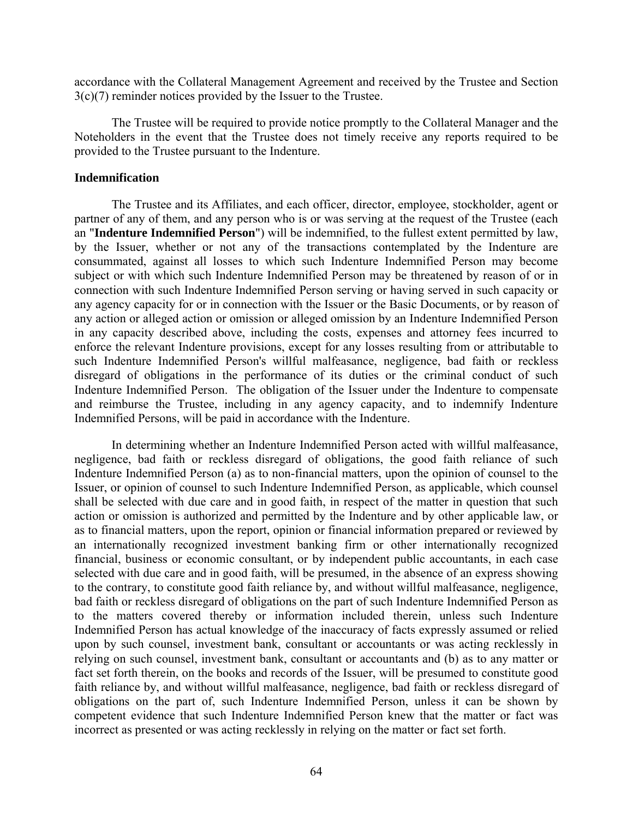accordance with the Collateral Management Agreement and received by the Trustee and Section 3(c)(7) reminder notices provided by the Issuer to the Trustee.

The Trustee will be required to provide notice promptly to the Collateral Manager and the Noteholders in the event that the Trustee does not timely receive any reports required to be provided to the Trustee pursuant to the Indenture.

## **Indemnification**

The Trustee and its Affiliates, and each officer, director, employee, stockholder, agent or partner of any of them, and any person who is or was serving at the request of the Trustee (each an "**Indenture Indemnified Person**") will be indemnified, to the fullest extent permitted by law, by the Issuer, whether or not any of the transactions contemplated by the Indenture are consummated, against all losses to which such Indenture Indemnified Person may become subject or with which such Indenture Indemnified Person may be threatened by reason of or in connection with such Indenture Indemnified Person serving or having served in such capacity or any agency capacity for or in connection with the Issuer or the Basic Documents, or by reason of any action or alleged action or omission or alleged omission by an Indenture Indemnified Person in any capacity described above, including the costs, expenses and attorney fees incurred to enforce the relevant Indenture provisions, except for any losses resulting from or attributable to such Indenture Indemnified Person's willful malfeasance, negligence, bad faith or reckless disregard of obligations in the performance of its duties or the criminal conduct of such Indenture Indemnified Person. The obligation of the Issuer under the Indenture to compensate and reimburse the Trustee, including in any agency capacity, and to indemnify Indenture Indemnified Persons, will be paid in accordance with the Indenture.

In determining whether an Indenture Indemnified Person acted with willful malfeasance, negligence, bad faith or reckless disregard of obligations, the good faith reliance of such Indenture Indemnified Person (a) as to non-financial matters, upon the opinion of counsel to the Issuer, or opinion of counsel to such Indenture Indemnified Person, as applicable, which counsel shall be selected with due care and in good faith, in respect of the matter in question that such action or omission is authorized and permitted by the Indenture and by other applicable law, or as to financial matters, upon the report, opinion or financial information prepared or reviewed by an internationally recognized investment banking firm or other internationally recognized financial, business or economic consultant, or by independent public accountants, in each case selected with due care and in good faith, will be presumed, in the absence of an express showing to the contrary, to constitute good faith reliance by, and without willful malfeasance, negligence, bad faith or reckless disregard of obligations on the part of such Indenture Indemnified Person as to the matters covered thereby or information included therein, unless such Indenture Indemnified Person has actual knowledge of the inaccuracy of facts expressly assumed or relied upon by such counsel, investment bank, consultant or accountants or was acting recklessly in relying on such counsel, investment bank, consultant or accountants and (b) as to any matter or fact set forth therein, on the books and records of the Issuer, will be presumed to constitute good faith reliance by, and without willful malfeasance, negligence, bad faith or reckless disregard of obligations on the part of, such Indenture Indemnified Person, unless it can be shown by competent evidence that such Indenture Indemnified Person knew that the matter or fact was incorrect as presented or was acting recklessly in relying on the matter or fact set forth.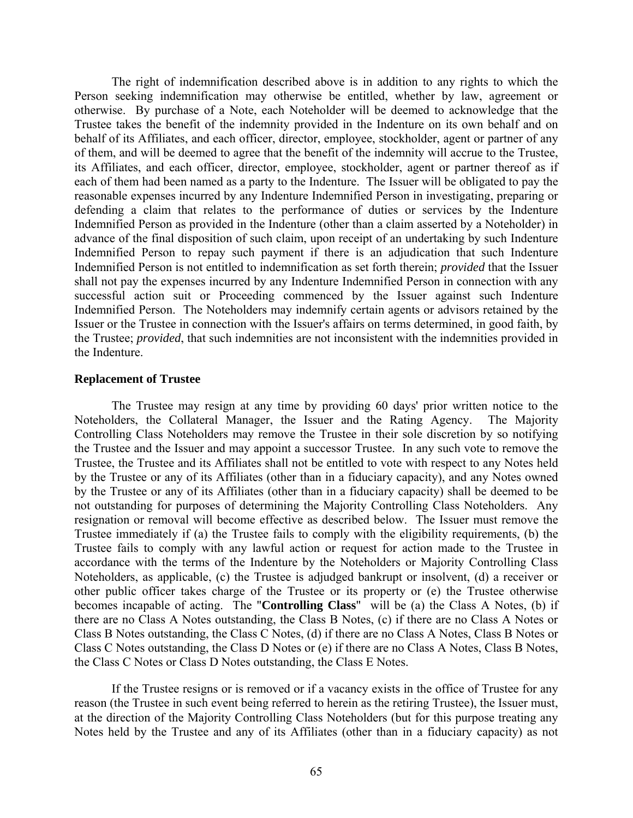The right of indemnification described above is in addition to any rights to which the Person seeking indemnification may otherwise be entitled, whether by law, agreement or otherwise. By purchase of a Note, each Noteholder will be deemed to acknowledge that the Trustee takes the benefit of the indemnity provided in the Indenture on its own behalf and on behalf of its Affiliates, and each officer, director, employee, stockholder, agent or partner of any of them, and will be deemed to agree that the benefit of the indemnity will accrue to the Trustee, its Affiliates, and each officer, director, employee, stockholder, agent or partner thereof as if each of them had been named as a party to the Indenture. The Issuer will be obligated to pay the reasonable expenses incurred by any Indenture Indemnified Person in investigating, preparing or defending a claim that relates to the performance of duties or services by the Indenture Indemnified Person as provided in the Indenture (other than a claim asserted by a Noteholder) in advance of the final disposition of such claim, upon receipt of an undertaking by such Indenture Indemnified Person to repay such payment if there is an adjudication that such Indenture Indemnified Person is not entitled to indemnification as set forth therein; *provided* that the Issuer shall not pay the expenses incurred by any Indenture Indemnified Person in connection with any successful action suit or Proceeding commenced by the Issuer against such Indenture Indemnified Person. The Noteholders may indemnify certain agents or advisors retained by the Issuer or the Trustee in connection with the Issuer's affairs on terms determined, in good faith, by the Trustee; *provided*, that such indemnities are not inconsistent with the indemnities provided in the Indenture.

### **Replacement of Trustee**

The Trustee may resign at any time by providing 60 days' prior written notice to the Noteholders, the Collateral Manager, the Issuer and the Rating Agency. The Majority Controlling Class Noteholders may remove the Trustee in their sole discretion by so notifying the Trustee and the Issuer and may appoint a successor Trustee. In any such vote to remove the Trustee, the Trustee and its Affiliates shall not be entitled to vote with respect to any Notes held by the Trustee or any of its Affiliates (other than in a fiduciary capacity), and any Notes owned by the Trustee or any of its Affiliates (other than in a fiduciary capacity) shall be deemed to be not outstanding for purposes of determining the Majority Controlling Class Noteholders. Any resignation or removal will become effective as described below. The Issuer must remove the Trustee immediately if (a) the Trustee fails to comply with the eligibility requirements, (b) the Trustee fails to comply with any lawful action or request for action made to the Trustee in accordance with the terms of the Indenture by the Noteholders or Majority Controlling Class Noteholders, as applicable, (c) the Trustee is adjudged bankrupt or insolvent, (d) a receiver or other public officer takes charge of the Trustee or its property or (e) the Trustee otherwise becomes incapable of acting. The "**Controlling Class**" will be (a) the Class A Notes, (b) if there are no Class A Notes outstanding, the Class B Notes, (c) if there are no Class A Notes or Class B Notes outstanding, the Class C Notes, (d) if there are no Class A Notes, Class B Notes or Class C Notes outstanding, the Class D Notes or (e) if there are no Class A Notes, Class B Notes, the Class C Notes or Class D Notes outstanding, the Class E Notes.

If the Trustee resigns or is removed or if a vacancy exists in the office of Trustee for any reason (the Trustee in such event being referred to herein as the retiring Trustee), the Issuer must, at the direction of the Majority Controlling Class Noteholders (but for this purpose treating any Notes held by the Trustee and any of its Affiliates (other than in a fiduciary capacity) as not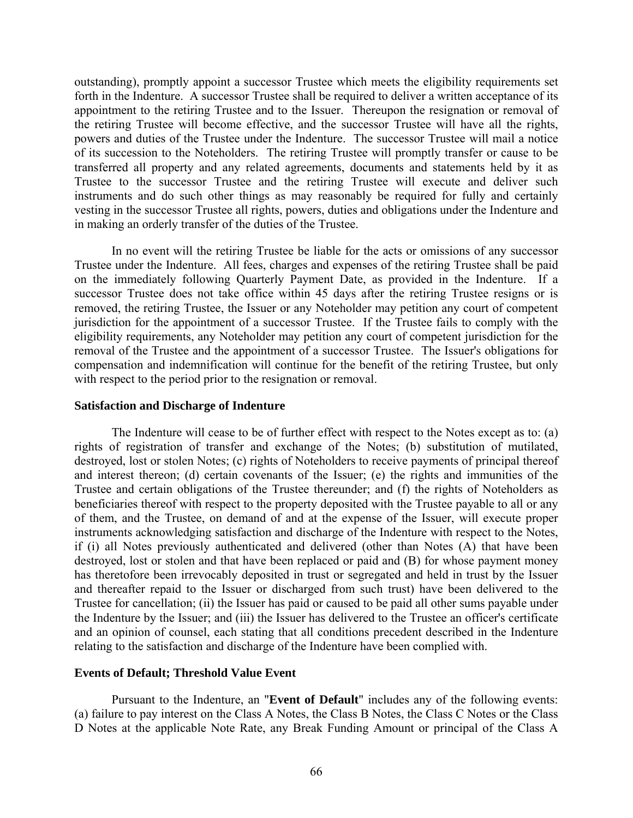outstanding), promptly appoint a successor Trustee which meets the eligibility requirements set forth in the Indenture. A successor Trustee shall be required to deliver a written acceptance of its appointment to the retiring Trustee and to the Issuer. Thereupon the resignation or removal of the retiring Trustee will become effective, and the successor Trustee will have all the rights, powers and duties of the Trustee under the Indenture. The successor Trustee will mail a notice of its succession to the Noteholders. The retiring Trustee will promptly transfer or cause to be transferred all property and any related agreements, documents and statements held by it as Trustee to the successor Trustee and the retiring Trustee will execute and deliver such instruments and do such other things as may reasonably be required for fully and certainly vesting in the successor Trustee all rights, powers, duties and obligations under the Indenture and in making an orderly transfer of the duties of the Trustee.

In no event will the retiring Trustee be liable for the acts or omissions of any successor Trustee under the Indenture. All fees, charges and expenses of the retiring Trustee shall be paid on the immediately following Quarterly Payment Date, as provided in the Indenture. If a successor Trustee does not take office within 45 days after the retiring Trustee resigns or is removed, the retiring Trustee, the Issuer or any Noteholder may petition any court of competent jurisdiction for the appointment of a successor Trustee. If the Trustee fails to comply with the eligibility requirements, any Noteholder may petition any court of competent jurisdiction for the removal of the Trustee and the appointment of a successor Trustee. The Issuer's obligations for compensation and indemnification will continue for the benefit of the retiring Trustee, but only with respect to the period prior to the resignation or removal.

### **Satisfaction and Discharge of Indenture**

The Indenture will cease to be of further effect with respect to the Notes except as to: (a) rights of registration of transfer and exchange of the Notes; (b) substitution of mutilated, destroyed, lost or stolen Notes; (c) rights of Noteholders to receive payments of principal thereof and interest thereon; (d) certain covenants of the Issuer; (e) the rights and immunities of the Trustee and certain obligations of the Trustee thereunder; and (f) the rights of Noteholders as beneficiaries thereof with respect to the property deposited with the Trustee payable to all or any of them, and the Trustee, on demand of and at the expense of the Issuer, will execute proper instruments acknowledging satisfaction and discharge of the Indenture with respect to the Notes, if (i) all Notes previously authenticated and delivered (other than Notes (A) that have been destroyed, lost or stolen and that have been replaced or paid and (B) for whose payment money has theretofore been irrevocably deposited in trust or segregated and held in trust by the Issuer and thereafter repaid to the Issuer or discharged from such trust) have been delivered to the Trustee for cancellation; (ii) the Issuer has paid or caused to be paid all other sums payable under the Indenture by the Issuer; and (iii) the Issuer has delivered to the Trustee an officer's certificate and an opinion of counsel, each stating that all conditions precedent described in the Indenture relating to the satisfaction and discharge of the Indenture have been complied with.

## **Events of Default; Threshold Value Event**

Pursuant to the Indenture, an "**Event of Default**" includes any of the following events: (a) failure to pay interest on the Class A Notes, the Class B Notes, the Class C Notes or the Class D Notes at the applicable Note Rate, any Break Funding Amount or principal of the Class A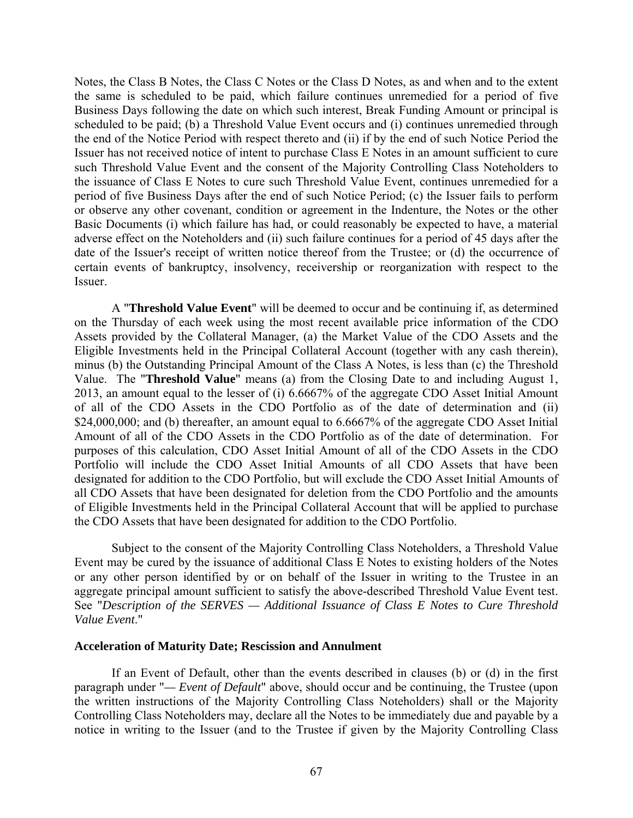Notes, the Class B Notes, the Class C Notes or the Class D Notes, as and when and to the extent the same is scheduled to be paid, which failure continues unremedied for a period of five Business Days following the date on which such interest, Break Funding Amount or principal is scheduled to be paid; (b) a Threshold Value Event occurs and (i) continues unremedied through the end of the Notice Period with respect thereto and (ii) if by the end of such Notice Period the Issuer has not received notice of intent to purchase Class E Notes in an amount sufficient to cure such Threshold Value Event and the consent of the Majority Controlling Class Noteholders to the issuance of Class E Notes to cure such Threshold Value Event, continues unremedied for a period of five Business Days after the end of such Notice Period; (c) the Issuer fails to perform or observe any other covenant, condition or agreement in the Indenture, the Notes or the other Basic Documents (i) which failure has had, or could reasonably be expected to have, a material adverse effect on the Noteholders and (ii) such failure continues for a period of 45 days after the date of the Issuer's receipt of written notice thereof from the Trustee; or (d) the occurrence of certain events of bankruptcy, insolvency, receivership or reorganization with respect to the Issuer.

A "**Threshold Value Event**" will be deemed to occur and be continuing if, as determined on the Thursday of each week using the most recent available price information of the CDO Assets provided by the Collateral Manager, (a) the Market Value of the CDO Assets and the Eligible Investments held in the Principal Collateral Account (together with any cash therein), minus (b) the Outstanding Principal Amount of the Class A Notes, is less than (c) the Threshold Value. The "**Threshold Value**" means (a) from the Closing Date to and including August 1, 2013, an amount equal to the lesser of (i) 6.6667% of the aggregate CDO Asset Initial Amount of all of the CDO Assets in the CDO Portfolio as of the date of determination and (ii) \$24,000,000; and (b) thereafter, an amount equal to 6.6667% of the aggregate CDO Asset Initial Amount of all of the CDO Assets in the CDO Portfolio as of the date of determination. For purposes of this calculation, CDO Asset Initial Amount of all of the CDO Assets in the CDO Portfolio will include the CDO Asset Initial Amounts of all CDO Assets that have been designated for addition to the CDO Portfolio, but will exclude the CDO Asset Initial Amounts of all CDO Assets that have been designated for deletion from the CDO Portfolio and the amounts of Eligible Investments held in the Principal Collateral Account that will be applied to purchase the CDO Assets that have been designated for addition to the CDO Portfolio.

Subject to the consent of the Majority Controlling Class Noteholders, a Threshold Value Event may be cured by the issuance of additional Class E Notes to existing holders of the Notes or any other person identified by or on behalf of the Issuer in writing to the Trustee in an aggregate principal amount sufficient to satisfy the above-described Threshold Value Event test. See "*Description of the SERVES — Additional Issuance of Class E Notes to Cure Threshold Value Event*."

## **Acceleration of Maturity Date; Rescission and Annulment**

If an Event of Default, other than the events described in clauses (b) or (d) in the first paragraph under "*— Event of Default*" above, should occur and be continuing, the Trustee (upon the written instructions of the Majority Controlling Class Noteholders) shall or the Majority Controlling Class Noteholders may, declare all the Notes to be immediately due and payable by a notice in writing to the Issuer (and to the Trustee if given by the Majority Controlling Class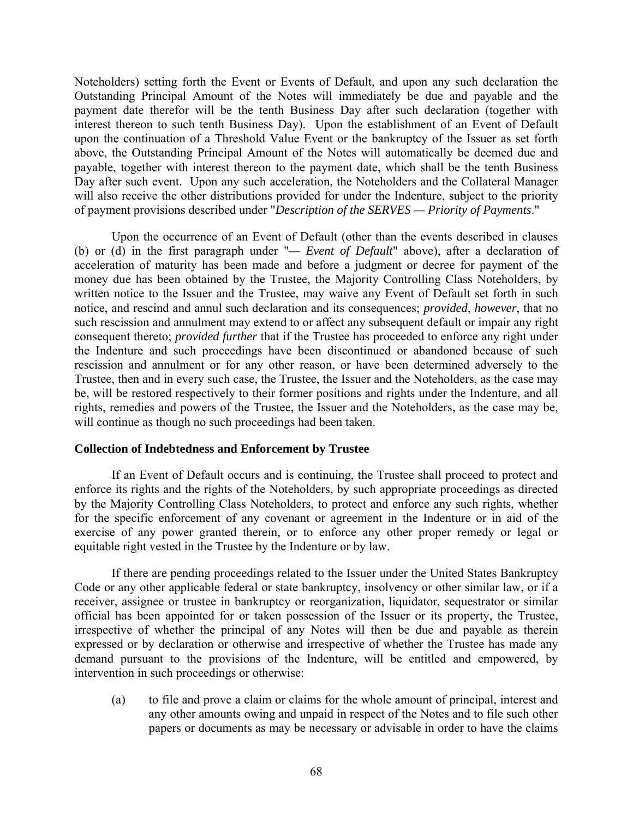Noteholders) setting forth the Event or Events of Default, and upon any such declaration the Outstanding Principal Amount of the Notes will immediately be due and payable and the payment date therefor will be the tenth Business Day after such declaration (together with interest thereon to such tenth Business Day). Upon the establishment of an Event of Default upon the continuation of a Threshold Value Event or the bankruptcy of the Issuer as set forth above, the Outstanding Principal Amount of the Notes will automatically be deemed due and payable, together with interest thereon to the payment date, which shall be the tenth Business Day after such event. Upon any such acceleration, the Noteholders and the Collateral Manager will also receive the other distributions provided for under the Indenture, subject to the priority of payment provisions described under "*Description of the SERVES — Priority of Payments*."

Upon the occurrence of an Event of Default (other than the events described in clauses (b) or (d) in the first paragraph under "*— Event of Default*" above), after a declaration of acceleration of maturity has been made and before a judgment or decree for payment of the money due has been obtained by the Trustee, the Majority Controlling Class Noteholders, by written notice to the Issuer and the Trustee, may waive any Event of Default set forth in such notice, and rescind and annul such declaration and its consequences; *provided*, *however*, that no such rescission and annulment may extend to or affect any subsequent default or impair any right consequent thereto; *provided further* that if the Trustee has proceeded to enforce any right under the Indenture and such proceedings have been discontinued or abandoned because of such rescission and annulment or for any other reason, or have been determined adversely to the Trustee, then and in every such case, the Trustee, the Issuer and the Noteholders, as the case may be, will be restored respectively to their former positions and rights under the Indenture, and all rights, remedies and powers of the Trustee, the Issuer and the Noteholders, as the case may be, will continue as though no such proceedings had been taken.

# **Collection of Indebtedness and Enforcement by Trustee**

If an Event of Default occurs and is continuing, the Trustee shall proceed to protect and enforce its rights and the rights of the Noteholders, by such appropriate proceedings as directed by the Majority Controlling Class Noteholders, to protect and enforce any such rights, whether for the specific enforcement of any covenant or agreement in the Indenture or in aid of the exercise of any power granted therein, or to enforce any other proper remedy or legal or equitable right vested in the Trustee by the Indenture or by law.

If there are pending proceedings related to the Issuer under the United States Bankruptcy Code or any other applicable federal or state bankruptcy, insolvency or other similar law, or if a receiver, assignee or trustee in bankruptcy or reorganization, liquidator, sequestrator or similar official has been appointed for or taken possession of the Issuer or its property, the Trustee, irrespective of whether the principal of any Notes will then be due and payable as therein expressed or by declaration or otherwise and irrespective of whether the Trustee has made any demand pursuant to the provisions of the Indenture, will be entitled and empowered, by intervention in such proceedings or otherwise:

(a) to file and prove a claim or claims for the whole amount of principal, interest and any other amounts owing and unpaid in respect of the Notes and to file such other papers or documents as may be necessary or advisable in order to have the claims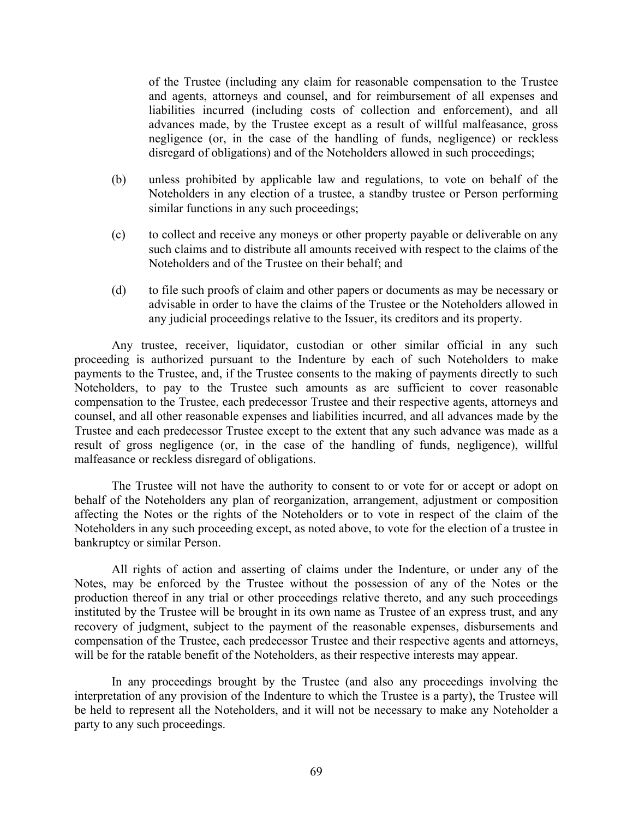of the Trustee (including any claim for reasonable compensation to the Trustee and agents, attorneys and counsel, and for reimbursement of all expenses and liabilities incurred (including costs of collection and enforcement), and all advances made, by the Trustee except as a result of willful malfeasance, gross negligence (or, in the case of the handling of funds, negligence) or reckless disregard of obligations) and of the Noteholders allowed in such proceedings;

- (b) unless prohibited by applicable law and regulations, to vote on behalf of the Noteholders in any election of a trustee, a standby trustee or Person performing similar functions in any such proceedings;
- (c) to collect and receive any moneys or other property payable or deliverable on any such claims and to distribute all amounts received with respect to the claims of the Noteholders and of the Trustee on their behalf; and
- (d) to file such proofs of claim and other papers or documents as may be necessary or advisable in order to have the claims of the Trustee or the Noteholders allowed in any judicial proceedings relative to the Issuer, its creditors and its property.

Any trustee, receiver, liquidator, custodian or other similar official in any such proceeding is authorized pursuant to the Indenture by each of such Noteholders to make payments to the Trustee, and, if the Trustee consents to the making of payments directly to such Noteholders, to pay to the Trustee such amounts as are sufficient to cover reasonable compensation to the Trustee, each predecessor Trustee and their respective agents, attorneys and counsel, and all other reasonable expenses and liabilities incurred, and all advances made by the Trustee and each predecessor Trustee except to the extent that any such advance was made as a result of gross negligence (or, in the case of the handling of funds, negligence), willful malfeasance or reckless disregard of obligations.

The Trustee will not have the authority to consent to or vote for or accept or adopt on behalf of the Noteholders any plan of reorganization, arrangement, adjustment or composition affecting the Notes or the rights of the Noteholders or to vote in respect of the claim of the Noteholders in any such proceeding except, as noted above, to vote for the election of a trustee in bankruptcy or similar Person.

All rights of action and asserting of claims under the Indenture, or under any of the Notes, may be enforced by the Trustee without the possession of any of the Notes or the production thereof in any trial or other proceedings relative thereto, and any such proceedings instituted by the Trustee will be brought in its own name as Trustee of an express trust, and any recovery of judgment, subject to the payment of the reasonable expenses, disbursements and compensation of the Trustee, each predecessor Trustee and their respective agents and attorneys, will be for the ratable benefit of the Noteholders, as their respective interests may appear.

In any proceedings brought by the Trustee (and also any proceedings involving the interpretation of any provision of the Indenture to which the Trustee is a party), the Trustee will be held to represent all the Noteholders, and it will not be necessary to make any Noteholder a party to any such proceedings.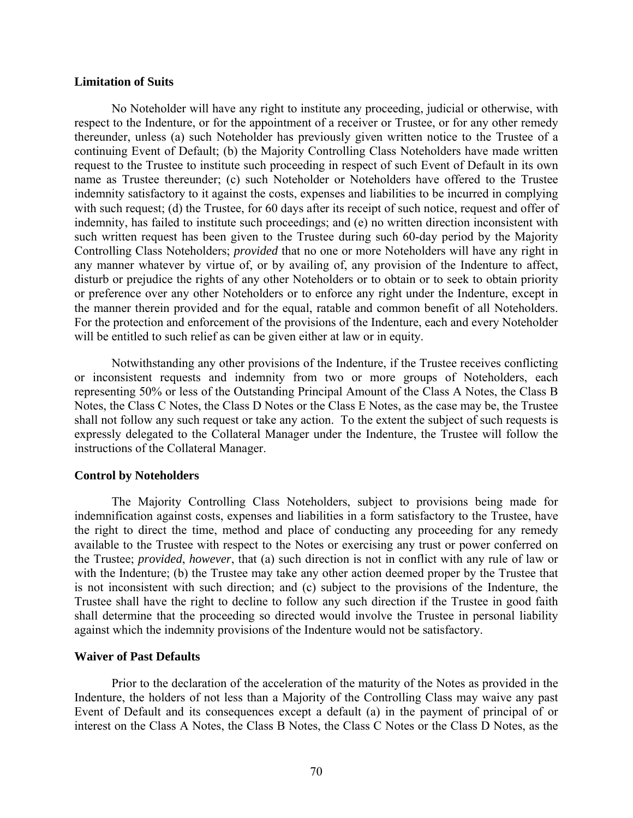### **Limitation of Suits**

No Noteholder will have any right to institute any proceeding, judicial or otherwise, with respect to the Indenture, or for the appointment of a receiver or Trustee, or for any other remedy thereunder, unless (a) such Noteholder has previously given written notice to the Trustee of a continuing Event of Default; (b) the Majority Controlling Class Noteholders have made written request to the Trustee to institute such proceeding in respect of such Event of Default in its own name as Trustee thereunder; (c) such Noteholder or Noteholders have offered to the Trustee indemnity satisfactory to it against the costs, expenses and liabilities to be incurred in complying with such request; (d) the Trustee, for 60 days after its receipt of such notice, request and offer of indemnity, has failed to institute such proceedings; and (e) no written direction inconsistent with such written request has been given to the Trustee during such 60-day period by the Majority Controlling Class Noteholders; *provided* that no one or more Noteholders will have any right in any manner whatever by virtue of, or by availing of, any provision of the Indenture to affect, disturb or prejudice the rights of any other Noteholders or to obtain or to seek to obtain priority or preference over any other Noteholders or to enforce any right under the Indenture, except in the manner therein provided and for the equal, ratable and common benefit of all Noteholders. For the protection and enforcement of the provisions of the Indenture, each and every Noteholder will be entitled to such relief as can be given either at law or in equity.

Notwithstanding any other provisions of the Indenture, if the Trustee receives conflicting or inconsistent requests and indemnity from two or more groups of Noteholders, each representing 50% or less of the Outstanding Principal Amount of the Class A Notes, the Class B Notes, the Class C Notes, the Class D Notes or the Class E Notes, as the case may be, the Trustee shall not follow any such request or take any action. To the extent the subject of such requests is expressly delegated to the Collateral Manager under the Indenture, the Trustee will follow the instructions of the Collateral Manager.

## **Control by Noteholders**

The Majority Controlling Class Noteholders, subject to provisions being made for indemnification against costs, expenses and liabilities in a form satisfactory to the Trustee, have the right to direct the time, method and place of conducting any proceeding for any remedy available to the Trustee with respect to the Notes or exercising any trust or power conferred on the Trustee; *provided*, *however*, that (a) such direction is not in conflict with any rule of law or with the Indenture; (b) the Trustee may take any other action deemed proper by the Trustee that is not inconsistent with such direction; and (c) subject to the provisions of the Indenture, the Trustee shall have the right to decline to follow any such direction if the Trustee in good faith shall determine that the proceeding so directed would involve the Trustee in personal liability against which the indemnity provisions of the Indenture would not be satisfactory.

## **Waiver of Past Defaults**

Prior to the declaration of the acceleration of the maturity of the Notes as provided in the Indenture, the holders of not less than a Majority of the Controlling Class may waive any past Event of Default and its consequences except a default (a) in the payment of principal of or interest on the Class A Notes, the Class B Notes, the Class C Notes or the Class D Notes, as the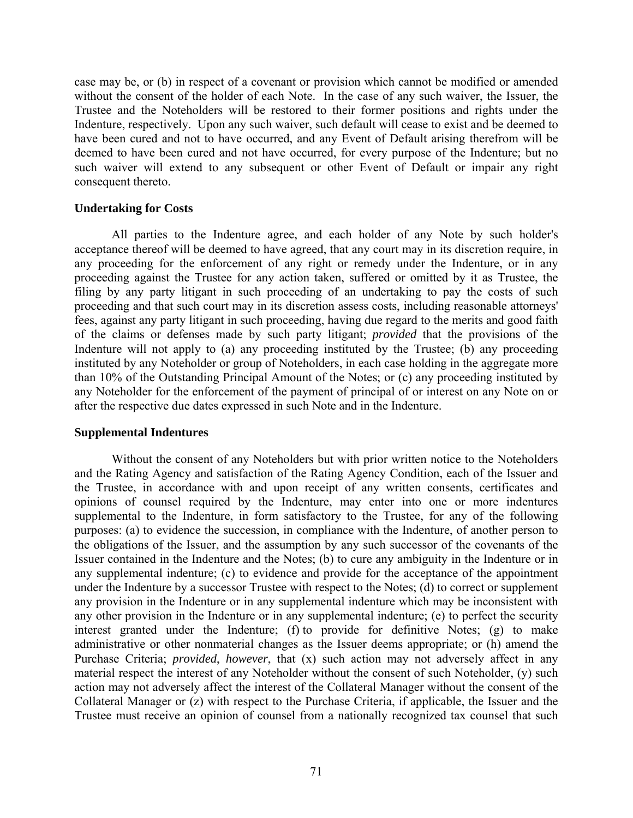case may be, or (b) in respect of a covenant or provision which cannot be modified or amended without the consent of the holder of each Note. In the case of any such waiver, the Issuer, the Trustee and the Noteholders will be restored to their former positions and rights under the Indenture, respectively. Upon any such waiver, such default will cease to exist and be deemed to have been cured and not to have occurred, and any Event of Default arising therefrom will be deemed to have been cured and not have occurred, for every purpose of the Indenture; but no such waiver will extend to any subsequent or other Event of Default or impair any right consequent thereto.

## **Undertaking for Costs**

All parties to the Indenture agree, and each holder of any Note by such holder's acceptance thereof will be deemed to have agreed, that any court may in its discretion require, in any proceeding for the enforcement of any right or remedy under the Indenture, or in any proceeding against the Trustee for any action taken, suffered or omitted by it as Trustee, the filing by any party litigant in such proceeding of an undertaking to pay the costs of such proceeding and that such court may in its discretion assess costs, including reasonable attorneys' fees, against any party litigant in such proceeding, having due regard to the merits and good faith of the claims or defenses made by such party litigant; *provided* that the provisions of the Indenture will not apply to (a) any proceeding instituted by the Trustee; (b) any proceeding instituted by any Noteholder or group of Noteholders, in each case holding in the aggregate more than 10% of the Outstanding Principal Amount of the Notes; or (c) any proceeding instituted by any Noteholder for the enforcement of the payment of principal of or interest on any Note on or after the respective due dates expressed in such Note and in the Indenture.

# **Supplemental Indentures**

Without the consent of any Noteholders but with prior written notice to the Noteholders and the Rating Agency and satisfaction of the Rating Agency Condition, each of the Issuer and the Trustee, in accordance with and upon receipt of any written consents, certificates and opinions of counsel required by the Indenture, may enter into one or more indentures supplemental to the Indenture, in form satisfactory to the Trustee, for any of the following purposes: (a) to evidence the succession, in compliance with the Indenture, of another person to the obligations of the Issuer, and the assumption by any such successor of the covenants of the Issuer contained in the Indenture and the Notes; (b) to cure any ambiguity in the Indenture or in any supplemental indenture; (c) to evidence and provide for the acceptance of the appointment under the Indenture by a successor Trustee with respect to the Notes; (d) to correct or supplement any provision in the Indenture or in any supplemental indenture which may be inconsistent with any other provision in the Indenture or in any supplemental indenture; (e) to perfect the security interest granted under the Indenture; (f) to provide for definitive Notes; (g) to make administrative or other nonmaterial changes as the Issuer deems appropriate; or (h) amend the Purchase Criteria; *provided*, *however*, that (x) such action may not adversely affect in any material respect the interest of any Noteholder without the consent of such Noteholder, (y) such action may not adversely affect the interest of the Collateral Manager without the consent of the Collateral Manager or (z) with respect to the Purchase Criteria, if applicable, the Issuer and the Trustee must receive an opinion of counsel from a nationally recognized tax counsel that such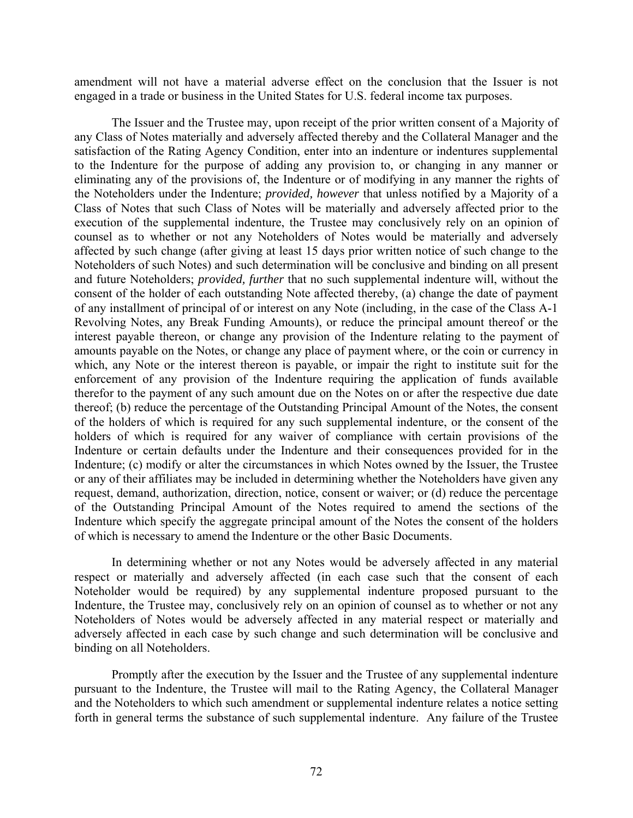amendment will not have a material adverse effect on the conclusion that the Issuer is not engaged in a trade or business in the United States for U.S. federal income tax purposes.

The Issuer and the Trustee may, upon receipt of the prior written consent of a Majority of any Class of Notes materially and adversely affected thereby and the Collateral Manager and the satisfaction of the Rating Agency Condition, enter into an indenture or indentures supplemental to the Indenture for the purpose of adding any provision to, or changing in any manner or eliminating any of the provisions of, the Indenture or of modifying in any manner the rights of the Noteholders under the Indenture; *provided, however* that unless notified by a Majority of a Class of Notes that such Class of Notes will be materially and adversely affected prior to the execution of the supplemental indenture, the Trustee may conclusively rely on an opinion of counsel as to whether or not any Noteholders of Notes would be materially and adversely affected by such change (after giving at least 15 days prior written notice of such change to the Noteholders of such Notes) and such determination will be conclusive and binding on all present and future Noteholders; *provided, further* that no such supplemental indenture will, without the consent of the holder of each outstanding Note affected thereby, (a) change the date of payment of any installment of principal of or interest on any Note (including, in the case of the Class A-1 Revolving Notes, any Break Funding Amounts), or reduce the principal amount thereof or the interest payable thereon, or change any provision of the Indenture relating to the payment of amounts payable on the Notes, or change any place of payment where, or the coin or currency in which, any Note or the interest thereon is payable, or impair the right to institute suit for the enforcement of any provision of the Indenture requiring the application of funds available therefor to the payment of any such amount due on the Notes on or after the respective due date thereof; (b) reduce the percentage of the Outstanding Principal Amount of the Notes, the consent of the holders of which is required for any such supplemental indenture, or the consent of the holders of which is required for any waiver of compliance with certain provisions of the Indenture or certain defaults under the Indenture and their consequences provided for in the Indenture; (c) modify or alter the circumstances in which Notes owned by the Issuer, the Trustee or any of their affiliates may be included in determining whether the Noteholders have given any request, demand, authorization, direction, notice, consent or waiver; or (d) reduce the percentage of the Outstanding Principal Amount of the Notes required to amend the sections of the Indenture which specify the aggregate principal amount of the Notes the consent of the holders of which is necessary to amend the Indenture or the other Basic Documents.

In determining whether or not any Notes would be adversely affected in any material respect or materially and adversely affected (in each case such that the consent of each Noteholder would be required) by any supplemental indenture proposed pursuant to the Indenture, the Trustee may, conclusively rely on an opinion of counsel as to whether or not any Noteholders of Notes would be adversely affected in any material respect or materially and adversely affected in each case by such change and such determination will be conclusive and binding on all Noteholders.

Promptly after the execution by the Issuer and the Trustee of any supplemental indenture pursuant to the Indenture, the Trustee will mail to the Rating Agency, the Collateral Manager and the Noteholders to which such amendment or supplemental indenture relates a notice setting forth in general terms the substance of such supplemental indenture. Any failure of the Trustee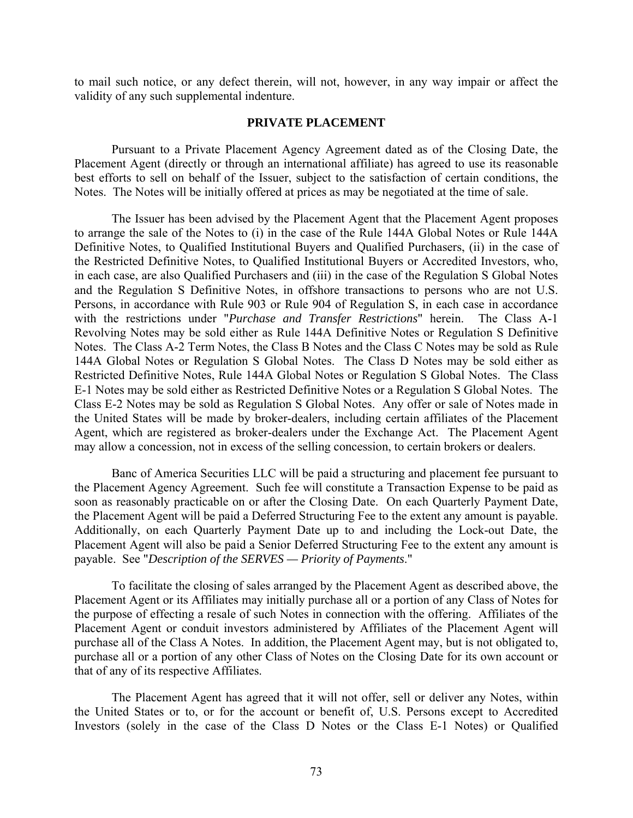to mail such notice, or any defect therein, will not, however, in any way impair or affect the validity of any such supplemental indenture.

## **PRIVATE PLACEMENT**

Pursuant to a Private Placement Agency Agreement dated as of the Closing Date, the Placement Agent (directly or through an international affiliate) has agreed to use its reasonable best efforts to sell on behalf of the Issuer, subject to the satisfaction of certain conditions, the Notes. The Notes will be initially offered at prices as may be negotiated at the time of sale.

The Issuer has been advised by the Placement Agent that the Placement Agent proposes to arrange the sale of the Notes to (i) in the case of the Rule 144A Global Notes or Rule 144A Definitive Notes, to Qualified Institutional Buyers and Qualified Purchasers, (ii) in the case of the Restricted Definitive Notes, to Qualified Institutional Buyers or Accredited Investors, who, in each case, are also Qualified Purchasers and (iii) in the case of the Regulation S Global Notes and the Regulation S Definitive Notes, in offshore transactions to persons who are not U.S. Persons, in accordance with Rule 903 or Rule 904 of Regulation S, in each case in accordance with the restrictions under "*Purchase and Transfer Restrictions*" herein. The Class A-1 Revolving Notes may be sold either as Rule 144A Definitive Notes or Regulation S Definitive Notes. The Class A-2 Term Notes, the Class B Notes and the Class C Notes may be sold as Rule 144A Global Notes or Regulation S Global Notes. The Class D Notes may be sold either as Restricted Definitive Notes, Rule 144A Global Notes or Regulation S Global Notes. The Class E-1 Notes may be sold either as Restricted Definitive Notes or a Regulation S Global Notes. The Class E-2 Notes may be sold as Regulation S Global Notes. Any offer or sale of Notes made in the United States will be made by broker-dealers, including certain affiliates of the Placement Agent, which are registered as broker-dealers under the Exchange Act. The Placement Agent may allow a concession, not in excess of the selling concession, to certain brokers or dealers.

Banc of America Securities LLC will be paid a structuring and placement fee pursuant to the Placement Agency Agreement. Such fee will constitute a Transaction Expense to be paid as soon as reasonably practicable on or after the Closing Date. On each Quarterly Payment Date, the Placement Agent will be paid a Deferred Structuring Fee to the extent any amount is payable. Additionally, on each Quarterly Payment Date up to and including the Lock-out Date, the Placement Agent will also be paid a Senior Deferred Structuring Fee to the extent any amount is payable. See "*Description of the SERVES — Priority of Payments*."

To facilitate the closing of sales arranged by the Placement Agent as described above, the Placement Agent or its Affiliates may initially purchase all or a portion of any Class of Notes for the purpose of effecting a resale of such Notes in connection with the offering. Affiliates of the Placement Agent or conduit investors administered by Affiliates of the Placement Agent will purchase all of the Class A Notes. In addition, the Placement Agent may, but is not obligated to, purchase all or a portion of any other Class of Notes on the Closing Date for its own account or that of any of its respective Affiliates.

The Placement Agent has agreed that it will not offer, sell or deliver any Notes, within the United States or to, or for the account or benefit of, U.S. Persons except to Accredited Investors (solely in the case of the Class D Notes or the Class E-1 Notes) or Qualified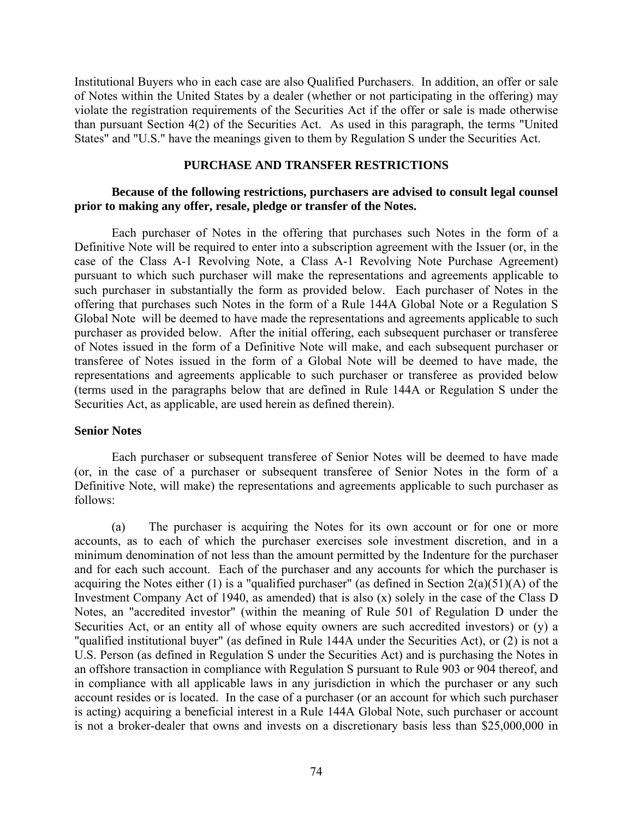Institutional Buyers who in each case are also Qualified Purchasers. In addition, an offer or sale of Notes within the United States by a dealer (whether or not participating in the offering) may violate the registration requirements of the Securities Act if the offer or sale is made otherwise than pursuant Section 4(2) of the Securities Act. As used in this paragraph, the terms "United States" and "U.S." have the meanings given to them by Regulation S under the Securities Act.

## **PURCHASE AND TRANSFER RESTRICTIONS**

# **Because of the following restrictions, purchasers are advised to consult legal counsel prior to making any offer, resale, pledge or transfer of the Notes.**

Each purchaser of Notes in the offering that purchases such Notes in the form of a Definitive Note will be required to enter into a subscription agreement with the Issuer (or, in the case of the Class A-1 Revolving Note, a Class A-1 Revolving Note Purchase Agreement) pursuant to which such purchaser will make the representations and agreements applicable to such purchaser in substantially the form as provided below. Each purchaser of Notes in the offering that purchases such Notes in the form of a Rule 144A Global Note or a Regulation S Global Note will be deemed to have made the representations and agreements applicable to such purchaser as provided below. After the initial offering, each subsequent purchaser or transferee of Notes issued in the form of a Definitive Note will make, and each subsequent purchaser or transferee of Notes issued in the form of a Global Note will be deemed to have made, the representations and agreements applicable to such purchaser or transferee as provided below (terms used in the paragraphs below that are defined in Rule 144A or Regulation S under the Securities Act, as applicable, are used herein as defined therein).

## **Senior Notes**

Each purchaser or subsequent transferee of Senior Notes will be deemed to have made (or, in the case of a purchaser or subsequent transferee of Senior Notes in the form of a Definitive Note, will make) the representations and agreements applicable to such purchaser as follows:

(a) The purchaser is acquiring the Notes for its own account or for one or more accounts, as to each of which the purchaser exercises sole investment discretion, and in a minimum denomination of not less than the amount permitted by the Indenture for the purchaser and for each such account. Each of the purchaser and any accounts for which the purchaser is acquiring the Notes either (1) is a "qualified purchaser" (as defined in Section  $2(a)(51)(A)$  of the Investment Company Act of 1940, as amended) that is also (x) solely in the case of the Class D Notes, an "accredited investor" (within the meaning of Rule 501 of Regulation D under the Securities Act, or an entity all of whose equity owners are such accredited investors) or (y) a "qualified institutional buyer" (as defined in Rule 144A under the Securities Act), or (2) is not a U.S. Person (as defined in Regulation S under the Securities Act) and is purchasing the Notes in an offshore transaction in compliance with Regulation S pursuant to Rule 903 or 904 thereof, and in compliance with all applicable laws in any jurisdiction in which the purchaser or any such account resides or is located. In the case of a purchaser (or an account for which such purchaser is acting) acquiring a beneficial interest in a Rule 144A Global Note, such purchaser or account is not a broker-dealer that owns and invests on a discretionary basis less than \$25,000,000 in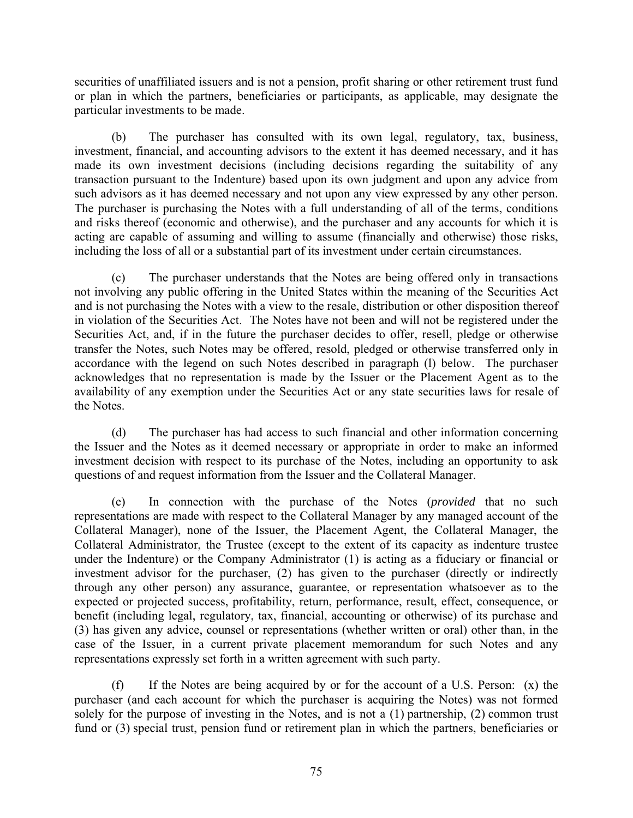securities of unaffiliated issuers and is not a pension, profit sharing or other retirement trust fund or plan in which the partners, beneficiaries or participants, as applicable, may designate the particular investments to be made.

(b) The purchaser has consulted with its own legal, regulatory, tax, business, investment, financial, and accounting advisors to the extent it has deemed necessary, and it has made its own investment decisions (including decisions regarding the suitability of any transaction pursuant to the Indenture) based upon its own judgment and upon any advice from such advisors as it has deemed necessary and not upon any view expressed by any other person. The purchaser is purchasing the Notes with a full understanding of all of the terms, conditions and risks thereof (economic and otherwise), and the purchaser and any accounts for which it is acting are capable of assuming and willing to assume (financially and otherwise) those risks, including the loss of all or a substantial part of its investment under certain circumstances.

(c) The purchaser understands that the Notes are being offered only in transactions not involving any public offering in the United States within the meaning of the Securities Act and is not purchasing the Notes with a view to the resale, distribution or other disposition thereof in violation of the Securities Act. The Notes have not been and will not be registered under the Securities Act, and, if in the future the purchaser decides to offer, resell, pledge or otherwise transfer the Notes, such Notes may be offered, resold, pledged or otherwise transferred only in accordance with the legend on such Notes described in paragraph (l) below. The purchaser acknowledges that no representation is made by the Issuer or the Placement Agent as to the availability of any exemption under the Securities Act or any state securities laws for resale of the Notes.

(d) The purchaser has had access to such financial and other information concerning the Issuer and the Notes as it deemed necessary or appropriate in order to make an informed investment decision with respect to its purchase of the Notes, including an opportunity to ask questions of and request information from the Issuer and the Collateral Manager.

(e) In connection with the purchase of the Notes (*provided* that no such representations are made with respect to the Collateral Manager by any managed account of the Collateral Manager), none of the Issuer, the Placement Agent, the Collateral Manager, the Collateral Administrator, the Trustee (except to the extent of its capacity as indenture trustee under the Indenture) or the Company Administrator (1) is acting as a fiduciary or financial or investment advisor for the purchaser, (2) has given to the purchaser (directly or indirectly through any other person) any assurance, guarantee, or representation whatsoever as to the expected or projected success, profitability, return, performance, result, effect, consequence, or benefit (including legal, regulatory, tax, financial, accounting or otherwise) of its purchase and (3) has given any advice, counsel or representations (whether written or oral) other than, in the case of the Issuer, in a current private placement memorandum for such Notes and any representations expressly set forth in a written agreement with such party.

(f) If the Notes are being acquired by or for the account of a U.S. Person: (x) the purchaser (and each account for which the purchaser is acquiring the Notes) was not formed solely for the purpose of investing in the Notes, and is not a (1) partnership, (2) common trust fund or (3) special trust, pension fund or retirement plan in which the partners, beneficiaries or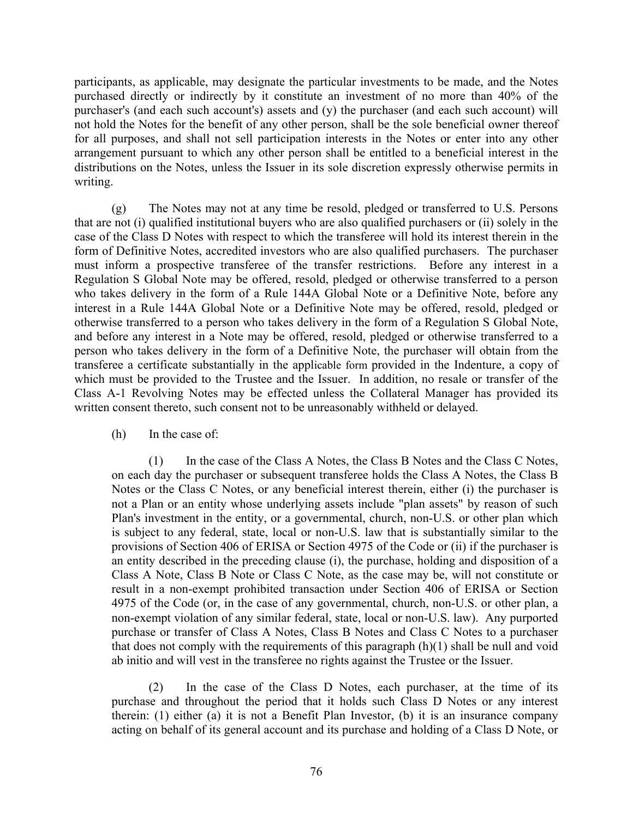participants, as applicable, may designate the particular investments to be made, and the Notes purchased directly or indirectly by it constitute an investment of no more than 40% of the purchaser's (and each such account's) assets and (y) the purchaser (and each such account) will not hold the Notes for the benefit of any other person, shall be the sole beneficial owner thereof for all purposes, and shall not sell participation interests in the Notes or enter into any other arrangement pursuant to which any other person shall be entitled to a beneficial interest in the distributions on the Notes, unless the Issuer in its sole discretion expressly otherwise permits in writing.

(g) The Notes may not at any time be resold, pledged or transferred to U.S. Persons that are not (i) qualified institutional buyers who are also qualified purchasers or (ii) solely in the case of the Class D Notes with respect to which the transferee will hold its interest therein in the form of Definitive Notes, accredited investors who are also qualified purchasers. The purchaser must inform a prospective transferee of the transfer restrictions. Before any interest in a Regulation S Global Note may be offered, resold, pledged or otherwise transferred to a person who takes delivery in the form of a Rule 144A Global Note or a Definitive Note, before any interest in a Rule 144A Global Note or a Definitive Note may be offered, resold, pledged or otherwise transferred to a person who takes delivery in the form of a Regulation S Global Note, and before any interest in a Note may be offered, resold, pledged or otherwise transferred to a person who takes delivery in the form of a Definitive Note, the purchaser will obtain from the transferee a certificate substantially in the applicable form provided in the Indenture, a copy of which must be provided to the Trustee and the Issuer. In addition, no resale or transfer of the Class A-1 Revolving Notes may be effected unless the Collateral Manager has provided its written consent thereto, such consent not to be unreasonably withheld or delayed.

(h) In the case of:

(1) In the case of the Class A Notes, the Class B Notes and the Class C Notes, on each day the purchaser or subsequent transferee holds the Class A Notes, the Class B Notes or the Class C Notes, or any beneficial interest therein, either (i) the purchaser is not a Plan or an entity whose underlying assets include "plan assets" by reason of such Plan's investment in the entity, or a governmental, church, non-U.S. or other plan which is subject to any federal, state, local or non-U.S. law that is substantially similar to the provisions of Section 406 of ERISA or Section 4975 of the Code or (ii) if the purchaser is an entity described in the preceding clause (i), the purchase, holding and disposition of a Class A Note, Class B Note or Class C Note, as the case may be, will not constitute or result in a non-exempt prohibited transaction under Section 406 of ERISA or Section 4975 of the Code (or, in the case of any governmental, church, non-U.S. or other plan, a non-exempt violation of any similar federal, state, local or non-U.S. law). Any purported purchase or transfer of Class A Notes, Class B Notes and Class C Notes to a purchaser that does not comply with the requirements of this paragraph (h)(1) shall be null and void ab initio and will vest in the transferee no rights against the Trustee or the Issuer.

(2) In the case of the Class D Notes, each purchaser, at the time of its purchase and throughout the period that it holds such Class D Notes or any interest therein: (1) either (a) it is not a Benefit Plan Investor, (b) it is an insurance company acting on behalf of its general account and its purchase and holding of a Class D Note, or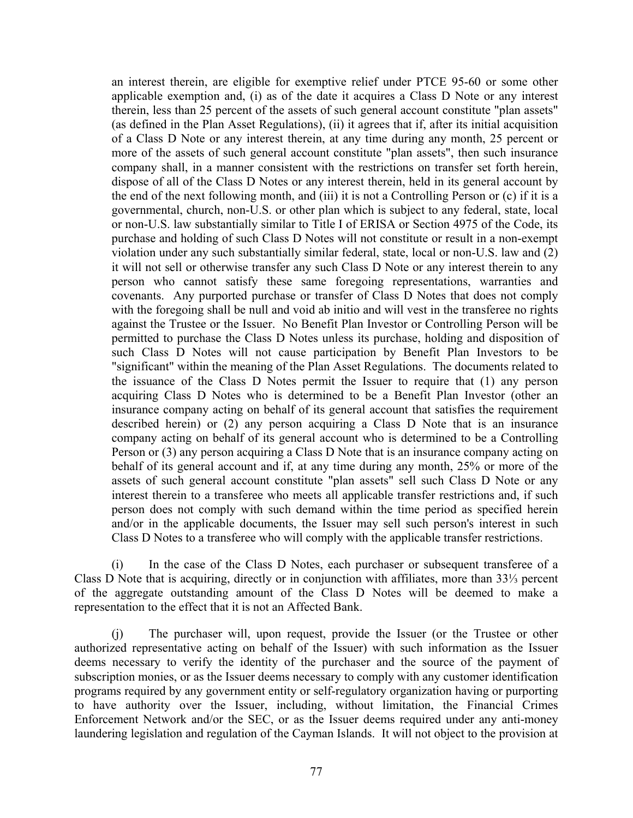an interest therein, are eligible for exemptive relief under PTCE 95-60 or some other applicable exemption and, (i) as of the date it acquires a Class D Note or any interest therein, less than 25 percent of the assets of such general account constitute "plan assets" (as defined in the Plan Asset Regulations), (ii) it agrees that if, after its initial acquisition of a Class D Note or any interest therein, at any time during any month, 25 percent or more of the assets of such general account constitute "plan assets", then such insurance company shall, in a manner consistent with the restrictions on transfer set forth herein, dispose of all of the Class D Notes or any interest therein, held in its general account by the end of the next following month, and (iii) it is not a Controlling Person or (c) if it is a governmental, church, non-U.S. or other plan which is subject to any federal, state, local or non-U.S. law substantially similar to Title I of ERISA or Section 4975 of the Code, its purchase and holding of such Class D Notes will not constitute or result in a non-exempt violation under any such substantially similar federal, state, local or non-U.S. law and (2) it will not sell or otherwise transfer any such Class D Note or any interest therein to any person who cannot satisfy these same foregoing representations, warranties and covenants. Any purported purchase or transfer of Class D Notes that does not comply with the foregoing shall be null and void ab initio and will vest in the transferee no rights against the Trustee or the Issuer. No Benefit Plan Investor or Controlling Person will be permitted to purchase the Class D Notes unless its purchase, holding and disposition of such Class D Notes will not cause participation by Benefit Plan Investors to be "significant" within the meaning of the Plan Asset Regulations. The documents related to the issuance of the Class D Notes permit the Issuer to require that (1) any person acquiring Class D Notes who is determined to be a Benefit Plan Investor (other an insurance company acting on behalf of its general account that satisfies the requirement described herein) or (2) any person acquiring a Class D Note that is an insurance company acting on behalf of its general account who is determined to be a Controlling Person or (3) any person acquiring a Class D Note that is an insurance company acting on behalf of its general account and if, at any time during any month, 25% or more of the assets of such general account constitute "plan assets" sell such Class D Note or any interest therein to a transferee who meets all applicable transfer restrictions and, if such person does not comply with such demand within the time period as specified herein and/or in the applicable documents, the Issuer may sell such person's interest in such Class D Notes to a transferee who will comply with the applicable transfer restrictions.

(i) In the case of the Class D Notes, each purchaser or subsequent transferee of a Class D Note that is acquiring, directly or in conjunction with affiliates, more than 33⅓ percent of the aggregate outstanding amount of the Class D Notes will be deemed to make a representation to the effect that it is not an Affected Bank.

(j) The purchaser will, upon request, provide the Issuer (or the Trustee or other authorized representative acting on behalf of the Issuer) with such information as the Issuer deems necessary to verify the identity of the purchaser and the source of the payment of subscription monies, or as the Issuer deems necessary to comply with any customer identification programs required by any government entity or self-regulatory organization having or purporting to have authority over the Issuer, including, without limitation, the Financial Crimes Enforcement Network and/or the SEC, or as the Issuer deems required under any anti-money laundering legislation and regulation of the Cayman Islands. It will not object to the provision at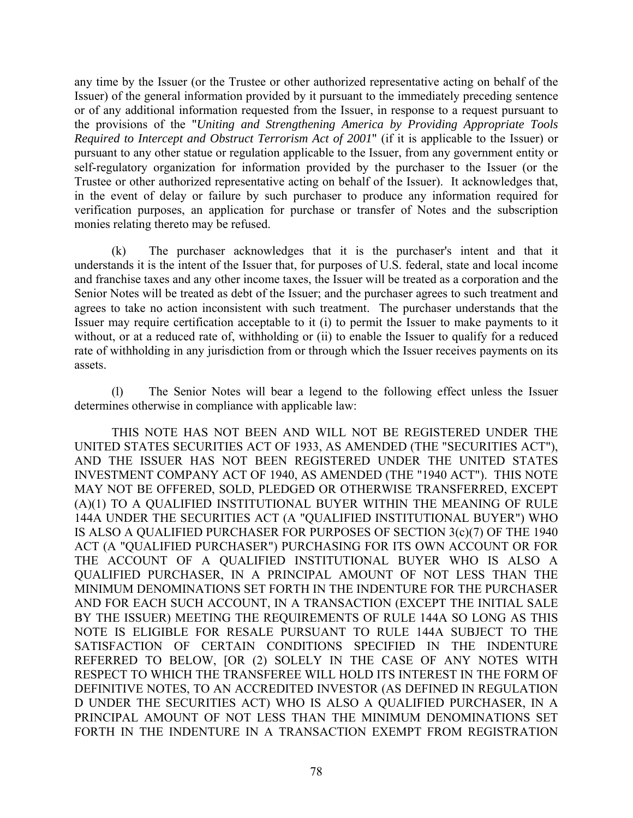any time by the Issuer (or the Trustee or other authorized representative acting on behalf of the Issuer) of the general information provided by it pursuant to the immediately preceding sentence or of any additional information requested from the Issuer, in response to a request pursuant to the provisions of the "*Uniting and Strengthening America by Providing Appropriate Tools Required to Intercept and Obstruct Terrorism Act of 2001*" (if it is applicable to the Issuer) or pursuant to any other statue or regulation applicable to the Issuer, from any government entity or self-regulatory organization for information provided by the purchaser to the Issuer (or the Trustee or other authorized representative acting on behalf of the Issuer). It acknowledges that, in the event of delay or failure by such purchaser to produce any information required for verification purposes, an application for purchase or transfer of Notes and the subscription monies relating thereto may be refused.

(k) The purchaser acknowledges that it is the purchaser's intent and that it understands it is the intent of the Issuer that, for purposes of U.S. federal, state and local income and franchise taxes and any other income taxes, the Issuer will be treated as a corporation and the Senior Notes will be treated as debt of the Issuer; and the purchaser agrees to such treatment and agrees to take no action inconsistent with such treatment. The purchaser understands that the Issuer may require certification acceptable to it (i) to permit the Issuer to make payments to it without, or at a reduced rate of, withholding or (ii) to enable the Issuer to qualify for a reduced rate of withholding in any jurisdiction from or through which the Issuer receives payments on its assets.

(l) The Senior Notes will bear a legend to the following effect unless the Issuer determines otherwise in compliance with applicable law:

THIS NOTE HAS NOT BEEN AND WILL NOT BE REGISTERED UNDER THE UNITED STATES SECURITIES ACT OF 1933, AS AMENDED (THE "SECURITIES ACT"), AND THE ISSUER HAS NOT BEEN REGISTERED UNDER THE UNITED STATES INVESTMENT COMPANY ACT OF 1940, AS AMENDED (THE "1940 ACT"). THIS NOTE MAY NOT BE OFFERED, SOLD, PLEDGED OR OTHERWISE TRANSFERRED, EXCEPT (A)(1) TO A QUALIFIED INSTITUTIONAL BUYER WITHIN THE MEANING OF RULE 144A UNDER THE SECURITIES ACT (A "QUALIFIED INSTITUTIONAL BUYER") WHO IS ALSO A QUALIFIED PURCHASER FOR PURPOSES OF SECTION 3(c)(7) OF THE 1940 ACT (A "QUALIFIED PURCHASER") PURCHASING FOR ITS OWN ACCOUNT OR FOR THE ACCOUNT OF A QUALIFIED INSTITUTIONAL BUYER WHO IS ALSO A QUALIFIED PURCHASER, IN A PRINCIPAL AMOUNT OF NOT LESS THAN THE MINIMUM DENOMINATIONS SET FORTH IN THE INDENTURE FOR THE PURCHASER AND FOR EACH SUCH ACCOUNT, IN A TRANSACTION (EXCEPT THE INITIAL SALE BY THE ISSUER) MEETING THE REQUIREMENTS OF RULE 144A SO LONG AS THIS NOTE IS ELIGIBLE FOR RESALE PURSUANT TO RULE 144A SUBJECT TO THE SATISFACTION OF CERTAIN CONDITIONS SPECIFIED IN THE INDENTURE REFERRED TO BELOW, [OR (2) SOLELY IN THE CASE OF ANY NOTES WITH RESPECT TO WHICH THE TRANSFEREE WILL HOLD ITS INTEREST IN THE FORM OF DEFINITIVE NOTES, TO AN ACCREDITED INVESTOR (AS DEFINED IN REGULATION D UNDER THE SECURITIES ACT) WHO IS ALSO A QUALIFIED PURCHASER, IN A PRINCIPAL AMOUNT OF NOT LESS THAN THE MINIMUM DENOMINATIONS SET FORTH IN THE INDENTURE IN A TRANSACTION EXEMPT FROM REGISTRATION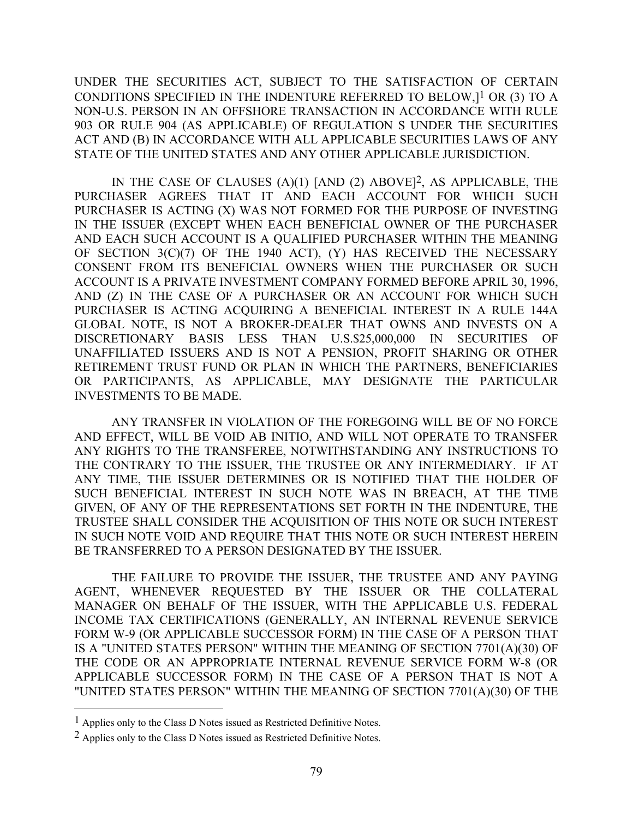UNDER THE SECURITIES ACT, SUBJECT TO THE SATISFACTION OF CERTAIN CONDITIONS SPECIFIED IN THE INDENTURE REFERRED TO BELOW,]1 OR (3) TO A NON-U.S. PERSON IN AN OFFSHORE TRANSACTION IN ACCORDANCE WITH RULE 903 OR RULE 904 (AS APPLICABLE) OF REGULATION S UNDER THE SECURITIES ACT AND (B) IN ACCORDANCE WITH ALL APPLICABLE SECURITIES LAWS OF ANY STATE OF THE UNITED STATES AND ANY OTHER APPLICABLE JURISDICTION.

IN THE CASE OF CLAUSES (A)(1) [AND (2) ABOVE]2, AS APPLICABLE, THE PURCHASER AGREES THAT IT AND EACH ACCOUNT FOR WHICH SUCH PURCHASER IS ACTING (X) WAS NOT FORMED FOR THE PURPOSE OF INVESTING IN THE ISSUER (EXCEPT WHEN EACH BENEFICIAL OWNER OF THE PURCHASER AND EACH SUCH ACCOUNT IS A QUALIFIED PURCHASER WITHIN THE MEANING OF SECTION 3(C)(7) OF THE 1940 ACT), (Y) HAS RECEIVED THE NECESSARY CONSENT FROM ITS BENEFICIAL OWNERS WHEN THE PURCHASER OR SUCH ACCOUNT IS A PRIVATE INVESTMENT COMPANY FORMED BEFORE APRIL 30, 1996, AND (Z) IN THE CASE OF A PURCHASER OR AN ACCOUNT FOR WHICH SUCH PURCHASER IS ACTING ACQUIRING A BENEFICIAL INTEREST IN A RULE 144A GLOBAL NOTE, IS NOT A BROKER-DEALER THAT OWNS AND INVESTS ON A DISCRETIONARY BASIS LESS THAN U.S.\$25,000,000 IN SECURITIES OF UNAFFILIATED ISSUERS AND IS NOT A PENSION, PROFIT SHARING OR OTHER RETIREMENT TRUST FUND OR PLAN IN WHICH THE PARTNERS, BENEFICIARIES OR PARTICIPANTS, AS APPLICABLE, MAY DESIGNATE THE PARTICULAR INVESTMENTS TO BE MADE.

ANY TRANSFER IN VIOLATION OF THE FOREGOING WILL BE OF NO FORCE AND EFFECT, WILL BE VOID AB INITIO, AND WILL NOT OPERATE TO TRANSFER ANY RIGHTS TO THE TRANSFEREE, NOTWITHSTANDING ANY INSTRUCTIONS TO THE CONTRARY TO THE ISSUER, THE TRUSTEE OR ANY INTERMEDIARY. IF AT ANY TIME, THE ISSUER DETERMINES OR IS NOTIFIED THAT THE HOLDER OF SUCH BENEFICIAL INTEREST IN SUCH NOTE WAS IN BREACH, AT THE TIME GIVEN, OF ANY OF THE REPRESENTATIONS SET FORTH IN THE INDENTURE, THE TRUSTEE SHALL CONSIDER THE ACQUISITION OF THIS NOTE OR SUCH INTEREST IN SUCH NOTE VOID AND REQUIRE THAT THIS NOTE OR SUCH INTEREST HEREIN BE TRANSFERRED TO A PERSON DESIGNATED BY THE ISSUER.

THE FAILURE TO PROVIDE THE ISSUER, THE TRUSTEE AND ANY PAYING AGENT, WHENEVER REQUESTED BY THE ISSUER OR THE COLLATERAL MANAGER ON BEHALF OF THE ISSUER, WITH THE APPLICABLE U.S. FEDERAL INCOME TAX CERTIFICATIONS (GENERALLY, AN INTERNAL REVENUE SERVICE FORM W-9 (OR APPLICABLE SUCCESSOR FORM) IN THE CASE OF A PERSON THAT IS A "UNITED STATES PERSON" WITHIN THE MEANING OF SECTION 7701(A)(30) OF THE CODE OR AN APPROPRIATE INTERNAL REVENUE SERVICE FORM W-8 (OR APPLICABLE SUCCESSOR FORM) IN THE CASE OF A PERSON THAT IS NOT A "UNITED STATES PERSON" WITHIN THE MEANING OF SECTION 7701(A)(30) OF THE

 $\overline{a}$ 

<sup>1</sup> Applies only to the Class D Notes issued as Restricted Definitive Notes.

<sup>2</sup> Applies only to the Class D Notes issued as Restricted Definitive Notes.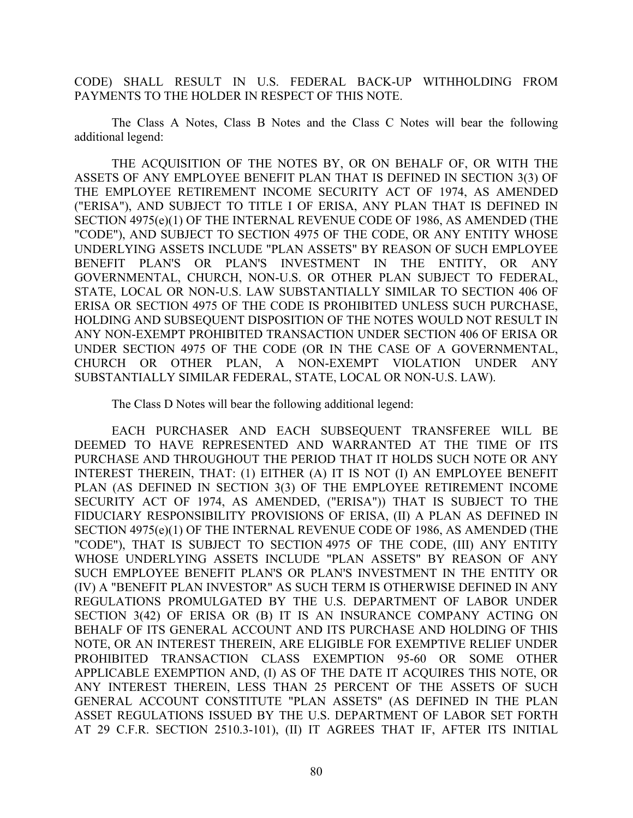CODE) SHALL RESULT IN U.S. FEDERAL BACK-UP WITHHOLDING FROM PAYMENTS TO THE HOLDER IN RESPECT OF THIS NOTE.

The Class A Notes, Class B Notes and the Class C Notes will bear the following additional legend:

THE ACQUISITION OF THE NOTES BY, OR ON BEHALF OF, OR WITH THE ASSETS OF ANY EMPLOYEE BENEFIT PLAN THAT IS DEFINED IN SECTION 3(3) OF THE EMPLOYEE RETIREMENT INCOME SECURITY ACT OF 1974, AS AMENDED ("ERISA"), AND SUBJECT TO TITLE I OF ERISA, ANY PLAN THAT IS DEFINED IN SECTION 4975(e)(1) OF THE INTERNAL REVENUE CODE OF 1986, AS AMENDED (THE "CODE"), AND SUBJECT TO SECTION 4975 OF THE CODE, OR ANY ENTITY WHOSE UNDERLYING ASSETS INCLUDE "PLAN ASSETS" BY REASON OF SUCH EMPLOYEE BENEFIT PLAN'S OR PLAN'S INVESTMENT IN THE ENTITY, OR ANY GOVERNMENTAL, CHURCH, NON-U.S. OR OTHER PLAN SUBJECT TO FEDERAL, STATE, LOCAL OR NON-U.S. LAW SUBSTANTIALLY SIMILAR TO SECTION 406 OF ERISA OR SECTION 4975 OF THE CODE IS PROHIBITED UNLESS SUCH PURCHASE, HOLDING AND SUBSEQUENT DISPOSITION OF THE NOTES WOULD NOT RESULT IN ANY NON-EXEMPT PROHIBITED TRANSACTION UNDER SECTION 406 OF ERISA OR UNDER SECTION 4975 OF THE CODE (OR IN THE CASE OF A GOVERNMENTAL, CHURCH OR OTHER PLAN, A NON-EXEMPT VIOLATION UNDER ANY SUBSTANTIALLY SIMILAR FEDERAL, STATE, LOCAL OR NON-U.S. LAW).

The Class D Notes will bear the following additional legend:

EACH PURCHASER AND EACH SUBSEQUENT TRANSFEREE WILL BE DEEMED TO HAVE REPRESENTED AND WARRANTED AT THE TIME OF ITS PURCHASE AND THROUGHOUT THE PERIOD THAT IT HOLDS SUCH NOTE OR ANY INTEREST THEREIN, THAT: (1) EITHER (A) IT IS NOT (I) AN EMPLOYEE BENEFIT PLAN (AS DEFINED IN SECTION 3(3) OF THE EMPLOYEE RETIREMENT INCOME SECURITY ACT OF 1974, AS AMENDED, ("ERISA")) THAT IS SUBJECT TO THE FIDUCIARY RESPONSIBILITY PROVISIONS OF ERISA, (II) A PLAN AS DEFINED IN SECTION 4975(e)(1) OF THE INTERNAL REVENUE CODE OF 1986, AS AMENDED (THE "CODE"), THAT IS SUBJECT TO SECTION 4975 OF THE CODE, (III) ANY ENTITY WHOSE UNDERLYING ASSETS INCLUDE "PLAN ASSETS" BY REASON OF ANY SUCH EMPLOYEE BENEFIT PLAN'S OR PLAN'S INVESTMENT IN THE ENTITY OR (IV) A "BENEFIT PLAN INVESTOR" AS SUCH TERM IS OTHERWISE DEFINED IN ANY REGULATIONS PROMULGATED BY THE U.S. DEPARTMENT OF LABOR UNDER SECTION 3(42) OF ERISA OR (B) IT IS AN INSURANCE COMPANY ACTING ON BEHALF OF ITS GENERAL ACCOUNT AND ITS PURCHASE AND HOLDING OF THIS NOTE, OR AN INTEREST THEREIN, ARE ELIGIBLE FOR EXEMPTIVE RELIEF UNDER PROHIBITED TRANSACTION CLASS EXEMPTION 95-60 OR SOME OTHER APPLICABLE EXEMPTION AND, (I) AS OF THE DATE IT ACQUIRES THIS NOTE, OR ANY INTEREST THEREIN, LESS THAN 25 PERCENT OF THE ASSETS OF SUCH GENERAL ACCOUNT CONSTITUTE "PLAN ASSETS" (AS DEFINED IN THE PLAN ASSET REGULATIONS ISSUED BY THE U.S. DEPARTMENT OF LABOR SET FORTH AT 29 C.F.R. SECTION 2510.3-101), (II) IT AGREES THAT IF, AFTER ITS INITIAL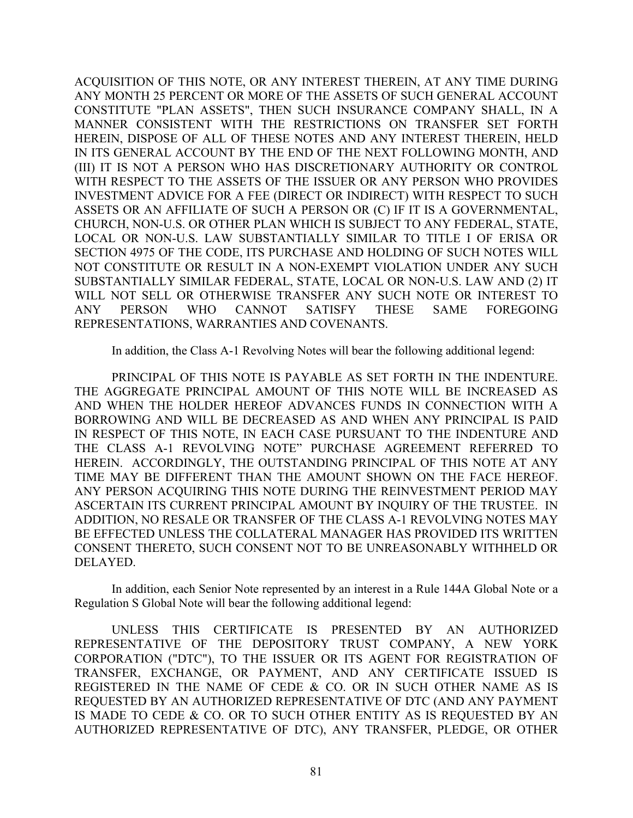ACQUISITION OF THIS NOTE, OR ANY INTEREST THEREIN, AT ANY TIME DURING ANY MONTH 25 PERCENT OR MORE OF THE ASSETS OF SUCH GENERAL ACCOUNT CONSTITUTE "PLAN ASSETS", THEN SUCH INSURANCE COMPANY SHALL, IN A MANNER CONSISTENT WITH THE RESTRICTIONS ON TRANSFER SET FORTH HEREIN, DISPOSE OF ALL OF THESE NOTES AND ANY INTEREST THEREIN, HELD IN ITS GENERAL ACCOUNT BY THE END OF THE NEXT FOLLOWING MONTH, AND (III) IT IS NOT A PERSON WHO HAS DISCRETIONARY AUTHORITY OR CONTROL WITH RESPECT TO THE ASSETS OF THE ISSUER OR ANY PERSON WHO PROVIDES INVESTMENT ADVICE FOR A FEE (DIRECT OR INDIRECT) WITH RESPECT TO SUCH ASSETS OR AN AFFILIATE OF SUCH A PERSON OR (C) IF IT IS A GOVERNMENTAL, CHURCH, NON-U.S. OR OTHER PLAN WHICH IS SUBJECT TO ANY FEDERAL, STATE, LOCAL OR NON-U.S. LAW SUBSTANTIALLY SIMILAR TO TITLE I OF ERISA OR SECTION 4975 OF THE CODE, ITS PURCHASE AND HOLDING OF SUCH NOTES WILL NOT CONSTITUTE OR RESULT IN A NON-EXEMPT VIOLATION UNDER ANY SUCH SUBSTANTIALLY SIMILAR FEDERAL, STATE, LOCAL OR NON-U.S. LAW AND (2) IT WILL NOT SELL OR OTHERWISE TRANSFER ANY SUCH NOTE OR INTEREST TO ANY PERSON WHO CANNOT SATISFY THESE SAME FOREGOING REPRESENTATIONS, WARRANTIES AND COVENANTS.

In addition, the Class A-1 Revolving Notes will bear the following additional legend:

PRINCIPAL OF THIS NOTE IS PAYABLE AS SET FORTH IN THE INDENTURE. THE AGGREGATE PRINCIPAL AMOUNT OF THIS NOTE WILL BE INCREASED AS AND WHEN THE HOLDER HEREOF ADVANCES FUNDS IN CONNECTION WITH A BORROWING AND WILL BE DECREASED AS AND WHEN ANY PRINCIPAL IS PAID IN RESPECT OF THIS NOTE, IN EACH CASE PURSUANT TO THE INDENTURE AND THE CLASS A-1 REVOLVING NOTE" PURCHASE AGREEMENT REFERRED TO HEREIN. ACCORDINGLY, THE OUTSTANDING PRINCIPAL OF THIS NOTE AT ANY TIME MAY BE DIFFERENT THAN THE AMOUNT SHOWN ON THE FACE HEREOF. ANY PERSON ACQUIRING THIS NOTE DURING THE REINVESTMENT PERIOD MAY ASCERTAIN ITS CURRENT PRINCIPAL AMOUNT BY INQUIRY OF THE TRUSTEE. IN ADDITION, NO RESALE OR TRANSFER OF THE CLASS A-1 REVOLVING NOTES MAY BE EFFECTED UNLESS THE COLLATERAL MANAGER HAS PROVIDED ITS WRITTEN CONSENT THERETO, SUCH CONSENT NOT TO BE UNREASONABLY WITHHELD OR DELAYED.

In addition, each Senior Note represented by an interest in a Rule 144A Global Note or a Regulation S Global Note will bear the following additional legend:

UNLESS THIS CERTIFICATE IS PRESENTED BY AN AUTHORIZED REPRESENTATIVE OF THE DEPOSITORY TRUST COMPANY, A NEW YORK CORPORATION ("DTC"), TO THE ISSUER OR ITS AGENT FOR REGISTRATION OF TRANSFER, EXCHANGE, OR PAYMENT, AND ANY CERTIFICATE ISSUED IS REGISTERED IN THE NAME OF CEDE & CO. OR IN SUCH OTHER NAME AS IS REQUESTED BY AN AUTHORIZED REPRESENTATIVE OF DTC (AND ANY PAYMENT IS MADE TO CEDE & CO. OR TO SUCH OTHER ENTITY AS IS REQUESTED BY AN AUTHORIZED REPRESENTATIVE OF DTC), ANY TRANSFER, PLEDGE, OR OTHER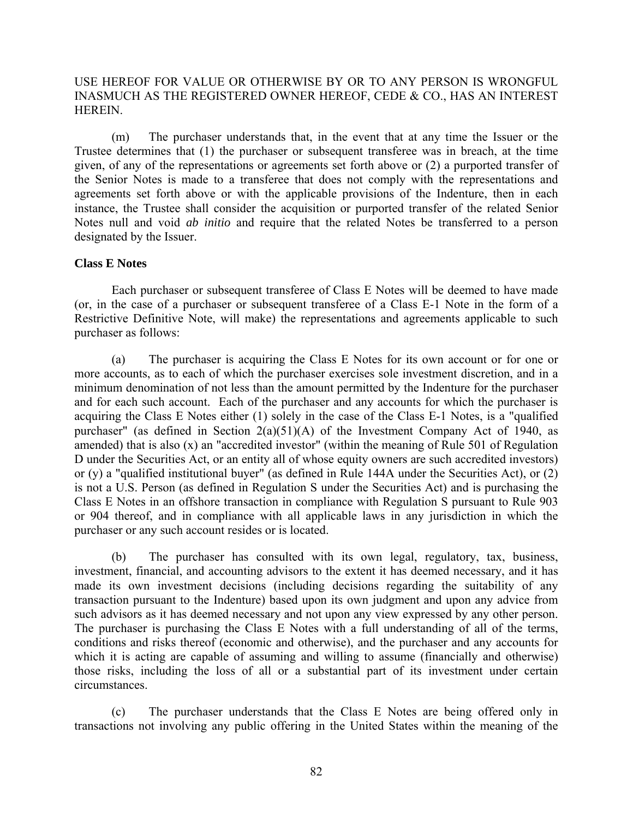# USE HEREOF FOR VALUE OR OTHERWISE BY OR TO ANY PERSON IS WRONGFUL INASMUCH AS THE REGISTERED OWNER HEREOF, CEDE & CO., HAS AN INTEREST HEREIN.

(m) The purchaser understands that, in the event that at any time the Issuer or the Trustee determines that (1) the purchaser or subsequent transferee was in breach, at the time given, of any of the representations or agreements set forth above or (2) a purported transfer of the Senior Notes is made to a transferee that does not comply with the representations and agreements set forth above or with the applicable provisions of the Indenture, then in each instance, the Trustee shall consider the acquisition or purported transfer of the related Senior Notes null and void *ab initio* and require that the related Notes be transferred to a person designated by the Issuer.

## **Class E Notes**

Each purchaser or subsequent transferee of Class E Notes will be deemed to have made (or, in the case of a purchaser or subsequent transferee of a Class E-1 Note in the form of a Restrictive Definitive Note, will make) the representations and agreements applicable to such purchaser as follows:

(a) The purchaser is acquiring the Class E Notes for its own account or for one or more accounts, as to each of which the purchaser exercises sole investment discretion, and in a minimum denomination of not less than the amount permitted by the Indenture for the purchaser and for each such account. Each of the purchaser and any accounts for which the purchaser is acquiring the Class E Notes either (1) solely in the case of the Class E-1 Notes, is a "qualified purchaser" (as defined in Section  $2(a)(51)(A)$  of the Investment Company Act of 1940, as amended) that is also (x) an "accredited investor" (within the meaning of Rule 501 of Regulation D under the Securities Act, or an entity all of whose equity owners are such accredited investors) or (y) a "qualified institutional buyer" (as defined in Rule 144A under the Securities Act), or (2) is not a U.S. Person (as defined in Regulation S under the Securities Act) and is purchasing the Class E Notes in an offshore transaction in compliance with Regulation S pursuant to Rule 903 or 904 thereof, and in compliance with all applicable laws in any jurisdiction in which the purchaser or any such account resides or is located.

(b) The purchaser has consulted with its own legal, regulatory, tax, business, investment, financial, and accounting advisors to the extent it has deemed necessary, and it has made its own investment decisions (including decisions regarding the suitability of any transaction pursuant to the Indenture) based upon its own judgment and upon any advice from such advisors as it has deemed necessary and not upon any view expressed by any other person. The purchaser is purchasing the Class E Notes with a full understanding of all of the terms, conditions and risks thereof (economic and otherwise), and the purchaser and any accounts for which it is acting are capable of assuming and willing to assume (financially and otherwise) those risks, including the loss of all or a substantial part of its investment under certain circumstances.

(c) The purchaser understands that the Class E Notes are being offered only in transactions not involving any public offering in the United States within the meaning of the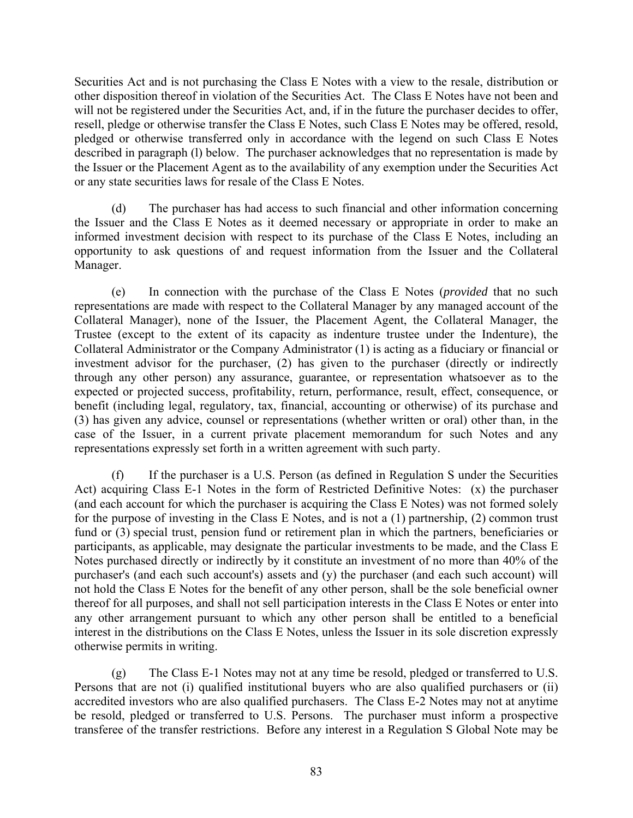Securities Act and is not purchasing the Class E Notes with a view to the resale, distribution or other disposition thereof in violation of the Securities Act. The Class E Notes have not been and will not be registered under the Securities Act, and, if in the future the purchaser decides to offer, resell, pledge or otherwise transfer the Class E Notes, such Class E Notes may be offered, resold, pledged or otherwise transferred only in accordance with the legend on such Class E Notes described in paragraph (l) below. The purchaser acknowledges that no representation is made by the Issuer or the Placement Agent as to the availability of any exemption under the Securities Act or any state securities laws for resale of the Class E Notes.

(d) The purchaser has had access to such financial and other information concerning the Issuer and the Class E Notes as it deemed necessary or appropriate in order to make an informed investment decision with respect to its purchase of the Class E Notes, including an opportunity to ask questions of and request information from the Issuer and the Collateral Manager.

(e) In connection with the purchase of the Class E Notes (*provided* that no such representations are made with respect to the Collateral Manager by any managed account of the Collateral Manager), none of the Issuer, the Placement Agent, the Collateral Manager, the Trustee (except to the extent of its capacity as indenture trustee under the Indenture), the Collateral Administrator or the Company Administrator (1) is acting as a fiduciary or financial or investment advisor for the purchaser, (2) has given to the purchaser (directly or indirectly through any other person) any assurance, guarantee, or representation whatsoever as to the expected or projected success, profitability, return, performance, result, effect, consequence, or benefit (including legal, regulatory, tax, financial, accounting or otherwise) of its purchase and (3) has given any advice, counsel or representations (whether written or oral) other than, in the case of the Issuer, in a current private placement memorandum for such Notes and any representations expressly set forth in a written agreement with such party.

(f) If the purchaser is a U.S. Person (as defined in Regulation S under the Securities Act) acquiring Class E-1 Notes in the form of Restricted Definitive Notes: (x) the purchaser (and each account for which the purchaser is acquiring the Class E Notes) was not formed solely for the purpose of investing in the Class E Notes, and is not a (1) partnership, (2) common trust fund or (3) special trust, pension fund or retirement plan in which the partners, beneficiaries or participants, as applicable, may designate the particular investments to be made, and the Class E Notes purchased directly or indirectly by it constitute an investment of no more than 40% of the purchaser's (and each such account's) assets and (y) the purchaser (and each such account) will not hold the Class E Notes for the benefit of any other person, shall be the sole beneficial owner thereof for all purposes, and shall not sell participation interests in the Class E Notes or enter into any other arrangement pursuant to which any other person shall be entitled to a beneficial interest in the distributions on the Class E Notes, unless the Issuer in its sole discretion expressly otherwise permits in writing.

(g) The Class E-1 Notes may not at any time be resold, pledged or transferred to U.S. Persons that are not (i) qualified institutional buyers who are also qualified purchasers or (ii) accredited investors who are also qualified purchasers. The Class E-2 Notes may not at anytime be resold, pledged or transferred to U.S. Persons. The purchaser must inform a prospective transferee of the transfer restrictions. Before any interest in a Regulation S Global Note may be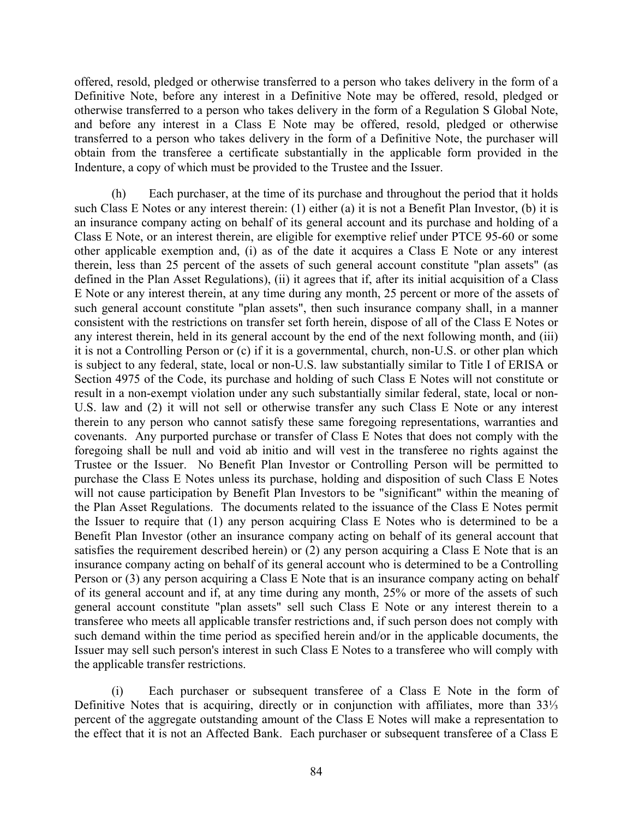offered, resold, pledged or otherwise transferred to a person who takes delivery in the form of a Definitive Note, before any interest in a Definitive Note may be offered, resold, pledged or otherwise transferred to a person who takes delivery in the form of a Regulation S Global Note, and before any interest in a Class E Note may be offered, resold, pledged or otherwise transferred to a person who takes delivery in the form of a Definitive Note, the purchaser will obtain from the transferee a certificate substantially in the applicable form provided in the Indenture, a copy of which must be provided to the Trustee and the Issuer.

(h) Each purchaser, at the time of its purchase and throughout the period that it holds such Class E Notes or any interest therein: (1) either (a) it is not a Benefit Plan Investor, (b) it is an insurance company acting on behalf of its general account and its purchase and holding of a Class E Note, or an interest therein, are eligible for exemptive relief under PTCE 95-60 or some other applicable exemption and, (i) as of the date it acquires a Class E Note or any interest therein, less than 25 percent of the assets of such general account constitute "plan assets" (as defined in the Plan Asset Regulations), (ii) it agrees that if, after its initial acquisition of a Class E Note or any interest therein, at any time during any month, 25 percent or more of the assets of such general account constitute "plan assets", then such insurance company shall, in a manner consistent with the restrictions on transfer set forth herein, dispose of all of the Class E Notes or any interest therein, held in its general account by the end of the next following month, and (iii) it is not a Controlling Person or (c) if it is a governmental, church, non-U.S. or other plan which is subject to any federal, state, local or non-U.S. law substantially similar to Title I of ERISA or Section 4975 of the Code, its purchase and holding of such Class E Notes will not constitute or result in a non-exempt violation under any such substantially similar federal, state, local or non-U.S. law and (2) it will not sell or otherwise transfer any such Class E Note or any interest therein to any person who cannot satisfy these same foregoing representations, warranties and covenants. Any purported purchase or transfer of Class E Notes that does not comply with the foregoing shall be null and void ab initio and will vest in the transferee no rights against the Trustee or the Issuer. No Benefit Plan Investor or Controlling Person will be permitted to purchase the Class E Notes unless its purchase, holding and disposition of such Class E Notes will not cause participation by Benefit Plan Investors to be "significant" within the meaning of the Plan Asset Regulations. The documents related to the issuance of the Class E Notes permit the Issuer to require that (1) any person acquiring Class E Notes who is determined to be a Benefit Plan Investor (other an insurance company acting on behalf of its general account that satisfies the requirement described herein) or (2) any person acquiring a Class E Note that is an insurance company acting on behalf of its general account who is determined to be a Controlling Person or (3) any person acquiring a Class E Note that is an insurance company acting on behalf of its general account and if, at any time during any month, 25% or more of the assets of such general account constitute "plan assets" sell such Class E Note or any interest therein to a transferee who meets all applicable transfer restrictions and, if such person does not comply with such demand within the time period as specified herein and/or in the applicable documents, the Issuer may sell such person's interest in such Class E Notes to a transferee who will comply with the applicable transfer restrictions.

(i) Each purchaser or subsequent transferee of a Class E Note in the form of Definitive Notes that is acquiring, directly or in conjunction with affiliates, more than 33⅓ percent of the aggregate outstanding amount of the Class E Notes will make a representation to the effect that it is not an Affected Bank. Each purchaser or subsequent transferee of a Class E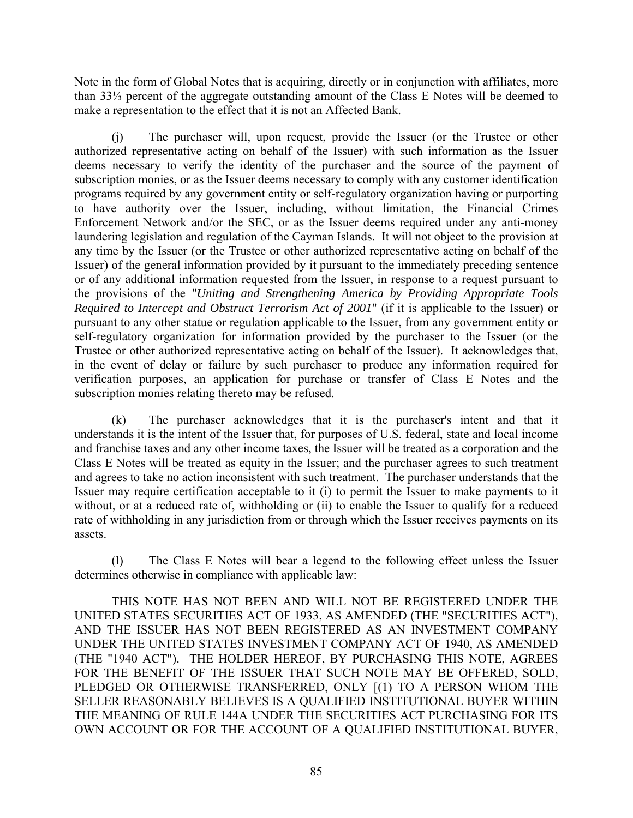Note in the form of Global Notes that is acquiring, directly or in conjunction with affiliates, more than 33⅓ percent of the aggregate outstanding amount of the Class E Notes will be deemed to make a representation to the effect that it is not an Affected Bank.

(j) The purchaser will, upon request, provide the Issuer (or the Trustee or other authorized representative acting on behalf of the Issuer) with such information as the Issuer deems necessary to verify the identity of the purchaser and the source of the payment of subscription monies, or as the Issuer deems necessary to comply with any customer identification programs required by any government entity or self-regulatory organization having or purporting to have authority over the Issuer, including, without limitation, the Financial Crimes Enforcement Network and/or the SEC, or as the Issuer deems required under any anti-money laundering legislation and regulation of the Cayman Islands. It will not object to the provision at any time by the Issuer (or the Trustee or other authorized representative acting on behalf of the Issuer) of the general information provided by it pursuant to the immediately preceding sentence or of any additional information requested from the Issuer, in response to a request pursuant to the provisions of the "*Uniting and Strengthening America by Providing Appropriate Tools Required to Intercept and Obstruct Terrorism Act of 2001*" (if it is applicable to the Issuer) or pursuant to any other statue or regulation applicable to the Issuer, from any government entity or self-regulatory organization for information provided by the purchaser to the Issuer (or the Trustee or other authorized representative acting on behalf of the Issuer). It acknowledges that, in the event of delay or failure by such purchaser to produce any information required for verification purposes, an application for purchase or transfer of Class E Notes and the subscription monies relating thereto may be refused.

(k) The purchaser acknowledges that it is the purchaser's intent and that it understands it is the intent of the Issuer that, for purposes of U.S. federal, state and local income and franchise taxes and any other income taxes, the Issuer will be treated as a corporation and the Class E Notes will be treated as equity in the Issuer; and the purchaser agrees to such treatment and agrees to take no action inconsistent with such treatment. The purchaser understands that the Issuer may require certification acceptable to it (i) to permit the Issuer to make payments to it without, or at a reduced rate of, withholding or (ii) to enable the Issuer to qualify for a reduced rate of withholding in any jurisdiction from or through which the Issuer receives payments on its assets.

(l) The Class E Notes will bear a legend to the following effect unless the Issuer determines otherwise in compliance with applicable law:

THIS NOTE HAS NOT BEEN AND WILL NOT BE REGISTERED UNDER THE UNITED STATES SECURITIES ACT OF 1933, AS AMENDED (THE "SECURITIES ACT"), AND THE ISSUER HAS NOT BEEN REGISTERED AS AN INVESTMENT COMPANY UNDER THE UNITED STATES INVESTMENT COMPANY ACT OF 1940, AS AMENDED (THE "1940 ACT"). THE HOLDER HEREOF, BY PURCHASING THIS NOTE, AGREES FOR THE BENEFIT OF THE ISSUER THAT SUCH NOTE MAY BE OFFERED, SOLD, PLEDGED OR OTHERWISE TRANSFERRED, ONLY [(1) TO A PERSON WHOM THE SELLER REASONABLY BELIEVES IS A QUALIFIED INSTITUTIONAL BUYER WITHIN THE MEANING OF RULE 144A UNDER THE SECURITIES ACT PURCHASING FOR ITS OWN ACCOUNT OR FOR THE ACCOUNT OF A QUALIFIED INSTITUTIONAL BUYER,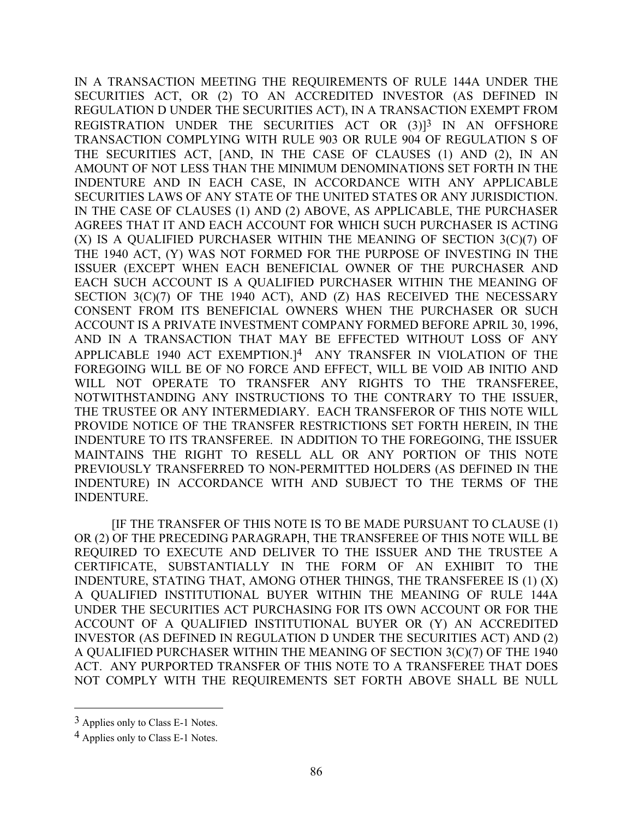IN A TRANSACTION MEETING THE REQUIREMENTS OF RULE 144A UNDER THE SECURITIES ACT, OR (2) TO AN ACCREDITED INVESTOR (AS DEFINED IN REGULATION D UNDER THE SECURITIES ACT), IN A TRANSACTION EXEMPT FROM REGISTRATION UNDER THE SECURITIES ACT OR (3)<sup>13</sup> IN AN OFFSHORE TRANSACTION COMPLYING WITH RULE 903 OR RULE 904 OF REGULATION S OF THE SECURITIES ACT, [AND, IN THE CASE OF CLAUSES (1) AND (2), IN AN AMOUNT OF NOT LESS THAN THE MINIMUM DENOMINATIONS SET FORTH IN THE INDENTURE AND IN EACH CASE, IN ACCORDANCE WITH ANY APPLICABLE SECURITIES LAWS OF ANY STATE OF THE UNITED STATES OR ANY JURISDICTION. IN THE CASE OF CLAUSES (1) AND (2) ABOVE, AS APPLICABLE, THE PURCHASER AGREES THAT IT AND EACH ACCOUNT FOR WHICH SUCH PURCHASER IS ACTING (X) IS A QUALIFIED PURCHASER WITHIN THE MEANING OF SECTION 3(C)(7) OF THE 1940 ACT, (Y) WAS NOT FORMED FOR THE PURPOSE OF INVESTING IN THE ISSUER (EXCEPT WHEN EACH BENEFICIAL OWNER OF THE PURCHASER AND EACH SUCH ACCOUNT IS A QUALIFIED PURCHASER WITHIN THE MEANING OF SECTION 3(C)(7) OF THE 1940 ACT), AND (Z) HAS RECEIVED THE NECESSARY CONSENT FROM ITS BENEFICIAL OWNERS WHEN THE PURCHASER OR SUCH ACCOUNT IS A PRIVATE INVESTMENT COMPANY FORMED BEFORE APRIL 30, 1996, AND IN A TRANSACTION THAT MAY BE EFFECTED WITHOUT LOSS OF ANY APPLICABLE 1940 ACT EXEMPTION.]4 ANY TRANSFER IN VIOLATION OF THE FOREGOING WILL BE OF NO FORCE AND EFFECT, WILL BE VOID AB INITIO AND WILL NOT OPERATE TO TRANSFER ANY RIGHTS TO THE TRANSFEREE, NOTWITHSTANDING ANY INSTRUCTIONS TO THE CONTRARY TO THE ISSUER, THE TRUSTEE OR ANY INTERMEDIARY. EACH TRANSFEROR OF THIS NOTE WILL PROVIDE NOTICE OF THE TRANSFER RESTRICTIONS SET FORTH HEREIN, IN THE INDENTURE TO ITS TRANSFEREE. IN ADDITION TO THE FOREGOING, THE ISSUER MAINTAINS THE RIGHT TO RESELL ALL OR ANY PORTION OF THIS NOTE PREVIOUSLY TRANSFERRED TO NON-PERMITTED HOLDERS (AS DEFINED IN THE INDENTURE) IN ACCORDANCE WITH AND SUBJECT TO THE TERMS OF THE INDENTURE.

[IF THE TRANSFER OF THIS NOTE IS TO BE MADE PURSUANT TO CLAUSE (1) OR (2) OF THE PRECEDING PARAGRAPH, THE TRANSFEREE OF THIS NOTE WILL BE REQUIRED TO EXECUTE AND DELIVER TO THE ISSUER AND THE TRUSTEE A CERTIFICATE, SUBSTANTIALLY IN THE FORM OF AN EXHIBIT TO THE INDENTURE, STATING THAT, AMONG OTHER THINGS, THE TRANSFEREE IS (1) (X) A QUALIFIED INSTITUTIONAL BUYER WITHIN THE MEANING OF RULE 144A UNDER THE SECURITIES ACT PURCHASING FOR ITS OWN ACCOUNT OR FOR THE ACCOUNT OF A QUALIFIED INSTITUTIONAL BUYER OR (Y) AN ACCREDITED INVESTOR (AS DEFINED IN REGULATION D UNDER THE SECURITIES ACT) AND (2) A QUALIFIED PURCHASER WITHIN THE MEANING OF SECTION 3(C)(7) OF THE 1940 ACT. ANY PURPORTED TRANSFER OF THIS NOTE TO A TRANSFEREE THAT DOES NOT COMPLY WITH THE REQUIREMENTS SET FORTH ABOVE SHALL BE NULL

 $\overline{a}$ 

<sup>3</sup> Applies only to Class E-1 Notes.

<sup>4</sup> Applies only to Class E-1 Notes.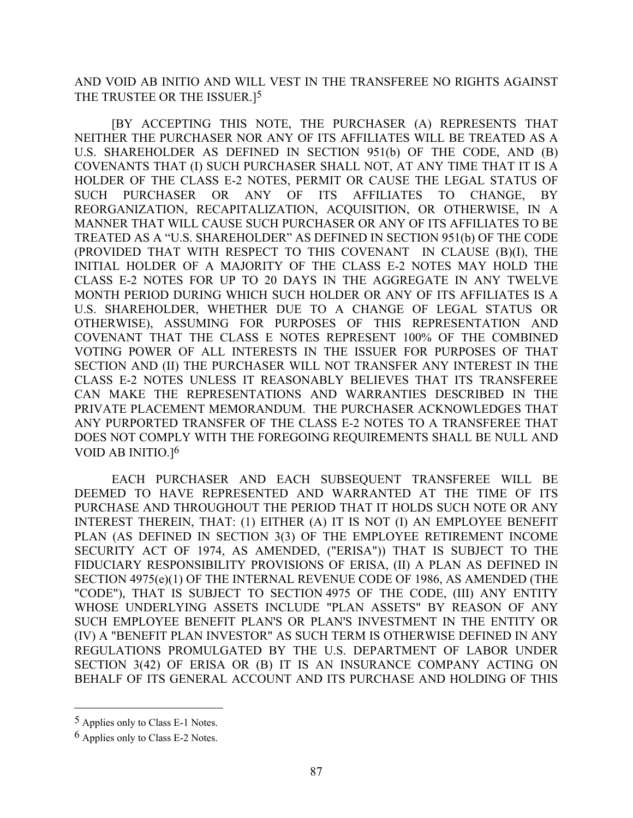AND VOID AB INITIO AND WILL VEST IN THE TRANSFEREE NO RIGHTS AGAINST THE TRUSTEE OR THE ISSUER.<sup>[5]</sup>

[BY ACCEPTING THIS NOTE, THE PURCHASER (A) REPRESENTS THAT NEITHER THE PURCHASER NOR ANY OF ITS AFFILIATES WILL BE TREATED AS A U.S. SHAREHOLDER AS DEFINED IN SECTION 951(b) OF THE CODE, AND (B) COVENANTS THAT (I) SUCH PURCHASER SHALL NOT, AT ANY TIME THAT IT IS A HOLDER OF THE CLASS E-2 NOTES, PERMIT OR CAUSE THE LEGAL STATUS OF SUCH PURCHASER OR ANY OF ITS AFFILIATES TO CHANGE, BY REORGANIZATION, RECAPITALIZATION, ACQUISITION, OR OTHERWISE, IN A MANNER THAT WILL CAUSE SUCH PURCHASER OR ANY OF ITS AFFILIATES TO BE TREATED AS A "U.S. SHAREHOLDER" AS DEFINED IN SECTION 951(b) OF THE CODE (PROVIDED THAT WITH RESPECT TO THIS COVENANT IN CLAUSE (B)(I), THE INITIAL HOLDER OF A MAJORITY OF THE CLASS E-2 NOTES MAY HOLD THE CLASS E-2 NOTES FOR UP TO 20 DAYS IN THE AGGREGATE IN ANY TWELVE MONTH PERIOD DURING WHICH SUCH HOLDER OR ANY OF ITS AFFILIATES IS A U.S. SHAREHOLDER, WHETHER DUE TO A CHANGE OF LEGAL STATUS OR OTHERWISE), ASSUMING FOR PURPOSES OF THIS REPRESENTATION AND COVENANT THAT THE CLASS E NOTES REPRESENT 100% OF THE COMBINED VOTING POWER OF ALL INTERESTS IN THE ISSUER FOR PURPOSES OF THAT SECTION AND (II) THE PURCHASER WILL NOT TRANSFER ANY INTEREST IN THE CLASS E-2 NOTES UNLESS IT REASONABLY BELIEVES THAT ITS TRANSFEREE CAN MAKE THE REPRESENTATIONS AND WARRANTIES DESCRIBED IN THE PRIVATE PLACEMENT MEMORANDUM. THE PURCHASER ACKNOWLEDGES THAT ANY PURPORTED TRANSFER OF THE CLASS E-2 NOTES TO A TRANSFEREE THAT DOES NOT COMPLY WITH THE FOREGOING REQUIREMENTS SHALL BE NULL AND VOID AB INITIO.]6

EACH PURCHASER AND EACH SUBSEQUENT TRANSFEREE WILL BE DEEMED TO HAVE REPRESENTED AND WARRANTED AT THE TIME OF ITS PURCHASE AND THROUGHOUT THE PERIOD THAT IT HOLDS SUCH NOTE OR ANY INTEREST THEREIN, THAT: (1) EITHER (A) IT IS NOT (I) AN EMPLOYEE BENEFIT PLAN (AS DEFINED IN SECTION 3(3) OF THE EMPLOYEE RETIREMENT INCOME SECURITY ACT OF 1974, AS AMENDED, ("ERISA")) THAT IS SUBJECT TO THE FIDUCIARY RESPONSIBILITY PROVISIONS OF ERISA, (II) A PLAN AS DEFINED IN SECTION 4975(e)(1) OF THE INTERNAL REVENUE CODE OF 1986, AS AMENDED (THE "CODE"), THAT IS SUBJECT TO SECTION 4975 OF THE CODE, (III) ANY ENTITY WHOSE UNDERLYING ASSETS INCLUDE "PLAN ASSETS" BY REASON OF ANY SUCH EMPLOYEE BENEFIT PLAN'S OR PLAN'S INVESTMENT IN THE ENTITY OR (IV) A "BENEFIT PLAN INVESTOR" AS SUCH TERM IS OTHERWISE DEFINED IN ANY REGULATIONS PROMULGATED BY THE U.S. DEPARTMENT OF LABOR UNDER SECTION 3(42) OF ERISA OR (B) IT IS AN INSURANCE COMPANY ACTING ON BEHALF OF ITS GENERAL ACCOUNT AND ITS PURCHASE AND HOLDING OF THIS

 $\overline{a}$ 

<sup>5</sup> Applies only to Class E-1 Notes.

<sup>6</sup> Applies only to Class E-2 Notes.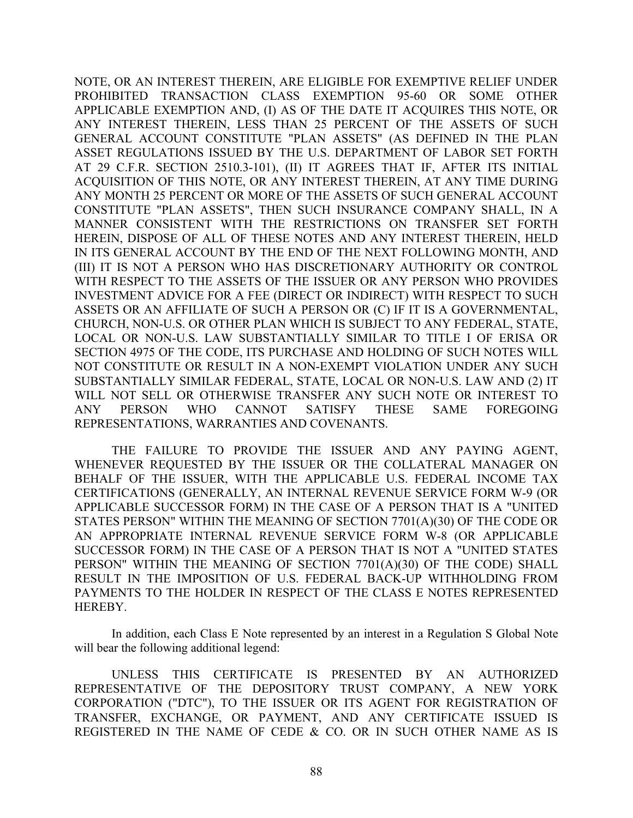NOTE, OR AN INTEREST THEREIN, ARE ELIGIBLE FOR EXEMPTIVE RELIEF UNDER PROHIBITED TRANSACTION CLASS EXEMPTION 95-60 OR SOME OTHER APPLICABLE EXEMPTION AND, (I) AS OF THE DATE IT ACQUIRES THIS NOTE, OR ANY INTEREST THEREIN, LESS THAN 25 PERCENT OF THE ASSETS OF SUCH GENERAL ACCOUNT CONSTITUTE "PLAN ASSETS" (AS DEFINED IN THE PLAN ASSET REGULATIONS ISSUED BY THE U.S. DEPARTMENT OF LABOR SET FORTH AT 29 C.F.R. SECTION 2510.3-101), (II) IT AGREES THAT IF, AFTER ITS INITIAL ACQUISITION OF THIS NOTE, OR ANY INTEREST THEREIN, AT ANY TIME DURING ANY MONTH 25 PERCENT OR MORE OF THE ASSETS OF SUCH GENERAL ACCOUNT CONSTITUTE "PLAN ASSETS", THEN SUCH INSURANCE COMPANY SHALL, IN A MANNER CONSISTENT WITH THE RESTRICTIONS ON TRANSFER SET FORTH HEREIN, DISPOSE OF ALL OF THESE NOTES AND ANY INTEREST THEREIN, HELD IN ITS GENERAL ACCOUNT BY THE END OF THE NEXT FOLLOWING MONTH, AND (III) IT IS NOT A PERSON WHO HAS DISCRETIONARY AUTHORITY OR CONTROL WITH RESPECT TO THE ASSETS OF THE ISSUER OR ANY PERSON WHO PROVIDES INVESTMENT ADVICE FOR A FEE (DIRECT OR INDIRECT) WITH RESPECT TO SUCH ASSETS OR AN AFFILIATE OF SUCH A PERSON OR (C) IF IT IS A GOVERNMENTAL, CHURCH, NON-U.S. OR OTHER PLAN WHICH IS SUBJECT TO ANY FEDERAL, STATE, LOCAL OR NON-U.S. LAW SUBSTANTIALLY SIMILAR TO TITLE I OF ERISA OR SECTION 4975 OF THE CODE, ITS PURCHASE AND HOLDING OF SUCH NOTES WILL NOT CONSTITUTE OR RESULT IN A NON-EXEMPT VIOLATION UNDER ANY SUCH SUBSTANTIALLY SIMILAR FEDERAL, STATE, LOCAL OR NON-U.S. LAW AND (2) IT WILL NOT SELL OR OTHERWISE TRANSFER ANY SUCH NOTE OR INTEREST TO ANY PERSON WHO CANNOT SATISFY THESE SAME FOREGOING REPRESENTATIONS, WARRANTIES AND COVENANTS.

THE FAILURE TO PROVIDE THE ISSUER AND ANY PAYING AGENT, WHENEVER REQUESTED BY THE ISSUER OR THE COLLATERAL MANAGER ON BEHALF OF THE ISSUER, WITH THE APPLICABLE U.S. FEDERAL INCOME TAX CERTIFICATIONS (GENERALLY, AN INTERNAL REVENUE SERVICE FORM W-9 (OR APPLICABLE SUCCESSOR FORM) IN THE CASE OF A PERSON THAT IS A "UNITED STATES PERSON" WITHIN THE MEANING OF SECTION 7701(A)(30) OF THE CODE OR AN APPROPRIATE INTERNAL REVENUE SERVICE FORM W-8 (OR APPLICABLE SUCCESSOR FORM) IN THE CASE OF A PERSON THAT IS NOT A "UNITED STATES PERSON" WITHIN THE MEANING OF SECTION 7701(A)(30) OF THE CODE) SHALL RESULT IN THE IMPOSITION OF U.S. FEDERAL BACK-UP WITHHOLDING FROM PAYMENTS TO THE HOLDER IN RESPECT OF THE CLASS E NOTES REPRESENTED HEREBY.

In addition, each Class E Note represented by an interest in a Regulation S Global Note will bear the following additional legend:

UNLESS THIS CERTIFICATE IS PRESENTED BY AN AUTHORIZED REPRESENTATIVE OF THE DEPOSITORY TRUST COMPANY, A NEW YORK CORPORATION ("DTC"), TO THE ISSUER OR ITS AGENT FOR REGISTRATION OF TRANSFER, EXCHANGE, OR PAYMENT, AND ANY CERTIFICATE ISSUED IS REGISTERED IN THE NAME OF CEDE & CO. OR IN SUCH OTHER NAME AS IS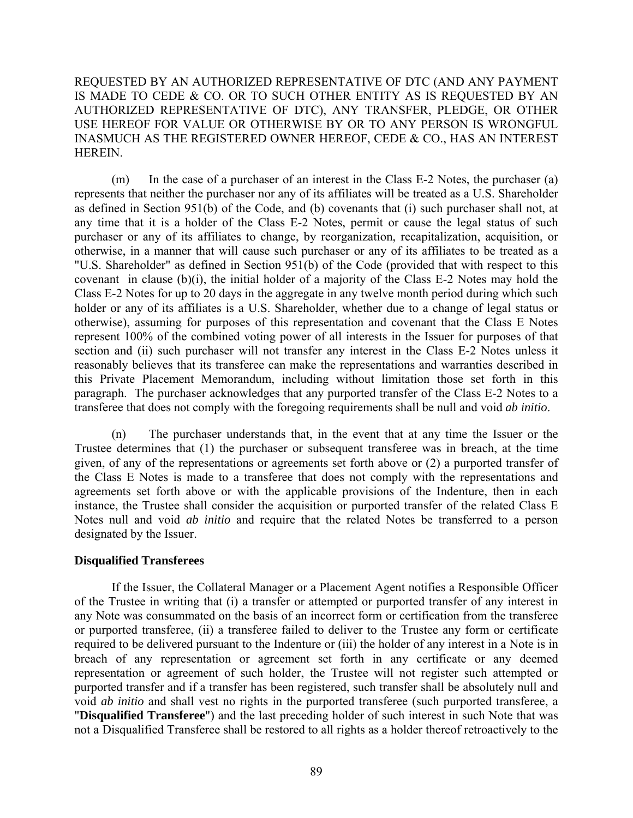REQUESTED BY AN AUTHORIZED REPRESENTATIVE OF DTC (AND ANY PAYMENT IS MADE TO CEDE & CO. OR TO SUCH OTHER ENTITY AS IS REQUESTED BY AN AUTHORIZED REPRESENTATIVE OF DTC), ANY TRANSFER, PLEDGE, OR OTHER USE HEREOF FOR VALUE OR OTHERWISE BY OR TO ANY PERSON IS WRONGFUL INASMUCH AS THE REGISTERED OWNER HEREOF, CEDE & CO., HAS AN INTEREST HEREIN.

(m) In the case of a purchaser of an interest in the Class E-2 Notes, the purchaser (a) represents that neither the purchaser nor any of its affiliates will be treated as a U.S. Shareholder as defined in Section 951(b) of the Code, and (b) covenants that (i) such purchaser shall not, at any time that it is a holder of the Class E-2 Notes, permit or cause the legal status of such purchaser or any of its affiliates to change, by reorganization, recapitalization, acquisition, or otherwise, in a manner that will cause such purchaser or any of its affiliates to be treated as a "U.S. Shareholder" as defined in Section 951(b) of the Code (provided that with respect to this covenant in clause (b)(i), the initial holder of a majority of the Class E-2 Notes may hold the Class E-2 Notes for up to 20 days in the aggregate in any twelve month period during which such holder or any of its affiliates is a U.S. Shareholder, whether due to a change of legal status or otherwise), assuming for purposes of this representation and covenant that the Class E Notes represent 100% of the combined voting power of all interests in the Issuer for purposes of that section and (ii) such purchaser will not transfer any interest in the Class E-2 Notes unless it reasonably believes that its transferee can make the representations and warranties described in this Private Placement Memorandum, including without limitation those set forth in this paragraph. The purchaser acknowledges that any purported transfer of the Class E-2 Notes to a transferee that does not comply with the foregoing requirements shall be null and void *ab initio*.

(n) The purchaser understands that, in the event that at any time the Issuer or the Trustee determines that (1) the purchaser or subsequent transferee was in breach, at the time given, of any of the representations or agreements set forth above or (2) a purported transfer of the Class E Notes is made to a transferee that does not comply with the representations and agreements set forth above or with the applicable provisions of the Indenture, then in each instance, the Trustee shall consider the acquisition or purported transfer of the related Class E Notes null and void *ab initio* and require that the related Notes be transferred to a person designated by the Issuer.

# **Disqualified Transferees**

If the Issuer, the Collateral Manager or a Placement Agent notifies a Responsible Officer of the Trustee in writing that (i) a transfer or attempted or purported transfer of any interest in any Note was consummated on the basis of an incorrect form or certification from the transferee or purported transferee, (ii) a transferee failed to deliver to the Trustee any form or certificate required to be delivered pursuant to the Indenture or (iii) the holder of any interest in a Note is in breach of any representation or agreement set forth in any certificate or any deemed representation or agreement of such holder, the Trustee will not register such attempted or purported transfer and if a transfer has been registered, such transfer shall be absolutely null and void *ab initio* and shall vest no rights in the purported transferee (such purported transferee, a "**Disqualified Transferee**") and the last preceding holder of such interest in such Note that was not a Disqualified Transferee shall be restored to all rights as a holder thereof retroactively to the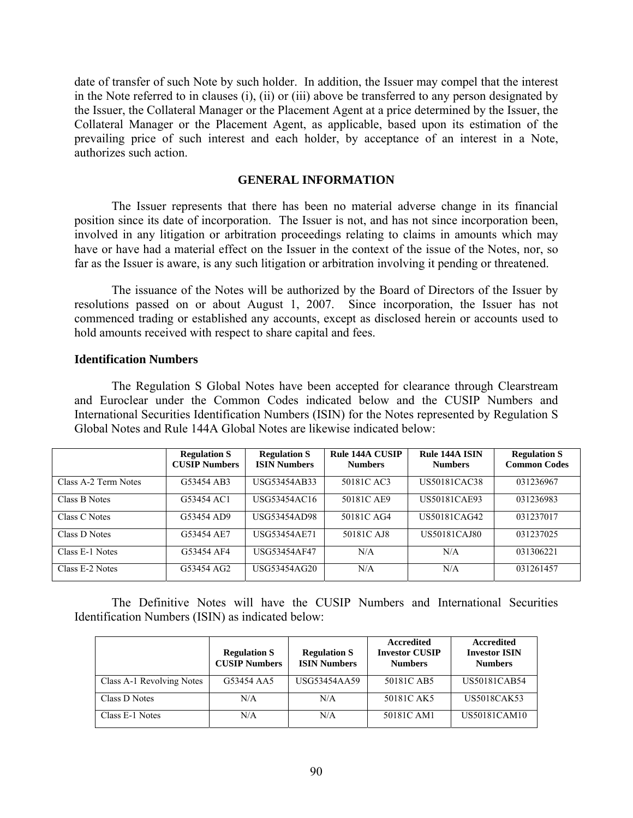date of transfer of such Note by such holder. In addition, the Issuer may compel that the interest in the Note referred to in clauses (i), (ii) or (iii) above be transferred to any person designated by the Issuer, the Collateral Manager or the Placement Agent at a price determined by the Issuer, the Collateral Manager or the Placement Agent, as applicable, based upon its estimation of the prevailing price of such interest and each holder, by acceptance of an interest in a Note, authorizes such action.

## **GENERAL INFORMATION**

The Issuer represents that there has been no material adverse change in its financial position since its date of incorporation. The Issuer is not, and has not since incorporation been, involved in any litigation or arbitration proceedings relating to claims in amounts which may have or have had a material effect on the Issuer in the context of the issue of the Notes, nor, so far as the Issuer is aware, is any such litigation or arbitration involving it pending or threatened.

The issuance of the Notes will be authorized by the Board of Directors of the Issuer by resolutions passed on or about August 1, 2007. Since incorporation, the Issuer has not commenced trading or established any accounts, except as disclosed herein or accounts used to hold amounts received with respect to share capital and fees.

## **Identification Numbers**

The Regulation S Global Notes have been accepted for clearance through Clearstream and Euroclear under the Common Codes indicated below and the CUSIP Numbers and International Securities Identification Numbers (ISIN) for the Notes represented by Regulation S Global Notes and Rule 144A Global Notes are likewise indicated below:

|                      | <b>Regulation S</b><br><b>CUSIP Numbers</b> | <b>Regulation S</b><br><b>ISIN Numbers</b> | Rule 144A CUSIP<br><b>Numbers</b> | Rule 144A ISIN<br><b>Numbers</b> | <b>Regulation S</b><br><b>Common Codes</b> |
|----------------------|---------------------------------------------|--------------------------------------------|-----------------------------------|----------------------------------|--------------------------------------------|
| Class A-2 Term Notes | G53454 AB3                                  | USG53454AB33                               | 50181C AC3                        | US50181CAC38                     | 031236967                                  |
| Class B Notes        | G53454 AC1                                  | USG53454AC16                               | 50181C AE9                        | <b>US50181CAE93</b>              | 031236983                                  |
| Class C Notes        | G53454 AD9                                  | <b>USG53454AD98</b>                        | 50181C AG4                        | US50181CAG42                     | 031237017                                  |
| Class D Notes        | G53454 AE7                                  | <b>USG53454AE71</b>                        | 50181C AJ8                        | US50181CAJ80                     | 031237025                                  |
| Class E-1 Notes      | G53454 AF4                                  | <b>USG53454AF47</b>                        | N/A                               | N/A                              | 031306221                                  |
| Class E-2 Notes      | G53454 AG2                                  | USG53454AG20                               | N/A                               | N/A                              | 031261457                                  |

The Definitive Notes will have the CUSIP Numbers and International Securities Identification Numbers (ISIN) as indicated below:

|                           | <b>Regulation S</b><br><b>CUSIP Numbers</b> | <b>Regulation S</b><br><b>ISIN Numbers</b> | Accredited<br><b>Investor CUSIP</b><br><b>Numbers</b> | <b>Accredited</b><br><b>Investor ISIN</b><br><b>Numbers</b> |
|---------------------------|---------------------------------------------|--------------------------------------------|-------------------------------------------------------|-------------------------------------------------------------|
| Class A-1 Revolving Notes | G53454 AA5                                  | USG53454AA59                               | 50181C AB5                                            | <b>US50181CAB54</b>                                         |
| Class D Notes             | N/A                                         | N/A                                        | 50181C AK5                                            | <b>US5018CAK53</b>                                          |
| Class E-1 Notes           | N/A                                         | N/A                                        | 50181C AM1                                            | US50181CAM10                                                |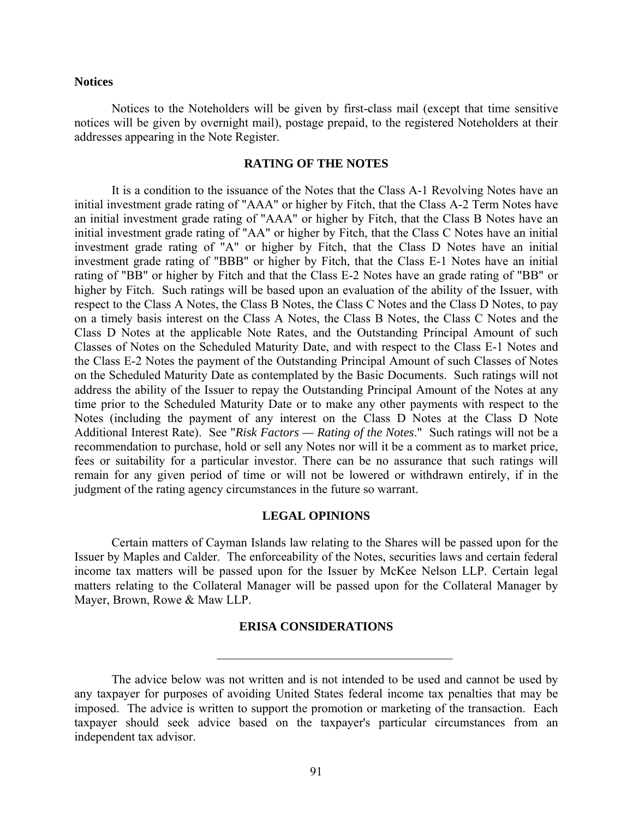### **Notices**

Notices to the Noteholders will be given by first-class mail (except that time sensitive notices will be given by overnight mail), postage prepaid, to the registered Noteholders at their addresses appearing in the Note Register.

#### **RATING OF THE NOTES**

It is a condition to the issuance of the Notes that the Class A-1 Revolving Notes have an initial investment grade rating of "AAA" or higher by Fitch, that the Class A-2 Term Notes have an initial investment grade rating of "AAA" or higher by Fitch, that the Class B Notes have an initial investment grade rating of "AA" or higher by Fitch, that the Class C Notes have an initial investment grade rating of "A" or higher by Fitch, that the Class D Notes have an initial investment grade rating of "BBB" or higher by Fitch, that the Class E-1 Notes have an initial rating of "BB" or higher by Fitch and that the Class E-2 Notes have an grade rating of "BB" or higher by Fitch. Such ratings will be based upon an evaluation of the ability of the Issuer, with respect to the Class A Notes, the Class B Notes, the Class C Notes and the Class D Notes, to pay on a timely basis interest on the Class A Notes, the Class B Notes, the Class C Notes and the Class D Notes at the applicable Note Rates, and the Outstanding Principal Amount of such Classes of Notes on the Scheduled Maturity Date, and with respect to the Class E-1 Notes and the Class E-2 Notes the payment of the Outstanding Principal Amount of such Classes of Notes on the Scheduled Maturity Date as contemplated by the Basic Documents. Such ratings will not address the ability of the Issuer to repay the Outstanding Principal Amount of the Notes at any time prior to the Scheduled Maturity Date or to make any other payments with respect to the Notes (including the payment of any interest on the Class D Notes at the Class D Note Additional Interest Rate). See "*Risk Factors — Rating of the Notes*." Such ratings will not be a recommendation to purchase, hold or sell any Notes nor will it be a comment as to market price, fees or suitability for a particular investor. There can be no assurance that such ratings will remain for any given period of time or will not be lowered or withdrawn entirely, if in the judgment of the rating agency circumstances in the future so warrant.

### **LEGAL OPINIONS**

Certain matters of Cayman Islands law relating to the Shares will be passed upon for the Issuer by Maples and Calder. The enforceability of the Notes, securities laws and certain federal income tax matters will be passed upon for the Issuer by McKee Nelson LLP. Certain legal matters relating to the Collateral Manager will be passed upon for the Collateral Manager by Mayer, Brown, Rowe & Maw LLP.

### **ERISA CONSIDERATIONS**

 $\mathcal{L}_\text{max}$  and  $\mathcal{L}_\text{max}$  and  $\mathcal{L}_\text{max}$  and  $\mathcal{L}_\text{max}$ 

The advice below was not written and is not intended to be used and cannot be used by any taxpayer for purposes of avoiding United States federal income tax penalties that may be imposed. The advice is written to support the promotion or marketing of the transaction. Each taxpayer should seek advice based on the taxpayer's particular circumstances from an independent tax advisor.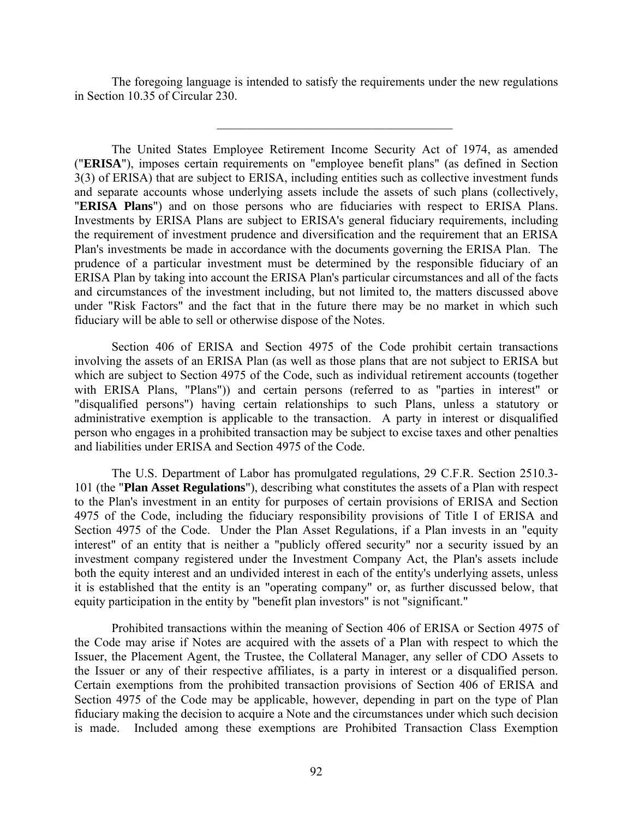The foregoing language is intended to satisfy the requirements under the new regulations in Section 10.35 of Circular 230.

 $\mathcal{L}_\text{max}$  and  $\mathcal{L}_\text{max}$  and  $\mathcal{L}_\text{max}$  and  $\mathcal{L}_\text{max}$ 

The United States Employee Retirement Income Security Act of 1974, as amended ("**ERISA**"), imposes certain requirements on "employee benefit plans" (as defined in Section 3(3) of ERISA) that are subject to ERISA, including entities such as collective investment funds and separate accounts whose underlying assets include the assets of such plans (collectively, "**ERISA Plans**") and on those persons who are fiduciaries with respect to ERISA Plans. Investments by ERISA Plans are subject to ERISA's general fiduciary requirements, including the requirement of investment prudence and diversification and the requirement that an ERISA Plan's investments be made in accordance with the documents governing the ERISA Plan. The prudence of a particular investment must be determined by the responsible fiduciary of an ERISA Plan by taking into account the ERISA Plan's particular circumstances and all of the facts and circumstances of the investment including, but not limited to, the matters discussed above under "Risk Factors" and the fact that in the future there may be no market in which such fiduciary will be able to sell or otherwise dispose of the Notes.

Section 406 of ERISA and Section 4975 of the Code prohibit certain transactions involving the assets of an ERISA Plan (as well as those plans that are not subject to ERISA but which are subject to Section 4975 of the Code, such as individual retirement accounts (together with ERISA Plans, "Plans")) and certain persons (referred to as "parties in interest" or "disqualified persons") having certain relationships to such Plans, unless a statutory or administrative exemption is applicable to the transaction. A party in interest or disqualified person who engages in a prohibited transaction may be subject to excise taxes and other penalties and liabilities under ERISA and Section 4975 of the Code.

The U.S. Department of Labor has promulgated regulations, 29 C.F.R. Section 2510.3- 101 (the "**Plan Asset Regulations**"), describing what constitutes the assets of a Plan with respect to the Plan's investment in an entity for purposes of certain provisions of ERISA and Section 4975 of the Code, including the fiduciary responsibility provisions of Title I of ERISA and Section 4975 of the Code. Under the Plan Asset Regulations, if a Plan invests in an "equity interest" of an entity that is neither a "publicly offered security" nor a security issued by an investment company registered under the Investment Company Act, the Plan's assets include both the equity interest and an undivided interest in each of the entity's underlying assets, unless it is established that the entity is an "operating company" or, as further discussed below, that equity participation in the entity by "benefit plan investors" is not "significant."

Prohibited transactions within the meaning of Section 406 of ERISA or Section 4975 of the Code may arise if Notes are acquired with the assets of a Plan with respect to which the Issuer, the Placement Agent, the Trustee, the Collateral Manager, any seller of CDO Assets to the Issuer or any of their respective affiliates, is a party in interest or a disqualified person. Certain exemptions from the prohibited transaction provisions of Section 406 of ERISA and Section 4975 of the Code may be applicable, however, depending in part on the type of Plan fiduciary making the decision to acquire a Note and the circumstances under which such decision is made. Included among these exemptions are Prohibited Transaction Class Exemption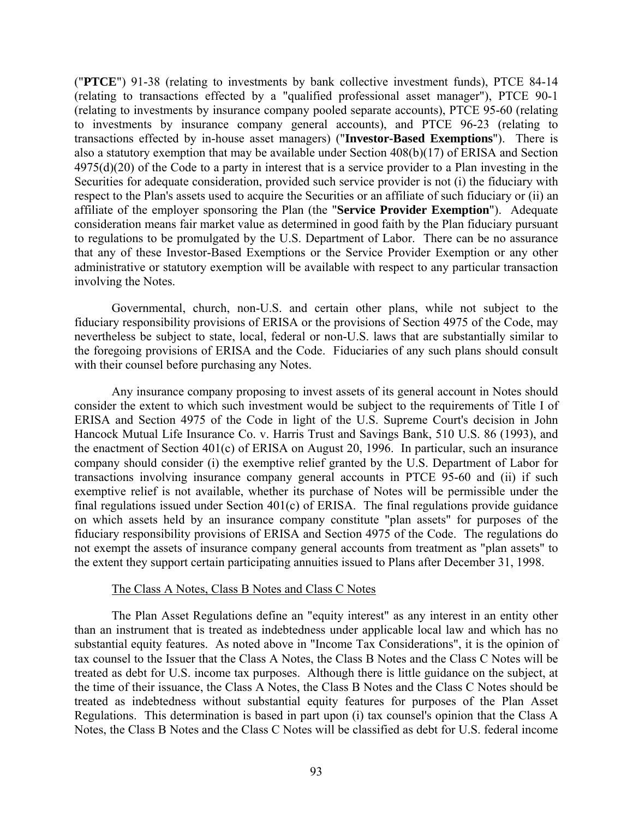("**PTCE**") 91-38 (relating to investments by bank collective investment funds), PTCE 84-14 (relating to transactions effected by a "qualified professional asset manager"), PTCE 90-1 (relating to investments by insurance company pooled separate accounts), PTCE 95-60 (relating to investments by insurance company general accounts), and PTCE 96-23 (relating to transactions effected by in-house asset managers) ("**Investor-Based Exemptions**"). There is also a statutory exemption that may be available under Section 408(b)(17) of ERISA and Section 4975(d)(20) of the Code to a party in interest that is a service provider to a Plan investing in the Securities for adequate consideration, provided such service provider is not (i) the fiduciary with respect to the Plan's assets used to acquire the Securities or an affiliate of such fiduciary or (ii) an affiliate of the employer sponsoring the Plan (the "**Service Provider Exemption**"). Adequate consideration means fair market value as determined in good faith by the Plan fiduciary pursuant to regulations to be promulgated by the U.S. Department of Labor. There can be no assurance that any of these Investor-Based Exemptions or the Service Provider Exemption or any other administrative or statutory exemption will be available with respect to any particular transaction involving the Notes.

Governmental, church, non-U.S. and certain other plans, while not subject to the fiduciary responsibility provisions of ERISA or the provisions of Section 4975 of the Code, may nevertheless be subject to state, local, federal or non-U.S. laws that are substantially similar to the foregoing provisions of ERISA and the Code. Fiduciaries of any such plans should consult with their counsel before purchasing any Notes.

Any insurance company proposing to invest assets of its general account in Notes should consider the extent to which such investment would be subject to the requirements of Title I of ERISA and Section 4975 of the Code in light of the U.S. Supreme Court's decision in John Hancock Mutual Life Insurance Co. v. Harris Trust and Savings Bank, 510 U.S. 86 (1993), and the enactment of Section 401(c) of ERISA on August 20, 1996. In particular, such an insurance company should consider (i) the exemptive relief granted by the U.S. Department of Labor for transactions involving insurance company general accounts in PTCE 95-60 and (ii) if such exemptive relief is not available, whether its purchase of Notes will be permissible under the final regulations issued under Section 401(c) of ERISA. The final regulations provide guidance on which assets held by an insurance company constitute "plan assets" for purposes of the fiduciary responsibility provisions of ERISA and Section 4975 of the Code. The regulations do not exempt the assets of insurance company general accounts from treatment as "plan assets" to the extent they support certain participating annuities issued to Plans after December 31, 1998.

## The Class A Notes, Class B Notes and Class C Notes

The Plan Asset Regulations define an "equity interest" as any interest in an entity other than an instrument that is treated as indebtedness under applicable local law and which has no substantial equity features. As noted above in "Income Tax Considerations", it is the opinion of tax counsel to the Issuer that the Class A Notes, the Class B Notes and the Class C Notes will be treated as debt for U.S. income tax purposes. Although there is little guidance on the subject, at the time of their issuance, the Class A Notes, the Class B Notes and the Class C Notes should be treated as indebtedness without substantial equity features for purposes of the Plan Asset Regulations. This determination is based in part upon (i) tax counsel's opinion that the Class A Notes, the Class B Notes and the Class C Notes will be classified as debt for U.S. federal income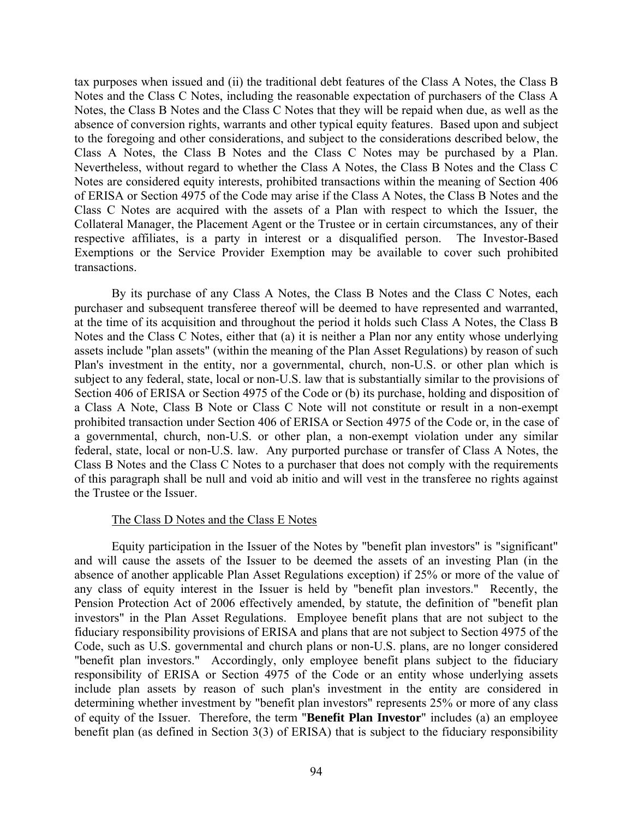tax purposes when issued and (ii) the traditional debt features of the Class A Notes, the Class B Notes and the Class C Notes, including the reasonable expectation of purchasers of the Class A Notes, the Class B Notes and the Class C Notes that they will be repaid when due, as well as the absence of conversion rights, warrants and other typical equity features. Based upon and subject to the foregoing and other considerations, and subject to the considerations described below, the Class A Notes, the Class B Notes and the Class C Notes may be purchased by a Plan. Nevertheless, without regard to whether the Class A Notes, the Class B Notes and the Class C Notes are considered equity interests, prohibited transactions within the meaning of Section 406 of ERISA or Section 4975 of the Code may arise if the Class A Notes, the Class B Notes and the Class C Notes are acquired with the assets of a Plan with respect to which the Issuer, the Collateral Manager, the Placement Agent or the Trustee or in certain circumstances, any of their respective affiliates, is a party in interest or a disqualified person. The Investor-Based Exemptions or the Service Provider Exemption may be available to cover such prohibited transactions.

By its purchase of any Class A Notes, the Class B Notes and the Class C Notes, each purchaser and subsequent transferee thereof will be deemed to have represented and warranted, at the time of its acquisition and throughout the period it holds such Class A Notes, the Class B Notes and the Class C Notes, either that (a) it is neither a Plan nor any entity whose underlying assets include "plan assets" (within the meaning of the Plan Asset Regulations) by reason of such Plan's investment in the entity, nor a governmental, church, non-U.S. or other plan which is subject to any federal, state, local or non-U.S. law that is substantially similar to the provisions of Section 406 of ERISA or Section 4975 of the Code or (b) its purchase, holding and disposition of a Class A Note, Class B Note or Class C Note will not constitute or result in a non-exempt prohibited transaction under Section 406 of ERISA or Section 4975 of the Code or, in the case of a governmental, church, non-U.S. or other plan, a non-exempt violation under any similar federal, state, local or non-U.S. law. Any purported purchase or transfer of Class A Notes, the Class B Notes and the Class C Notes to a purchaser that does not comply with the requirements of this paragraph shall be null and void ab initio and will vest in the transferee no rights against the Trustee or the Issuer.

# The Class D Notes and the Class E Notes

Equity participation in the Issuer of the Notes by "benefit plan investors" is "significant" and will cause the assets of the Issuer to be deemed the assets of an investing Plan (in the absence of another applicable Plan Asset Regulations exception) if 25% or more of the value of any class of equity interest in the Issuer is held by "benefit plan investors." Recently, the Pension Protection Act of 2006 effectively amended, by statute, the definition of "benefit plan investors" in the Plan Asset Regulations. Employee benefit plans that are not subject to the fiduciary responsibility provisions of ERISA and plans that are not subject to Section 4975 of the Code, such as U.S. governmental and church plans or non-U.S. plans, are no longer considered "benefit plan investors." Accordingly, only employee benefit plans subject to the fiduciary responsibility of ERISA or Section 4975 of the Code or an entity whose underlying assets include plan assets by reason of such plan's investment in the entity are considered in determining whether investment by "benefit plan investors" represents 25% or more of any class of equity of the Issuer. Therefore, the term "**Benefit Plan Investor**" includes (a) an employee benefit plan (as defined in Section 3(3) of ERISA) that is subject to the fiduciary responsibility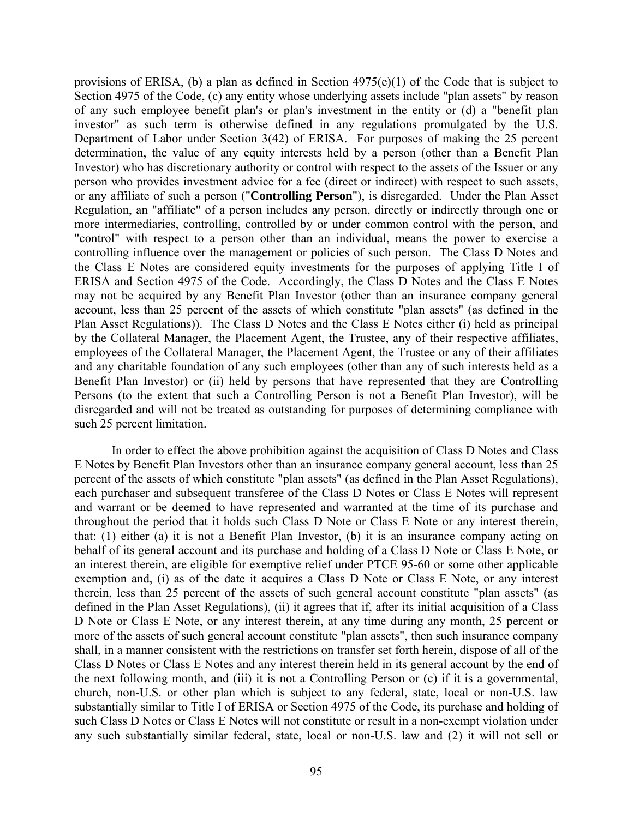provisions of ERISA, (b) a plan as defined in Section  $4975(e)(1)$  of the Code that is subject to Section 4975 of the Code, (c) any entity whose underlying assets include "plan assets" by reason of any such employee benefit plan's or plan's investment in the entity or (d) a "benefit plan investor" as such term is otherwise defined in any regulations promulgated by the U.S. Department of Labor under Section 3(42) of ERISA. For purposes of making the 25 percent determination, the value of any equity interests held by a person (other than a Benefit Plan Investor) who has discretionary authority or control with respect to the assets of the Issuer or any person who provides investment advice for a fee (direct or indirect) with respect to such assets, or any affiliate of such a person ("**Controlling Person**"), is disregarded. Under the Plan Asset Regulation, an "affiliate" of a person includes any person, directly or indirectly through one or more intermediaries, controlling, controlled by or under common control with the person, and "control" with respect to a person other than an individual, means the power to exercise a controlling influence over the management or policies of such person. The Class D Notes and the Class E Notes are considered equity investments for the purposes of applying Title I of ERISA and Section 4975 of the Code. Accordingly, the Class D Notes and the Class E Notes may not be acquired by any Benefit Plan Investor (other than an insurance company general account, less than 25 percent of the assets of which constitute "plan assets" (as defined in the Plan Asset Regulations)). The Class D Notes and the Class E Notes either (i) held as principal by the Collateral Manager, the Placement Agent, the Trustee, any of their respective affiliates, employees of the Collateral Manager, the Placement Agent, the Trustee or any of their affiliates and any charitable foundation of any such employees (other than any of such interests held as a Benefit Plan Investor) or (ii) held by persons that have represented that they are Controlling Persons (to the extent that such a Controlling Person is not a Benefit Plan Investor), will be disregarded and will not be treated as outstanding for purposes of determining compliance with such 25 percent limitation.

In order to effect the above prohibition against the acquisition of Class D Notes and Class E Notes by Benefit Plan Investors other than an insurance company general account, less than 25 percent of the assets of which constitute "plan assets" (as defined in the Plan Asset Regulations), each purchaser and subsequent transferee of the Class D Notes or Class E Notes will represent and warrant or be deemed to have represented and warranted at the time of its purchase and throughout the period that it holds such Class D Note or Class E Note or any interest therein, that: (1) either (a) it is not a Benefit Plan Investor, (b) it is an insurance company acting on behalf of its general account and its purchase and holding of a Class D Note or Class E Note, or an interest therein, are eligible for exemptive relief under PTCE 95-60 or some other applicable exemption and, (i) as of the date it acquires a Class D Note or Class E Note, or any interest therein, less than 25 percent of the assets of such general account constitute "plan assets" (as defined in the Plan Asset Regulations), (ii) it agrees that if, after its initial acquisition of a Class D Note or Class E Note, or any interest therein, at any time during any month, 25 percent or more of the assets of such general account constitute "plan assets", then such insurance company shall, in a manner consistent with the restrictions on transfer set forth herein, dispose of all of the Class D Notes or Class E Notes and any interest therein held in its general account by the end of the next following month, and (iii) it is not a Controlling Person or (c) if it is a governmental, church, non-U.S. or other plan which is subject to any federal, state, local or non-U.S. law substantially similar to Title I of ERISA or Section 4975 of the Code, its purchase and holding of such Class D Notes or Class E Notes will not constitute or result in a non-exempt violation under any such substantially similar federal, state, local or non-U.S. law and (2) it will not sell or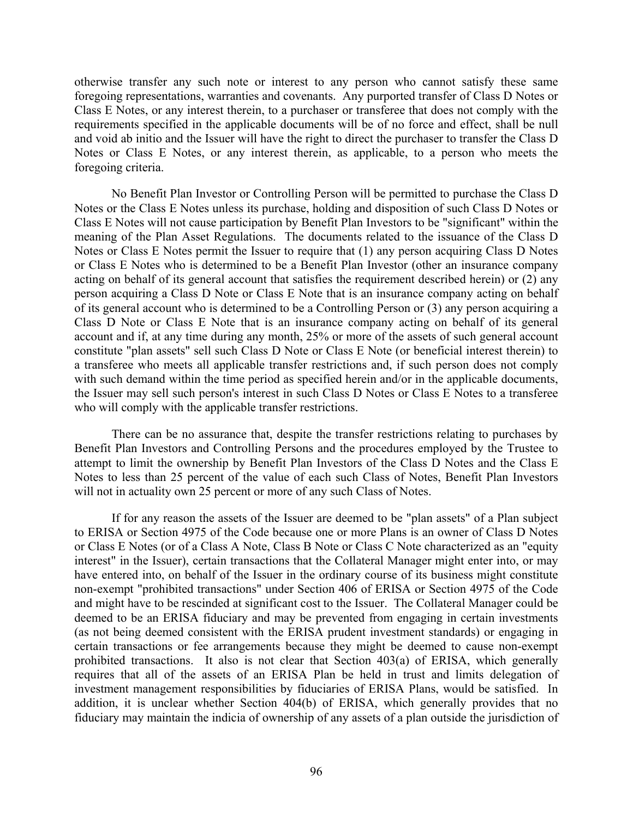otherwise transfer any such note or interest to any person who cannot satisfy these same foregoing representations, warranties and covenants. Any purported transfer of Class D Notes or Class E Notes, or any interest therein, to a purchaser or transferee that does not comply with the requirements specified in the applicable documents will be of no force and effect, shall be null and void ab initio and the Issuer will have the right to direct the purchaser to transfer the Class D Notes or Class E Notes, or any interest therein, as applicable, to a person who meets the foregoing criteria.

No Benefit Plan Investor or Controlling Person will be permitted to purchase the Class D Notes or the Class E Notes unless its purchase, holding and disposition of such Class D Notes or Class E Notes will not cause participation by Benefit Plan Investors to be "significant" within the meaning of the Plan Asset Regulations. The documents related to the issuance of the Class D Notes or Class E Notes permit the Issuer to require that (1) any person acquiring Class D Notes or Class E Notes who is determined to be a Benefit Plan Investor (other an insurance company acting on behalf of its general account that satisfies the requirement described herein) or (2) any person acquiring a Class D Note or Class E Note that is an insurance company acting on behalf of its general account who is determined to be a Controlling Person or (3) any person acquiring a Class D Note or Class E Note that is an insurance company acting on behalf of its general account and if, at any time during any month, 25% or more of the assets of such general account constitute "plan assets" sell such Class D Note or Class E Note (or beneficial interest therein) to a transferee who meets all applicable transfer restrictions and, if such person does not comply with such demand within the time period as specified herein and/or in the applicable documents, the Issuer may sell such person's interest in such Class D Notes or Class E Notes to a transferee who will comply with the applicable transfer restrictions.

There can be no assurance that, despite the transfer restrictions relating to purchases by Benefit Plan Investors and Controlling Persons and the procedures employed by the Trustee to attempt to limit the ownership by Benefit Plan Investors of the Class D Notes and the Class E Notes to less than 25 percent of the value of each such Class of Notes, Benefit Plan Investors will not in actuality own 25 percent or more of any such Class of Notes.

If for any reason the assets of the Issuer are deemed to be "plan assets" of a Plan subject to ERISA or Section 4975 of the Code because one or more Plans is an owner of Class D Notes or Class E Notes (or of a Class A Note, Class B Note or Class C Note characterized as an "equity interest" in the Issuer), certain transactions that the Collateral Manager might enter into, or may have entered into, on behalf of the Issuer in the ordinary course of its business might constitute non-exempt "prohibited transactions" under Section 406 of ERISA or Section 4975 of the Code and might have to be rescinded at significant cost to the Issuer. The Collateral Manager could be deemed to be an ERISA fiduciary and may be prevented from engaging in certain investments (as not being deemed consistent with the ERISA prudent investment standards) or engaging in certain transactions or fee arrangements because they might be deemed to cause non-exempt prohibited transactions. It also is not clear that Section 403(a) of ERISA, which generally requires that all of the assets of an ERISA Plan be held in trust and limits delegation of investment management responsibilities by fiduciaries of ERISA Plans, would be satisfied. In addition, it is unclear whether Section 404(b) of ERISA, which generally provides that no fiduciary may maintain the indicia of ownership of any assets of a plan outside the jurisdiction of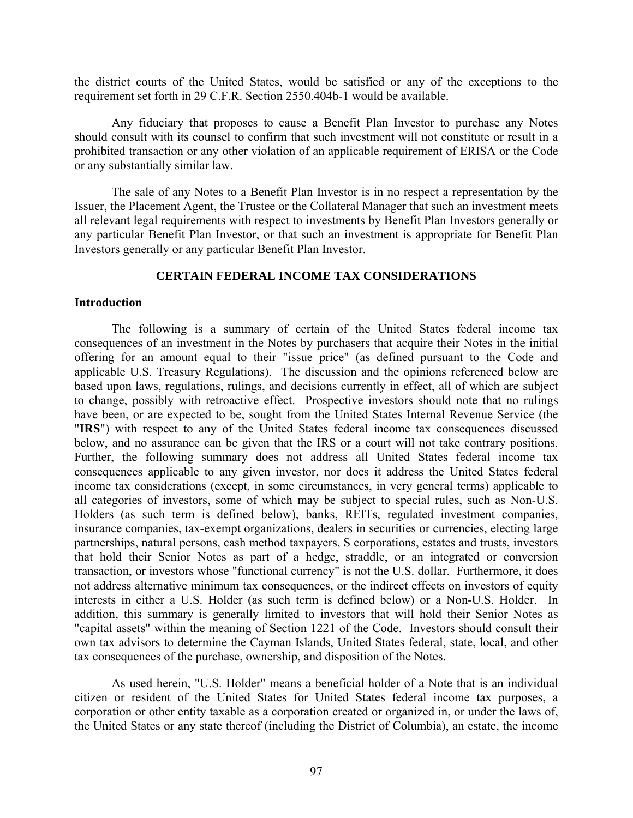the district courts of the United States, would be satisfied or any of the exceptions to the requirement set forth in 29 C.F.R. Section 2550.404b-1 would be available.

Any fiduciary that proposes to cause a Benefit Plan Investor to purchase any Notes should consult with its counsel to confirm that such investment will not constitute or result in a prohibited transaction or any other violation of an applicable requirement of ERISA or the Code or any substantially similar law.

The sale of any Notes to a Benefit Plan Investor is in no respect a representation by the Issuer, the Placement Agent, the Trustee or the Collateral Manager that such an investment meets all relevant legal requirements with respect to investments by Benefit Plan Investors generally or any particular Benefit Plan Investor, or that such an investment is appropriate for Benefit Plan Investors generally or any particular Benefit Plan Investor.

## **CERTAIN FEDERAL INCOME TAX CONSIDERATIONS**

### **Introduction**

The following is a summary of certain of the United States federal income tax consequences of an investment in the Notes by purchasers that acquire their Notes in the initial offering for an amount equal to their "issue price" (as defined pursuant to the Code and applicable U.S. Treasury Regulations). The discussion and the opinions referenced below are based upon laws, regulations, rulings, and decisions currently in effect, all of which are subject to change, possibly with retroactive effect. Prospective investors should note that no rulings have been, or are expected to be, sought from the United States Internal Revenue Service (the "**IRS**") with respect to any of the United States federal income tax consequences discussed below, and no assurance can be given that the IRS or a court will not take contrary positions. Further, the following summary does not address all United States federal income tax consequences applicable to any given investor, nor does it address the United States federal income tax considerations (except, in some circumstances, in very general terms) applicable to all categories of investors, some of which may be subject to special rules, such as Non-U.S. Holders (as such term is defined below), banks, REITs, regulated investment companies, insurance companies, tax-exempt organizations, dealers in securities or currencies, electing large partnerships, natural persons, cash method taxpayers, S corporations, estates and trusts, investors that hold their Senior Notes as part of a hedge, straddle, or an integrated or conversion transaction, or investors whose "functional currency" is not the U.S. dollar. Furthermore, it does not address alternative minimum tax consequences, or the indirect effects on investors of equity interests in either a U.S. Holder (as such term is defined below) or a Non-U.S. Holder. In addition, this summary is generally limited to investors that will hold their Senior Notes as "capital assets" within the meaning of Section 1221 of the Code. Investors should consult their own tax advisors to determine the Cayman Islands, United States federal, state, local, and other tax consequences of the purchase, ownership, and disposition of the Notes.

As used herein, "U.S. Holder" means a beneficial holder of a Note that is an individual citizen or resident of the United States for United States federal income tax purposes, a corporation or other entity taxable as a corporation created or organized in, or under the laws of, the United States or any state thereof (including the District of Columbia), an estate, the income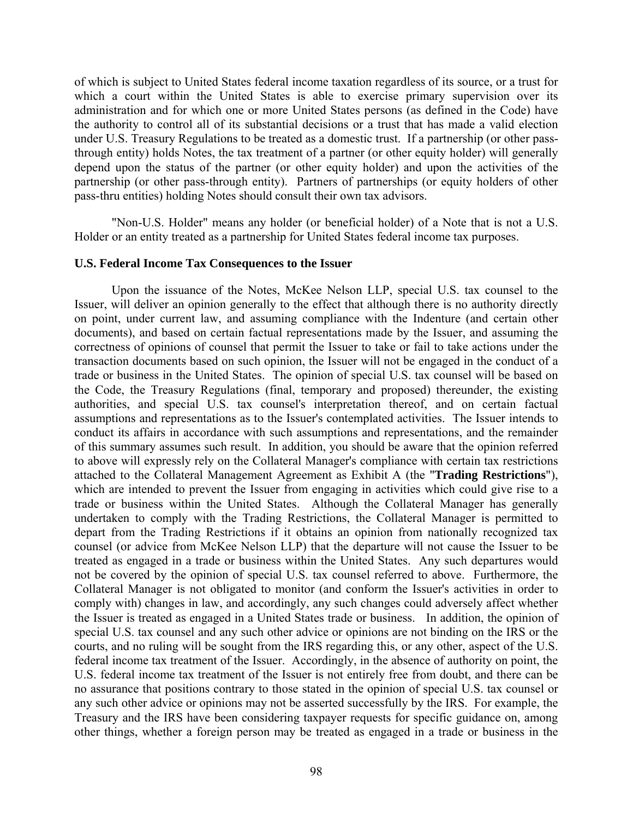of which is subject to United States federal income taxation regardless of its source, or a trust for which a court within the United States is able to exercise primary supervision over its administration and for which one or more United States persons (as defined in the Code) have the authority to control all of its substantial decisions or a trust that has made a valid election under U.S. Treasury Regulations to be treated as a domestic trust. If a partnership (or other passthrough entity) holds Notes, the tax treatment of a partner (or other equity holder) will generally depend upon the status of the partner (or other equity holder) and upon the activities of the partnership (or other pass-through entity). Partners of partnerships (or equity holders of other pass-thru entities) holding Notes should consult their own tax advisors.

"Non-U.S. Holder" means any holder (or beneficial holder) of a Note that is not a U.S. Holder or an entity treated as a partnership for United States federal income tax purposes.

## **U.S. Federal Income Tax Consequences to the Issuer**

Upon the issuance of the Notes, McKee Nelson LLP, special U.S. tax counsel to the Issuer, will deliver an opinion generally to the effect that although there is no authority directly on point, under current law, and assuming compliance with the Indenture (and certain other documents), and based on certain factual representations made by the Issuer, and assuming the correctness of opinions of counsel that permit the Issuer to take or fail to take actions under the transaction documents based on such opinion, the Issuer will not be engaged in the conduct of a trade or business in the United States. The opinion of special U.S. tax counsel will be based on the Code, the Treasury Regulations (final, temporary and proposed) thereunder, the existing authorities, and special U.S. tax counsel's interpretation thereof, and on certain factual assumptions and representations as to the Issuer's contemplated activities. The Issuer intends to conduct its affairs in accordance with such assumptions and representations, and the remainder of this summary assumes such result. In addition, you should be aware that the opinion referred to above will expressly rely on the Collateral Manager's compliance with certain tax restrictions attached to the Collateral Management Agreement as Exhibit A (the "**Trading Restrictions**"), which are intended to prevent the Issuer from engaging in activities which could give rise to a trade or business within the United States. Although the Collateral Manager has generally undertaken to comply with the Trading Restrictions, the Collateral Manager is permitted to depart from the Trading Restrictions if it obtains an opinion from nationally recognized tax counsel (or advice from McKee Nelson LLP) that the departure will not cause the Issuer to be treated as engaged in a trade or business within the United States. Any such departures would not be covered by the opinion of special U.S. tax counsel referred to above. Furthermore, the Collateral Manager is not obligated to monitor (and conform the Issuer's activities in order to comply with) changes in law, and accordingly, any such changes could adversely affect whether the Issuer is treated as engaged in a United States trade or business. In addition, the opinion of special U.S. tax counsel and any such other advice or opinions are not binding on the IRS or the courts, and no ruling will be sought from the IRS regarding this, or any other, aspect of the U.S. federal income tax treatment of the Issuer. Accordingly, in the absence of authority on point, the U.S. federal income tax treatment of the Issuer is not entirely free from doubt, and there can be no assurance that positions contrary to those stated in the opinion of special U.S. tax counsel or any such other advice or opinions may not be asserted successfully by the IRS. For example, the Treasury and the IRS have been considering taxpayer requests for specific guidance on, among other things, whether a foreign person may be treated as engaged in a trade or business in the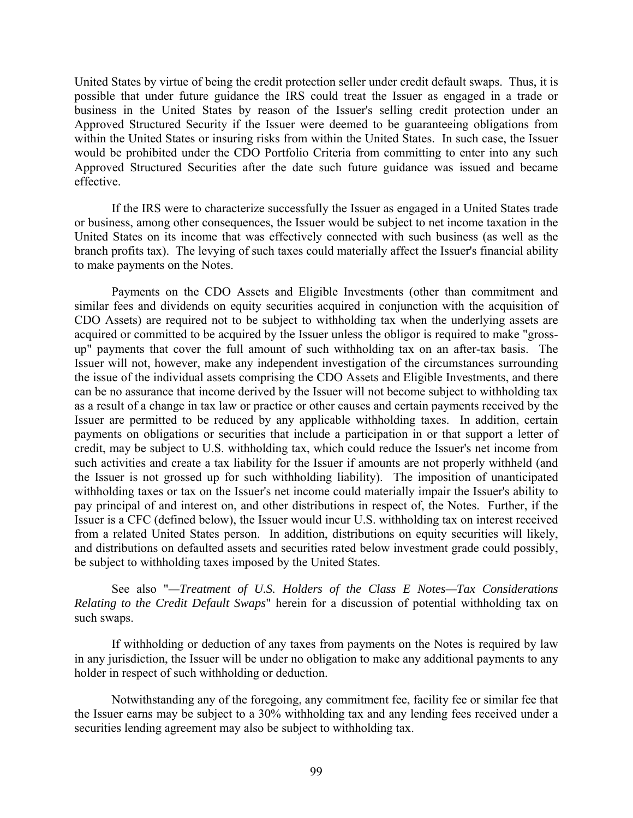United States by virtue of being the credit protection seller under credit default swaps. Thus, it is possible that under future guidance the IRS could treat the Issuer as engaged in a trade or business in the United States by reason of the Issuer's selling credit protection under an Approved Structured Security if the Issuer were deemed to be guaranteeing obligations from within the United States or insuring risks from within the United States. In such case, the Issuer would be prohibited under the CDO Portfolio Criteria from committing to enter into any such Approved Structured Securities after the date such future guidance was issued and became effective.

If the IRS were to characterize successfully the Issuer as engaged in a United States trade or business, among other consequences, the Issuer would be subject to net income taxation in the United States on its income that was effectively connected with such business (as well as the branch profits tax). The levying of such taxes could materially affect the Issuer's financial ability to make payments on the Notes.

Payments on the CDO Assets and Eligible Investments (other than commitment and similar fees and dividends on equity securities acquired in conjunction with the acquisition of CDO Assets) are required not to be subject to withholding tax when the underlying assets are acquired or committed to be acquired by the Issuer unless the obligor is required to make "grossup" payments that cover the full amount of such withholding tax on an after-tax basis. The Issuer will not, however, make any independent investigation of the circumstances surrounding the issue of the individual assets comprising the CDO Assets and Eligible Investments, and there can be no assurance that income derived by the Issuer will not become subject to withholding tax as a result of a change in tax law or practice or other causes and certain payments received by the Issuer are permitted to be reduced by any applicable withholding taxes. In addition, certain payments on obligations or securities that include a participation in or that support a letter of credit, may be subject to U.S. withholding tax, which could reduce the Issuer's net income from such activities and create a tax liability for the Issuer if amounts are not properly withheld (and the Issuer is not grossed up for such withholding liability). The imposition of unanticipated withholding taxes or tax on the Issuer's net income could materially impair the Issuer's ability to pay principal of and interest on, and other distributions in respect of, the Notes. Further, if the Issuer is a CFC (defined below), the Issuer would incur U.S. withholding tax on interest received from a related United States person. In addition, distributions on equity securities will likely, and distributions on defaulted assets and securities rated below investment grade could possibly, be subject to withholding taxes imposed by the United States.

See also "*—Treatment of U.S. Holders of the Class E Notes—Tax Considerations Relating to the Credit Default Swaps*" herein for a discussion of potential withholding tax on such swaps.

If withholding or deduction of any taxes from payments on the Notes is required by law in any jurisdiction, the Issuer will be under no obligation to make any additional payments to any holder in respect of such withholding or deduction.

Notwithstanding any of the foregoing, any commitment fee, facility fee or similar fee that the Issuer earns may be subject to a 30% withholding tax and any lending fees received under a securities lending agreement may also be subject to withholding tax.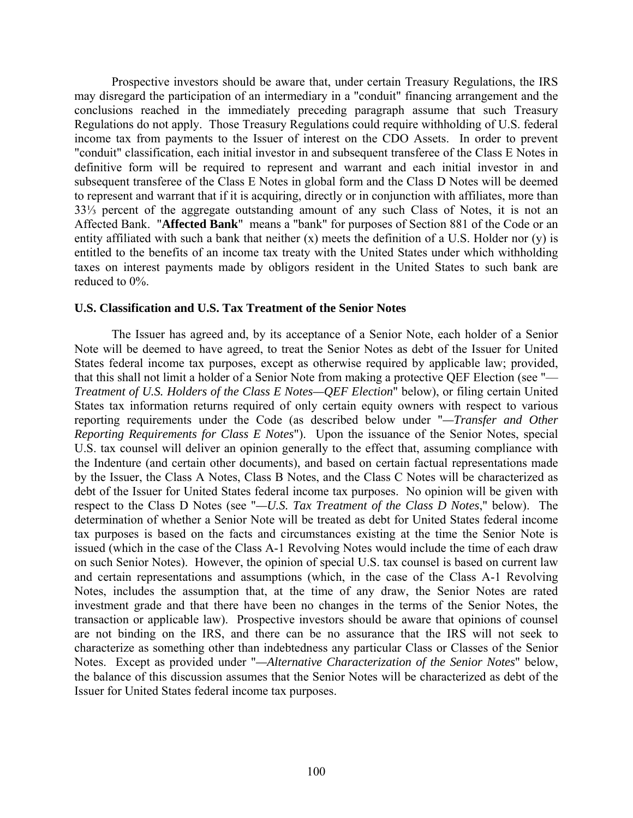Prospective investors should be aware that, under certain Treasury Regulations, the IRS may disregard the participation of an intermediary in a "conduit" financing arrangement and the conclusions reached in the immediately preceding paragraph assume that such Treasury Regulations do not apply. Those Treasury Regulations could require withholding of U.S. federal income tax from payments to the Issuer of interest on the CDO Assets. In order to prevent "conduit" classification, each initial investor in and subsequent transferee of the Class E Notes in definitive form will be required to represent and warrant and each initial investor in and subsequent transferee of the Class E Notes in global form and the Class D Notes will be deemed to represent and warrant that if it is acquiring, directly or in conjunction with affiliates, more than 33⅓ percent of the aggregate outstanding amount of any such Class of Notes, it is not an Affected Bank. "**Affected Bank**" means a "bank" for purposes of Section 881 of the Code or an entity affiliated with such a bank that neither (x) meets the definition of a U.S. Holder nor (y) is entitled to the benefits of an income tax treaty with the United States under which withholding taxes on interest payments made by obligors resident in the United States to such bank are reduced to 0%.

### **U.S. Classification and U.S. Tax Treatment of the Senior Notes**

The Issuer has agreed and, by its acceptance of a Senior Note, each holder of a Senior Note will be deemed to have agreed, to treat the Senior Notes as debt of the Issuer for United States federal income tax purposes, except as otherwise required by applicable law; provided, that this shall not limit a holder of a Senior Note from making a protective QEF Election (see "— *Treatment of U.S. Holders of the Class E Notes—QEF Election*" below), or filing certain United States tax information returns required of only certain equity owners with respect to various reporting requirements under the Code (as described below under "*—Transfer and Other Reporting Requirements for Class E Notes*"). Upon the issuance of the Senior Notes, special U.S. tax counsel will deliver an opinion generally to the effect that, assuming compliance with the Indenture (and certain other documents), and based on certain factual representations made by the Issuer, the Class A Notes, Class B Notes, and the Class C Notes will be characterized as debt of the Issuer for United States federal income tax purposes. No opinion will be given with respect to the Class D Notes (see "*—U.S. Tax Treatment of the Class D Notes*," below). The determination of whether a Senior Note will be treated as debt for United States federal income tax purposes is based on the facts and circumstances existing at the time the Senior Note is issued (which in the case of the Class A-1 Revolving Notes would include the time of each draw on such Senior Notes). However, the opinion of special U.S. tax counsel is based on current law and certain representations and assumptions (which, in the case of the Class A-1 Revolving Notes, includes the assumption that, at the time of any draw, the Senior Notes are rated investment grade and that there have been no changes in the terms of the Senior Notes, the transaction or applicable law). Prospective investors should be aware that opinions of counsel are not binding on the IRS, and there can be no assurance that the IRS will not seek to characterize as something other than indebtedness any particular Class or Classes of the Senior Notes. Except as provided under "*—Alternative Characterization of the Senior Notes*" below, the balance of this discussion assumes that the Senior Notes will be characterized as debt of the Issuer for United States federal income tax purposes.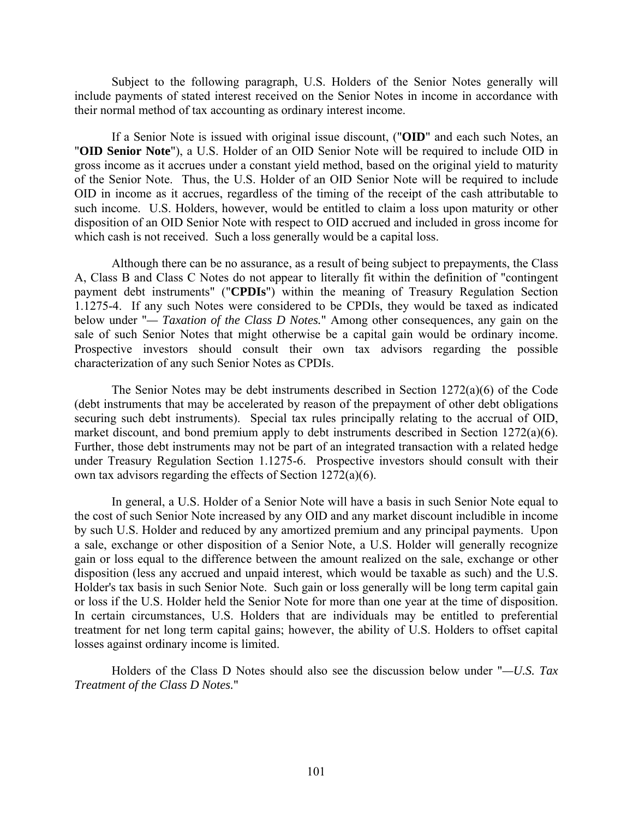Subject to the following paragraph, U.S. Holders of the Senior Notes generally will include payments of stated interest received on the Senior Notes in income in accordance with their normal method of tax accounting as ordinary interest income.

If a Senior Note is issued with original issue discount, ("**OID**" and each such Notes, an "**OID Senior Note**"), a U.S. Holder of an OID Senior Note will be required to include OID in gross income as it accrues under a constant yield method, based on the original yield to maturity of the Senior Note. Thus, the U.S. Holder of an OID Senior Note will be required to include OID in income as it accrues, regardless of the timing of the receipt of the cash attributable to such income. U.S. Holders, however, would be entitled to claim a loss upon maturity or other disposition of an OID Senior Note with respect to OID accrued and included in gross income for which cash is not received. Such a loss generally would be a capital loss.

Although there can be no assurance, as a result of being subject to prepayments, the Class A, Class B and Class C Notes do not appear to literally fit within the definition of "contingent payment debt instruments" ("**CPDIs**") within the meaning of Treasury Regulation Section 1.1275-4. If any such Notes were considered to be CPDIs, they would be taxed as indicated below under "*— Taxation of the Class D Notes.*" Among other consequences, any gain on the sale of such Senior Notes that might otherwise be a capital gain would be ordinary income. Prospective investors should consult their own tax advisors regarding the possible characterization of any such Senior Notes as CPDIs.

The Senior Notes may be debt instruments described in Section 1272(a)(6) of the Code (debt instruments that may be accelerated by reason of the prepayment of other debt obligations securing such debt instruments). Special tax rules principally relating to the accrual of OID, market discount, and bond premium apply to debt instruments described in Section 1272(a)(6). Further, those debt instruments may not be part of an integrated transaction with a related hedge under Treasury Regulation Section 1.1275-6. Prospective investors should consult with their own tax advisors regarding the effects of Section 1272(a)(6).

In general, a U.S. Holder of a Senior Note will have a basis in such Senior Note equal to the cost of such Senior Note increased by any OID and any market discount includible in income by such U.S. Holder and reduced by any amortized premium and any principal payments. Upon a sale, exchange or other disposition of a Senior Note, a U.S. Holder will generally recognize gain or loss equal to the difference between the amount realized on the sale, exchange or other disposition (less any accrued and unpaid interest, which would be taxable as such) and the U.S. Holder's tax basis in such Senior Note. Such gain or loss generally will be long term capital gain or loss if the U.S. Holder held the Senior Note for more than one year at the time of disposition. In certain circumstances, U.S. Holders that are individuals may be entitled to preferential treatment for net long term capital gains; however, the ability of U.S. Holders to offset capital losses against ordinary income is limited.

Holders of the Class D Notes should also see the discussion below under "*—U.S. Tax Treatment of the Class D Notes.*"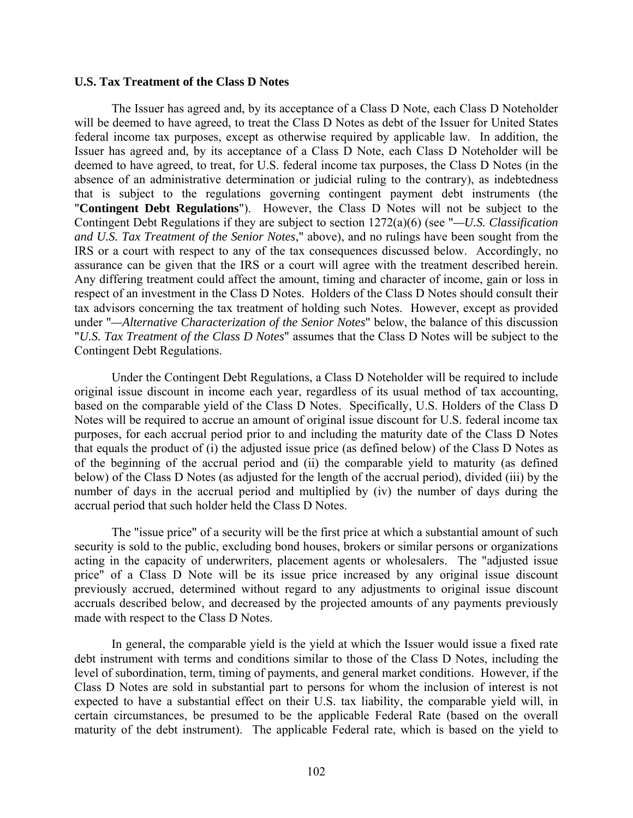### **U.S. Tax Treatment of the Class D Notes**

The Issuer has agreed and, by its acceptance of a Class D Note, each Class D Noteholder will be deemed to have agreed, to treat the Class D Notes as debt of the Issuer for United States federal income tax purposes, except as otherwise required by applicable law. In addition, the Issuer has agreed and, by its acceptance of a Class D Note, each Class D Noteholder will be deemed to have agreed, to treat, for U.S. federal income tax purposes, the Class D Notes (in the absence of an administrative determination or judicial ruling to the contrary), as indebtedness that is subject to the regulations governing contingent payment debt instruments (the "**Contingent Debt Regulations**"). However, the Class D Notes will not be subject to the Contingent Debt Regulations if they are subject to section 1272(a)(6) (see "*—U.S. Classification and U.S. Tax Treatment of the Senior Notes*," above), and no rulings have been sought from the IRS or a court with respect to any of the tax consequences discussed below. Accordingly, no assurance can be given that the IRS or a court will agree with the treatment described herein. Any differing treatment could affect the amount, timing and character of income, gain or loss in respect of an investment in the Class D Notes. Holders of the Class D Notes should consult their tax advisors concerning the tax treatment of holding such Notes. However, except as provided under "*—Alternative Characterization of the Senior Notes*" below, the balance of this discussion "*U.S. Tax Treatment of the Class D Notes*" assumes that the Class D Notes will be subject to the Contingent Debt Regulations.

Under the Contingent Debt Regulations, a Class D Noteholder will be required to include original issue discount in income each year, regardless of its usual method of tax accounting, based on the comparable yield of the Class D Notes. Specifically, U.S. Holders of the Class D Notes will be required to accrue an amount of original issue discount for U.S. federal income tax purposes, for each accrual period prior to and including the maturity date of the Class D Notes that equals the product of (i) the adjusted issue price (as defined below) of the Class D Notes as of the beginning of the accrual period and (ii) the comparable yield to maturity (as defined below) of the Class D Notes (as adjusted for the length of the accrual period), divided (iii) by the number of days in the accrual period and multiplied by (iv) the number of days during the accrual period that such holder held the Class D Notes.

The "issue price" of a security will be the first price at which a substantial amount of such security is sold to the public, excluding bond houses, brokers or similar persons or organizations acting in the capacity of underwriters, placement agents or wholesalers. The "adjusted issue price" of a Class D Note will be its issue price increased by any original issue discount previously accrued, determined without regard to any adjustments to original issue discount accruals described below, and decreased by the projected amounts of any payments previously made with respect to the Class D Notes.

In general, the comparable yield is the yield at which the Issuer would issue a fixed rate debt instrument with terms and conditions similar to those of the Class D Notes, including the level of subordination, term, timing of payments, and general market conditions. However, if the Class D Notes are sold in substantial part to persons for whom the inclusion of interest is not expected to have a substantial effect on their U.S. tax liability, the comparable yield will, in certain circumstances, be presumed to be the applicable Federal Rate (based on the overall maturity of the debt instrument). The applicable Federal rate, which is based on the yield to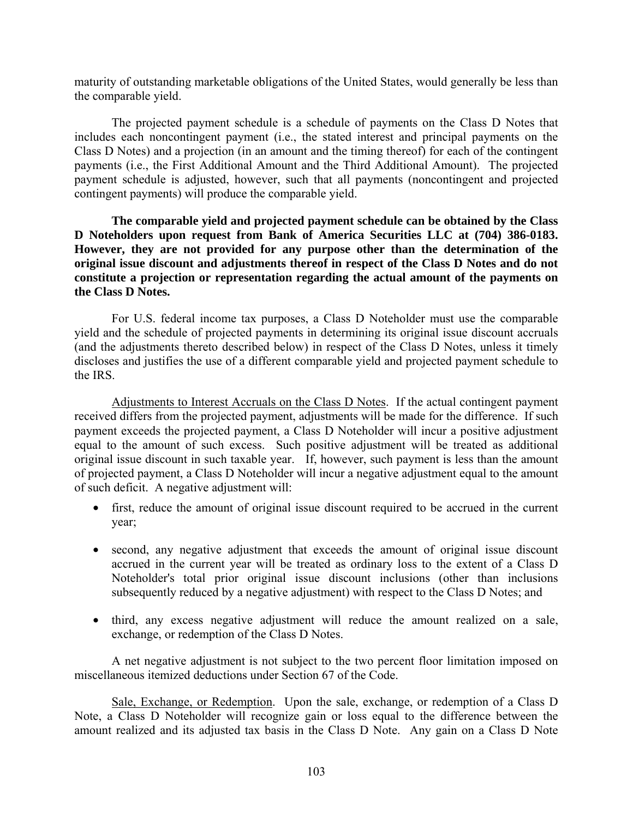maturity of outstanding marketable obligations of the United States, would generally be less than the comparable yield.

The projected payment schedule is a schedule of payments on the Class D Notes that includes each noncontingent payment (i.e., the stated interest and principal payments on the Class D Notes) and a projection (in an amount and the timing thereof) for each of the contingent payments (i.e., the First Additional Amount and the Third Additional Amount). The projected payment schedule is adjusted, however, such that all payments (noncontingent and projected contingent payments) will produce the comparable yield.

**The comparable yield and projected payment schedule can be obtained by the Class D Noteholders upon request from Bank of America Securities LLC at (704) 386-0183. However, they are not provided for any purpose other than the determination of the original issue discount and adjustments thereof in respect of the Class D Notes and do not constitute a projection or representation regarding the actual amount of the payments on the Class D Notes.**

For U.S. federal income tax purposes, a Class D Noteholder must use the comparable yield and the schedule of projected payments in determining its original issue discount accruals (and the adjustments thereto described below) in respect of the Class D Notes, unless it timely discloses and justifies the use of a different comparable yield and projected payment schedule to the IRS.

Adjustments to Interest Accruals on the Class D Notes. If the actual contingent payment received differs from the projected payment, adjustments will be made for the difference. If such payment exceeds the projected payment, a Class D Noteholder will incur a positive adjustment equal to the amount of such excess. Such positive adjustment will be treated as additional original issue discount in such taxable year. If, however, such payment is less than the amount of projected payment, a Class D Noteholder will incur a negative adjustment equal to the amount of such deficit. A negative adjustment will:

- first, reduce the amount of original issue discount required to be accrued in the current year;
- second, any negative adjustment that exceeds the amount of original issue discount accrued in the current year will be treated as ordinary loss to the extent of a Class D Noteholder's total prior original issue discount inclusions (other than inclusions subsequently reduced by a negative adjustment) with respect to the Class D Notes; and
- third, any excess negative adjustment will reduce the amount realized on a sale, exchange, or redemption of the Class D Notes.

A net negative adjustment is not subject to the two percent floor limitation imposed on miscellaneous itemized deductions under Section 67 of the Code.

Sale, Exchange, or Redemption. Upon the sale, exchange, or redemption of a Class D Note, a Class D Noteholder will recognize gain or loss equal to the difference between the amount realized and its adjusted tax basis in the Class D Note. Any gain on a Class D Note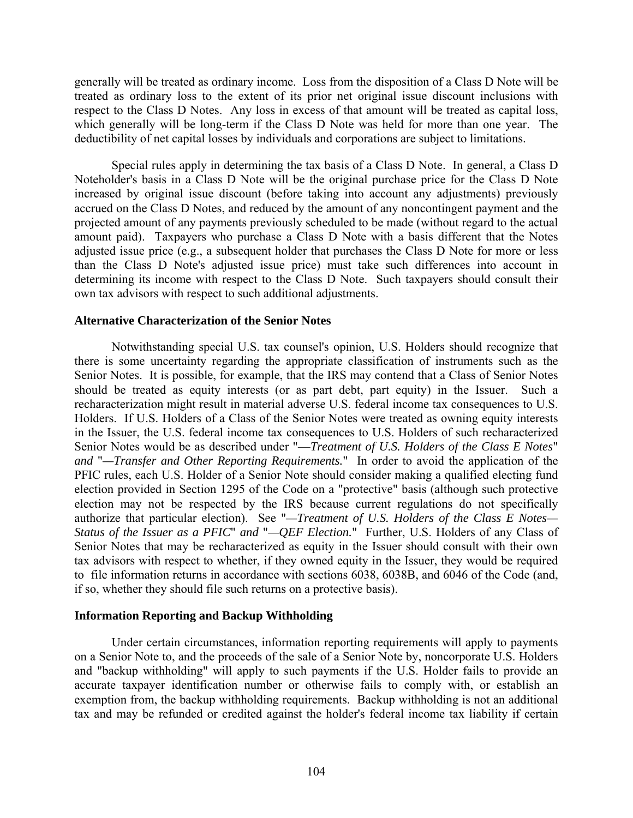generally will be treated as ordinary income. Loss from the disposition of a Class D Note will be treated as ordinary loss to the extent of its prior net original issue discount inclusions with respect to the Class D Notes. Any loss in excess of that amount will be treated as capital loss, which generally will be long-term if the Class D Note was held for more than one year. The deductibility of net capital losses by individuals and corporations are subject to limitations.

Special rules apply in determining the tax basis of a Class D Note. In general, a Class D Noteholder's basis in a Class D Note will be the original purchase price for the Class D Note increased by original issue discount (before taking into account any adjustments) previously accrued on the Class D Notes, and reduced by the amount of any noncontingent payment and the projected amount of any payments previously scheduled to be made (without regard to the actual amount paid). Taxpayers who purchase a Class D Note with a basis different that the Notes adjusted issue price (e.g., a subsequent holder that purchases the Class D Note for more or less than the Class D Note's adjusted issue price) must take such differences into account in determining its income with respect to the Class D Note. Such taxpayers should consult their own tax advisors with respect to such additional adjustments.

### **Alternative Characterization of the Senior Notes**

Notwithstanding special U.S. tax counsel's opinion, U.S. Holders should recognize that there is some uncertainty regarding the appropriate classification of instruments such as the Senior Notes. It is possible, for example, that the IRS may contend that a Class of Senior Notes should be treated as equity interests (or as part debt, part equity) in the Issuer. Such a recharacterization might result in material adverse U.S. federal income tax consequences to U.S. Holders. If U.S. Holders of a Class of the Senior Notes were treated as owning equity interests in the Issuer, the U.S. federal income tax consequences to U.S. Holders of such recharacterized Senior Notes would be as described under "—*Treatment of U.S. Holders of the Class E Notes*" *and* "*—Transfer and Other Reporting Requirements.*" In order to avoid the application of the PFIC rules, each U.S. Holder of a Senior Note should consider making a qualified electing fund election provided in Section 1295 of the Code on a "protective" basis (although such protective election may not be respected by the IRS because current regulations do not specifically authorize that particular election). See "*—Treatment of U.S. Holders of the Class E Notes— Status of the Issuer as a PFIC*" *and* "*—QEF Election.*" Further, U.S. Holders of any Class of Senior Notes that may be recharacterized as equity in the Issuer should consult with their own tax advisors with respect to whether, if they owned equity in the Issuer, they would be required to file information returns in accordance with sections 6038, 6038B, and 6046 of the Code (and, if so, whether they should file such returns on a protective basis).

### **Information Reporting and Backup Withholding**

Under certain circumstances, information reporting requirements will apply to payments on a Senior Note to, and the proceeds of the sale of a Senior Note by, noncorporate U.S. Holders and "backup withholding" will apply to such payments if the U.S. Holder fails to provide an accurate taxpayer identification number or otherwise fails to comply with, or establish an exemption from, the backup withholding requirements. Backup withholding is not an additional tax and may be refunded or credited against the holder's federal income tax liability if certain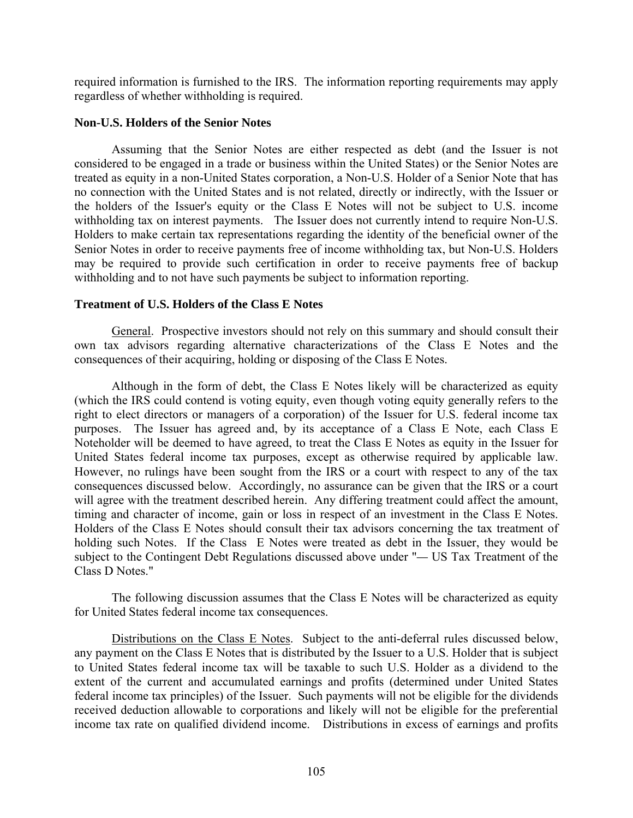required information is furnished to the IRS. The information reporting requirements may apply regardless of whether withholding is required.

### **Non-U.S. Holders of the Senior Notes**

Assuming that the Senior Notes are either respected as debt (and the Issuer is not considered to be engaged in a trade or business within the United States) or the Senior Notes are treated as equity in a non-United States corporation, a Non-U.S. Holder of a Senior Note that has no connection with the United States and is not related, directly or indirectly, with the Issuer or the holders of the Issuer's equity or the Class E Notes will not be subject to U.S. income withholding tax on interest payments. The Issuer does not currently intend to require Non-U.S. Holders to make certain tax representations regarding the identity of the beneficial owner of the Senior Notes in order to receive payments free of income withholding tax, but Non-U.S. Holders may be required to provide such certification in order to receive payments free of backup withholding and to not have such payments be subject to information reporting.

# **Treatment of U.S. Holders of the Class E Notes**

General. Prospective investors should not rely on this summary and should consult their own tax advisors regarding alternative characterizations of the Class E Notes and the consequences of their acquiring, holding or disposing of the Class E Notes.

Although in the form of debt, the Class E Notes likely will be characterized as equity (which the IRS could contend is voting equity, even though voting equity generally refers to the right to elect directors or managers of a corporation) of the Issuer for U.S. federal income tax purposes. The Issuer has agreed and, by its acceptance of a Class E Note, each Class E Noteholder will be deemed to have agreed, to treat the Class E Notes as equity in the Issuer for United States federal income tax purposes, except as otherwise required by applicable law. However, no rulings have been sought from the IRS or a court with respect to any of the tax consequences discussed below. Accordingly, no assurance can be given that the IRS or a court will agree with the treatment described herein. Any differing treatment could affect the amount, timing and character of income, gain or loss in respect of an investment in the Class E Notes. Holders of the Class E Notes should consult their tax advisors concerning the tax treatment of holding such Notes. If the Class E Notes were treated as debt in the Issuer, they would be subject to the Contingent Debt Regulations discussed above under "*—* US Tax Treatment of the Class D Notes."

The following discussion assumes that the Class E Notes will be characterized as equity for United States federal income tax consequences.

Distributions on the Class E Notes. Subject to the anti-deferral rules discussed below, any payment on the Class E Notes that is distributed by the Issuer to a U.S. Holder that is subject to United States federal income tax will be taxable to such U.S. Holder as a dividend to the extent of the current and accumulated earnings and profits (determined under United States federal income tax principles) of the Issuer. Such payments will not be eligible for the dividends received deduction allowable to corporations and likely will not be eligible for the preferential income tax rate on qualified dividend income. Distributions in excess of earnings and profits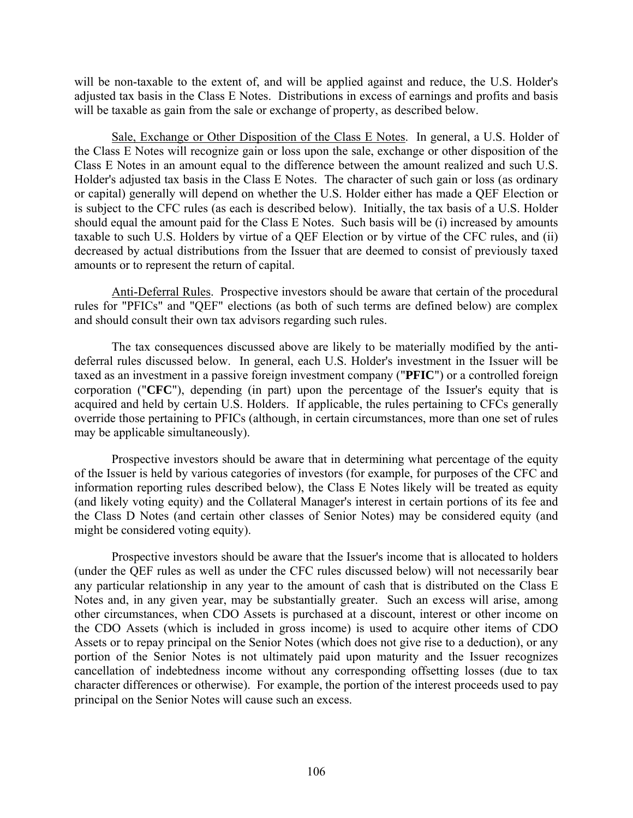will be non-taxable to the extent of, and will be applied against and reduce, the U.S. Holder's adjusted tax basis in the Class E Notes. Distributions in excess of earnings and profits and basis will be taxable as gain from the sale or exchange of property, as described below.

Sale, Exchange or Other Disposition of the Class E Notes. In general, a U.S. Holder of the Class E Notes will recognize gain or loss upon the sale, exchange or other disposition of the Class E Notes in an amount equal to the difference between the amount realized and such U.S. Holder's adjusted tax basis in the Class E Notes. The character of such gain or loss (as ordinary or capital) generally will depend on whether the U.S. Holder either has made a QEF Election or is subject to the CFC rules (as each is described below). Initially, the tax basis of a U.S. Holder should equal the amount paid for the Class E Notes. Such basis will be (i) increased by amounts taxable to such U.S. Holders by virtue of a QEF Election or by virtue of the CFC rules, and (ii) decreased by actual distributions from the Issuer that are deemed to consist of previously taxed amounts or to represent the return of capital.

Anti-Deferral Rules. Prospective investors should be aware that certain of the procedural rules for "PFICs" and "QEF" elections (as both of such terms are defined below) are complex and should consult their own tax advisors regarding such rules.

The tax consequences discussed above are likely to be materially modified by the antideferral rules discussed below. In general, each U.S. Holder's investment in the Issuer will be taxed as an investment in a passive foreign investment company ("**PFIC**") or a controlled foreign corporation ("**CFC**"), depending (in part) upon the percentage of the Issuer's equity that is acquired and held by certain U.S. Holders. If applicable, the rules pertaining to CFCs generally override those pertaining to PFICs (although, in certain circumstances, more than one set of rules may be applicable simultaneously).

Prospective investors should be aware that in determining what percentage of the equity of the Issuer is held by various categories of investors (for example, for purposes of the CFC and information reporting rules described below), the Class E Notes likely will be treated as equity (and likely voting equity) and the Collateral Manager's interest in certain portions of its fee and the Class D Notes (and certain other classes of Senior Notes) may be considered equity (and might be considered voting equity).

Prospective investors should be aware that the Issuer's income that is allocated to holders (under the QEF rules as well as under the CFC rules discussed below) will not necessarily bear any particular relationship in any year to the amount of cash that is distributed on the Class E Notes and, in any given year, may be substantially greater. Such an excess will arise, among other circumstances, when CDO Assets is purchased at a discount, interest or other income on the CDO Assets (which is included in gross income) is used to acquire other items of CDO Assets or to repay principal on the Senior Notes (which does not give rise to a deduction), or any portion of the Senior Notes is not ultimately paid upon maturity and the Issuer recognizes cancellation of indebtedness income without any corresponding offsetting losses (due to tax character differences or otherwise). For example, the portion of the interest proceeds used to pay principal on the Senior Notes will cause such an excess.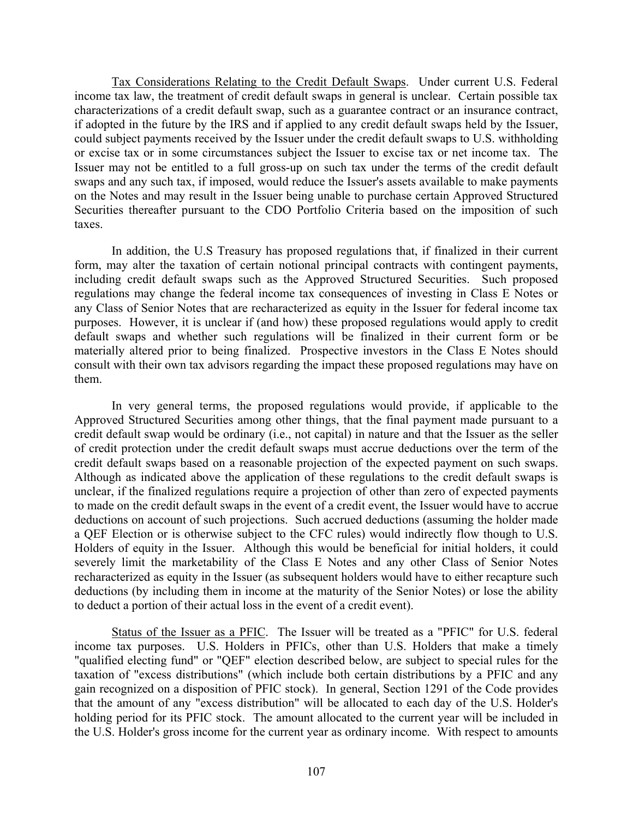Tax Considerations Relating to the Credit Default Swaps. Under current U.S. Federal income tax law, the treatment of credit default swaps in general is unclear. Certain possible tax characterizations of a credit default swap, such as a guarantee contract or an insurance contract, if adopted in the future by the IRS and if applied to any credit default swaps held by the Issuer, could subject payments received by the Issuer under the credit default swaps to U.S. withholding or excise tax or in some circumstances subject the Issuer to excise tax or net income tax. The Issuer may not be entitled to a full gross-up on such tax under the terms of the credit default swaps and any such tax, if imposed, would reduce the Issuer's assets available to make payments on the Notes and may result in the Issuer being unable to purchase certain Approved Structured Securities thereafter pursuant to the CDO Portfolio Criteria based on the imposition of such taxes.

In addition, the U.S Treasury has proposed regulations that, if finalized in their current form, may alter the taxation of certain notional principal contracts with contingent payments, including credit default swaps such as the Approved Structured Securities. Such proposed regulations may change the federal income tax consequences of investing in Class E Notes or any Class of Senior Notes that are recharacterized as equity in the Issuer for federal income tax purposes. However, it is unclear if (and how) these proposed regulations would apply to credit default swaps and whether such regulations will be finalized in their current form or be materially altered prior to being finalized. Prospective investors in the Class E Notes should consult with their own tax advisors regarding the impact these proposed regulations may have on them.

In very general terms, the proposed regulations would provide, if applicable to the Approved Structured Securities among other things, that the final payment made pursuant to a credit default swap would be ordinary (i.e., not capital) in nature and that the Issuer as the seller of credit protection under the credit default swaps must accrue deductions over the term of the credit default swaps based on a reasonable projection of the expected payment on such swaps. Although as indicated above the application of these regulations to the credit default swaps is unclear, if the finalized regulations require a projection of other than zero of expected payments to made on the credit default swaps in the event of a credit event, the Issuer would have to accrue deductions on account of such projections. Such accrued deductions (assuming the holder made a QEF Election or is otherwise subject to the CFC rules) would indirectly flow though to U.S. Holders of equity in the Issuer. Although this would be beneficial for initial holders, it could severely limit the marketability of the Class E Notes and any other Class of Senior Notes recharacterized as equity in the Issuer (as subsequent holders would have to either recapture such deductions (by including them in income at the maturity of the Senior Notes) or lose the ability to deduct a portion of their actual loss in the event of a credit event).

Status of the Issuer as a PFIC. The Issuer will be treated as a "PFIC" for U.S. federal income tax purposes. U.S. Holders in PFICs, other than U.S. Holders that make a timely "qualified electing fund" or "QEF" election described below, are subject to special rules for the taxation of "excess distributions" (which include both certain distributions by a PFIC and any gain recognized on a disposition of PFIC stock). In general, Section 1291 of the Code provides that the amount of any "excess distribution" will be allocated to each day of the U.S. Holder's holding period for its PFIC stock. The amount allocated to the current year will be included in the U.S. Holder's gross income for the current year as ordinary income. With respect to amounts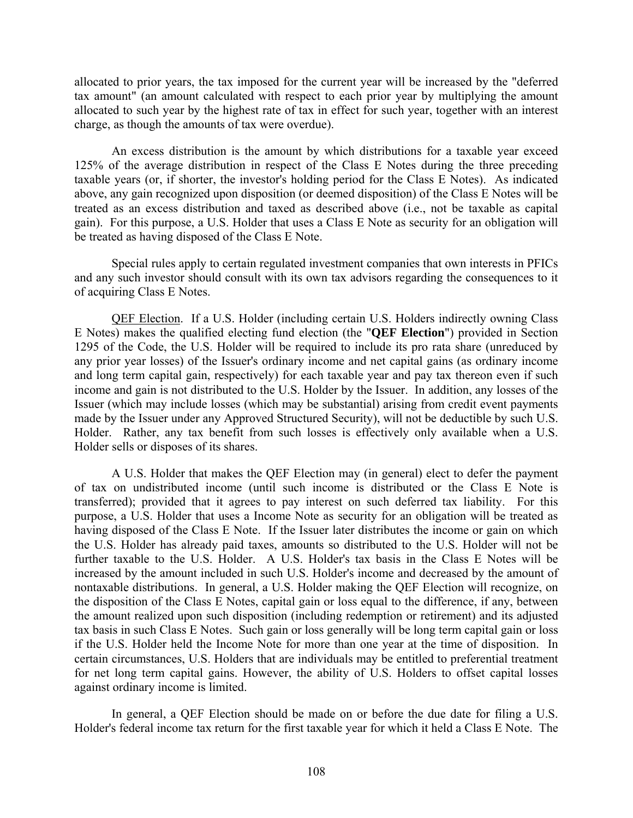allocated to prior years, the tax imposed for the current year will be increased by the "deferred tax amount" (an amount calculated with respect to each prior year by multiplying the amount allocated to such year by the highest rate of tax in effect for such year, together with an interest charge, as though the amounts of tax were overdue).

An excess distribution is the amount by which distributions for a taxable year exceed 125% of the average distribution in respect of the Class E Notes during the three preceding taxable years (or, if shorter, the investor's holding period for the Class E Notes). As indicated above, any gain recognized upon disposition (or deemed disposition) of the Class E Notes will be treated as an excess distribution and taxed as described above (i.e., not be taxable as capital gain). For this purpose, a U.S. Holder that uses a Class E Note as security for an obligation will be treated as having disposed of the Class E Note.

Special rules apply to certain regulated investment companies that own interests in PFICs and any such investor should consult with its own tax advisors regarding the consequences to it of acquiring Class E Notes.

QEF Election. If a U.S. Holder (including certain U.S. Holders indirectly owning Class E Notes) makes the qualified electing fund election (the "**QEF Election**") provided in Section 1295 of the Code, the U.S. Holder will be required to include its pro rata share (unreduced by any prior year losses) of the Issuer's ordinary income and net capital gains (as ordinary income and long term capital gain, respectively) for each taxable year and pay tax thereon even if such income and gain is not distributed to the U.S. Holder by the Issuer. In addition, any losses of the Issuer (which may include losses (which may be substantial) arising from credit event payments made by the Issuer under any Approved Structured Security), will not be deductible by such U.S. Holder. Rather, any tax benefit from such losses is effectively only available when a U.S. Holder sells or disposes of its shares.

A U.S. Holder that makes the QEF Election may (in general) elect to defer the payment of tax on undistributed income (until such income is distributed or the Class E Note is transferred); provided that it agrees to pay interest on such deferred tax liability. For this purpose, a U.S. Holder that uses a Income Note as security for an obligation will be treated as having disposed of the Class E Note. If the Issuer later distributes the income or gain on which the U.S. Holder has already paid taxes, amounts so distributed to the U.S. Holder will not be further taxable to the U.S. Holder. A U.S. Holder's tax basis in the Class E Notes will be increased by the amount included in such U.S. Holder's income and decreased by the amount of nontaxable distributions. In general, a U.S. Holder making the QEF Election will recognize, on the disposition of the Class E Notes, capital gain or loss equal to the difference, if any, between the amount realized upon such disposition (including redemption or retirement) and its adjusted tax basis in such Class E Notes. Such gain or loss generally will be long term capital gain or loss if the U.S. Holder held the Income Note for more than one year at the time of disposition. In certain circumstances, U.S. Holders that are individuals may be entitled to preferential treatment for net long term capital gains. However, the ability of U.S. Holders to offset capital losses against ordinary income is limited.

In general, a QEF Election should be made on or before the due date for filing a U.S. Holder's federal income tax return for the first taxable year for which it held a Class E Note. The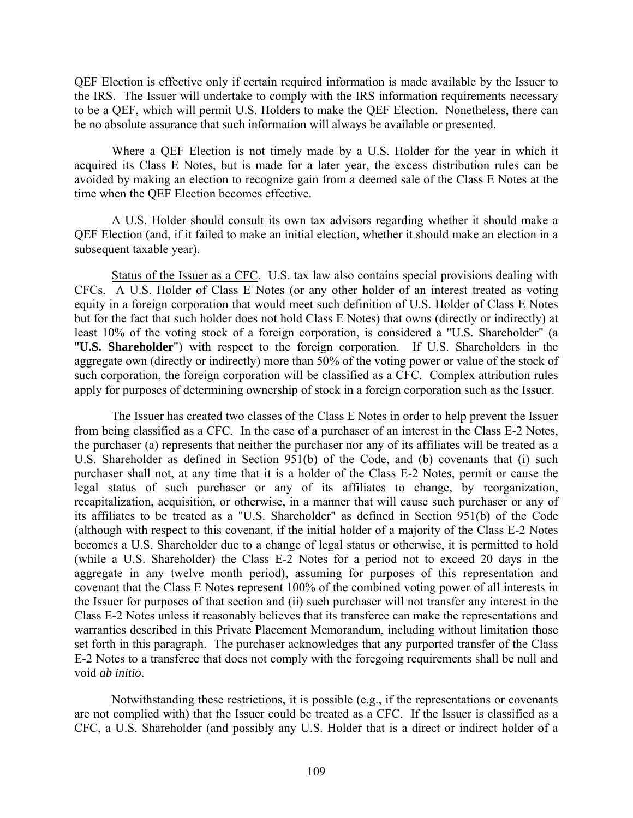QEF Election is effective only if certain required information is made available by the Issuer to the IRS. The Issuer will undertake to comply with the IRS information requirements necessary to be a QEF, which will permit U.S. Holders to make the QEF Election. Nonetheless, there can be no absolute assurance that such information will always be available or presented.

Where a QEF Election is not timely made by a U.S. Holder for the year in which it acquired its Class E Notes, but is made for a later year, the excess distribution rules can be avoided by making an election to recognize gain from a deemed sale of the Class E Notes at the time when the QEF Election becomes effective.

A U.S. Holder should consult its own tax advisors regarding whether it should make a QEF Election (and, if it failed to make an initial election, whether it should make an election in a subsequent taxable year).

Status of the Issuer as a CFC. U.S. tax law also contains special provisions dealing with CFCs. A U.S. Holder of Class E Notes (or any other holder of an interest treated as voting equity in a foreign corporation that would meet such definition of U.S. Holder of Class E Notes but for the fact that such holder does not hold Class E Notes) that owns (directly or indirectly) at least 10% of the voting stock of a foreign corporation, is considered a "U.S. Shareholder" (a "**U.S. Shareholder**") with respect to the foreign corporation. If U.S. Shareholders in the aggregate own (directly or indirectly) more than 50% of the voting power or value of the stock of such corporation, the foreign corporation will be classified as a CFC. Complex attribution rules apply for purposes of determining ownership of stock in a foreign corporation such as the Issuer.

The Issuer has created two classes of the Class E Notes in order to help prevent the Issuer from being classified as a CFC. In the case of a purchaser of an interest in the Class E-2 Notes, the purchaser (a) represents that neither the purchaser nor any of its affiliates will be treated as a U.S. Shareholder as defined in Section 951(b) of the Code, and (b) covenants that (i) such purchaser shall not, at any time that it is a holder of the Class E-2 Notes, permit or cause the legal status of such purchaser or any of its affiliates to change, by reorganization, recapitalization, acquisition, or otherwise, in a manner that will cause such purchaser or any of its affiliates to be treated as a "U.S. Shareholder" as defined in Section 951(b) of the Code (although with respect to this covenant, if the initial holder of a majority of the Class E-2 Notes becomes a U.S. Shareholder due to a change of legal status or otherwise, it is permitted to hold (while a U.S. Shareholder) the Class E-2 Notes for a period not to exceed 20 days in the aggregate in any twelve month period), assuming for purposes of this representation and covenant that the Class E Notes represent 100% of the combined voting power of all interests in the Issuer for purposes of that section and (ii) such purchaser will not transfer any interest in the Class E-2 Notes unless it reasonably believes that its transferee can make the representations and warranties described in this Private Placement Memorandum, including without limitation those set forth in this paragraph. The purchaser acknowledges that any purported transfer of the Class E-2 Notes to a transferee that does not comply with the foregoing requirements shall be null and void *ab initio*.

Notwithstanding these restrictions, it is possible (e.g., if the representations or covenants are not complied with) that the Issuer could be treated as a CFC. If the Issuer is classified as a CFC, a U.S. Shareholder (and possibly any U.S. Holder that is a direct or indirect holder of a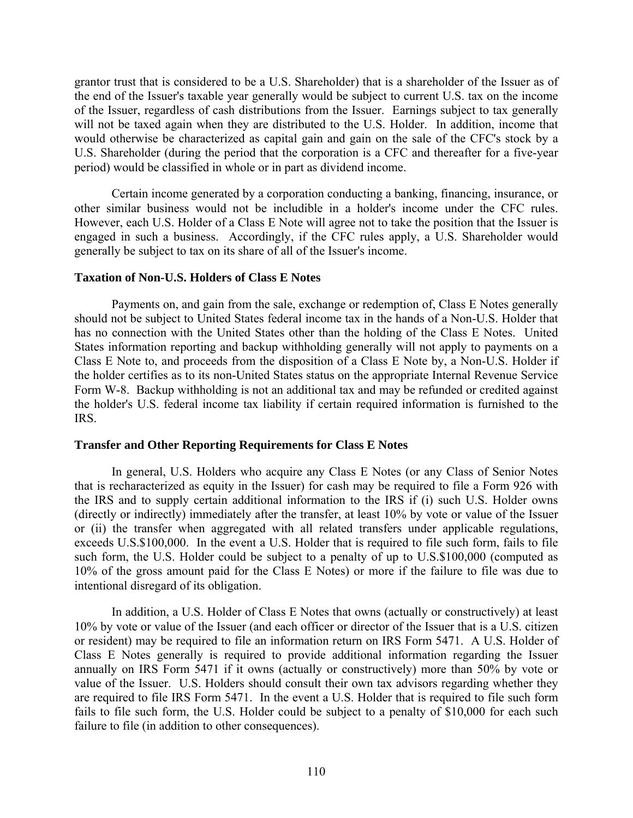grantor trust that is considered to be a U.S. Shareholder) that is a shareholder of the Issuer as of the end of the Issuer's taxable year generally would be subject to current U.S. tax on the income of the Issuer, regardless of cash distributions from the Issuer. Earnings subject to tax generally will not be taxed again when they are distributed to the U.S. Holder. In addition, income that would otherwise be characterized as capital gain and gain on the sale of the CFC's stock by a U.S. Shareholder (during the period that the corporation is a CFC and thereafter for a five-year period) would be classified in whole or in part as dividend income.

Certain income generated by a corporation conducting a banking, financing, insurance, or other similar business would not be includible in a holder's income under the CFC rules. However, each U.S. Holder of a Class E Note will agree not to take the position that the Issuer is engaged in such a business. Accordingly, if the CFC rules apply, a U.S. Shareholder would generally be subject to tax on its share of all of the Issuer's income.

### **Taxation of Non-U.S. Holders of Class E Notes**

Payments on, and gain from the sale, exchange or redemption of, Class E Notes generally should not be subject to United States federal income tax in the hands of a Non-U.S. Holder that has no connection with the United States other than the holding of the Class E Notes. United States information reporting and backup withholding generally will not apply to payments on a Class E Note to, and proceeds from the disposition of a Class E Note by, a Non-U.S. Holder if the holder certifies as to its non-United States status on the appropriate Internal Revenue Service Form W-8. Backup withholding is not an additional tax and may be refunded or credited against the holder's U.S. federal income tax liability if certain required information is furnished to the IRS.

### **Transfer and Other Reporting Requirements for Class E Notes**

In general, U.S. Holders who acquire any Class E Notes (or any Class of Senior Notes that is recharacterized as equity in the Issuer) for cash may be required to file a Form 926 with the IRS and to supply certain additional information to the IRS if (i) such U.S. Holder owns (directly or indirectly) immediately after the transfer, at least 10% by vote or value of the Issuer or (ii) the transfer when aggregated with all related transfers under applicable regulations, exceeds U.S.\$100,000. In the event a U.S. Holder that is required to file such form, fails to file such form, the U.S. Holder could be subject to a penalty of up to U.S.\$100,000 (computed as 10% of the gross amount paid for the Class E Notes) or more if the failure to file was due to intentional disregard of its obligation.

In addition, a U.S. Holder of Class E Notes that owns (actually or constructively) at least 10% by vote or value of the Issuer (and each officer or director of the Issuer that is a U.S. citizen or resident) may be required to file an information return on IRS Form 5471. A U.S. Holder of Class E Notes generally is required to provide additional information regarding the Issuer annually on IRS Form 5471 if it owns (actually or constructively) more than 50% by vote or value of the Issuer. U.S. Holders should consult their own tax advisors regarding whether they are required to file IRS Form 5471. In the event a U.S. Holder that is required to file such form fails to file such form, the U.S. Holder could be subject to a penalty of \$10,000 for each such failure to file (in addition to other consequences).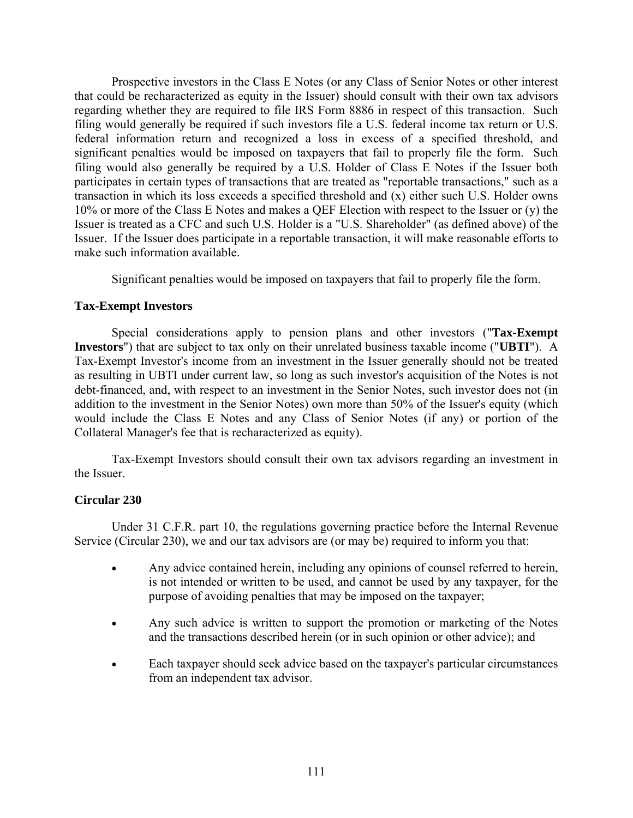Prospective investors in the Class E Notes (or any Class of Senior Notes or other interest that could be recharacterized as equity in the Issuer) should consult with their own tax advisors regarding whether they are required to file IRS Form 8886 in respect of this transaction. Such filing would generally be required if such investors file a U.S. federal income tax return or U.S. federal information return and recognized a loss in excess of a specified threshold, and significant penalties would be imposed on taxpayers that fail to properly file the form. Such filing would also generally be required by a U.S. Holder of Class E Notes if the Issuer both participates in certain types of transactions that are treated as "reportable transactions," such as a transaction in which its loss exceeds a specified threshold and (x) either such U.S. Holder owns 10% or more of the Class E Notes and makes a QEF Election with respect to the Issuer or (y) the Issuer is treated as a CFC and such U.S. Holder is a "U.S. Shareholder" (as defined above) of the Issuer. If the Issuer does participate in a reportable transaction, it will make reasonable efforts to make such information available.

Significant penalties would be imposed on taxpayers that fail to properly file the form.

### **Tax-Exempt Investors**

Special considerations apply to pension plans and other investors ("**Tax-Exempt Investors**") that are subject to tax only on their unrelated business taxable income ("**UBTI**"). A Tax-Exempt Investor's income from an investment in the Issuer generally should not be treated as resulting in UBTI under current law, so long as such investor's acquisition of the Notes is not debt-financed, and, with respect to an investment in the Senior Notes, such investor does not (in addition to the investment in the Senior Notes) own more than 50% of the Issuer's equity (which would include the Class E Notes and any Class of Senior Notes (if any) or portion of the Collateral Manager's fee that is recharacterized as equity).

Tax-Exempt Investors should consult their own tax advisors regarding an investment in the Issuer.

# **Circular 230**

Under 31 C.F.R. part 10, the regulations governing practice before the Internal Revenue Service (Circular 230), we and our tax advisors are (or may be) required to inform you that:

- Any advice contained herein, including any opinions of counsel referred to herein, is not intended or written to be used, and cannot be used by any taxpayer, for the purpose of avoiding penalties that may be imposed on the taxpayer;
- Any such advice is written to support the promotion or marketing of the Notes and the transactions described herein (or in such opinion or other advice); and
- Each taxpayer should seek advice based on the taxpayer's particular circumstances from an independent tax advisor.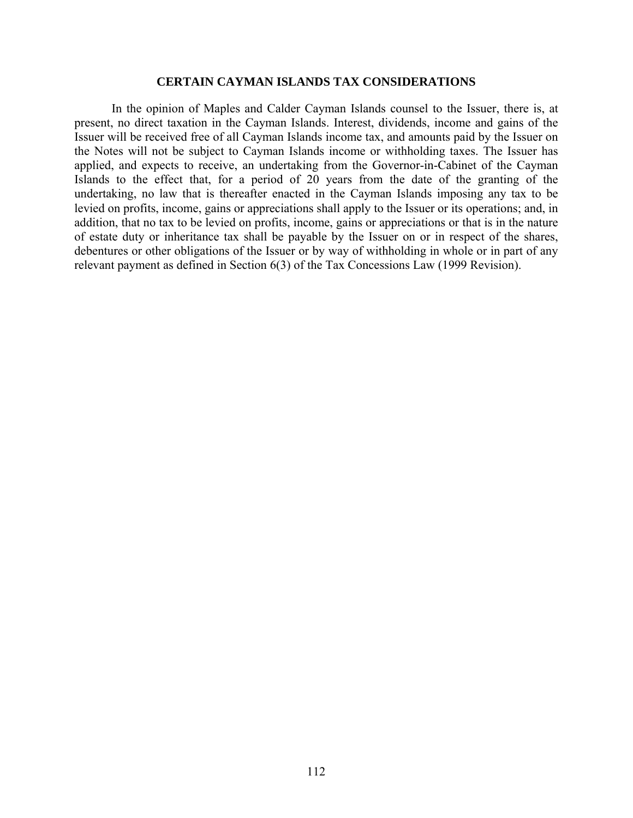#### **CERTAIN CAYMAN ISLANDS TAX CONSIDERATIONS**

In the opinion of Maples and Calder Cayman Islands counsel to the Issuer, there is, at present, no direct taxation in the Cayman Islands. Interest, dividends, income and gains of the Issuer will be received free of all Cayman Islands income tax, and amounts paid by the Issuer on the Notes will not be subject to Cayman Islands income or withholding taxes. The Issuer has applied, and expects to receive, an undertaking from the Governor-in-Cabinet of the Cayman Islands to the effect that, for a period of 20 years from the date of the granting of the undertaking, no law that is thereafter enacted in the Cayman Islands imposing any tax to be levied on profits, income, gains or appreciations shall apply to the Issuer or its operations; and, in addition, that no tax to be levied on profits, income, gains or appreciations or that is in the nature of estate duty or inheritance tax shall be payable by the Issuer on or in respect of the shares, debentures or other obligations of the Issuer or by way of withholding in whole or in part of any relevant payment as defined in Section 6(3) of the Tax Concessions Law (1999 Revision).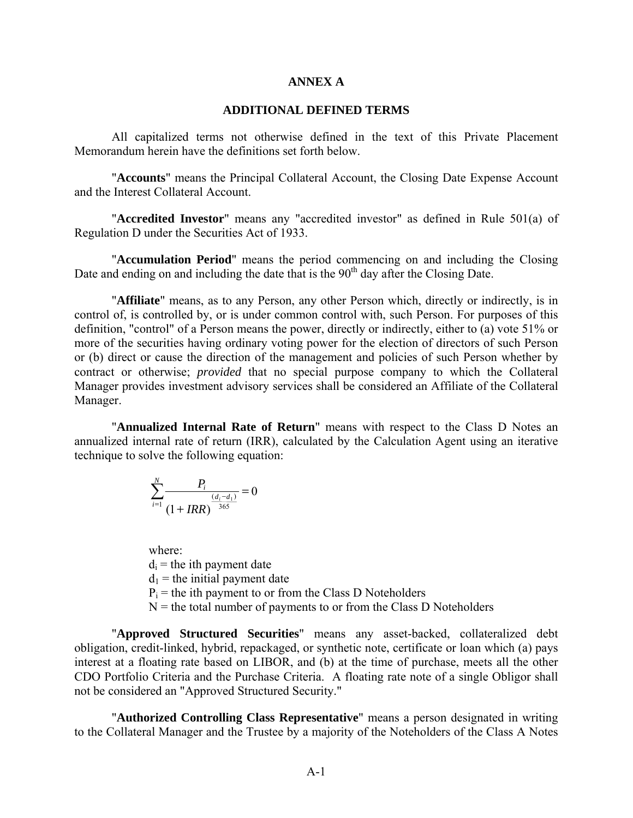### **ANNEX A**

### **ADDITIONAL DEFINED TERMS**

All capitalized terms not otherwise defined in the text of this Private Placement Memorandum herein have the definitions set forth below.

"**Accounts**" means the Principal Collateral Account, the Closing Date Expense Account and the Interest Collateral Account.

"**Accredited Investor**" means any "accredited investor" as defined in Rule 501(a) of Regulation D under the Securities Act of 1933.

"**Accumulation Period**" means the period commencing on and including the Closing Date and ending on and including the date that is the  $90<sup>th</sup>$  day after the Closing Date.

"**Affiliate**" means, as to any Person, any other Person which, directly or indirectly, is in control of, is controlled by, or is under common control with, such Person. For purposes of this definition, "control" of a Person means the power, directly or indirectly, either to (a) vote 51% or more of the securities having ordinary voting power for the election of directors of such Person or (b) direct or cause the direction of the management and policies of such Person whether by contract or otherwise; *provided* that no special purpose company to which the Collateral Manager provides investment advisory services shall be considered an Affiliate of the Collateral Manager.

"**Annualized Internal Rate of Return**" means with respect to the Class D Notes an annualized internal rate of return (IRR), calculated by the Calculation Agent using an iterative technique to solve the following equation:

$$
\sum_{i=1}^{N} \frac{P_i}{(1 + IRR)^{\frac{(d_i - d_1)}{365}}} = 0
$$

where:  $d_i$  = the ith payment date  $d_1$  = the initial payment date  $P_i$  = the ith payment to or from the Class D Noteholders  $N =$  the total number of payments to or from the Class D Noteholders

"**Approved Structured Securities**" means any asset-backed, collateralized debt obligation, credit-linked, hybrid, repackaged, or synthetic note, certificate or loan which (a) pays interest at a floating rate based on LIBOR, and (b) at the time of purchase, meets all the other CDO Portfolio Criteria and the Purchase Criteria. A floating rate note of a single Obligor shall not be considered an "Approved Structured Security."

"**Authorized Controlling Class Representative**" means a person designated in writing to the Collateral Manager and the Trustee by a majority of the Noteholders of the Class A Notes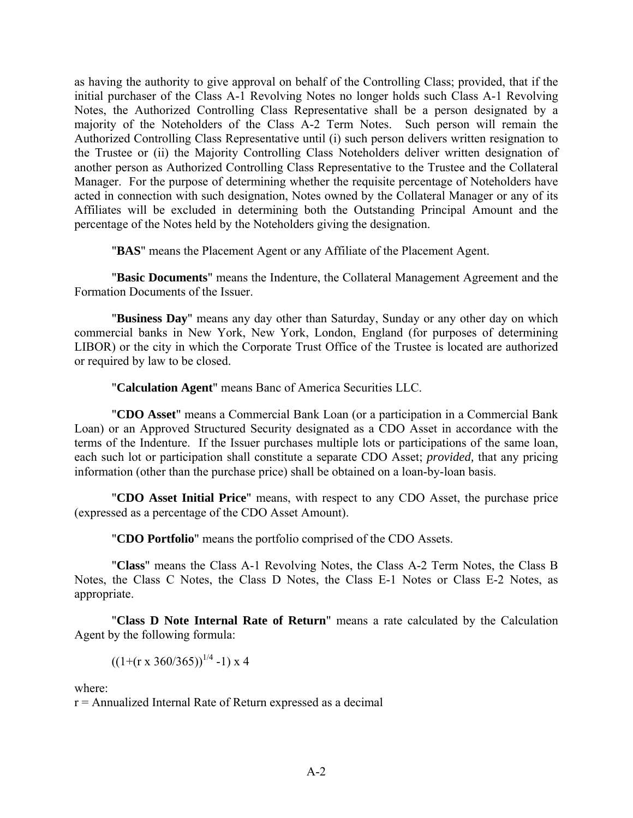as having the authority to give approval on behalf of the Controlling Class; provided, that if the initial purchaser of the Class A-1 Revolving Notes no longer holds such Class A-1 Revolving Notes, the Authorized Controlling Class Representative shall be a person designated by a majority of the Noteholders of the Class A-2 Term Notes. Such person will remain the Authorized Controlling Class Representative until (i) such person delivers written resignation to the Trustee or (ii) the Majority Controlling Class Noteholders deliver written designation of another person as Authorized Controlling Class Representative to the Trustee and the Collateral Manager. For the purpose of determining whether the requisite percentage of Noteholders have acted in connection with such designation, Notes owned by the Collateral Manager or any of its Affiliates will be excluded in determining both the Outstanding Principal Amount and the percentage of the Notes held by the Noteholders giving the designation.

"**BAS**" means the Placement Agent or any Affiliate of the Placement Agent.

"**Basic Documents**" means the Indenture, the Collateral Management Agreement and the Formation Documents of the Issuer.

"**Business Day**" means any day other than Saturday, Sunday or any other day on which commercial banks in New York, New York, London, England (for purposes of determining LIBOR) or the city in which the Corporate Trust Office of the Trustee is located are authorized or required by law to be closed.

"**Calculation Agent**" means Banc of America Securities LLC.

"**CDO Asset**" means a Commercial Bank Loan (or a participation in a Commercial Bank Loan) or an Approved Structured Security designated as a CDO Asset in accordance with the terms of the Indenture. If the Issuer purchases multiple lots or participations of the same loan, each such lot or participation shall constitute a separate CDO Asset; *provided,* that any pricing information (other than the purchase price) shall be obtained on a loan-by-loan basis.

"**CDO Asset Initial Price**" means, with respect to any CDO Asset, the purchase price (expressed as a percentage of the CDO Asset Amount).

"**CDO Portfolio**" means the portfolio comprised of the CDO Assets.

"**Class**" means the Class A-1 Revolving Notes, the Class A-2 Term Notes, the Class B Notes, the Class C Notes, the Class D Notes, the Class E-1 Notes or Class E-2 Notes, as appropriate.

"**Class D Note Internal Rate of Return**" means a rate calculated by the Calculation Agent by the following formula:

 $((1+(r x 360/365))^{1/4} -1) x 4$ 

where:

r = Annualized Internal Rate of Return expressed as a decimal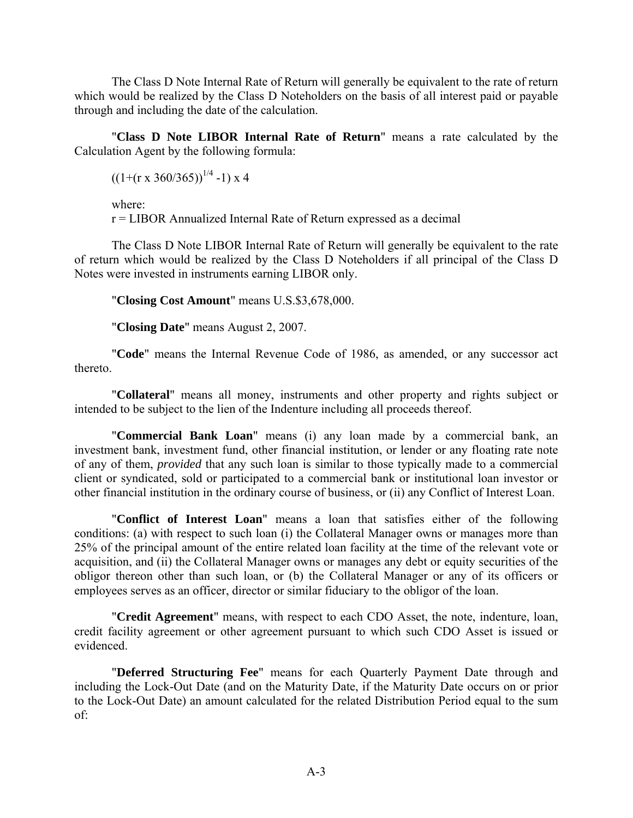The Class D Note Internal Rate of Return will generally be equivalent to the rate of return which would be realized by the Class D Noteholders on the basis of all interest paid or payable through and including the date of the calculation.

"**Class D Note LIBOR Internal Rate of Return**" means a rate calculated by the Calculation Agent by the following formula:

 $((1+(r x 360/365))^{1/4} -1) x 4$ 

where:

r = LIBOR Annualized Internal Rate of Return expressed as a decimal

The Class D Note LIBOR Internal Rate of Return will generally be equivalent to the rate of return which would be realized by the Class D Noteholders if all principal of the Class D Notes were invested in instruments earning LIBOR only.

"**Closing Cost Amount**" means U.S.\$3,678,000.

"**Closing Date**" means August 2, 2007.

"**Code**" means the Internal Revenue Code of 1986, as amended, or any successor act thereto.

"**Collateral**" means all money, instruments and other property and rights subject or intended to be subject to the lien of the Indenture including all proceeds thereof.

"**Commercial Bank Loan**" means (i) any loan made by a commercial bank, an investment bank, investment fund, other financial institution, or lender or any floating rate note of any of them, *provided* that any such loan is similar to those typically made to a commercial client or syndicated, sold or participated to a commercial bank or institutional loan investor or other financial institution in the ordinary course of business, or (ii) any Conflict of Interest Loan.

"**Conflict of Interest Loan**" means a loan that satisfies either of the following conditions: (a) with respect to such loan (i) the Collateral Manager owns or manages more than 25% of the principal amount of the entire related loan facility at the time of the relevant vote or acquisition, and (ii) the Collateral Manager owns or manages any debt or equity securities of the obligor thereon other than such loan, or (b) the Collateral Manager or any of its officers or employees serves as an officer, director or similar fiduciary to the obligor of the loan.

"**Credit Agreement**" means, with respect to each CDO Asset, the note, indenture, loan, credit facility agreement or other agreement pursuant to which such CDO Asset is issued or evidenced.

"**Deferred Structuring Fee**" means for each Quarterly Payment Date through and including the Lock-Out Date (and on the Maturity Date, if the Maturity Date occurs on or prior to the Lock-Out Date) an amount calculated for the related Distribution Period equal to the sum of: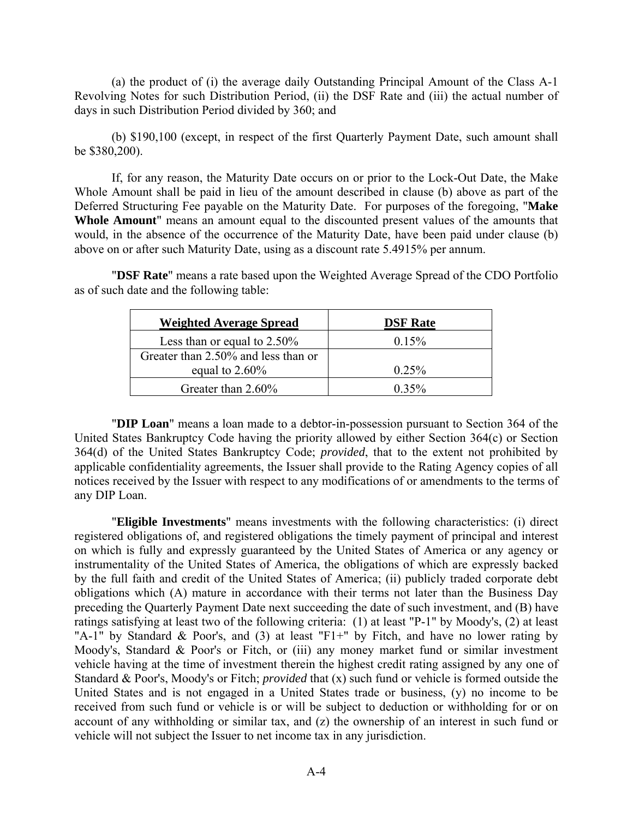(a) the product of (i) the average daily Outstanding Principal Amount of the Class A-1 Revolving Notes for such Distribution Period, (ii) the DSF Rate and (iii) the actual number of days in such Distribution Period divided by 360; and

(b) \$190,100 (except, in respect of the first Quarterly Payment Date, such amount shall be \$380,200).

If, for any reason, the Maturity Date occurs on or prior to the Lock-Out Date, the Make Whole Amount shall be paid in lieu of the amount described in clause (b) above as part of the Deferred Structuring Fee payable on the Maturity Date. For purposes of the foregoing, "**Make Whole Amount**" means an amount equal to the discounted present values of the amounts that would, in the absence of the occurrence of the Maturity Date, have been paid under clause (b) above on or after such Maturity Date, using as a discount rate 5.4915% per annum.

"**DSF Rate**" means a rate based upon the Weighted Average Spread of the CDO Portfolio as of such date and the following table:

| <b>Weighted Average Spread</b>      | <b>DSF</b> Rate |
|-------------------------------------|-----------------|
| Less than or equal to $2.50\%$      | 0.15%           |
| Greater than 2.50% and less than or |                 |
| equal to $2.60\%$                   | 0.25%           |
| Greater than 2.60%                  | $0.35\%$        |

"**DIP Loan**" means a loan made to a debtor-in-possession pursuant to Section 364 of the United States Bankruptcy Code having the priority allowed by either Section 364(c) or Section 364(d) of the United States Bankruptcy Code; *provided*, that to the extent not prohibited by applicable confidentiality agreements, the Issuer shall provide to the Rating Agency copies of all notices received by the Issuer with respect to any modifications of or amendments to the terms of any DIP Loan.

"**Eligible Investments**" means investments with the following characteristics: (i) direct registered obligations of, and registered obligations the timely payment of principal and interest on which is fully and expressly guaranteed by the United States of America or any agency or instrumentality of the United States of America, the obligations of which are expressly backed by the full faith and credit of the United States of America; (ii) publicly traded corporate debt obligations which (A) mature in accordance with their terms not later than the Business Day preceding the Quarterly Payment Date next succeeding the date of such investment, and (B) have ratings satisfying at least two of the following criteria: (1) at least "P-1" by Moody's, (2) at least "A-1" by Standard & Poor's, and (3) at least "F1+" by Fitch, and have no lower rating by Moody's, Standard & Poor's or Fitch, or (iii) any money market fund or similar investment vehicle having at the time of investment therein the highest credit rating assigned by any one of Standard & Poor's, Moody's or Fitch; *provided* that (x) such fund or vehicle is formed outside the United States and is not engaged in a United States trade or business, (y) no income to be received from such fund or vehicle is or will be subject to deduction or withholding for or on account of any withholding or similar tax, and (z) the ownership of an interest in such fund or vehicle will not subject the Issuer to net income tax in any jurisdiction.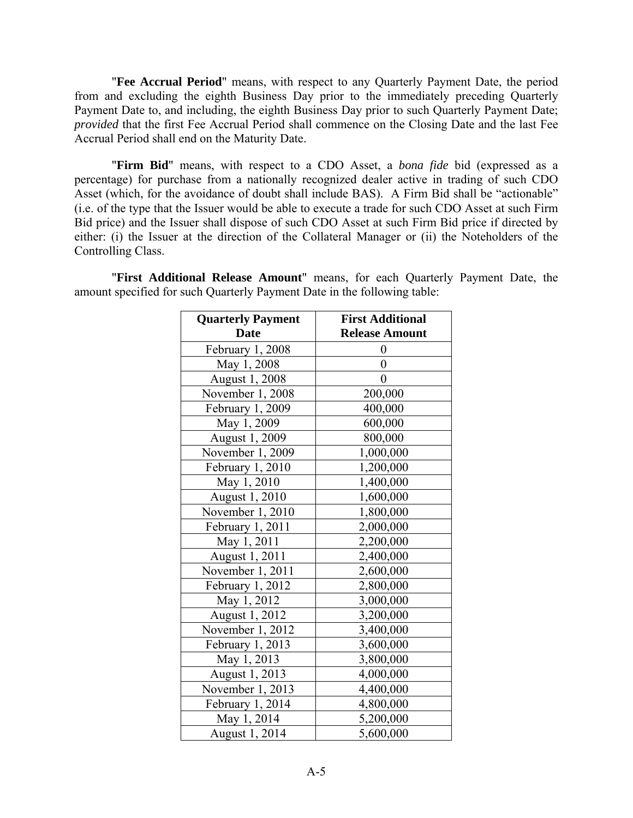"**Fee Accrual Period**" means, with respect to any Quarterly Payment Date, the period from and excluding the eighth Business Day prior to the immediately preceding Quarterly Payment Date to, and including, the eighth Business Day prior to such Quarterly Payment Date; *provided* that the first Fee Accrual Period shall commence on the Closing Date and the last Fee Accrual Period shall end on the Maturity Date.

"**Firm Bid**" means, with respect to a CDO Asset, a *bona fide* bid (expressed as a percentage) for purchase from a nationally recognized dealer active in trading of such CDO Asset (which, for the avoidance of doubt shall include BAS). A Firm Bid shall be "actionable" (i.e. of the type that the Issuer would be able to execute a trade for such CDO Asset at such Firm Bid price) and the Issuer shall dispose of such CDO Asset at such Firm Bid price if directed by either: (i) the Issuer at the direction of the Collateral Manager or (ii) the Noteholders of the Controlling Class.

| <b>Quarterly Payment</b> | <b>First Additional</b> |
|--------------------------|-------------------------|
| <b>Date</b>              | <b>Release Amount</b>   |
| February 1, 2008         | 0                       |
| May 1, 2008              | 0                       |
| August 1, 2008           | $\theta$                |
| November 1, 2008         | 200,000                 |
| February 1, 2009         | 400,000                 |
| May 1, 2009              | 600,000                 |
| August 1, 2009           | 800,000                 |
| November 1, 2009         | 1,000,000               |
| February 1, 2010         | 1,200,000               |
| May 1, 2010              | 1,400,000               |
| August 1, 2010           | 1,600,000               |
| November 1, 2010         | 1,800,000               |
| February 1, 2011         | 2,000,000               |
| May 1, 2011              | 2,200,000               |
| August 1, 2011           | 2,400,000               |
| November 1, 2011         | 2,600,000               |
| February 1, 2012         | 2,800,000               |
| May 1, 2012              | 3,000,000               |
| August 1, 2012           | 3,200,000               |
| November 1, 2012         | 3,400,000               |
| February 1, 2013         | 3,600,000               |
| May 1, 2013              | 3,800,000               |
| August 1, 2013           | 4,000,000               |
| November 1, 2013         | 4,400,000               |
| February 1, 2014         | 4,800,000               |
| May 1, 2014              | 5,200,000               |
| August 1, 2014           | 5,600,000               |

"**First Additional Release Amount**" means, for each Quarterly Payment Date, the amount specified for such Quarterly Payment Date in the following table: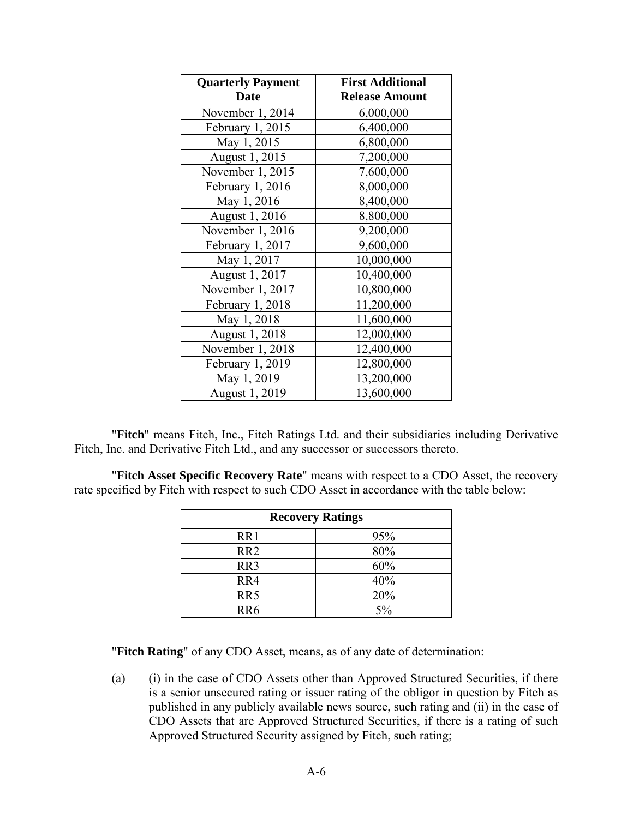| <b>Quarterly Payment</b> | <b>First Additional</b> |
|--------------------------|-------------------------|
| <b>Date</b>              | <b>Release Amount</b>   |
| November 1, 2014         | 6,000,000               |
| February 1, 2015         | 6,400,000               |
| May 1, 2015              | 6,800,000               |
| August 1, 2015           | 7,200,000               |
| November 1, 2015         | 7,600,000               |
| February 1, 2016         | 8,000,000               |
| May 1, 2016              | 8,400,000               |
| August 1, 2016           | 8,800,000               |
| November 1, 2016         | 9,200,000               |
| February 1, 2017         | 9,600,000               |
| May 1, 2017              | 10,000,000              |
| August 1, 2017           | 10,400,000              |
| November 1, 2017         | 10,800,000              |
| February 1, 2018         | 11,200,000              |
| May 1, 2018              | 11,600,000              |
| August 1, 2018           | 12,000,000              |
| November 1, 2018         | 12,400,000              |
| February 1, 2019         | 12,800,000              |
| May 1, 2019              | 13,200,000              |
| August 1, 2019           | 13,600,000              |

"**Fitch**" means Fitch, Inc., Fitch Ratings Ltd. and their subsidiaries including Derivative Fitch, Inc. and Derivative Fitch Ltd., and any successor or successors thereto.

"**Fitch Asset Specific Recovery Rate**" means with respect to a CDO Asset, the recovery rate specified by Fitch with respect to such CDO Asset in accordance with the table below:

| <b>Recovery Ratings</b> |     |  |
|-------------------------|-----|--|
| RR1                     | 95% |  |
| RR <sub>2</sub>         | 80% |  |
| RR3                     | 60% |  |
| RR4                     | 40% |  |
| RR5                     | 20% |  |
| RR <sub>6</sub>         | 5%  |  |

"**Fitch Rating**" of any CDO Asset, means, as of any date of determination:

(a) (i) in the case of CDO Assets other than Approved Structured Securities, if there is a senior unsecured rating or issuer rating of the obligor in question by Fitch as published in any publicly available news source, such rating and (ii) in the case of CDO Assets that are Approved Structured Securities, if there is a rating of such Approved Structured Security assigned by Fitch, such rating;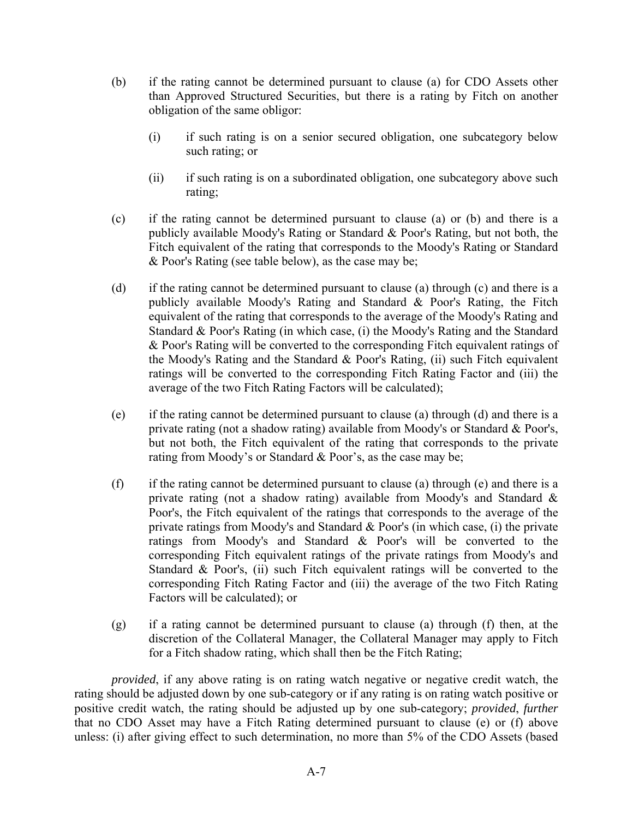- (b) if the rating cannot be determined pursuant to clause (a) for CDO Assets other than Approved Structured Securities, but there is a rating by Fitch on another obligation of the same obligor:
	- (i) if such rating is on a senior secured obligation, one subcategory below such rating; or
	- (ii) if such rating is on a subordinated obligation, one subcategory above such rating;
- (c) if the rating cannot be determined pursuant to clause (a) or (b) and there is a publicly available Moody's Rating or Standard & Poor's Rating, but not both, the Fitch equivalent of the rating that corresponds to the Moody's Rating or Standard & Poor's Rating (see table below), as the case may be;
- (d) if the rating cannot be determined pursuant to clause (a) through (c) and there is a publicly available Moody's Rating and Standard & Poor's Rating, the Fitch equivalent of the rating that corresponds to the average of the Moody's Rating and Standard & Poor's Rating (in which case, (i) the Moody's Rating and the Standard & Poor's Rating will be converted to the corresponding Fitch equivalent ratings of the Moody's Rating and the Standard & Poor's Rating, (ii) such Fitch equivalent ratings will be converted to the corresponding Fitch Rating Factor and (iii) the average of the two Fitch Rating Factors will be calculated);
- (e) if the rating cannot be determined pursuant to clause (a) through (d) and there is a private rating (not a shadow rating) available from Moody's or Standard & Poor's, but not both, the Fitch equivalent of the rating that corresponds to the private rating from Moody's or Standard & Poor's, as the case may be;
- (f) if the rating cannot be determined pursuant to clause (a) through (e) and there is a private rating (not a shadow rating) available from Moody's and Standard & Poor's, the Fitch equivalent of the ratings that corresponds to the average of the private ratings from Moody's and Standard & Poor's (in which case, (i) the private ratings from Moody's and Standard & Poor's will be converted to the corresponding Fitch equivalent ratings of the private ratings from Moody's and Standard & Poor's, (ii) such Fitch equivalent ratings will be converted to the corresponding Fitch Rating Factor and (iii) the average of the two Fitch Rating Factors will be calculated); or
- (g) if a rating cannot be determined pursuant to clause (a) through (f) then, at the discretion of the Collateral Manager, the Collateral Manager may apply to Fitch for a Fitch shadow rating, which shall then be the Fitch Rating;

*provided*, if any above rating is on rating watch negative or negative credit watch, the rating should be adjusted down by one sub-category or if any rating is on rating watch positive or positive credit watch, the rating should be adjusted up by one sub-category; *provided*, *further* that no CDO Asset may have a Fitch Rating determined pursuant to clause (e) or (f) above unless: (i) after giving effect to such determination, no more than 5% of the CDO Assets (based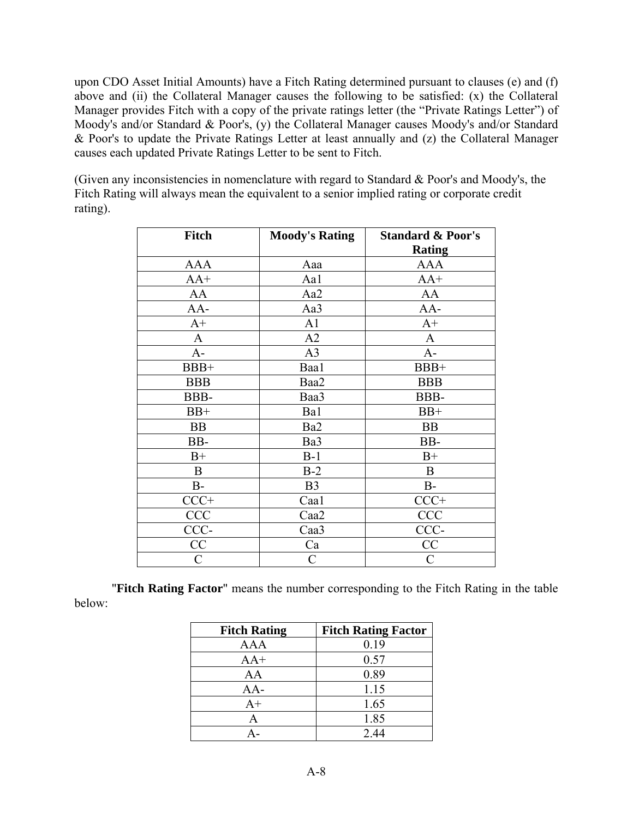upon CDO Asset Initial Amounts) have a Fitch Rating determined pursuant to clauses (e) and (f) above and (ii) the Collateral Manager causes the following to be satisfied: (x) the Collateral Manager provides Fitch with a copy of the private ratings letter (the "Private Ratings Letter") of Moody's and/or Standard & Poor's, (y) the Collateral Manager causes Moody's and/or Standard & Poor's to update the Private Ratings Letter at least annually and (z) the Collateral Manager causes each updated Private Ratings Letter to be sent to Fitch.

(Given any inconsistencies in nomenclature with regard to Standard & Poor's and Moody's, the Fitch Rating will always mean the equivalent to a senior implied rating or corporate credit rating).

| <b>Fitch</b> | <b>Moody's Rating</b> | <b>Standard &amp; Poor's</b> |
|--------------|-----------------------|------------------------------|
|              |                       | <b>Rating</b>                |
| <b>AAA</b>   | Aaa                   | <b>AAA</b>                   |
| $AA+$        | Aa1                   | $AA+$                        |
| AA           | Aa2                   | AA                           |
| AA-          | Aa3                   | AA-                          |
| $A+$         | A <sub>1</sub>        | $A+$                         |
| $\mathbf{A}$ | A2                    | A                            |
| $A-$         | A <sub>3</sub>        | $A-$                         |
| BBB+         | Baa1                  | BBB+                         |
| <b>BBB</b>   | Baa2                  | <b>BBB</b>                   |
| BBB-         | Baa3                  | BBB-                         |
| $BB+$        | Ba1                   | $BB+$                        |
| <b>BB</b>    | Ba2                   | <b>BB</b>                    |
| BB-          | Ba3                   | BB-                          |
| $B+$         | $B-1$                 | $B+$                         |
| $\bf{B}$     | $B-2$                 | $\mathbf B$                  |
| $B-$         | B <sub>3</sub>        | $B-$                         |
| $CCC+$       | Caa1                  | $CCC+$                       |
| <b>CCC</b>   | Caa2                  | CCC                          |
| CCC-         | Caa3                  | CCC-                         |
| CC           | Ca                    | CC                           |
| C            | C                     | C                            |

"**Fitch Rating Factor**" means the number corresponding to the Fitch Rating in the table below:

| <b>Fitch Rating</b> | <b>Fitch Rating Factor</b> |
|---------------------|----------------------------|
| AAA                 | 0.19                       |
| $AA+$               | 0.57                       |
| AA                  | 0.89                       |
| AA-                 | 1.15                       |
| $A+$                | 1.65                       |
| A                   | 1.85                       |
|                     | 2.44                       |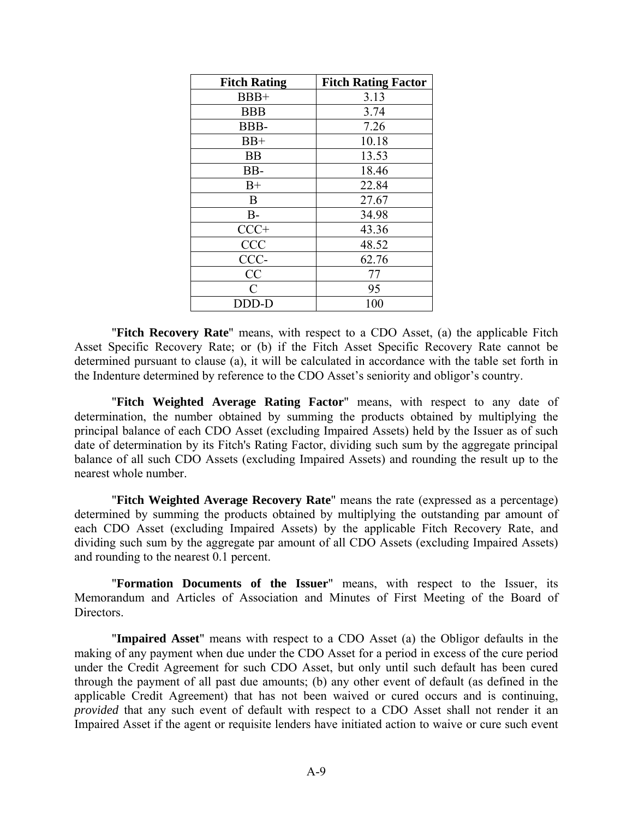| <b>Fitch Rating</b> | <b>Fitch Rating Factor</b> |
|---------------------|----------------------------|
| $BBB+$              | 3.13                       |
| <b>BBB</b>          | 3.74                       |
| BBB-                | 7.26                       |
| $BB+$               | 10.18                      |
| <b>BB</b>           | 13.53                      |
| BB-                 | 18.46                      |
| $B+$                | 22.84                      |
| B                   | 27.67                      |
| $B-$                | 34.98                      |
| $CCC+$              | 43.36                      |
| <b>CCC</b>          | 48.52                      |
| CCC-                | 62.76                      |
| CC                  | 77                         |
| C                   | 95                         |
| DDD-D               | 100                        |

"**Fitch Recovery Rate**" means, with respect to a CDO Asset, (a) the applicable Fitch Asset Specific Recovery Rate; or (b) if the Fitch Asset Specific Recovery Rate cannot be determined pursuant to clause (a), it will be calculated in accordance with the table set forth in the Indenture determined by reference to the CDO Asset's seniority and obligor's country.

"**Fitch Weighted Average Rating Factor**" means, with respect to any date of determination, the number obtained by summing the products obtained by multiplying the principal balance of each CDO Asset (excluding Impaired Assets) held by the Issuer as of such date of determination by its Fitch's Rating Factor, dividing such sum by the aggregate principal balance of all such CDO Assets (excluding Impaired Assets) and rounding the result up to the nearest whole number.

"**Fitch Weighted Average Recovery Rate**" means the rate (expressed as a percentage) determined by summing the products obtained by multiplying the outstanding par amount of each CDO Asset (excluding Impaired Assets) by the applicable Fitch Recovery Rate, and dividing such sum by the aggregate par amount of all CDO Assets (excluding Impaired Assets) and rounding to the nearest 0.1 percent.

"**Formation Documents of the Issuer**" means, with respect to the Issuer, its Memorandum and Articles of Association and Minutes of First Meeting of the Board of Directors.

"**Impaired Asset**" means with respect to a CDO Asset (a) the Obligor defaults in the making of any payment when due under the CDO Asset for a period in excess of the cure period under the Credit Agreement for such CDO Asset, but only until such default has been cured through the payment of all past due amounts; (b) any other event of default (as defined in the applicable Credit Agreement) that has not been waived or cured occurs and is continuing, *provided* that any such event of default with respect to a CDO Asset shall not render it an Impaired Asset if the agent or requisite lenders have initiated action to waive or cure such event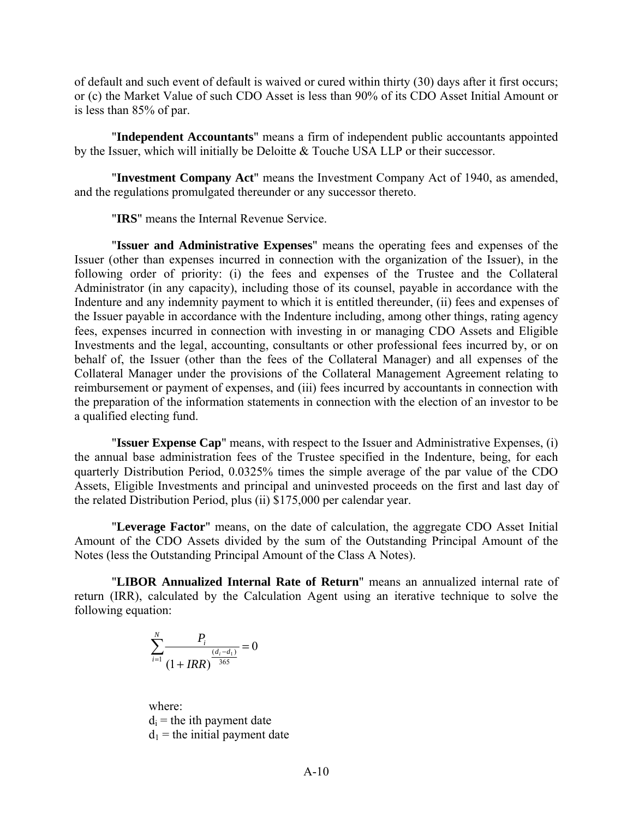of default and such event of default is waived or cured within thirty (30) days after it first occurs; or (c) the Market Value of such CDO Asset is less than 90% of its CDO Asset Initial Amount or is less than 85% of par.

"**Independent Accountants**" means a firm of independent public accountants appointed by the Issuer, which will initially be Deloitte & Touche USA LLP or their successor.

"**Investment Company Act**" means the Investment Company Act of 1940, as amended, and the regulations promulgated thereunder or any successor thereto.

"**IRS**" means the Internal Revenue Service.

"**Issuer and Administrative Expenses**" means the operating fees and expenses of the Issuer (other than expenses incurred in connection with the organization of the Issuer), in the following order of priority: (i) the fees and expenses of the Trustee and the Collateral Administrator (in any capacity), including those of its counsel, payable in accordance with the Indenture and any indemnity payment to which it is entitled thereunder, (ii) fees and expenses of the Issuer payable in accordance with the Indenture including, among other things, rating agency fees, expenses incurred in connection with investing in or managing CDO Assets and Eligible Investments and the legal, accounting, consultants or other professional fees incurred by, or on behalf of, the Issuer (other than the fees of the Collateral Manager) and all expenses of the Collateral Manager under the provisions of the Collateral Management Agreement relating to reimbursement or payment of expenses, and (iii) fees incurred by accountants in connection with the preparation of the information statements in connection with the election of an investor to be a qualified electing fund.

"**Issuer Expense Cap**" means, with respect to the Issuer and Administrative Expenses, (i) the annual base administration fees of the Trustee specified in the Indenture, being, for each quarterly Distribution Period, 0.0325% times the simple average of the par value of the CDO Assets, Eligible Investments and principal and uninvested proceeds on the first and last day of the related Distribution Period, plus (ii) \$175,000 per calendar year.

"**Leverage Factor**" means, on the date of calculation, the aggregate CDO Asset Initial Amount of the CDO Assets divided by the sum of the Outstanding Principal Amount of the Notes (less the Outstanding Principal Amount of the Class A Notes).

"**LIBOR Annualized Internal Rate of Return**" means an annualized internal rate of return (IRR), calculated by the Calculation Agent using an iterative technique to solve the following equation:

$$
\sum_{i=1}^{N} \frac{P_i}{(1 + IRR)^{\frac{(d_i - d_1)}{365}}} = 0
$$

where:  $d_i$  = the ith payment date  $d_1$  = the initial payment date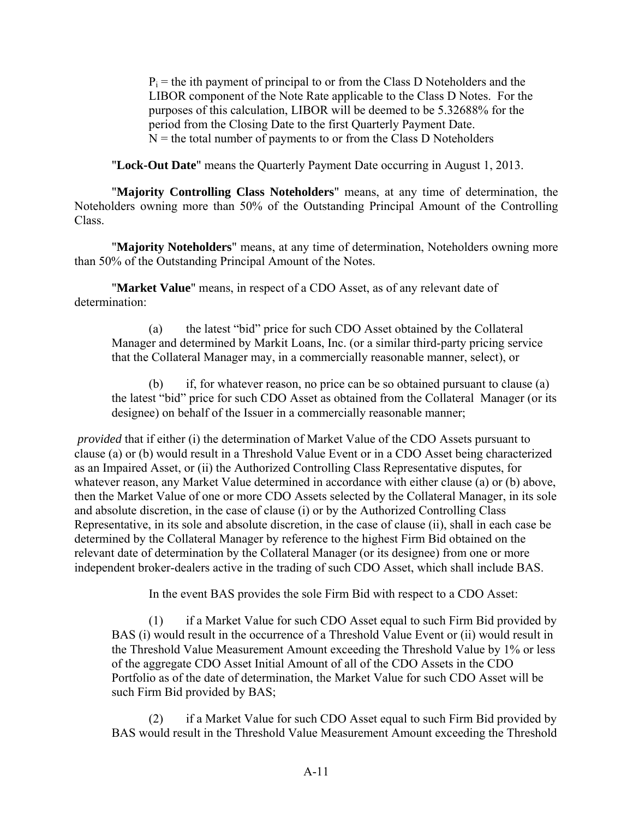$P_i$  = the ith payment of principal to or from the Class D Noteholders and the LIBOR component of the Note Rate applicable to the Class D Notes. For the purposes of this calculation, LIBOR will be deemed to be 5.32688% for the period from the Closing Date to the first Quarterly Payment Date.  $N =$  the total number of payments to or from the Class D Noteholders

"**Lock-Out Date**" means the Quarterly Payment Date occurring in August 1, 2013.

"**Majority Controlling Class Noteholders**" means, at any time of determination, the Noteholders owning more than 50% of the Outstanding Principal Amount of the Controlling Class.

"**Majority Noteholders**" means, at any time of determination, Noteholders owning more than 50% of the Outstanding Principal Amount of the Notes.

"**Market Value**" means, in respect of a CDO Asset, as of any relevant date of determination:

(a) the latest "bid" price for such CDO Asset obtained by the Collateral Manager and determined by Markit Loans, Inc. (or a similar third-party pricing service that the Collateral Manager may, in a commercially reasonable manner, select), or

(b) if, for whatever reason, no price can be so obtained pursuant to clause (a) the latest "bid" price for such CDO Asset as obtained from the Collateral Manager (or its designee) on behalf of the Issuer in a commercially reasonable manner;

*provided* that if either (i) the determination of Market Value of the CDO Assets pursuant to clause (a) or (b) would result in a Threshold Value Event or in a CDO Asset being characterized as an Impaired Asset, or (ii) the Authorized Controlling Class Representative disputes, for whatever reason, any Market Value determined in accordance with either clause (a) or (b) above, then the Market Value of one or more CDO Assets selected by the Collateral Manager, in its sole and absolute discretion, in the case of clause (i) or by the Authorized Controlling Class Representative, in its sole and absolute discretion, in the case of clause (ii), shall in each case be determined by the Collateral Manager by reference to the highest Firm Bid obtained on the relevant date of determination by the Collateral Manager (or its designee) from one or more independent broker-dealers active in the trading of such CDO Asset, which shall include BAS.

In the event BAS provides the sole Firm Bid with respect to a CDO Asset:

(1) if a Market Value for such CDO Asset equal to such Firm Bid provided by BAS (i) would result in the occurrence of a Threshold Value Event or (ii) would result in the Threshold Value Measurement Amount exceeding the Threshold Value by 1% or less of the aggregate CDO Asset Initial Amount of all of the CDO Assets in the CDO Portfolio as of the date of determination, the Market Value for such CDO Asset will be such Firm Bid provided by BAS;

(2) if a Market Value for such CDO Asset equal to such Firm Bid provided by BAS would result in the Threshold Value Measurement Amount exceeding the Threshold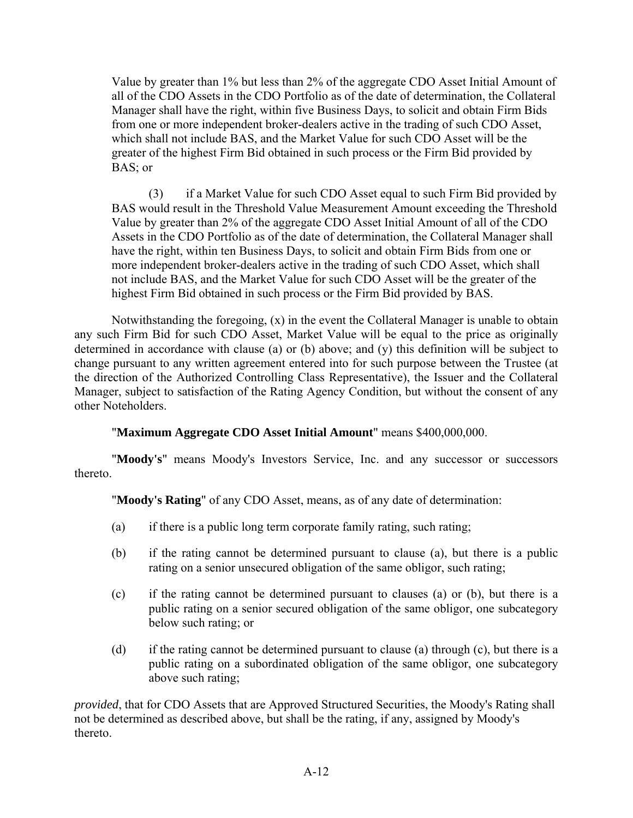Value by greater than 1% but less than 2% of the aggregate CDO Asset Initial Amount of all of the CDO Assets in the CDO Portfolio as of the date of determination, the Collateral Manager shall have the right, within five Business Days, to solicit and obtain Firm Bids from one or more independent broker-dealers active in the trading of such CDO Asset, which shall not include BAS, and the Market Value for such CDO Asset will be the greater of the highest Firm Bid obtained in such process or the Firm Bid provided by BAS; or

(3) if a Market Value for such CDO Asset equal to such Firm Bid provided by BAS would result in the Threshold Value Measurement Amount exceeding the Threshold Value by greater than 2% of the aggregate CDO Asset Initial Amount of all of the CDO Assets in the CDO Portfolio as of the date of determination, the Collateral Manager shall have the right, within ten Business Days, to solicit and obtain Firm Bids from one or more independent broker-dealers active in the trading of such CDO Asset, which shall not include BAS, and the Market Value for such CDO Asset will be the greater of the highest Firm Bid obtained in such process or the Firm Bid provided by BAS.

Notwithstanding the foregoing, (x) in the event the Collateral Manager is unable to obtain any such Firm Bid for such CDO Asset, Market Value will be equal to the price as originally determined in accordance with clause (a) or (b) above; and (y) this definition will be subject to change pursuant to any written agreement entered into for such purpose between the Trustee (at the direction of the Authorized Controlling Class Representative), the Issuer and the Collateral Manager, subject to satisfaction of the Rating Agency Condition, but without the consent of any other Noteholders.

# "**Maximum Aggregate CDO Asset Initial Amount**" means \$400,000,000.

"**Moody's**" means Moody's Investors Service, Inc. and any successor or successors thereto.

"**Moody's Rating**" of any CDO Asset, means, as of any date of determination:

- (a) if there is a public long term corporate family rating, such rating;
- (b) if the rating cannot be determined pursuant to clause (a), but there is a public rating on a senior unsecured obligation of the same obligor, such rating;
- (c) if the rating cannot be determined pursuant to clauses (a) or (b), but there is a public rating on a senior secured obligation of the same obligor, one subcategory below such rating; or
- (d) if the rating cannot be determined pursuant to clause (a) through (c), but there is a public rating on a subordinated obligation of the same obligor, one subcategory above such rating;

*provided*, that for CDO Assets that are Approved Structured Securities, the Moody's Rating shall not be determined as described above, but shall be the rating, if any, assigned by Moody's thereto.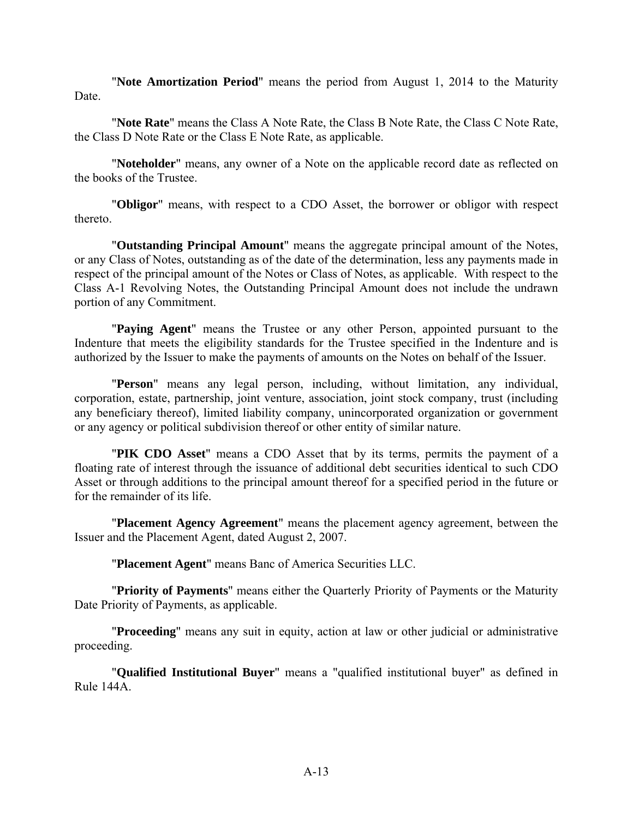"**Note Amortization Period**" means the period from August 1, 2014 to the Maturity **Date** 

"**Note Rate**" means the Class A Note Rate, the Class B Note Rate, the Class C Note Rate, the Class D Note Rate or the Class E Note Rate, as applicable.

"**Noteholder**" means, any owner of a Note on the applicable record date as reflected on the books of the Trustee.

"**Obligor**" means, with respect to a CDO Asset, the borrower or obligor with respect thereto.

"**Outstanding Principal Amount**" means the aggregate principal amount of the Notes, or any Class of Notes, outstanding as of the date of the determination, less any payments made in respect of the principal amount of the Notes or Class of Notes, as applicable. With respect to the Class A-1 Revolving Notes, the Outstanding Principal Amount does not include the undrawn portion of any Commitment.

"**Paying Agent**" means the Trustee or any other Person, appointed pursuant to the Indenture that meets the eligibility standards for the Trustee specified in the Indenture and is authorized by the Issuer to make the payments of amounts on the Notes on behalf of the Issuer.

"**Person**" means any legal person, including, without limitation, any individual, corporation, estate, partnership, joint venture, association, joint stock company, trust (including any beneficiary thereof), limited liability company, unincorporated organization or government or any agency or political subdivision thereof or other entity of similar nature.

"**PIK CDO Asset**" means a CDO Asset that by its terms, permits the payment of a floating rate of interest through the issuance of additional debt securities identical to such CDO Asset or through additions to the principal amount thereof for a specified period in the future or for the remainder of its life.

"**Placement Agency Agreement**" means the placement agency agreement, between the Issuer and the Placement Agent, dated August 2, 2007.

"**Placement Agent**" means Banc of America Securities LLC.

"**Priority of Payments**" means either the Quarterly Priority of Payments or the Maturity Date Priority of Payments, as applicable.

"**Proceeding**" means any suit in equity, action at law or other judicial or administrative proceeding.

"**Qualified Institutional Buyer**" means a "qualified institutional buyer" as defined in Rule 144A.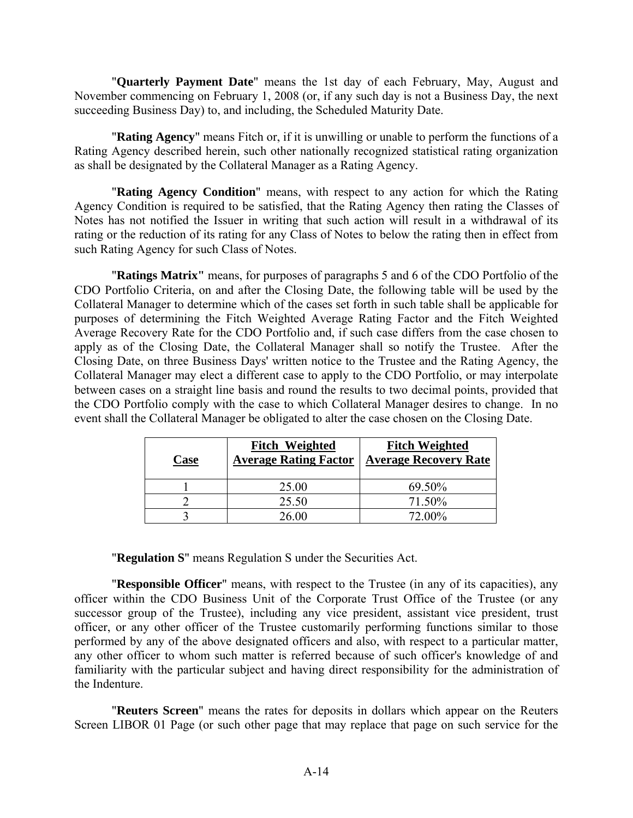"**Quarterly Payment Date**" means the 1st day of each February, May, August and November commencing on February 1, 2008 (or, if any such day is not a Business Day, the next succeeding Business Day) to, and including, the Scheduled Maturity Date.

"**Rating Agency**" means Fitch or, if it is unwilling or unable to perform the functions of a Rating Agency described herein, such other nationally recognized statistical rating organization as shall be designated by the Collateral Manager as a Rating Agency.

"**Rating Agency Condition**" means, with respect to any action for which the Rating Agency Condition is required to be satisfied, that the Rating Agency then rating the Classes of Notes has not notified the Issuer in writing that such action will result in a withdrawal of its rating or the reduction of its rating for any Class of Notes to below the rating then in effect from such Rating Agency for such Class of Notes.

"**Ratings Matrix"** means, for purposes of paragraphs 5 and 6 of the CDO Portfolio of the CDO Portfolio Criteria, on and after the Closing Date, the following table will be used by the Collateral Manager to determine which of the cases set forth in such table shall be applicable for purposes of determining the Fitch Weighted Average Rating Factor and the Fitch Weighted Average Recovery Rate for the CDO Portfolio and, if such case differs from the case chosen to apply as of the Closing Date, the Collateral Manager shall so notify the Trustee. After the Closing Date, on three Business Days' written notice to the Trustee and the Rating Agency, the Collateral Manager may elect a different case to apply to the CDO Portfolio, or may interpolate between cases on a straight line basis and round the results to two decimal points, provided that the CDO Portfolio comply with the case to which Collateral Manager desires to change. In no event shall the Collateral Manager be obligated to alter the case chosen on the Closing Date.

| Case | <b>Fitch Weighted</b><br><b>Average Rating Factor</b> | <b>Fitch Weighted</b><br><b>Average Recovery Rate</b> |
|------|-------------------------------------------------------|-------------------------------------------------------|
|      | 25.00                                                 | 69.50%                                                |
|      | 25.50                                                 | 71.50%                                                |
|      | 26.00                                                 | 72.00%                                                |

"**Regulation S**" means Regulation S under the Securities Act.

"**Responsible Officer**" means, with respect to the Trustee (in any of its capacities), any officer within the CDO Business Unit of the Corporate Trust Office of the Trustee (or any successor group of the Trustee), including any vice president, assistant vice president, trust officer, or any other officer of the Trustee customarily performing functions similar to those performed by any of the above designated officers and also, with respect to a particular matter, any other officer to whom such matter is referred because of such officer's knowledge of and familiarity with the particular subject and having direct responsibility for the administration of the Indenture.

"**Reuters Screen**" means the rates for deposits in dollars which appear on the Reuters Screen LIBOR 01 Page (or such other page that may replace that page on such service for the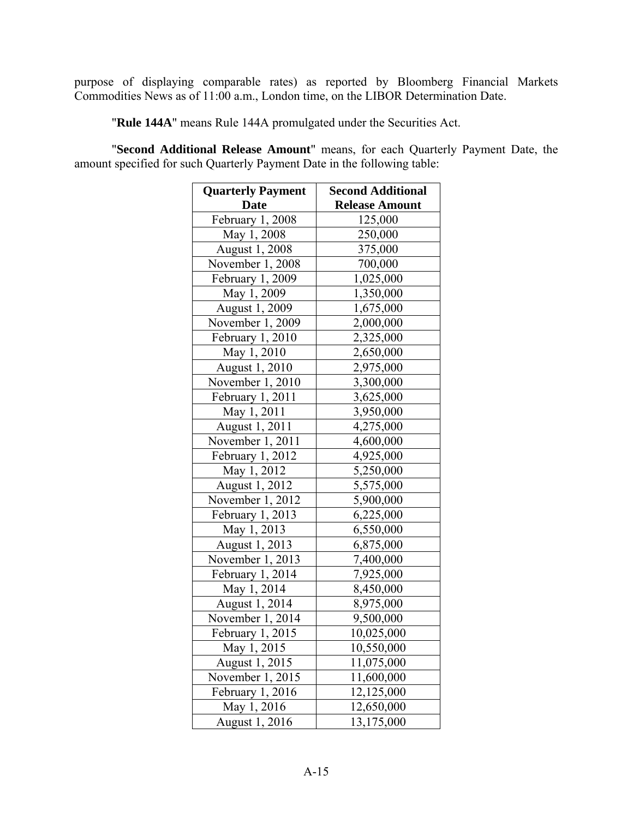purpose of displaying comparable rates) as reported by Bloomberg Financial Markets Commodities News as of 11:00 a.m., London time, on the LIBOR Determination Date.

"**Rule 144A**" means Rule 144A promulgated under the Securities Act.

"**Second Additional Release Amount**" means, for each Quarterly Payment Date, the amount specified for such Quarterly Payment Date in the following table:

| <b>Quarterly Payment</b> | <b>Second Additional</b> |
|--------------------------|--------------------------|
| <b>Date</b>              | <b>Release Amount</b>    |
| February 1, 2008         | 125,000                  |
| May 1, 2008              | 250,000                  |
| August 1, 2008           | 375,000                  |
| November 1, 2008         | 700,000                  |
| February 1, 2009         | 1,025,000                |
| May 1, 2009              | 1,350,000                |
| <b>August 1, 2009</b>    | 1,675,000                |
| November 1, 2009         | 2,000,000                |
| February 1, 2010         | 2,325,000                |
| May 1, 2010              | 2,650,000                |
| August 1, 2010           | 2,975,000                |
| November 1, 2010         | 3,300,000                |
| February 1, 2011         | 3,625,000                |
| May 1, 2011              | 3,950,000                |
| August 1, 2011           | 4,275,000                |
| November $1, 2011$       | 4,600,000                |
| February 1, 2012         | 4,925,000                |
| May 1, 2012              | 5,250,000                |
| August 1, 2012           | 5,575,000                |
| November 1, 2012         | 5,900,000                |
| February 1, 2013         | 6,225,000                |
| May 1, 2013              | 6,550,000                |
| August 1, 2013           | 6,875,000                |
| November 1, 2013         | 7,400,000                |
| February 1, 2014         | 7,925,000                |
| May 1, 2014              | 8,450,000                |
| August 1, 2014           | 8,975,000                |
| November 1, 2014         | 9,500,000                |
| February 1, 2015         | 10,025,000               |
| May 1, 2015              | 10,550,000               |
| August 1, 2015           | 11,075,000               |
| November 1, 2015         | 11,600,000               |
| February 1, 2016         | 12,125,000               |
| May 1, 2016              | 12,650,000               |
| August 1, 2016           | 13,175,000               |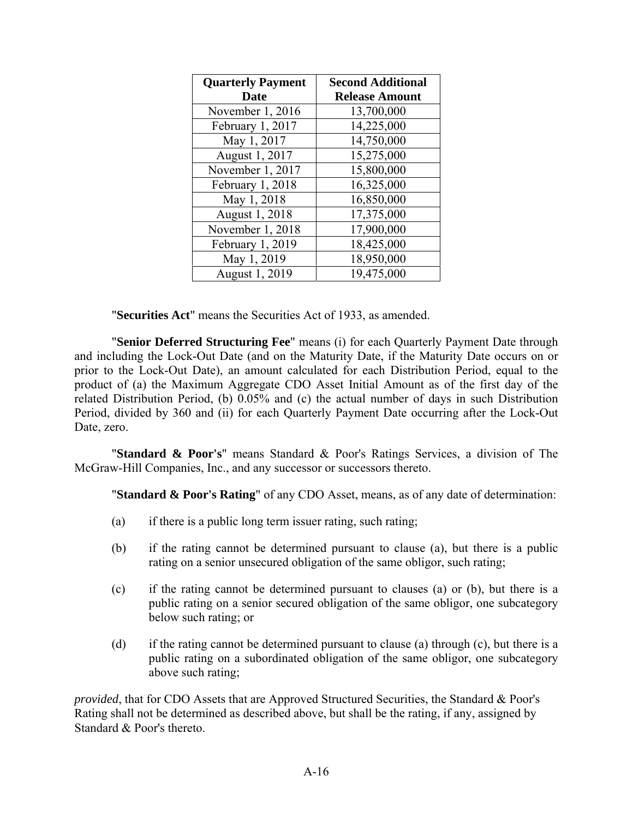| <b>Quarterly Payment</b> | <b>Second Additional</b> |
|--------------------------|--------------------------|
| <b>Date</b>              | <b>Release Amount</b>    |
| November 1, 2016         | 13,700,000               |
| February 1, 2017         | 14,225,000               |
| May 1, 2017              | 14,750,000               |
| August 1, 2017           | 15,275,000               |
| November 1, 2017         | 15,800,000               |
| February 1, 2018         | 16,325,000               |
| May 1, 2018              | 16,850,000               |
| August 1, 2018           | 17,375,000               |
| November 1, 2018         | 17,900,000               |
| February 1, 2019         | 18,425,000               |
| May 1, 2019              | 18,950,000               |
| August 1, 2019           | 19,475,000               |

"**Securities Act**" means the Securities Act of 1933, as amended.

"**Senior Deferred Structuring Fee**" means (i) for each Quarterly Payment Date through and including the Lock-Out Date (and on the Maturity Date, if the Maturity Date occurs on or prior to the Lock-Out Date), an amount calculated for each Distribution Period, equal to the product of (a) the Maximum Aggregate CDO Asset Initial Amount as of the first day of the related Distribution Period, (b) 0.05% and (c) the actual number of days in such Distribution Period, divided by 360 and (ii) for each Quarterly Payment Date occurring after the Lock-Out Date, zero.

"**Standard & Poor's**" means Standard & Poor's Ratings Services, a division of The McGraw-Hill Companies, Inc., and any successor or successors thereto.

"**Standard & Poor's Rating**" of any CDO Asset, means, as of any date of determination:

- (a) if there is a public long term issuer rating, such rating;
- (b) if the rating cannot be determined pursuant to clause (a), but there is a public rating on a senior unsecured obligation of the same obligor, such rating;
- (c) if the rating cannot be determined pursuant to clauses (a) or (b), but there is a public rating on a senior secured obligation of the same obligor, one subcategory below such rating; or
- (d) if the rating cannot be determined pursuant to clause (a) through (c), but there is a public rating on a subordinated obligation of the same obligor, one subcategory above such rating;

*provided*, that for CDO Assets that are Approved Structured Securities, the Standard & Poor's Rating shall not be determined as described above, but shall be the rating, if any, assigned by Standard & Poor's thereto.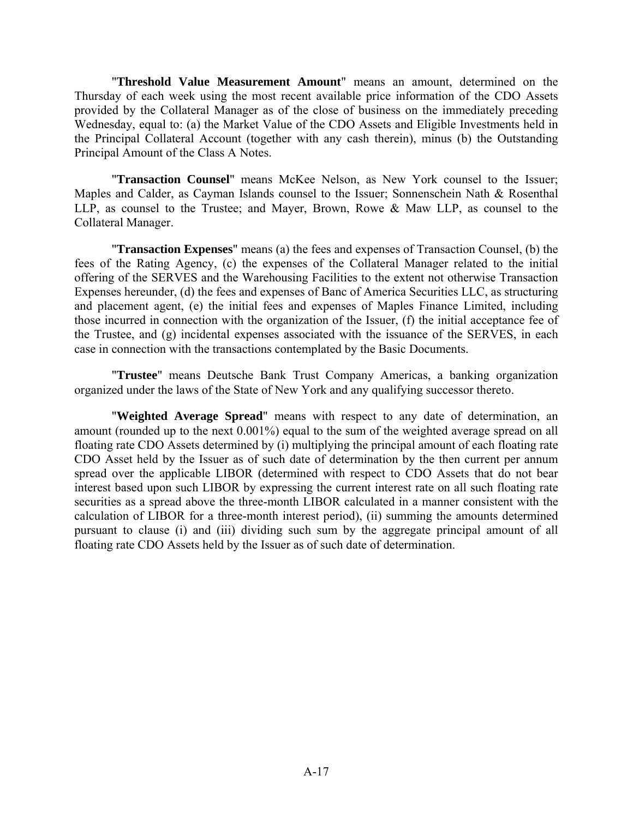"**Threshold Value Measurement Amount**" means an amount, determined on the Thursday of each week using the most recent available price information of the CDO Assets provided by the Collateral Manager as of the close of business on the immediately preceding Wednesday, equal to: (a) the Market Value of the CDO Assets and Eligible Investments held in the Principal Collateral Account (together with any cash therein), minus (b) the Outstanding Principal Amount of the Class A Notes.

"**Transaction Counsel**" means McKee Nelson, as New York counsel to the Issuer; Maples and Calder, as Cayman Islands counsel to the Issuer; Sonnenschein Nath & Rosenthal LLP, as counsel to the Trustee; and Mayer, Brown, Rowe & Maw LLP, as counsel to the Collateral Manager.

"**Transaction Expenses**" means (a) the fees and expenses of Transaction Counsel, (b) the fees of the Rating Agency, (c) the expenses of the Collateral Manager related to the initial offering of the SERVES and the Warehousing Facilities to the extent not otherwise Transaction Expenses hereunder, (d) the fees and expenses of Banc of America Securities LLC, as structuring and placement agent, (e) the initial fees and expenses of Maples Finance Limited, including those incurred in connection with the organization of the Issuer, (f) the initial acceptance fee of the Trustee, and (g) incidental expenses associated with the issuance of the SERVES, in each case in connection with the transactions contemplated by the Basic Documents.

"**Trustee**" means Deutsche Bank Trust Company Americas, a banking organization organized under the laws of the State of New York and any qualifying successor thereto.

"**Weighted Average Spread**" means with respect to any date of determination, an amount (rounded up to the next 0.001%) equal to the sum of the weighted average spread on all floating rate CDO Assets determined by (i) multiplying the principal amount of each floating rate CDO Asset held by the Issuer as of such date of determination by the then current per annum spread over the applicable LIBOR (determined with respect to CDO Assets that do not bear interest based upon such LIBOR by expressing the current interest rate on all such floating rate securities as a spread above the three-month LIBOR calculated in a manner consistent with the calculation of LIBOR for a three-month interest period), (ii) summing the amounts determined pursuant to clause (i) and (iii) dividing such sum by the aggregate principal amount of all floating rate CDO Assets held by the Issuer as of such date of determination.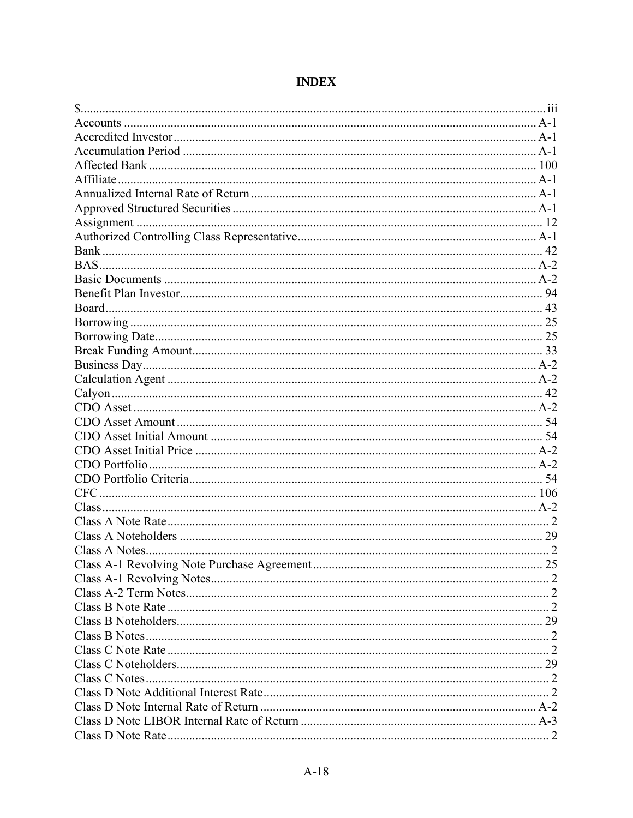# **INDEX**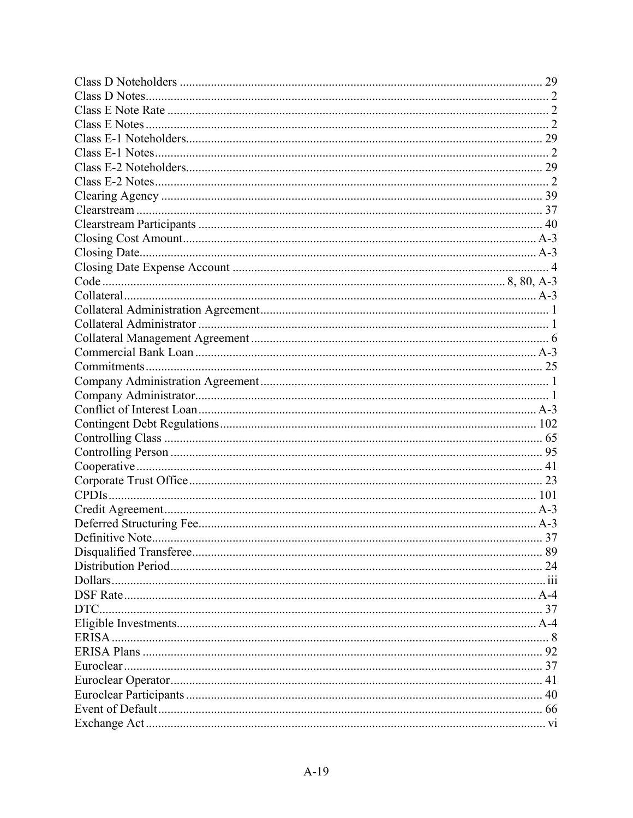|      | 37 |
|------|----|
|      |    |
|      |    |
|      |    |
|      |    |
| DTC. |    |
|      |    |
|      |    |
|      |    |
|      |    |
|      |    |
|      |    |
|      |    |
|      |    |
|      |    |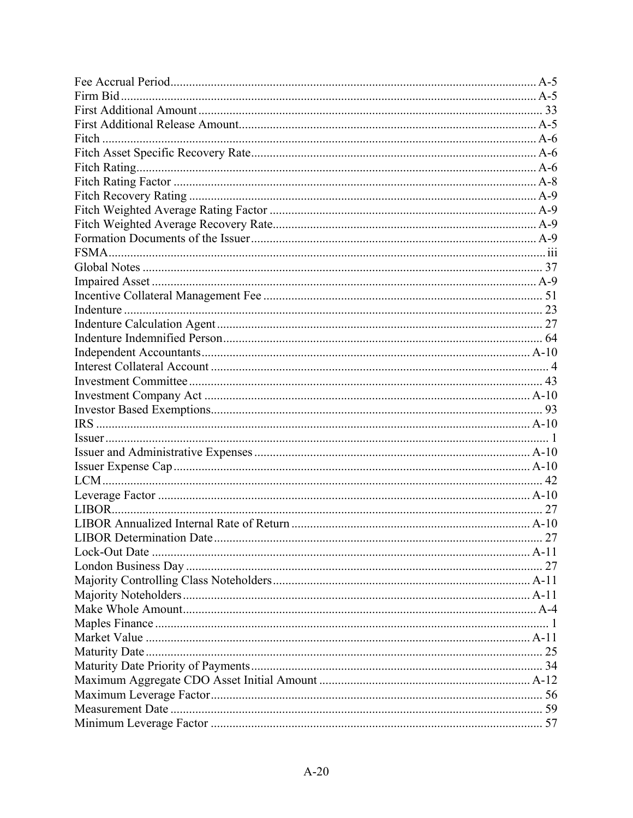| Firm Bid |    |
|----------|----|
|          |    |
|          |    |
|          |    |
|          |    |
|          |    |
|          |    |
|          |    |
|          |    |
|          |    |
|          |    |
|          |    |
|          |    |
|          |    |
|          |    |
|          |    |
|          |    |
|          |    |
|          |    |
|          |    |
|          |    |
|          |    |
|          |    |
|          |    |
|          |    |
|          |    |
|          |    |
|          |    |
|          |    |
|          |    |
|          |    |
|          | 27 |
|          |    |
|          |    |
|          |    |
|          |    |
|          |    |
|          |    |
|          |    |
|          |    |
|          |    |
|          |    |
|          |    |
|          |    |
|          |    |